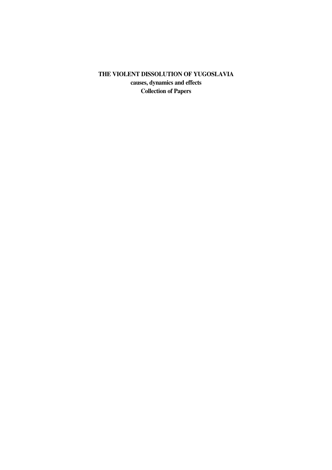**THE VIOLENT DISSOLUTION OF YUGOSLAVIA causes, dynamics and effects Collection of Papers**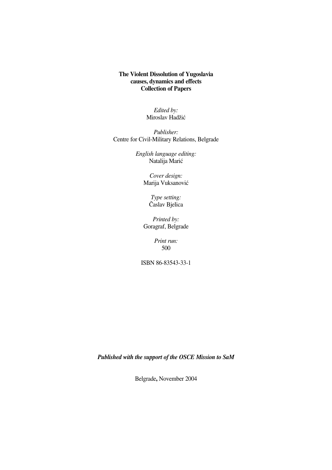#### **The Violent Dissolution of Yugoslavia causes, dynamics and effects Collection of Papers**

*Edited by:* Miroslav Hadžić

*Publisher:* Centre for Civil-Military Relations, Belgrade

> *English language editing:* Natalija Marić

> > *Cover design:* Marija Vuksanović

> > > *Type setting:* Časlav Bjelica

*Printed by:* Goragraf, Belgrade

> *Print run:*  500

ISBN 86-83543-33-1

*Published with the support of the OSCE Mission to SaM*

Belgrade**,** November 2004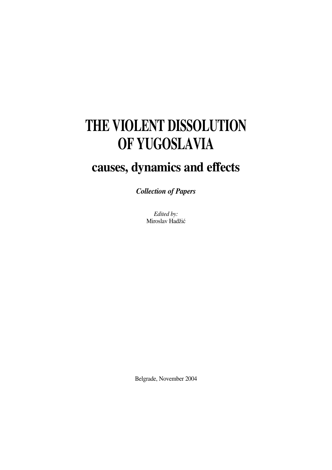# **THE VIOLENT DISSOLUTION OF YUGOSLAVIA**

# **causes, dynamics and effects**

*Collection of Papers* 

*Edited by:* Miroslav Hadžić

Belgrade, November 2004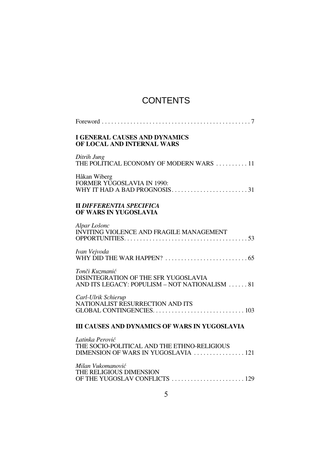# **CONTENTS**

| <b>I GENERAL CAUSES AND DYNAMICS</b><br>OF LOCAL AND INTERNAL WARS                                      |
|---------------------------------------------------------------------------------------------------------|
| Ditrih Jung<br>THE POLITICAL ECONOMY OF MODERN WARS 11                                                  |
| Håkan Wiberg<br>FORMER YUGOSLAVIA IN 1990:<br>WHY IT HAD A BAD PROGNOSIS31                              |
| <b>II DIFFERENTIA SPECIFICA</b><br>OF WARS IN YUGOSLAVIA                                                |
| Alpar Lošonc<br><b>INVITING VIOLENCE AND FRAGILE MANAGEMENT</b>                                         |
| Ivan Vejvoda                                                                                            |
| Tonči Kuzmanić<br>DISINTEGRATION OF THE SFR YUGOSLAVIA<br>AND ITS LEGACY: POPULISM - NOT NATIONALISM 81 |
| Carl-Ulrik Schierup<br>NATIONALIST RESURRECTION AND ITS                                                 |
| <b>III CAUSES AND DYNAMICS OF WARS IN YUGOSLAVIA</b>                                                    |
| Latinka Perović<br>THE SOCIO-POLITICAL AND THE ETHNO-RELIGIOUS<br>DIMENSION OF WARS IN YUGOSLAVIA  121  |
| Milan Vukomanović<br>THE RELIGIOUS DIMENSION                                                            |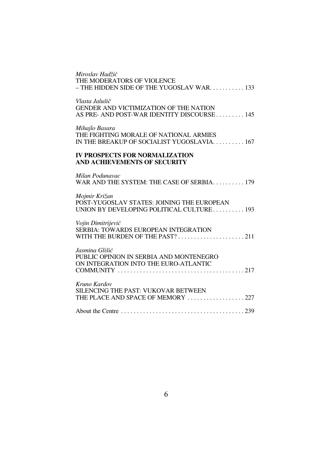| Miroslav Hadžić<br>THE MODERATORS OF VIOLENCE<br>$-$ THE HIDDEN SIDE OF THE YUGOSLAV WAR 133             |
|----------------------------------------------------------------------------------------------------------|
| Vlasta Jalušič<br>GENDER AND VICTIMIZATION OF THE NATION<br>AS PRE- AND POST-WAR IDENTITY DISCOURSE 145  |
| Mihajlo Basara<br>THE FIGHTING MORALE OF NATIONAL ARMIES<br>IN THE BREAKUP OF SOCIALIST YUGOSLAVIA. 167  |
| <b>IV PROSPECTS FOR NORMALIZATION</b><br>AND ACHIEVEMENTS OF SECURITY                                    |
| Milan Podunavac<br>WAR AND THE SYSTEM: THE CASE OF SERBIA 179                                            |
| Mojmir Križan<br>POST-YUGOSLAV STATES: JOINING THE EUROPEAN<br>UNION BY DEVELOPING POLITICAL CULTURE 193 |
| Vojin Dimitrijević<br>SERBIA: TOWARDS EUROPEAN INTEGRATION<br>WITH THE BURDEN OF THE PAST?211            |
| Jasmina Glišić<br>PUBLIC OPINION IN SERBIA AND MONTENEGRO<br>ON INTEGRATION INTO THE EURO-ATLANTIC       |
| Kruno Kardov<br>SILENCING THE PAST: VUKOVAR BETWEEN<br>THE PLACE AND SPACE OF MEMORY 227                 |
|                                                                                                          |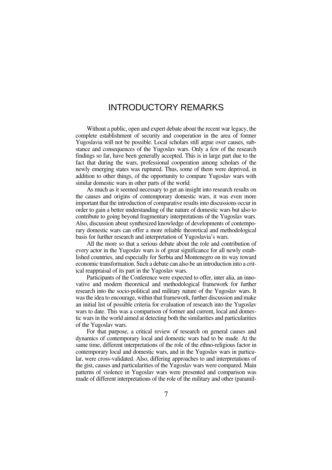# INTRODUCTORY REMARKS

Without a public, open and expert debate about the recent war legacy, the complete establishment of security and cooperation in the area of former Yugoslavia will not be possible. Local scholars still argue over causes, substance and consequences of the Yugoslav wars. Only a few of the research findings so far, have been generally accepted. This is in large part due to the fact that during the wars, professional cooperation among scholars of the newly emerging states was ruptured. Thus, some of them were deprived, in addition to other things, of the opportunity to compare Yugoslav wars with similar domestic wars in other parts of the world.

As much as it seemed necessary to get an insight into research results on the causes and origins of contemporary domestic wars, it was even more important that the introduction of comparative results into discussions occur in order to gain a better understanding of the nature of domestic wars but also to contribute to going beyond fragmentary interpretations of the Yugoslav wars. Also, discussion about synthesized knowledge of developments of contemporary domestic wars can offer a more reliable theoretical and methodological basis for further research and interpretation of Yugoslavia's wars.

All the more so that a serious debate about the role and contribution of every actor in the Yugoslav wars is of great significance for all newly established countries, and especially for Serbia and Montenegro on its way toward economic transformation. Such a debate can also be an introduction into a critical reappraisal of its part in the Yugoslav wars.

Participants of the Conference were expected to offer, inter alia, an innovative and modern theoretical and methodological framework for further research into the socio-political and military nature of the Yugoslav wars. It was the idea to encourage, within that framework, further discussion and make an initial list of possible criteria for evaluation of research into the Yugoslav wars to date. This was a comparison of former and current, local and domestic wars in the world aimed at detecting both the similarities and particularities of the Yugoslav wars.

For that purpose, a critical review of research on general causes and dynamics of contemporary local and domestic wars had to be made. At the same time, different interpretations of the role of the ethno-religious factor in contemporary local and domestic wars, and in the Yugoslav wars in particular, were cross-validated. Also, differing approaches to and interpretations of the gist, causes and particularities of the Yugoslav wars were compared. Main patterns of violence in Yugoslav wars were presented and comparison was made of different interpretations of the role of the military and other (paramil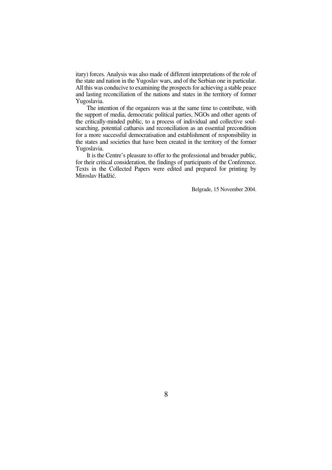itary) forces. Analysis was also made of different interpretations of the role of the state and nation in the Yugoslav wars, and of the Serbian one in particular. All this was conducive to examining the prospects for achieving a stable peace and lasting reconciliation of the nations and states in the territory of former Yugoslavia.

The intention of the organizers was at the same time to contribute, with the support of media, democratic political parties, NGOs and other agents of the critically-minded public, to a process of individual and collective soulsearching, potential catharsis and reconciliation as an essential precondition for a more successful democratisation and establishment of responsibility in the states and societies that have been created in the territory of the former Yugoslavia.

It is the Centre's pleasure to offer to the professional and broader public, for their critical consideration, the findings of participants of the Conference. Texts in the Collected Papers were edited and prepared for printing by Miroslav Hadžić.

Belgrade, 15 November 2004.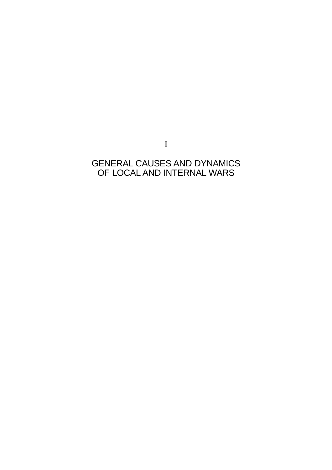# GENERAL CAUSES AND DYNAMICS OF LOCAL AND INTERNAL WARS

I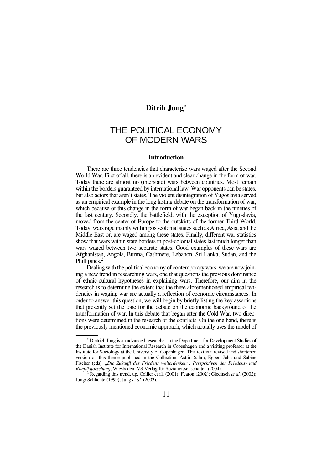### **Ditrih Jung**\*

## THE POLITICAL ECONOMY OF MODERN WARS

#### **Introduction**

There are three tendencies that characterize wars waged after the Second World War. First of all, there is an evident and clear change in the form of war. Today there are almost no (interstate) wars between countries. Most remain within the borders guaranteed by international law. War opponents can be states, but also actors that aren't states. The violent disintegration of Yugoslavia served as an empirical example in the long lasting debate on the transformation of war, which because of this change in the form of war began back in the nineties of the last century. Secondly, the battlefield, with the exception of Yugoslavia, moved from the center of Europe to the outskirts of the former Third World. Today, wars rage mainly within post-colonial states such as Africa, Asia, and the Middle East or, are waged among these states. Finally, different war statistics show that wars within state borders in post-colonial states last much longer than wars waged between two separate states. Good examples of these wars are Afghanistan, Angola, Burma, Cashmere, Lebanon, Sri Lanka, Sudan, and the Phillipines.<sup>2</sup>

Dealing with the political economy of contemporary wars, we are now joining a new trend in researching wars, one that questions the previous dominance of ethnic-cultural hypotheses in explaining wars. Therefore, our aim in the research is to determine the extent that the three aforementioned empirical tendencies in waging war are actually a reflection of economic circumstances. In order to answer this question, we will begin by briefly listing the key assertions that presently set the tone for the debate on the economic background of the transformation of war. In this debate that began after the Cold War, two directions were determined in the research of the conflicts. On the one hand, there is the previously mentioned economic approach, which actually uses the model of

<sup>\*</sup> Dietrich Jung is an advanced researcher in the Department for Development Studies of the Danish Institute for International Research in Copenhagen and a visiting professor at the Institute for Sociology at the University of Copenhagen. This text is a revised and shortened version on this theme published in the Collection: Astrid Sahm, Egbert Jahn und Sabine Fischer (eds): "*Die Zukunft des Friedens weiterdenken". Perspektiven der Friedens- und*

<sup>&</sup>lt;sup>2</sup> Regarding this trend, up. Collier et al. (2001); Fearon (2002); Gleditsch *et al.* (2002); Jung/ Schlichte (1999); Jung *et al.* (2003).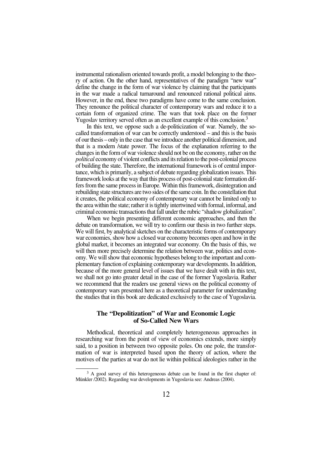instrumental rationalism oriented towards profit, a model belonging to the theory of action. On the other hand, representatives of the paradigm "new war" define the change in the form of war violence by claiming that the participants in the war made a radical turnaround and renounced rational political aims. However, in the end, these two paradigms have come to the same conclusion. They renounce the political character of contemporary wars and reduce it to a certain form of organized crime. The wars that took place on the former Yugoslav territory served often as an excellent example of this conclusion.<sup>3</sup>

In this text, we oppose such a de-politicization of war. Namely, the socalled transformation of war can be correctly understood – and this is the basis of our thesis – only in the case that we introduce another political dimension, and that is a modern /state power. The focus of the explanation referring to the changes in the form of war violence should not be on the economy, rather on the *political* economy of violent conflicts and its relation to the post-colonial process of building the state. Therefore, the international framework is of central importance, which is primarily, a subject of debate regarding globalization issues. This framework looks at the way that this process of post-colonial state formation differs from the same process in Europe. Within this framework, disintegration and rebuilding state structures are two sides of the same coin. In the constellation that it creates, the political economy of contemporary war cannot be limited only to the area within the state; rather it is tightly intertwined with formal, informal, and criminal economic transactions that fall under the rubric "shadow globalization".

When we begin presenting different economic approaches, and then the debate on transformation, we will try to confirm our thesis in two further steps. We will first, by analytical sketches on the characteristic forms of contemporary war economies, show how a closed war economy becomes open and how in the global market, it becomes an integrated war economy. On the basis of this, we will then more precisely determine the relation between war, politics and economy. We will show that economic hypotheses belong to the important and complementary function of explaining contemporary war developments. In addition, because of the more general level of issues that we have dealt with in this text, we shall not go into greater detail in the case of the former Yugoslavia. Rather we recommend that the readers use general views on the political economy of contemporary wars presented here as a theoretical parameter for understanding the studies that in this book are dedicated exclusively to the case of Yugoslavia.

#### **The "Depolitization" of War and Economic Logic of So-Called New Wars**

Methodical, theoretical and completely heterogeneous approaches in researching war from the point of view of economics extends, more simply said, to a position in between two opposite poles. On one pole, the transformation of war is interpreted based upon the theory of action, where the motives of the parties at war do not lie within political ideologies rather in the

<sup>&</sup>lt;sup>3</sup> A good survey of this heterogeneous debate can be found in the first chapter of: Münkler /2002). Regarding war developments in Yugoslavia see: Andreas (2004).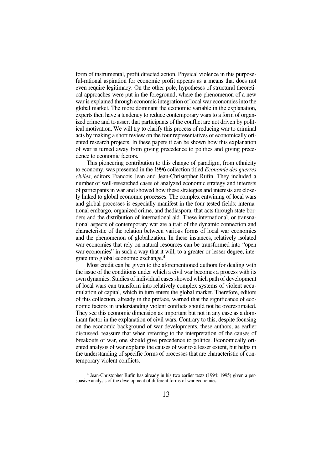form of instrumental, profit directed action. Physical violence in this purposeful-rational aspiration for economic profit appears as a means that does not even require legitimacy. On the other pole, hypotheses of structural theoretical approaches were put in the foreground, where the phenomenon of a new war is explained through economic integration of local war economies into the global market. The more dominant the economic variable in the explanation, experts then have a tendency to reduce contemporary wars to a form of organized crime and to assert that participants of the conflict are not driven by political motivation. We will try to clarify this process of reducing war to criminal acts by making a short review on the four representatives of economically oriented research projects. In these papers it can be shown how this explanation of war is turned away from giving precedence to politics and giving precedence to economic factors.

This pioneering contribution to this change of paradigm, from ethnicity to economy, was presented in the 1996 collection titled *Economie des guerres civiles*, editors Francois Jean and Jean-Christopher Rufin. They included a number of well-researched cases of analyzed economic strategy and interests of participants in war and showed how these strategies and interests are closely linked to global economic processes. The complex entwining of local wars and global processes is especially manifest in the four tested fields: international embargo, organized crime, and thediaspora, that acts through state borders and the distribution of international aid. These international, or transnational aspects of contemporary war are a trait of the dynamic connection and characteristic of the relation between various forms of local war economies and the phenomenon of globalization. In these instances, relatively isolated war economies that rely on natural resources can be transformed into "open war economies" in such a way that it will, to a greater or lesser degree, integrate into global economic exchange.<sup>4</sup>

Most credit can be given to the aforementioned authors for dealing with the issue of the conditions under which a civil war becomes a process with its own dynamics. Studies of individual cases showed which path of development of local wars can transform into relatively complex systems of violent accumulation of capital, which in turn enters the global market. Therefore, editors of this collection, already in the preface, warned that the significance of economic factors in understanding violent conflicts should not be overestimated. They see this economic dimension as important but not in any case as a dominant factor in the explanation of civil wars. Contrary to this, despite focusing on the economic background of war developments, these authors, as earlier discussed, reassure that when referring to the interpretation of the causes of breakouts of war, one should give precedence to politics. Economically oriented analysis of war explains the causes of war to a lesser extent, but helps in the understanding of specific forms of processes that are characteristic of contemporary violent conflicts.

<sup>4</sup> Jean-Christopher Rufin has already in his two earlier texts (1994; 1995) given a persuasive analysis of the development of different forms of war economies.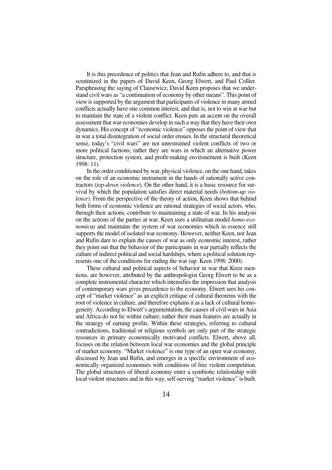It is this precedence of politics that Jean and Rufin adhere to, and that is scrutinized in the papers of David Keen, Georg Elwert, and Paul Collier. Paraphrasing the saying of Clausewicz, David Keen proposes that we understand civil wars as "a continuation of economy by other means". This point of view is supported by the argument that participants of violence in many armed conflicts actually have one common interest, and that is, not to win at war but to maintain the state of a violent conflict. Keen puts an accent on the overall assessment that war economies develop in such a way that they have their own dynamics. His concept of "economic violence" opposes the point of view that in war a total disintegration of social order ensues. In the structural theoretical sense, today's "civil wars" are not unrestrained violent conflicts of two or more political factions; rather they are wars in which an alternative power structure, protection system, and profit-making environement is built (Keen 1998: 11).

In the order conditioned by war, physical violence, on the one hand, takes on the role of an economic instrument in the hands of rationally active contractors (*top-down violence*). On the other hand, it is a basic resource for survival by which the population satisfies direct material needs (*bottom-up violence*). From the perspective of the theory of action, Keen shows that behind both forms of economic violence are rational strategies of social actors, who, through their actions, contribute to maintaining a state of war. In his analysis on the actions of the parties at war, Keen uses a utilitarian model *homo economicus* and maintains the system of war economies which in essence still supports the model of isolated war economy. However, neither Keen, nor Jean and Rufin dare to explain the causes of war as only economic interest, rather they point out that the behavior of the participants in war partially reflects the culture of indirect political and social hardships, where a political solution represents one of the conditions for ending the war (up. Keen 1998: 2000).

These cultural and political aspects of behavior in war that Keen mentions, are however, attributed by the anthropologist Georg Elwert to be as a complete instrumental character which intensifies the impression that analysis of contemporary wars gives precedence to the economy. Elwert sees his concept of "market violence" as an explicit critique of cultural theorems with the root of violence in culture, and therefore explains it as a lack of cultural homogeneity. According to Elwert's argumentation, the causes of civil wars in Asia and Africa do not lie within culture; rather their main features are actually in the strategy of earning profits. Within these strategies, referring to cultural contradictions, traditional or religious symbols are only part of the strategic resources in primary economically motivated conflicts. Elwert, above all, focuses on the relation between local war economies and the global principle of market economy. "Market violence" is one type of an open war economy, discussed by Jean and Rufin, and emerges in a specific environment of economically organized economies with conditions of free violent competition. The global structures of liberal economy enter a symbiotic relationship with local violent structures and in this way, self-serving "market violence" is built.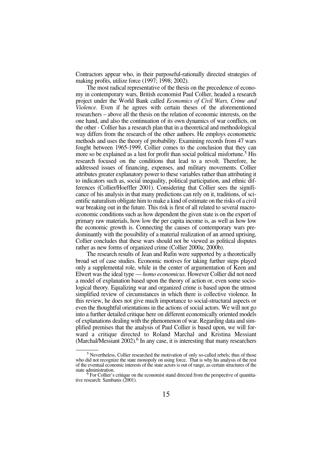Contractors appear who, in their purposeful-rationally directed strategies of making profits, utilize force (1997; 1998; 2002).

The most radical representative of the thesis on the precedence of economy in contemporary wars, British economist Paul Collier, headed a research project under the World Bank called *Economics of Civil Wars, Crime and Violence*. Even if he agrees with certain theses of the aforementioned researchers – above all the thesis on the relation of economic interests, on the one hand, and also the continuation of its own dynamics of war conflicts, on the other - Collier has a research plan that in a theoretical and methodological way differs from the research of the other authors. He employs econometric methods and uses the theory of probability. Examining records from 47 wars fought between 1965-1999, Collier comes to the conclusion that they can more so be explained as a lust for profit than social political misfortune.<sup>5</sup> His research focused on the conditions that lead to a revolt. Therefore, he addressed issues of financing, expenses, and military movements. Collier attributes greater explanatory power to these variables rather than attributing it to indicators such as, social inequality, political participation, and ethnic differences (Collier/Hoeffler 2001). Considering that Collier sees the significance of his analysis in that many predictions can rely on it, traditions, of scientific naturalism obligate him to make a kind of estimate on the risks of a civil war breaking out in the future. This risk is first of all related to several macroeconomic conditions such as how dependent the given state is on the export of primary raw materials, how low the per capita income is, as well as how low the economic growth is. Connecting the causes of contemporary wars predominantly with the possibility of a material realization of an armed uprising, Collier concludes that these wars should not be viewed as political disputes rather as new forms of organized crime (Collier 2000a; 2000b).

The research results of Jean and Rufin were supported by a theoretically broad set of case studies. Economic motives for taking further steps played only a supplemental role, while in the center of argumentation of Keen and Elwert was the ideal type — *homo economicus*. However Collier did not need a model of explanation based upon the theory of action or, even some sociological theory. Equalizing war and organized crime is based upon the utmost simplified review of circumstances in which there is collective violence. In this review, he does not give much importance to social-structural aspects or even the thoughtful orientations in the actions of social actors. We will not go into a further detailed critique here on different economically oriented models of explanations dealing with the phenomenon of war. Regarding data and simplified premises that the analysis of Paul Collier is based upon, we will forward a critique directed to Roland Marchal and Kristina Messiant  $(Marchal/Messian t 2002)$ <sup>6</sup> In any case, it is interesting that many researchers

<sup>5</sup> Nevertheless, Collier researched the motivation of only so-called rebels; thus of those who did not recognize the state monopoly on using force. That is why his analysis of the rest of the eventual economic interests of the state actors is out of range, as certain structures of the state administration.

<sup>&</sup>lt;sup>6</sup> For Collier's critique on the economist stand directed from the perspective of quantitative research: Sambanis (2001).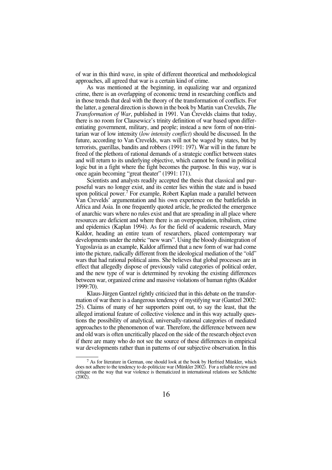of war in this third wave, in spite of different theoretical and methodological approaches, all agreed that war is a certain kind of crime.

As was mentioned at the beginning, in equalizing war and organized crime, there is an overlapping of economic trend in researching conflicts and in those trends that deal with the theory of the transformation of conflicts. For the latter, a general direction is shown in the book by Martin van Crevelds, *The Transformation of War*, published in 1991. Van Crevelds claims that today, there is no room for Clausewicz's trinity definition of war based upon differentiating government, military, and people; instead a new form of non-trinitarian war of low intensity (*low intensity conflict*) should be discussed. In the future, according to Van Crevelds, wars will not be waged by states, but by terrorists, guerillas, bandits and robbers (1991: 197). War will in the future be freed of the plethora of rational demands of a strategic conflict between states and will return to its underlying objective, which cannot be found in political logic but in a fight where the fight becomes the purpose. In this way, war is once again becoming "great theater" (1991: 171).

Scientists and analysts readily accepted the thesis that classical and purposeful wars no longer exist, and its center lies within the state and is based upon political power.<sup>7</sup> For example, Robert Kaplan made a parallel between Van Crevelds' argumentation and his own experience on the battlefields in Africa and Asia. In one frequently quoted article, he predicted the emergence of anarchic wars where no rules exist and that are spreading in all place where resources are deficient and where there is an overpopulation, tribalism, crime and epidemics (Kaplan 1994). As for the field of academic research, Mary Kaldor, heading an entire team of researchers, placed contemporary war developments under the rubric "new wars". Using the bloody disintegration of Yugoslavia as an example, Kaldor affirmed that a new form of war had come into the picture, radically different from the ideological mediation of the "old" wars that had rational political aims. She believes that global processes are in effect that allegedly dispose of previously valid categories of political order, and the new type of war is determined by revoking the existing differences between war, organized crime and massive violations of human rights (Kaldor 1999:70).

Klaus-Jürgen Gantzel rightly criticized that in this debate on the transformation of war there is a dangerous tendency of mystifying war (Gantzel 2002: 25). Claims of many of her supporters point out, to say the least, that the alleged irrational feature of collective violence and in this way actually questions the possibility of analytical, universally-rational categories of mediated approaches to the phenomenon of war. Therefore, the difference between new and old wars is often uncritically placed on the side of the research object even if there are many who do not see the source of these differences in empirical war developments rather than in patterns of our subjective observation. In this

<sup>7</sup> As for literature in German, one should look at the book by Herfried Münkler, which does not adhere to the tendency to de-politicize war (Münkler 2002). For a reliable review and critique on the way that war violence is thematicized in international relations see Schlichte  $(2002)$ .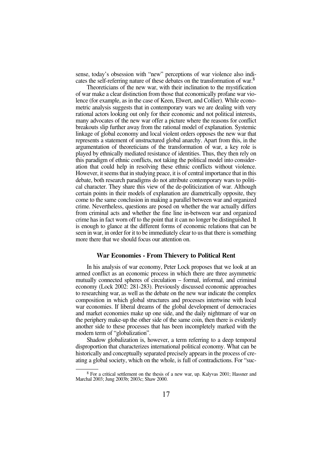sense, today's obsession with "new" perceptions of war violence also indicates the self-referring nature of these debates on the transformation of war.<sup>8</sup>

Theoreticians of the new war, with their inclination to the mystification of war make a clear distinction from those that economically profane war violence (for example, as in the case of Keen, Elwert, and Collier). While econometric analysis suggests that in contemporary wars we are dealing with very rational actors looking out only for their economic and not political interests, many advocates of the new war offer a picture where the reasons for conflict breakouts slip further away from the rational model of explanation. Systemic linkage of global economy and local violent orders opposes the new war that represents a statement of unstructured global anarchy. Apart from this, in the argumentation of theoreticians of the transformation of war, a key role is played by ethnically mediated resistance of identities. Thus, they then rely on this paradigm of ethnic conflicts, not taking the political model into consideration that could help in resolving these ethnic conflicts without violence. However, it seems that in studying peace, it is of central importance that in this debate, both research paradigms do not attribute contemporary wars to political character. They share this view of the de-politicization of war. Although certain points in their models of explanation are diametrically opposite, they come to the same conclusion in making a parallel between war and organized crime. Nevertheless, questions are posed on whether the war actually differs from criminal acts and whether the fine line in-between war and organized crime has in fact worn off to the point that it can no longer be distinguished. It is enough to glance at the different forms of economic relations that can be seen in war, in order for it to be immediately clear to us that there is something more there that we should focus our attention on.

#### **War Economies - From Thievery to Political Rent**

In his analysis of war economy, Peter Lock proposes that we look at an armed conflict as an economic process in which there are three asymmetric mutually connected spheres of circulation – formal, informal, and criminal economy (Lock 2002: 281-283). Previously discussed economic approaches to researching war, as well as the debate on the new war indicate the complex composition in which global structures and processes intertwine with local war economies. If liberal dreams of the global development of democracies and market economies make up one side, and the daily nightmare of war on the periphery make-up the other side of the same coin, then there is evidently another side to these processes that has been incompletely marked with the modern term of "globalization".

Shadow globalization is, however, a term referring to a deep temporal disproportion that characterizes international political economy. What can be historically and conceptually separated precisely appears in the process of creating a global society, which on the whole, is full of contradictions. For "suc-

<sup>8</sup> For a critical settlement on the thesis of a new war, up. Kalyvas 2001; Hassner and Marchal 2003; Jung 2003b; 2003c; Shaw 2000.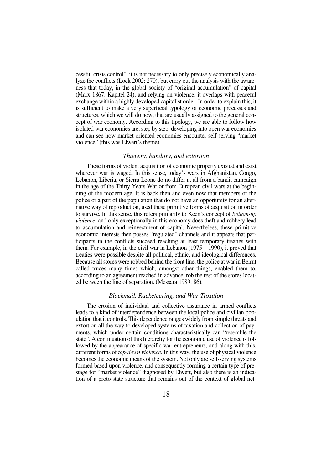cessful crisis control", it is not necessary to only precisely economically analyze the conflicts (Lock 2002: 270), but carry out the analysis with the awareness that today, in the global society of "original accumulation" of capital (Marx 1867: Kapitel 24), and relying on violence, it overlaps with peaceful exchange within a highly developed capitalist order. In order to explain this, it is sufficient to make a very superficial typology of economic processes and structures, which we will do now, that are usually assigned to the general concept of war economy. According to this tipology, we are able to follow how isolated war economies are, step by step, developing into open war economies and can see how market oriented economies encounter self-serving "market violence" (this was Elwert's theme).

#### *Thievery, banditry, and extortion*

These forms of violent acquisition of economic property existed and exist wherever war is waged. In this sense, today's wars in Afghanistan, Congo, Lebanon, Liberia, or Sierra Leone do no differ at all from a bandit campaign in the age of the Thirty Years War or from European civil wars at the beginning of the modern age. It is back then and even now that members of the police or a part of the population that do not have an opportunity for an alternative way of reproduction, used these primitive forms of acquisition in order to survive. In this sense, this refers primarily to Keen's concept of *bottom-up violence*, and only exceptionally in this economy does theft and robbery lead to accumulation and reinvestment of capital. Nevertheless, these primitive economic interests then posses "regulated" channels and it appears that participants in the conflicts succeed reaching at least temporary treaties with them. For example, in the civil war in Lebanon  $(1975 - 1990)$ , it proved that treaties were possible despite all political, ethnic, and ideological differences. Because all stores were robbed behind the front line, the police at war in Beirut called truces many times which, amongst other things, enabled them to, according to an agreement reached in advance, rob the rest of the stores located between the line of separation. (Messara 1989: 86).

#### *Blackmail, Racketeering, and War Taxation*

The erosion of individual and collective assurance in armed conflicts leads to a kind of interdependence between the local police and civilian population that it controls. This dependence ranges widely from simple threats and extortion all the way to developed systems of taxation and collection of payments, which under certain conditions characteristically can "resemble the state". A continuation of this hierarchy for the economic use of violence is followed by the appearance of specific war entrepreneurs, and along with this, different forms of *top-down violence*. In this way, the use of physical violence becomes the economic means of the system. Not only are self-serving systems formed based upon violence, and consequently forming a certain type of prestage for "market violence" diagnosed by Elwert, but also there is an indication of a proto-state structure that remains out of the context of global net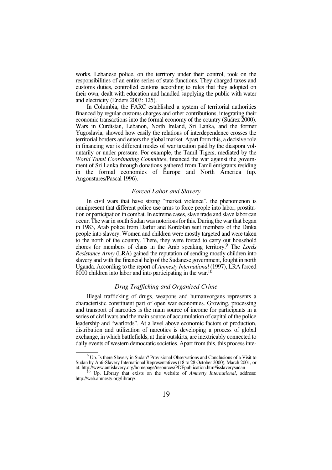works. Lebanese police, on the territory under their control, took on the responsibilities of an entire series of state functions. They charged taxes and customs duties, controlled cantons according to rules that they adopted on their own, dealt with education and handled supplying the public with water and electricity (Enders 2003: 125).

In Columbia, the FARC established a system of territorial authorities financed by regular customs charges and other contributions, integrating their economic transactions into the formal economy of the country (Suárez 2000). Wars in Curdistan, Lebanon, North Ireland, Sri Lanka, and the former Yugoslavia, showed how easily the relations of interdependence crosses the territorial borders and enters the global market. Apart form this, a decisive role in financing war is different modes of war taxation paid by the diaspora voluntarily or under pressure. For example, the Tamil Tigers, mediated by the *World Tamil Coordinating Committee*, financed the war against the government of Sri Lanka through donations gathered from Tamil emigrants residing in the formal economies of Europe and North America (up. Angoustures/Pascal 1996).

#### *Forced Labor and Slavery*

In civil wars that have strong "market violence", the phenomenon is omnipresent that different police use arms to force people into labor, prostitution or participation in combat. In extreme cases, slave trade and slave labor can occur. The war in south Sudan was notorious for this. During the war that began in 1983, Arab police from Darfur and Kordofan sent members of the Dinka people into slavery. Women and children were mostly targeted and were taken to the north of the country. There, they were forced to carry out household chores for members of clans in the Arab speaking territory.9 The *Lords Resistance Army* (LRA) gained the reputation of sending mostly children into slavery and with the financial help of the Sudanese government, fought in north Uganda. According to the report of *Amnesty International* (1997), LRA forced 8000 children into labor and into participating in the war.<sup>10</sup>

#### *Drug Trafficking and Organized Crime*

Illegal trafficking of drugs, weapons and humanvorgans represents a characteristic constituent part of open war economies. Growing, processing and transport of narcotics is the main source of income for participants in a series of civil wars and the main source of accumulation of capital of the police leadership and "warlords". At a level above economic factors of production, distribution and utilization of narcotics is developing a process of global exchange, in which battlefields, at their outskirts, are inextricably connected to daily events of western democratic societies. Apart from this, this process inte-

<sup>9</sup> Up. Is there Slavery in Sudan? Provisional Observations and Conclusions of a Visit to Sudan by Anti-Slavery International Representatives (18 to 28 October 2000), March 2001, or

at: http://www.antislavery.org/homepage/resources/PDFpublication.htm#isslaverysudan <sup>10</sup> Up. Library that exists on the website of *Amnesty International*, address: http://web.amnesty.org/library/.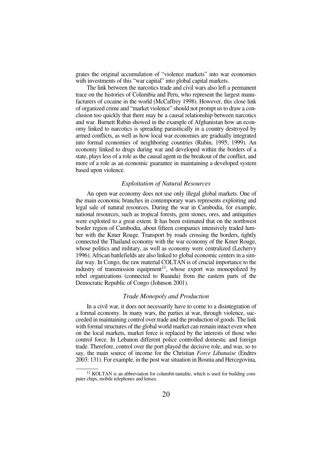grates the original accumulation of "violence markets" into war economies with investments of this "war capital" into global capital markets.

The link between the narcotics trade and civil wars also left a permanent trace on the histories of Columbia and Peru, who represent the largest manufacturers of cocaine in the world (McCaffrey 1998). However, this close link of organized crime and "market violence" should not prompt us to draw a conclusion too quickly that there may be a causal relationship between narcotics and war. Burnett Rubin showed in the example of Afghanistan how an economy linked to narcotics is spreading parasitically in a country destroyed by armed conflicts, as well as how local war economies are gradually integrated into formal economies of neighboring countries (Rubin, 1995; 1999). An economy linked to drugs during war and developed within the borders of a state, plays less of a role as the causal agent in the breakout of the conflict, and more of a role as an economic guarantee in maintaining a developed system based upon violence.

#### *Exploitation of Natural Resources*

An open war economy does not use only illegal global markets. One of the main economic branches in contemporary wars represents exploiting and legal sale of natural resources. During the war in Cambodia, for example, national resources, such as tropical forests, gem stones, ores, and antiquities were exploited to a great extent. It has been estimated that on the northwest border region of Cambodia, about fifteen companies intensively traded lumber with the Kmer Rouge. Transport by roads crossing the borders, tightly connected the Thailand economy with the war economy of the Kmer Rouge, whose politics and military, as well as economy were centralized (Lechervy 1996). African battlefields are also linked to global economic centers in a similar way. In Congo, the raw material COLTAN is of crucial importance to the industry of transmission equipment<sup>11</sup>, whose export was monopolized by rebel organizations (connected to Ruanda) from the eastern parts of the Democratic Republic of Congo (Johnson 2001).

#### *Trade Monopoly and Production*

In a civil war, it does not necessarily have to come to a disintegration of a formal economy. In many wars, the parties at war, through violence, succeeded in maintaining control over trade and the production of goods. The link with formal structures of the global world market can remain intact even when on the local markets, market force is replaced by the interests of those who control force. In Lebanon different police controlled domestic and foreign trade. Therefore, control over the port played the decisive role, and was, so to say, the main source of income for the Christian *Force Libanaise* (Endres 2003: 131). For example, in the post war situation in Bosnia and Hercegovina,

<sup>&</sup>lt;sup>11</sup> KOLTAN is an abbreviation for columbit-tantalite, which is used for building computer chips, mobile telephones and lenses.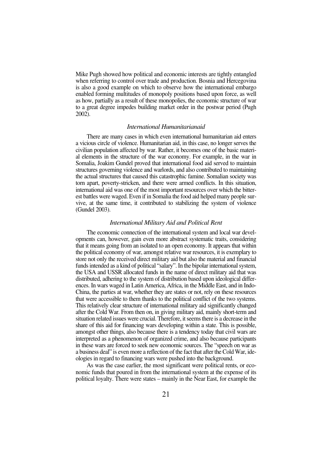Mike Pugh showed how political and economic interests are tightly entangled when referring to control over trade and production. Bosnia and Hercegovina is also a good example on which to observe how the international embargo enabled forming multitudes of monopoly positions based upon force, as well as how, partially as a result of these monopolies, the economic structure of war to a great degree impedes building market order in the postwar period (Pugh 2002).

#### *International Humanitarianaid*

There are many cases in which even international humanitarian aid enters a vicious circle of violence. Humanitarian aid, in this case, no longer serves the civilian population affected by war. Rather, it becomes one of the basic material elements in the structure of the war economy. For example, in the war in Somalia, Joakim Gundel proved that international food aid served to maintain structures governing violence and warlords, and also contributed to maintaining the actual structures that caused this catastrophic famine. Somalian society was torn apart, poverty-stricken, and there were armed conflicts. In this situation, international aid was one of the most important resources over which the bitterest battles were waged. Even if in Somalia the food aid helped many people survive, at the same time, it contributed to stabilizing the system of violence (Gundel 2003).

#### *International Military Aid and Political Rent*

The economic connection of the international system and local war developments can, however, gain even more abstract systematic traits, considering that it means going from an isolated to an open economy. It appears that within the political economy of war, amongst relative war resources, it is exemplary to store not only the received direct military aid but also the material and financial funds intended as a kind of political "salary". In the bipolar international system, the USA and USSR allocated funds in the name of direct military aid that was distributed, adhering to the system of distribution based upon ideological differences. In wars waged in Latin America, Africa, in the Middle East, and in Indo-China, the parties at war, whether they are states or not, rely on these resources that were accessible to them thanks to the political conflict of the two systems. This relatively clear structure of international military aid significantly changed after the Cold War. From then on, in giving military aid, mainly short-term and situation related issues were crucial. Therefore, it seems there is a decrease in the share of this aid for financing wars developing within a state. This is possible, amongst other things, also because there is a tendency today that civil wars are interpreted as a phenomenon of organized crime, and also because participants in these wars are forced to seek new economic sources. The "speech on war as a business deal" is even more a reflection of the fact that after the Cold War, ideologies in regard to financing wars were pushed into the background.

As was the case earlier, the most significant were political rents, or economic funds that poured in from the international system at the expense of its political loyalty. There were states – mainly in the Near East, for example the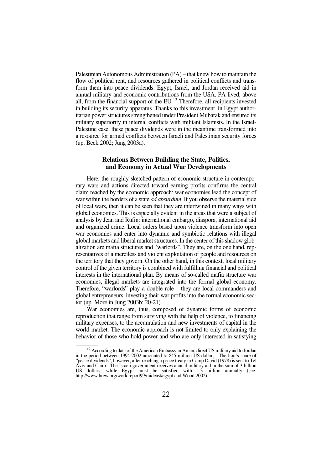Palestinian Autonomous Administration (PA) – that knew how to maintain the flow of political rent, and resources gathered in political conflicts and transform them into peace dividends. Egypt, Israel, and Jordan received aid in annual military and economic contributions from the USA. PA lived, above all, from the financial support of the EU.12 Therefore, all recipients invested in building its security apparatus. Thanks to this investment, in Egypt authoritarian power structures strengthened under President Mubarak and ensured its military superiority in internal conflicts with militant Islamists. In the Israel-Palestine case, these peace dividends were in the meantime transformed into a resource for armed conflicts between Israeli and Palestinian security forces (up. Beck 2002; Jung 2003a).

#### **Relations Between Building the State, Politics, and Economy in Actual War Developments**

Here, the roughly sketched pattern of economic structure in contemporary wars and actions directed toward earning profits confirms the central claim reached by the economic approach: war economies lead the concept of war within the borders of a state *ad absurdum*. If you observe the material side of local wars, then it can be seen that they are intertwined in many ways with global economics. This is especially evident in the areas that were a subject of analysis by Jean and Rufin: international embargo, diaspora, international aid and organized crime. Local orders based upon violence transform into open war economies and enter into dynamic and symbiotic relations with illegal global markets and liberal market structures. In the center of this shadow globalization are mafia structures and "warlords". They are, on the one hand, representatives of a merciless and violent exploitation of people and resources on the territory that they govern. On the other hand, in this context, local military control of the given territory is combined with fulfilling financial and political interests in the international plan. By means of so-called mafia structure war economies, illegal markets are integrated into the formal global economy. Therefore, "warlords" play a double role – they are local commanders and global entrepreneurs, investing their war profits into the formal economic sector (up. More in Jung 2003b: 20-21).

War economies are, thus, composed of dynamic forms of economic reproduction that range from surviving with the help of violence, to financing military expenses, to the accumulation and new investments of capital in the world market. The economic approach is not limited to only explaining the behavior of those who hold power and who are only interested in satisfying

<sup>&</sup>lt;sup>12</sup> According to data of the American Embassy in Aman, direct US military aid to Jordan in the period between 1994-2002 amounted to 845 million US dollars. The lion's share of "peace dividends", however, after reaching a peace treaty in Camp David (1978) is sent to Tel Aviv and Cairo. The Israeli government receives annual military aid in the sum of 3 billion US dollars, while Egypt must be satisfied with 1.3 billion annually (see: http://www.hrew.org/worldreport99/mideast/egypt and Wood 2002).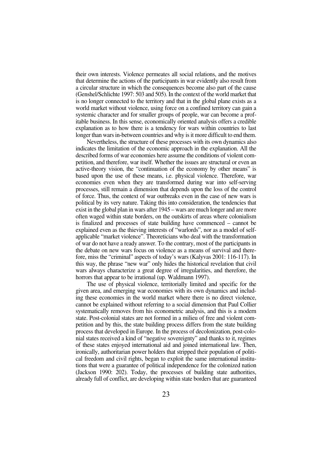their own interests. Violence permeates all social relations, and the motives that determine the actions of the participants in war evidently also result from a circular structure in which the consequences become also part of the cause (Genshel/Schlichte 1997: 503 and 505). In the context of the world market that is no longer connected to the territory and that in the global plane exists as a world market without violence, using force on a confined territory can gain a systemic character and for smaller groups of people, war can become a profitable business. In this sense, economically oriented analysis offers a credible explanation as to how there is a tendency for wars within countries to last longer than wars in-between countries and why is it more difficult to end them.

Nevertheless, the structure of these processes with its own dynamics also indicates the limitation of the economic approach in the explanation. All the described forms of war economies here assume the conditions of violent competition, and therefore, war itself. Whether the issues are structural or even an active-theory vision, the "continuation of the economy by other means" is based upon the use of these means, i.e. physical violence. Therefore, war economies even when they are transformed during war into self-serving processes, still remain a dimension that depends upon the loss of the control of force. Thus, the context of war outbreaks even in the case of new wars is political by its very nature. Taking this into consideration, the tendencies that exist in the global plan in wars after 1945 – wars are much longer and are more often waged within state borders, on the outskirts of areas where colonialism is finalized and processes of state building have commenced – cannot be explained even as the thieving interests of "warlords", nor as a model of selfapplicable "market violence". Theoreticians who deal with the transformation of war do not have a ready answer. To the contrary, most of the participants in the debate on new wars focus on violence as a means of survival and therefore, miss the "criminal" aspects of today's wars (Kalyvas 2001: 116-117). In this way, the phrase "new war" only hides the historical revelation that civil wars always characterize a great degree of irregularities, and therefore, the horrors that appear to be irrational (up. Waldmann 1997).

The use of physical violence, territorially limited and specific for the given area, and emerging war economies with its own dynamics and including these economies in the world market where there is no direct violence, cannot be explained without referring to a social dimension that Paul Collier systematically removes from his econometric analysis, and this is a modern state. Post-colonial states are not formed in a milieu of free and violent competition and by this, the state building process differs from the state building process that developed in Europe. In the process of decolonization, post-colonial states received a kind of "negative sovereignty" and thanks to it, regimes of these states enjoyed international aid and joined international law. Then, ironically, authoritarian power holders that stripped their population of political freedom and civil rights, began to exploit the same international institutions that were a guarantee of political independence for the colonized nation (Jackson 1990: 202). Today, the processes of building state authorities, already full of conflict, are developing within state borders that are guaranteed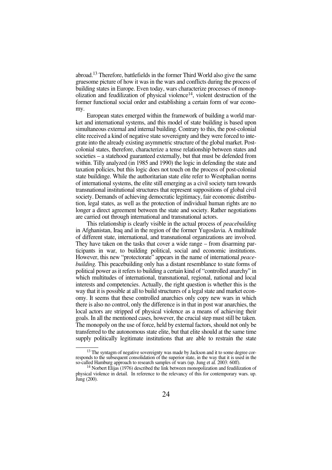abroad.13 Therefore, battlefields in the former Third World also give the same gruesome picture of how it was in the wars and conflicts during the process of building states in Europe. Even today, wars characterize processes of monopolization and feudilization of physical violence<sup>14</sup>, violent destruction of the former functional social order and establishing a certain form of war economy.

European states emerged within the framework of building a world market and international systems, and this model of state building is based upon simultaneous external and internal building. Contrary to this, the post-colonial elite received a kind of negative state sovereignty and they were forced to integrate into the already existing asymmetric structure of the global market. Postcolonial states, therefore, characterize a tense relationship between states and societies – a statehood guaranteed externally, but that must be defended from within. Tilly analyzed (in 1985 and 1990) the logic in defending the state and taxation policies, but this logic does not touch on the process of post-colonial state buildinge. While the authoritarian state elite refer to Westphalian norms of international systems, the elite still emerging as a civil society turn towards transnational institutional structures that represent suppositions of global civil society. Demands of achieving democratic legitimacy, fair economic distribution, legal states, as well as the protection of individual human rights are no longer a direct agreement between the state and society. Rather negotiations are carried out through international and transnational actors.

This relationship is clearly visible in the actual process of *peacebuilding* in Afghanistan, Iraq and in the region of the former Yugoslavia. A multitude of different state, international, and transnational organizations are involved. They have taken on the tasks that cover a wide range – from disarming participants in war, to building political, social and economic institutions. However, this new "protectorate" appears in the name of international *peacebuilding.* This peacebuilding only has a distant resemblance to state forms of political power as it refers to building a certain kind of "controlled anarchy" in which multitudes of international, transnational, regional, national and local interests and competencies. Actually, the right question is whether this is the way that it is possible at all to build structures of a legal state and market economy. It seems that these controlled anarchies only copy new wars in which there is also no control, only the difference is in that in post war anarchies, the local actors are stripped of physical violence as a means of achieving their goals. In all the mentioned cases, however, the crucial step must still be taken. The monopoly on the use of force, held by external factors, should not only be transferred to the autonomous state elite, but that elite should at the same time supply politically legitimate institutions that are able to restrain the state

<sup>&</sup>lt;sup>13</sup> The syntagm of negative sovereignty was made by Jackson and it to some degree corresponds to the subsequent consolidation of the superior state, in the way that it is used in the so-called Hamburg approach to research samples of wars (up. Jung et al. 2003: 60ff).

<sup>&</sup>lt;sup>14</sup> Norbert Elijas (1976) described the link between monopolization and feudilization of physical violence in detail. In reference to the relevancy of this for contemporary wars. up. Jung (200).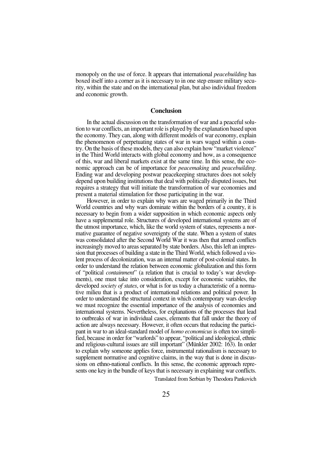monopoly on the use of force. It appears that international *peacebuilding* has boxed itself into a corner as it is necessary to in one step ensure military security, within the state and on the international plan, but also individual freedom and economic growth.

#### **Conclusion**

In the actual discussion on the transformation of war and a peaceful solution to war conflicts, an important role is played by the explanation based upon the economy. They can, along with different models of war economy, explain the phenomenon of perpetuating states of war in wars waged within a country. On the basis of these models, they can also explain how "market violence" in the Third World interacts with global economy and how, as a consequence of this, war and liberal markets exist at the same time. In this sense, the economic approach can be of importance for *peacemaking* and *peacebuilding*. Ending war and developing postwar peacekeeping structures does not solely depend upon building institutions that deal with politically disputed issues, but requires a strategy that will initiate the transformation of war economies and present a material stimulation for those participating in the war.

However, in order to explain why wars are waged primarily in the Third World countries and why wars dominate within the borders of a country, it is necessary to begin from a wider supposition in which economic aspects only have a supplemental role. Structures of developed international systems are of the utmost importance, which, like the world system of states, represents a normative guarantee of negative sovereignty of the state. When a system of states was consolidated after the Second World War it was then that armed conflicts increasingly moved to areas separated by state borders. Also, this left an impression that processes of building a state in the Third World, which followed a violent process of decolonization, was an internal matter of post-colonial states. In order to understand the relation between economic globalization and this form of "political *containment*" (a relation that is crucial to today's war developments), one must take into consideration, except for economic variables, the developed *society of states*, or what is for us today a characteristic of a normative milieu that is a product of international relations and political power. In order to understand the structural context in which contemporary wars develop we must recognize the essential importance of the analysis of economies and international systems. Nevertheless, for explanations of the processes that lead to outbreaks of war in individual cases, elements that fall under the theory of action are always necessary. However, it often occurs that reducing the participant in war to an ideal-standard model of *homo economicus* is often too simplified, because in order for "warlords" to appear, "political and ideological, ethnic and religious-cultural issues are still important" (Münkler 2002: 163). In order to explain why someone applies force, instrumental rationalism is necessary to supplement normative and cognitive claims, in the way that is done in discussions on ethno-national conflicts. In this sense, the economic approach represents one key in the bundle of keys that is necessary in explaining war conflicts.

Translated from Serbian by Theodora Pankovich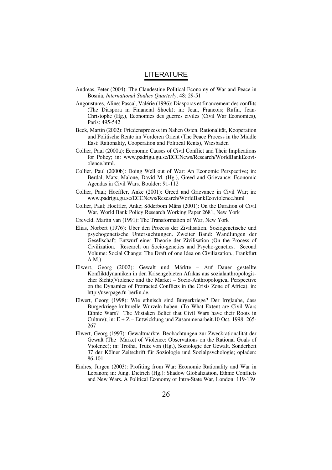#### LITERATURE

- Andreas, Peter (2004): The Clandestine Political Economy of War and Peace in Bosnia, *International Studies Quarterly*, 48: 29-51
- Angoustures, Aline; Pascal, Valérie (1996): Diasporas et financement des conflits (The Diaspora in Financial Shock); in: Jean, Francois; Rufin, Jean-Christophe (Hg.), Economies des guerres civiles (Civil War Economies), Paris: 495-542
- Beck, Martin (2002): Friedensprozess im Nahen Osten. Rationalität, Kooperation und Politische Rente im Vorderen Orient (The Peace Process in the Middle East: Rationality, Cooperation and Political Rents), Wiesbaden
- Collier, Paul (2000a): Economic Causes of Civil Conflict and Their Implications for Policy; in: www.padrigu.gu.se/ECCNews/Research/WorldBankEcoviolence.html.
- Collier, Paul (2000b): Doing Well out of War: An Economic Perspective; in: Berdal, Mats; Malone, David M. (Hg.), Greed and Grievance: Economic Agendas in Civil Wars. Boulder: 91-112
- Collier, Paul; Hoeffler, Anke (2001): Greed and Grievance in Civil War; in: www.padrigu.gu.se/ECCNews/Research/WorldBankEcoviolence.html
- Collier, Paul; Hoeffler, Anke; Söderbom Måns (2001): On the Duration of Civil War, World Bank Policy Research Working Paper 2681, New York
- Creveld, Martin van (1991): The Transformation of War, New York
- Elias, Norbert (1976): Über den Prozess der Zivilisation. Soziogenetische und psychogenetische Untersuchtungen. Zweiter Band: Wandlungen der Gesellschaft; Entwurf einer Theorie der Zivilisation (On the Process of Civilization. Research on Socio-genetics and Psycho-genetics. Second Volume: Social Change: The Draft of one Idea on Civiliazation., Frankfurt A.M.)
- Elwert, Georg (2002): Gewalt und Märkte Auf Dauer gestellte Konfliktdynamiken in den Krisengebieten Afrikas aus sozialanthropologischer Sicht;(Violence and the Market – Socio-Anthropological Perspective on the Dynamics of Protracted Conflicts in the Crisis Zone of Africa). in: http://userpage.fu-berlin.de.
- Elwert, Georg (1998): Wie ethnisch sind Bürgerkriege? Der Irrglaube, dass Bürgerkriege kulturelle Wurzeln haben. (To What Extent are Civil Wars Ethnic Wars? The Mistaken Belief that Civil Wars have their Roots in Culture); in:  $E + Z -$  Entwicklung und Zusammenarbeit. 10 Oct. 1998: 265-267
- Elwert, Georg (1997): Gewaltmärkte. Beobachtungen zur Zweckrationalität der Gewalt (The Market of Violence: Observations on the Rational Goals of Violence); in: Trotha, Trutz von (Hg.), Soziologie der Gewalt. Sonderheft 37 der Kölner Zeitschrift für Soziologie und Sozialpsychologie; opladen: 86-101
- Endres, Jürgen (2003): Profiting from War: Economic Rationality and War in Lebanon; in: Jung, Dietrich (Hg.): Shadow Globalization, Ethnic Conflicts and New Wars. A Political Economy of Intra-State War, London: 119-139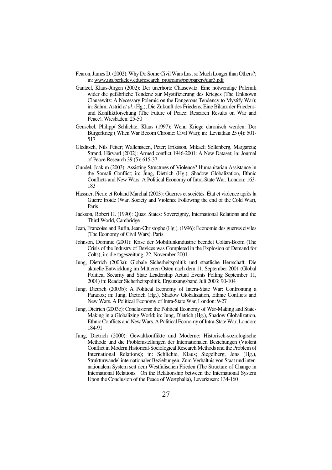- Fearon, James D. (2002): Why Do Some Civil Wars Last so Much Longer than Others?; in: www.igs.berkeley.edu/research\_programs/ppt/papers/dur3.pdf
- Gantzel, Klaus-Jürgen (2002): Der unerhörte Clausewitz. Eine notwendige Polemik wider die gefährliche Tendenz zur Mystifizierung des Krieges (The Unknown Clausewitz: A Necessary Polemic on the Dangerous Tendency to Mystify War); in: Sahm, Astrid *et al.* (Hg.), Die Zukunft des Friedens. Eine Bilanz der Friedensund Konfliktforschung (The Future of Peace: Research Results on War and Peace), Wiesbaden: 25-50
- Genschel, Philipp/ Schlichte, Klaus (1997): Wenn Kriege chronisch werden: Der Bürgerkrieg ( When War Becom Chronic: Civil War); in: Leviathan 25 (4): 501- 517
- Gleditsch, Nils Petter; Wallensteen, Peter; Eriksson, Mikael; Sollenberg, Margareta; Strand, Hårvard (2002): Armed conflict 1946-2001: A New Dataset; in: Journal of Peace Research 39 (5): 615-37
- Gundel, Joakim (2003): Assisting Structures of Violence? Humanitarian Assistance in the Somali Conflict; in: Jung, Dietrich (Hg.), Shadow Globalization, Ethnic Conflicts and New Wars. A Political Economy of Intra-State War, London: 163- 183
- Hassner, Pierre et Roland Marchal (2003): Guerres et sociétés. État et violence aprčs la Guerre froide (War, Society and Violence Following the end of the Cold War), Paris
- Jackson, Robert H. (1990): Quasi States: Sovereignty, International Relations and the Third World, Cambridge
- Jean, Francoise and Rufin, Jean-Christophe (Hg.), (1996): Économie des guerres civiles (The Economy of Civil Wars), Paris
- Johnson, Dominic (2001): Krise der Mobilfunkindustrie beendet Coltan-Boom (The Crisis of the Industry of Devices was Completed in the Explosion of Demand for Colts); in: die tageszeitung, 22. November 2001
- Jung, Dietrich (2003a): Globale Sicherheitspolitik und staatliche Herrschaft. Die aktuelle Entwicklung im Mittleren Osten nach dem 11. September 2001 (Global Political Security and State Leadership Actual Events Folling September 11, 2001) in: Reader Sicherheitspolitik, Ergänzungsband Juli 2003: 90-104
- Jung, Dietrich (2003b): A Political Economy of Intera-State War: Confronting a Paradox; in: Jung, Dietrich (Hg.), Shadow Globalization, Ethnic Conflicts and New Wars. A Political Economy of Intra-State War, London: 9-27
- Jung, Dietrich (2003c): Conclusions: the Political Economy of War-Making and State-Making in a Globalizing World; in: Jung, Dietrich (Hg.), Shadow Globalization, Ethnic Conflicts and New Wars. A Political Economy of Intra-State War, London: 184-91
- Jung, Dietrich (2000): Gewaltkonflikte und Moderne: Historisch-soziologische Methode und die Problemstellungen der Internationalen Beziehungen (Violent Conflict in Modern Historical-Sociological Research Methods and the Problem of International Relations); in: Schlichte, Klaus; Siegelberg, Jens (Hg.), Strukturwandel internationaler Beziehungen. Zum Verhältnis von Staat und internationalem System seit dem Westfälischen Frieden (The Structure of Change in International Relations. On the Relationship between the International System Upon the Conclusion of the Peace of Westphalia), Leverkusen: 134-160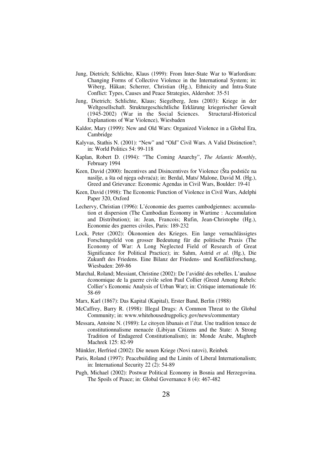- Jung, Dietrich; Schlichte, Klaus (1999): From Inter-State War to Warlordism: Changing Forms of Collective Violence in the International System; in: Wiberg, Håkan; Scherrer, Christian (Hg.), Ethnicity and Intra-State Conflict: Types, Causes and Peace Strategies, Aldershot: 35-51
- Jung, Dietrich; Schlichte, Klaus; Siegelberg, Jens (2003): Kriege in der Weltgesellschaft. Strukturgeschichtliche Erklärung kriegerischer Gewalt (1945-2002) (War in the Social Sciences. Structural-Historical Explanations of War Violence), Wiesbaden
- Kaldor, Mary (1999): New and Old Wars: Organized Violence in a Global Era, Cambridge
- Kalyvas, Stathis N. (2001): "New" and "Old" Civil Wars. A Valid Distinction?; in: World Politics 54: 99-118
- Kaplan, Robert D. (1994): "The Coming Anarchy", *The Atlantic Monthly*, February 1994
- Keen, David (2000): Incentives and Disincentives for Violence (Šta podstiče na nasilje, a šta od njega odvraća); in: Berdal, Mats/ Malone, David M. (Hg.), Greed and Grievance: Economic Agendas in Civil Wars, Boulder: 19-41
- Keen, David (1998): The Economic Function of Violence in Civil Wars, Adelphi Paper 320, Oxford
- Lechervy, Christian (1996): L'économie des guerres cambodgiennes: accumulation et dispersion (The Cambodian Economy in Wartime : Accumulation and Distribution); in: Jean, Francois; Rufin, Jean-Christophe (Hg.), Economie des guerres civiles, Paris: 189-232
- Lock, Peter (2002): Ökonomien des Krieges. Ein lange vernachlässigtes Forschungsfeld von grosser Bedeutung für die politische Praxis (The Economy of War: A Long Neglected Field of Research of Great Significance for Political Practice); in: Sahm, Astrid *et al.* (Hg.), Die Zukunft des Friedens. Eine Bilanz der Friedens- und Konfliktforschung, Wiesbaden: 269-86
- Marchal, Roland; Messiant, Christine (2002): De l'avidité des rebelles. L'analuse économique de la guerre civile selon Paul Collier (Greed Among Rebels: Collier's Economic Analysis of Urban War); in: Critique internationale 16: 58-69
- Marx, Karl (1867): Das Kapital (Kapital), Erster Band, Berlin (1988)
- McCaffrey, Barry R. (1998): Illegal Drugs: A Common Threat to the Global Community; in: www.whitehousedrugpolicy.gov/news/commentary
- Messara, Antoine N. (1989): Le citoyen libanais et l'état. Une tradition tenace de constitutionnalisme menacée (Libiyan Citizens and the State: A Strong Tradition of Endagered Constitutionalism); in: Monde Arabe, Maghreb Machrek 125: 82-99
- Münkler, Herfried (2002): Die neuen Kriege (Novi ratovi), Reinbek
- Paris, Roland (1997): Peacebuilding and the Limits of Liberal Internationalism; in: International Security 22 (2): 54-89
- Pugh, Michael (2002): Postwar Political Economy in Bosnia and Herzegovina. The Spoils of Peace; in: Global Governance 8 (4): 467-482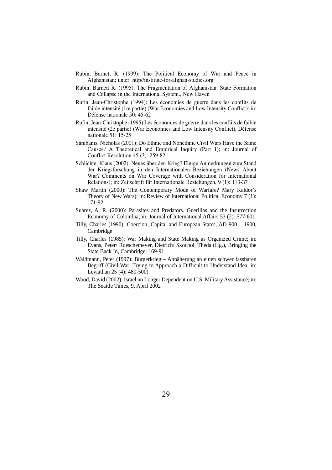- Rubin, Barnett R. (1999): The Political Economy of War and Peace in Afghanistan; unter: http//institute-for-afghan-studies.org
- Rubin, Barnett R. (1995): The Fragmentation of Afghanistan. State Formation and Collapse in the International System., New Haven
- Rufin, Jean-Christophe (1994): Les économies de guerre dans les conflits de faible intensité (1re partie) (War Economies and Low Intensity Conflict); in: Défense nationale 50: 45-62
- Rufin, Jean-Christophe (1995) Les économies de guerre dans les conflits de faible intensité (2e partie) (War Economies and Low Intensity Conflict), Défense nationale 51: 15-25
- Sambanis, Nicholas (2001): Do Ethnic and Nonethnic Civil Wars Have the Same Causes? A Theoretical and Empirical Inquiry (Part 1); in: Journal of Conflict Resolution 45 (3): 259-82
- Schlichte, Klaus (2002): Neues über den Krieg? Einige Anmerkungen zum Stand der Kriegsforschung in den Internationalen Beziehungen (News About War? Comments on War Coverage with Consideration for International Relations); in: Zeitschrift für Internationale Beziehungen, 9 (1): 113-37
- Shaw Martin (2000): The Contemporary Mode of Warfare? Mary Kaldor's Theory of New Wars); in: Review of International Political Economy 7 (1): 171-92
- Suárez, A. R. (2000): Parasites and Predators. Guerillas and the Insurrection Economy of Colombia; in: Journal of International Affairs 53 (2): 577-601
- Tilly, Charles (1990): Coercion, Capital and European States, AD 900 1900, Cambridge
- Tilly, Charles (1985): War Making and State Making as Organized Crime; in: Evans, Peter/ Rueschemeyer, Dietrich/ Skocpol, Theda (Hg.), Bringing the State Back In, Cambridge: 169-91
- Waldmann, Peter (1997): Bürgerkrieg Annäherung an einen schwer fassbaren Begriff (Civil War: Trying to Approach a Difficult to Understand Idea; in: Leviathan 25 (4): 480-500)
- Wood, David (2002): Israel no Longer Dependent on U.S. Military Assistance; in: The Seattle Times, 9. April 2002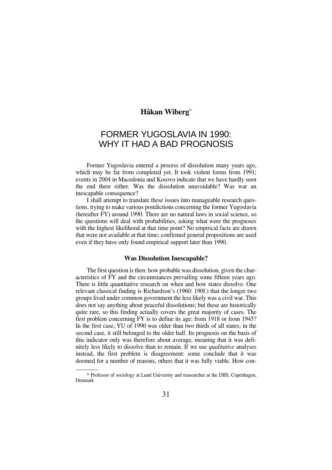### **Håkan Wiberg**\*

## FORMER YUGOSLAVIA IN 1990: WHY IT HAD A BAD PROGNOSIS

Former Yugoslavia entered a process of dissolution many years ago, which may be far from completed yet. It took violent forms from 1991; events in 2004 in Macedonia and Kosovo indicate that we have hardly seen the end there either. Was the dissolution unavoidable? Was war an inescapable consequence?

I shall attempt to translate these issues into manageable research questions, trying to make various postdictions concerning the former Yugoslavia (hereafter FY) around 1990. There are no natural laws in social science, so the questions will deal with probabilities, asking what were the prognoses with the highest likelihood at that time point? No empirical facts are drawn that were not available at that time; confirmed general propositions are used even if they have only found empirical support later than 1990.

#### **Was Dissolution Inescapable?**

The first question is then: how probable was dissolution, given the characteristics of FY and the circumstances prevailing some fifteen years ago. There is little quantitative research on when and how states dissolve. One relevant classical finding is Richardson's (1960: 190f.) that the longer two groups lived under common government the less likely was a civil war. This does not say anything about peaceful dissolutions; but these are historically quite rare, so this finding actually covers the great majority of cases. The first problem concerning FY is to define its age: from 1918 or from 1945? In the first case, YU of 1990 was older than two thirds of all states; in the second case, it still belonged to the older half. Its prognosis on the basis of this indicator only was therefore about average, meaning that it was definitely less likely to dissolve than to remain. If we use *qualitative* analyses instead, the first problem is disagreement: some conclude that it was doomed for a number of reasons, others that it was fully viable. How con-

<sup>\*</sup> Professor of sociology at Lund University and reasearcher at the DIIS, Copenhagen, Denmark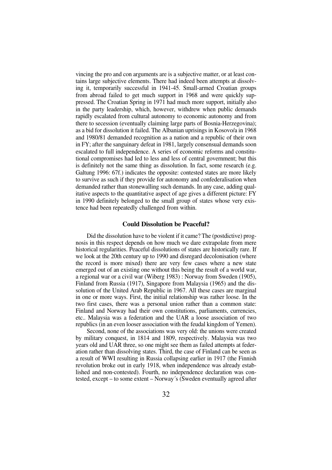vincing the pro and con arguments are is a subjective matter, or at least contains large subjective elements. There had indeed been attempts at dissolving it, temporarily successful in 1941-45. Small-armed Croatian groups from abroad failed to get much support in 1968 and were quickly suppressed. The Croatian Spring in 1971 had much more support, initially also in the party leadership, which, however, withdrew when public demands rapidly escalated from cultural autonomy to economic autonomy and from there to secession (eventually claiming large parts of Bosnia-Herzegovina); as a bid for dissolution it failed. The Albanian uprisings in Kosovo/a in 1968 and 1980/81 demanded recognition as a nation and a republic of their own in FY; after the sanguinary defeat in 1981, largely consensual demands soon escalated to full independence. A series of economic reforms and constitutional compromises had led to less and less of central government; but this is definitely not the same thing as dissolution. In fact, some research (e.g. Galtung 1996: 67f.) indicates the opposite: contested states are more likely to survive as such if they provide for autonomy and confederalisation when demanded rather than stonewalling such demands. In any case, adding qualitative aspects to the quantitative aspect of age gives a different picture: FY in 1990 definitely belonged to the small group of states whose very existence had been repeatedly challenged from within.

#### **Could Dissolution be Peaceful?**

Did the dissolution have to be violent if it came? The (postdictive) prognosis in this respect depends on how much we dare extrapolate from mere historical regularities. Peaceful dissolutions of states are historically rare. If we look at the 20th century up to 1990 and disregard decolonisation (where the record is more mixed) there are very few cases where a new state emerged out of an existing one without this being the result of a world war, a regional war or a civil war (Wiberg 1983) : Norway from Sweden (1905), Finland from Russia (1917), Singapore from Malaysia (1965) and the dissolution of the United Arab Republic in 1967. All these cases are marginal in one or more ways. First, the initial relationship was rather loose. In the two first cases, there was a personal union rather than a common state: Finland and Norway had their own constitutions, parliaments, currencies, etc.. Malaysia was a federation and the UAR a loose association of two republics (in an even looser association with the feudal kingdom of Yemen).

Second, none of the associations was very old: the unions were created by military conquest, in 1814 and 1809, respectively. Malaysia was two years old and UAR three, so one might see them as failed attempts at federation rather than dissolving states. Third, the case of Finland can be seen as a result of WWI resulting in Russia collapsing earlier in 1917 (the Finnish revolution broke out in early 1918, when independence was already established and non-contested). Fourth, no independence declaration was contested, except – to some extent – Norway´s (Sweden eventually agreed after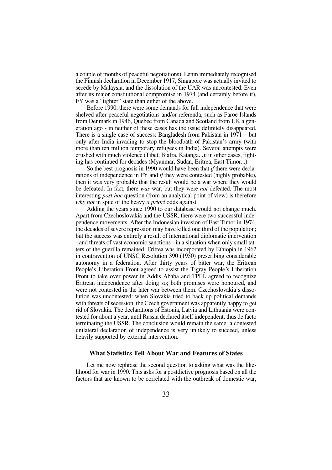a couple of months of peaceful negotiations). Lenin immediately recognised the Finnish declaration in December 1917, Singapore was actually invited to secede by Malaysia, and the dissolution of the UAR was uncontested. Even after its major constitutional compromise in 1974 (and certainly before it), FY was a "tighter" state than either of the above.

Before 1990, there were some demands for full independence that were shelved after peaceful negotiations and/or referenda, such as Faroe Islands from Denmark in 1946, Quebec from Canada and Scotland from UK a generation ago - in neither of these cases has the issue definitely disappeared. There is a single case of success: Bangladesh from Pakistan in 1971 – but only after India invading to stop the bloodbath of Pakistan's army (with more than ten million temporary refugees in India). Several attempts were crushed with much violence (Tibet, Biafra, Katanga...); in other cases, fighting has continued for decades (Myanmar, Sudan, Eritrea, East Timor...)

So the best prognosis in 1990 would have been that *if* there were declarations of independence in FY and *if* they were contested (highly probable), then it was very probable that the result would be a war where they would be defeated. In fact, there *was* war, but they were *not* defeated. The most interesting *post hoc* question (from an analytical point of view) is therefore *why not* in spite of the heavy *a priori* odds against.

Adding the years since 1990 to our database would not change much. Apart from Czechoslovakia and the USSR, there were two successful independence movements. After the Indonesian invasion of East Timor in 1974, the decades of severe repression may have killed one third of the population; but the success was entirely a result of international diplomatic intervention - and threats of vast economic sanctions - in a situation when only small tatters of the guerilla remained. Eritrea was incorporated by Ethiopia in 1962 in contravention of UNSC Resolution 390 (1950) prescribing considerable autonomy in a federation. After thirty years of bitter war, the Eritrean People's Liberation Front agreed to assist the Tigray People´s Liberation Front to take over power in Addis Ababa and TPFL agreed to recognize Eritrean independence after doing so; both promises were honoured, and were not contested in the later war between them. Czechoslovakia's dissolution was uncontested: when Slovakia tried to back up political demands with threats of secession, the Czech government was apparently happy to get rid of Slovakia. The declarations of Estonia, Latvia and Lithuania were contested for about a year, until Russia declared itself independent, thus de facto terminating the USSR. The conclusion would remain the same: a contested unilateral declaration of independence is very unlikely to succeed, unless heavily supported by external intervention.

#### **What Statistics Tell About War and Features of States**

Let me now rephrase the second question to asking what was the likelihood for war in 1990. This asks for a postdictive prognosis based on all the factors that are known to be correlated with the outbreak of domestic war,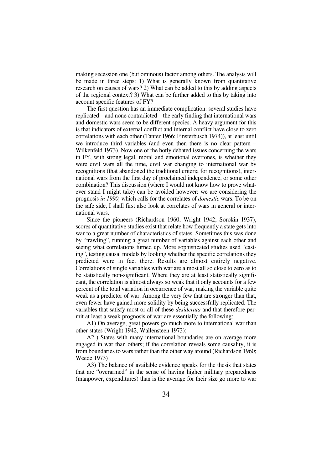making secession one (but ominous) factor among others. The analysis will be made in three steps: 1) What is generally known from quantitative research on causes of wars? 2) What can be added to this by adding aspects of the regional context? 3) What can be further added to this by taking into account specific features of FY?

The first question has an immediate complication: several studies have replicated – and none contradicted – the early finding that international wars and domestic wars seem to be different species. A heavy argument for this is that indicators of external conflict and internal conflict have close to zero correlations with each other (Tanter 1966; Finsterbusch 1974)), at least until we introduce third variables (and even then there is no clear pattern – Wilkenfeld 1973). Now one of the hotly debated issues concerning the wars in FY, with strong legal, moral and emotional overtones, is whether they were civil wars all the time, civil war changing to international war by recognitions (that abandoned the traditional criteria for recognitions), international wars from the first day of proclaimed independence, or some other combination? This discussion (where I would not know how to prove whatever stand I might take) can be avoided however: we are considering the prognosis *in 1990,* which calls for the correlates of *domestic* wars. To be on the safe side, I shall first also look at correlates of wars in general or international wars.

Since the pioneers (Richardson 1960; Wright 1942; Sorokin 1937), scores of quantitative studies exist that relate how frequently a state gets into war to a great number of characteristics of states. Sometimes this was done by "trawling", running a great number of variables against each other and seeing what correlations turned up. More sophisticated studies used "casting", testing causal models by looking whether the specific correlations they predicted were in fact there. Results are almost entirely negative. Correlations of single variables with war are almost all so close to zero as to be statistically non-significant. Where they are at least statistically significant, the correlation is almost always so weak that it only accounts for a few percent of the total variation in occurrence of war, making the variable quite weak as a predictor of war. Among the very few that are stronger than that, even fewer have gained more solidity by being successfully replicated. The variables that satisfy most or all of these *desiderata* and that therefore permit at least a weak prognosis of war are essentially the following:

A1) On average, great powers go much more to international war than other states (Wright 1942, Wallensteen 1973);

A2 ) States with many international boundaries are on average more engaged in war than others; if the correlation reveals some causality, it is from boundaries to wars rather than the other way around (Richardson 1960; Weede 1973)

A3) The balance of available evidence speaks for the thesis that states that are "overarmed" in the sense of having higher military preparedness (manpower, expenditures) than is the average for their size go more to war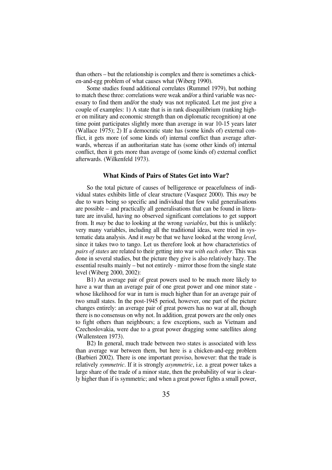than others – but the relationship is complex and there is sometimes a chicken-and-egg problem of what causes what (Wiberg 1990).

Some studies found additional correlates (Rummel 1979), but nothing to match these three: correlations were weak and/or a third variable was necessary to find them and/or the study was not replicated. Let me just give a couple of examples: 1) A state that is in rank disequilibrium (ranking higher on military and economic strength than on diplomatic recognition) at one time point participates slightly more than average in war 10-15 years later (Wallace 1975); 2) If a democratic state has (some kinds of) external conflict, it gets more (of some kinds of) internal conflict than average afterwards, whereas if an authoritarian state has (some other kinds of) internal conflict, then it gets more than average of (some kinds of) external conflict afterwards. (Wilkenfeld 1973).

#### **What Kinds of Pairs of States Get into War?**

So the total picture of causes of belligerence or peacefulness of individual states exhibits little of clear structure (Vasquez 2000). This *may* be due to wars being so specific and individual that few valid generalisations are possible – and practically all generalisations that can be found in literature are invalid, having no observed significant correlations to get support from. It *may* be due to looking at the wrong *variables*, but this is unlikely: very many variables, including all the traditional ideas, were tried in systematic data analysis. And it *may* be that we have looked at the wrong *level*, since it takes two to tango. Let us therefore look at how characteristics of *pairs of states* are related to their getting into war *with each other*. This was done in several studies, but the picture they give is also relatively hazy. The essential results mainly – but not entirely - mirror those from the single state level (Wiberg 2000, 2002):

B1) An average pair of great powers used to be much more likely to have a war than an average pair of one great power and one minor state whose likelihood for war in turn is much higher than for an average pair of two small states. In the post-1945 period, however, one part of the picture changes entirely: an average pair of great powers has no war at all, though there is no consensus on why not. In addition, great powers are the only ones to fight others than neighbours; a few exceptions, such as Vietnam and Czechoslovakia, were due to a great power dragging some satellites along (Wallensteen 1973).

B2) In general, much trade between two states is associated with less than average war between them, but here is a chicken-and-egg problem (Barbieri 2002). There is one important proviso, however: that the trade is relatively *symmetric*. If it is strongly *asymmetric*, i.e. a great power takes a large share of the trade of a minor state, then the probability of war is clearly higher than if is symmetric; and when a great power fights a small power,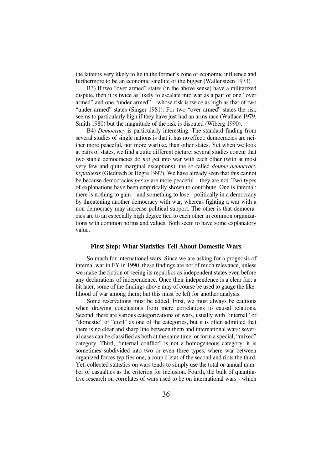the latter is very likely to lie in the former's zone of economic influence and furthermore to be an economic satellite of the bigger (Wallensteen 1973).

B3) If two "over armed" states (in the above sense) have a militarized dispute, then it is twice as likely to escalate into war as a pair of one "over armed" and one "under armed" – whose risk is twice as high as that of two "under armed" states (Singer 1981). For two "over armed" states the risk seems to particularly high if they have just had an arms race (Wallace 1979, Smith 1980) but the magnitude of the risk is disputed (Wiberg 1990).

B4) *Democracy* is particularly interesting. The standard finding from several studies of single nations is that it has no effect: democracies are neither more peaceful, nor more warlike, than other states. Yet when we look at pairs of states, we find a quite different picture: several studies concur that two stable democracies do *not* get into war with each other (with at most very few and quite marginal exceptions), the so-called *double democracy hypothesis* (Gleditsch & Hegre 1997). We have already seen that this cannot be because democracies *per se* are more peaceful – they are not. Two types of explanations have been empirically shown to contribute. One is internal: there is nothing to gain – and something to lose - politically in a democracy by threatening another democracy with war, whereas fighting a war with a non-democracy may increase political support. The other is that democracies are to an especially high degree tied to each other in common organizations with common norms and values. Both seem to have some explanatory value.

#### **First Step: What Statistics Tell About Domestic Wars**

So much for international wars. Since we are asking for a prognosis of internal war in FY in 1990, these findings are not of much relevance, unless we make the fiction of seeing its republics as independent states even before any declarations of independence. Once their independence is a clear fact a bit later, some of the findings above may of course be used to gauge the likelihood of war among them; but this must be left for another analysis.

Some reservations must be added. First, we must always be cautious when drawing conclusions from mere correlations to causal relations. Second, there are various categorizations of wars, usually with "internal" or "domestic" or "civil" as one of the categories, but it is often admitted that there is no clear and sharp line between them and international wars: several cases can be classified as both at the same time, or form a special, "mixed" category. Third, "internal conflict" is not a homogeneous category: it is sometimes subdivided into two or even three types, where war between organized forces typifies one, a coup d´etat of the second and riots the third. Yet, collected statistics on wars tends to simply use the total or annual number of casualties as the criterion for inclusion. Fourth, the bulk of quantitative research on correlates of wars used to be on international wars - which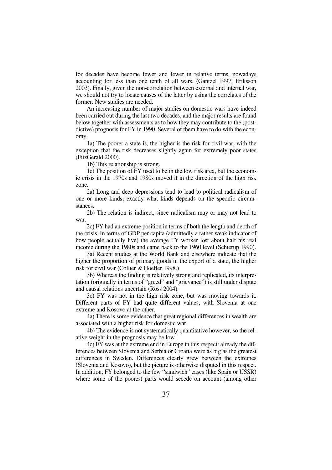for decades have become fewer and fewer in relative terms, nowadays accounting for less than one tenth of all wars. (Gantzel 1997, Eriksson 2003). Finally, given the non-correlation between external and internal war, we should not try to locate causes of the latter by using the correlates of the former. New studies are needed.

An increasing number of major studies on domestic wars have indeed been carried out during the last two decades, and the major results are found below together with assessments as to how they may contribute to the (postdictive) prognosis for FY in 1990. Several of them have to do with the economy.

1a) The poorer a state is, the higher is the risk for civil war, with the exception that the risk decreases slightly again for extremely poor states (FitzGerald 2000).

1b) This relationship is strong.

1c) The position of FY used to be in the low risk area, but the economic crisis in the 1970s and 1980s moved it in the direction of the high risk zone.

2a) Long and deep depressions tend to lead to political radicalism of one or more kinds; exactly what kinds depends on the specific circumstances.

2b) The relation is indirect, since radicalism may or may not lead to war.

2c) FY had an extreme position in terms of both the length and depth of the crisis. In terms of GDP per capita (admittedly a rather weak indicator of how people actually live) the average FY worker lost about half his real income during the 1980s and came back to the 1960 level (Schierup 1990).

3a) Recent studies at the World Bank and elsewhere indicate that the higher the proportion of primary goods in the export of a state, the higher risk for civil war (Collier & Hoefler 1998.)

3b) Whereas the finding is relatively strong and replicated, its interpretation (originally in terms of "greed" and "grievance") is still under dispute and causal relations uncertain (Ross 2004).

3c) FY was not in the high risk zone, but was moving towards it. Different parts of FY had quite different values, with Slovenia at one extreme and Kosovo at the other.

4a) There is some evidence that great regional differences in wealth are associated with a higher risk for domestic war.

4b) The evidence is not systematically quantitative however, so the relative weight in the prognosis may be low.

4c) FY was at the extreme end in Europe in this respect: already the differences between Slovenia and Serbia or Croatia were as big as the greatest differences in Sweden. Differences clearly grew between the extremes (Slovenia and Kosovo), but the picture is otherwise disputed in this respect. In addition, FY belonged to the few "sandwich" cases (like Spain or USSR) where some of the poorest parts would secede on account (among other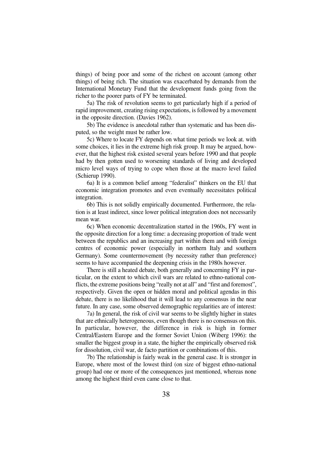things) of being poor and some of the richest on account (among other things) of being rich. The situation was exacerbated by demands from the International Monetary Fund that the development funds going from the richer to the poorer parts of FY be terminated.

5a) The risk of revolution seems to get particularly high if a period of rapid improvement, creating rising expectations, is followed by a movement in the opposite direction. (Davies 1962).

5b) The evidence is anecdotal rather than systematic and has been disputed, so the weight must be rather low.

5c) Where to locate FY depends on what time periods we look at. with some choices, it lies in the extreme high risk group. It may be argued, however, that the highest risk existed several years before 1990 and that people had by then gotten used to worsening standards of living and developed micro level ways of trying to cope when those at the macro level failed (Schierup 1990).

6a) It is a common belief among "federalist" thinkers on the EU that economic integration promotes and even eventually necessitates political integration.

6b) This is not solidly empirically documented. Furthermore, the relation is at least indirect, since lower political integration does not necessarily mean war.

6c) When economic decentralization started in the 1960s, FY went in the opposite direction for a long time: a decreasing proportion of trade went between the republics and an increasing part within them and with foreign centres of economic power (especially in northern Italy and southern Germany). Some countermovement (by necessity rather than preference) seems to have accompanied the deepening crisis in the 1980s however.

There is still a heated debate, both generally and concerning FY in particular, on the extent to which civil wars are related to ethno-national conflicts, the extreme positions being "really not at all" and "first and foremost", respectively. Given the open or hidden moral and political agendas in this debate, there is no likelihood that it will lead to any consensus in the near future. In any case, some observed demographic regularities are of interest:

7a) In general, the risk of civil war seems to be slightly higher in states that are ethnically heterogeneous, even though there is no consensus on this. In particular, however, the difference in risk is high in former Central/Eastern Europe and the former Soviet Union (Wiberg 1996): the smaller the biggest group in a state, the higher the empirically observed risk for dissolution, civil war, de facto partition or combinations of this.

7b) The relationship is fairly weak in the general case. It is stronger in Europe, where most of the lowest third (on size of biggest ethno-national group) had one or more of the consequences just mentioned, whereas none among the highest third even came close to that.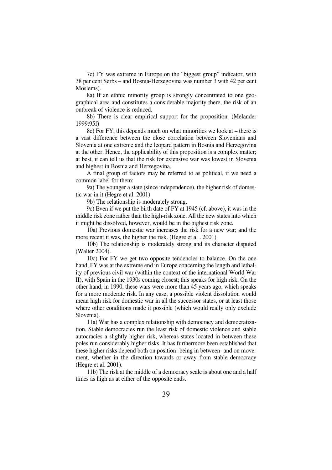7c) FY was extreme in Europe on the "biggest group" indicator, with 38 per cent Serbs – and Bosnia-Herzegovina was number 3 with 42 per cent Moslems).

8a) If an ethnic minority group is strongly concentrated to one geographical area and constitutes a considerable majority there, the risk of an outbreak of violence is reduced.

8b) There is clear empirical support for the proposition. (Melander 1999:95f)

8c) For FY, this depends much on what minorities we look at – there is a vast difference between the close correlation between Slovenians and Slovenia at one extreme and the leopard pattern in Bosnia and Herzegovina at the other. Hence, the applicability of this proposition is a complex matter; at best, it can tell us that the risk for extensive war was lowest in Slovenia and highest in Bosnia and Herzegovina.

A final group of factors may be referred to as political, if we need a common label for them:

9a) The younger a state (since independence), the higher risk of domestic war in it (Hegre et al. 2001)

9b) The relationship is moderately strong.

9c) Even if we put the birth date of FY at 1945 (cf. above), it was in the middle risk zone rather than the high-risk zone. All the new states into which it might be dissolved, however, would be in the highest risk zone.

10a) Previous domestic war increases the risk for a new war; and the more recent it was, the higher the risk. (Hegre et al . 2001)

10b) The relationship is moderately strong and its character disputed (Walter 2004).

10c) For FY we get two opposite tendencies to balance. On the one hand, FY was at the extreme end in Europe concerning the length and lethality of previous civil war (within the context of the international World War II), with Spain in the 1930s coming closest; this speaks for high risk. On the other hand, in 1990, these wars were more than 45 years ago, which speaks for a more moderate risk. In any case, a possible violent dissolution would mean high risk for domestic war in all the successor states, or at least those where other conditions made it possible (which would really only exclude Slovenia).

11a) War has a complex relationship with democracy and democratization. Stable democracies run the least risk of domestic violence and stable autocracies a slightly higher risk, whereas states located in between these poles run considerably higher risks. It has furthermore been established that these higher risks depend both on position -being in between- and on movement, whether in the direction towards or away from stable democracy (Hegre et al. 2001).

11b) The risk at the middle of a democracy scale is about one and a half times as high as at either of the opposite ends.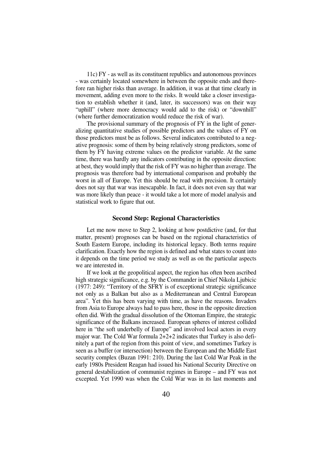11c) FY - as well as its constituent republics and autonomous provinces - was certainly located somewhere in between the opposite ends and therefore ran higher risks than average. In addition, it was at that time clearly in movement, adding even more to the risks. It would take a closer investigation to establish whether it (and, later, its successors) was on their way "uphill" (where more democracy would add to the risk) or "downhill" (where further democratization would reduce the risk of war).

The provisional summary of the prognosis of FY in the light of generalizing quantitative studies of possible predictors and the values of FY on those predictors must be as follows. Several indicators contributed to a negative prognosis: some of them by being relatively strong predictors, some of them by FY having extreme values on the predictor variable. At the same time, there was hardly any indicators contributing in the opposite direction: at best, they would imply that the risk of FY was no higher than average. The prognosis was therefore bad by international comparison and probably the worst in all of Europe. Yet this should be read with precision. It certainly does not say that war was inescapable. In fact, it does not even say that war was more likely than peace - it would take a lot more of model analysis and statistical work to figure that out.

### **Second Step: Regional Characteristics**

Let me now move to Step 2, looking at how postdictive (and, for that matter, present) prognoses can be based on the regional characteristics of South Eastern Europe, including its historical legacy. Both terms require clarification. Exactly how the region is defined and what states to count into it depends on the time period we study as well as on the particular aspects we are interested in.

If we look at the geopolitical aspect, the region has often been ascribed high strategic significance, e.g. by the Commander in Chief Nikola Ljubicic (1977: 249): "Territory of the SFRY is of exceptional strategic significance not only as a Balkan but also as a Mediterranean and Central European area". Yet this has been varying with time, as have the reasons. Invaders from Asia to Europe always had to pass here, those in the opposite direction often did. With the gradual dissolution of the Ottoman Empire, the strategic significance of the Balkans increased. European spheres of interest collided here in "the soft underbelly of Europe" and involved local actors in every major war. The Cold War formula 2+2+2 indicates that Turkey is also definitely a part of the region from this point of view, and sometimes Turkey is seen as a buffer (or intersection) between the European and the Middle East security complex (Buzan 1991: 210). During the last Cold War Peak in the early 1980s President Reagan had issued his National Security Directive on general destabilization of communist regimes in Europe – and FY was not excepted. Yet 1990 was when the Cold War was in its last moments and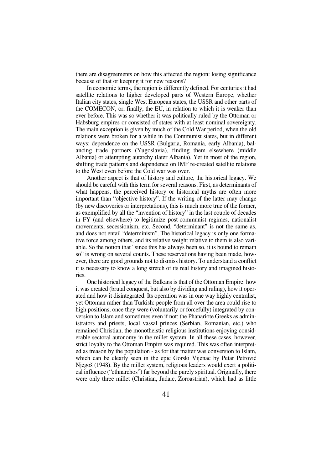there are disagreements on how this affected the region: losing significance because of that or keeping it for new reasons?

In economic terms, the region is differently defined. For centuries it had satellite relations to higher developed parts of Western Europe, whether Italian city states, single West European states, the USSR and other parts of the COMECON, or, finally, the EU, in relation to which it is weaker than ever before. This was so whether it was politically ruled by the Ottoman or Habsburg empires or consisted of states with at least nominal sovereignty. The main exception is given by much of the Cold War period, when the old relations were broken for a while in the Communist states, but in different ways: dependence on the USSR (Bulgaria, Romania, early Albania), balancing trade partners (Yugoslavia), finding them elsewhere (middle Albania) or attempting autarchy (later Albania). Yet in most of the region, shifting trade patterns and dependence on IMF re-created satellite relations to the West even before the Cold war was over.

Another aspect is that of history and culture, the historical legacy. We should be careful with this term for several reasons. First, as determinants of what happens, the perceived history or historical myths are often more important than "objective history". If the writing of the latter may change (by new discoveries or interpretations), this is much more true of the former, as exemplified by all the "invention of history" in the last couple of decades in FY (and elsewhere) to legitimize post-communist regimes, nationalist movements, secessionism, etc. Second, "determinant" is not the same as, and does not entail "determinism". The historical legacy is only one formative force among others, and its relative weight relative to them is also variable. So the notion that "since this has always been so, it is bound to remain so" is wrong on several counts. These reservations having been made, however, there are good grounds not to dismiss history. To understand a conflict it is necessary to know a long stretch of its real history and imagined histories.

One historical legacy of the Balkans is that of the Ottoman Empire: how it was created (brutal conquest, but also by dividing and ruling), how it operated and how it disintegrated. Its operation was in one way highly centralist, yet Ottoman rather than Turkish: people from all over the area could rise to high positions, once they were (voluntarily or forcefully) integrated by conversion to Islam and sometimes even if not: the Phanariote Greeks as administrators and priests, local vassal princes (Serbian, Romanian, etc.) who remained Christian, the monotheistic religious institutions enjoying considerable sectoral autonomy in the millet system. In all these cases, however, strict loyalty to the Ottoman Empire was required. This was often interpreted as treason by the population - as for that matter was conversion to Islam, which can be clearly seen in the epic Gorski Vijenac by Petar Petrović Njegoš (1948). By the millet system, religious leaders would exert a political influence ("ethnarchos") far beyond the purely spiritual. Originally, there were only three millet (Christian, Judaic, Zoroastrian), which had as little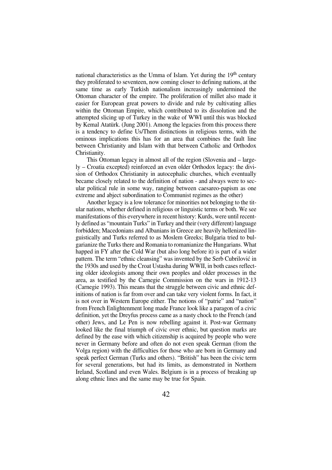national characteristics as the Umma of Islam. Yet during the 19<sup>th</sup> century they proliferated to seventeen, now coming closer to defining nations, at the same time as early Turkish nationalism increasingly undermined the Ottoman character of the empire. The proliferation of millet also made it easier for European great powers to divide and rule by cultivating allies within the Ottoman Empire, which contributed to its dissolution and the attempted slicing up of Turkey in the wake of WWI until this was blocked by Kemal Atatürk. (Jung 2001). Among the legacies from this process there is a tendency to define Us/Them distinctions in religious terms, with the ominous implications this has for an area that combines the fault line between Christianity and Islam with that between Catholic and Orthodox Christianity.

This Ottoman legacy in almost all of the region (Slovenia and – largely – Croatia excepted) reinforced an even older Orthodox legacy: the division of Orthodox Christianity in autocephalic churches, which eventually became closely related to the definition of nation - and always were to secular political rule in some way, ranging between caesareo-papism as one extreme and abject subordination to Communist regimes as the other)

Another legacy is a low tolerance for minorities not belonging to the titular nations, whether defined in religious or linguistic terms or both. We see manifestations of this everywhere in recent history: Kurds, were until recently defined as "mountain Turks" in Turkey and their (very different) language forbidden; Macedonians and Albanians in Greece are heavily hellenized linguistically and Turks referred to as Moslem Greeks; Bulgaria tried to bulgarianize the Turks there and Romania to romanianize the Hungarians. What happed in FY after the Cold War (but also long before it) is part of a wider pattern. The term "ethnic cleansing" was invented by the Serb Cubrilović in the 1930s and used by the Croat Ustasha during WWII, in both cases reflecting older ideologists among their own peoples and older processes in the area, as testified by the Carnegie Commission on the wars in 1912-13 (Carnegie 1993). This means that the struggle between civic and ethnic definitions of nation is far from over and can take very violent forms. In fact, it is not over in Western Europe either. The notions of "patrie" and "nation" from French Enlightenment long made France look like a paragon of a civic definition, yet the Dreyfus process came as a nasty chock to the French (and other) Jews, and Le Pen is now rebelling against it. Post-war Germany looked like the final triumph of civic over ethnic, but question marks are defined by the ease with which citizenship is acquired by people who were never in Germany before and often do not even speak German (from the Volga region) with the difficulties for those who are born in Germany and speak perfect German (Turks and others). "British" has been the civic term for several generations, but had its limits, as demonstrated in Northern Ireland, Scotland and even Wales. Belgium is in a process of breaking up along ethnic lines and the same may be true for Spain.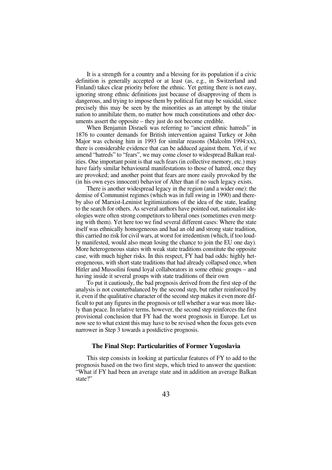It is a strength for a country and a blessing for its population if a civic definition is generally accepted or at least (as, e.g., in Switzerland and Finland) takes clear priority before the ethnic. Yet getting there is not easy, ignoring strong ethnic definitions just because of disapproving of them is dangerous, and trying to impose them by political fiat may be suicidal, since precisely this may be seen by the minorities as an attempt by the titular nation to annihilate them, no matter how much constitutions and other documents assert the opposite – they just do not become credible.

When Benjamin Disraeli was referring to "ancient ethnic hatreds" in 1876 to counter demands for British intervention against Turkey or John Major was echoing him in 1993 for similar reasons (Malcolm 1994:xx), there is considerable evidence that can be adduced against them. Yet, if we amend "hatreds" to "fears", we may come closer to widespread Balkan realities. One important point is that such fears (in collective memory, etc.) may have fairly similar behavioural manifestations to those of hatred, once they are provoked; and another point that fears are more easily provoked by the (in his own eyes innocent) behavior of Alter than if no such legacy exists.

There is another widespread legacy in the region (and a wider one): the demise of Communist regimes (which was in full swing in 1990) and thereby also of Marxist-Leninist legitimizations of the idea of the state, leading to the search for others. As several authors have pointed out, nationalist ideologies were often strong competitors to liberal ones (sometimes even merging with them). Yet here too we find several different cases: Where the state itself was ethnically homogeneous and had an old and strong state tradition, this carried no risk for civil wars, at worst for irredentism (which, if too loudly manifested, would also mean losing the chance to join the EU one day). More heterogeneous states with weak state traditions constitute the opposite case, with much higher risks. In this respect, FY had bad odds: highly heterogeneous, with short state traditions that had already collapsed once, when Hitler and Mussolini found loyal collaborators in some ethnic groups – and having inside it several groups with state traditions of their own

To put it cautiously, the bad prognosis derived from the first step of the analysis is not counterbalanced by the second step, but rather reinforced by it, even if the qualitative character of the second step makes it even more difficult to put any figures in the prognosis or tell whether a war was more likely than peace. In relative terms, however, the second step reinforces the first provisional conclusion that FY had the worst prognosis in Europe. Let us now see to what extent this may have to be revised when the focus gets even narrower in Step 3 towards a postdictive prognosis.

## **The Final Step: Particularities of Former Yugoslavia**

This step consists in looking at particular features of FY to add to the prognosis based on the two first steps, which tried to answer the question: "What if FY had been an average state and in addition an average Balkan state?"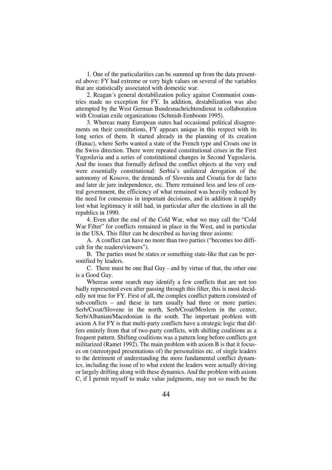1. One of the particularities can be summed up from the data presented above: FY had extreme or very high values on several of the variables that are statistically associated with domestic war.

2. Reagan´s general destabilization policy against Communist countries made no exception for FY. In addition, destabilization was also attempted by the West German Bundesnachrichtendienst in collaboration with Croatian exile organizations (Schmidt-Eenboom 1995).

3. Whereas many European states had occasional political disagreements on their constitutions, FY appears unique in this respect with its long series of them. It started already in the planning of its creation (Banac), where Serbs wanted a state of the French type and Croats one in the Swiss direction. There were repeated constitutional crises in the First Yugoslavia and a series of constitutional changes in Second Yugoslavia. And the issues that formally defined the conflict objects at the very end were essentially constitutional: Serbia's unilateral derogation of the autonomy of Kosovo, the demands of Slovenia and Croatia for de facto and later de jure independence, etc. There remained less and less of central government, the efficiency of what remained was heavily reduced by the need for consensus in important decisions, and in addition it rapidly lost what legitimacy it still had, in particular after the elections in all the republics in 1990.

4. Even after the end of the Cold War, what we may call the "Cold War Filter" for conflicts remained in place in the West, and in particular in the USA. This filter can be described as having three axioms:

A. A conflict can have no more than two parties ("becomes too difficult for the readers/viewers").

B. The parties must be states or something state-like that can be personified by leaders.

C. There must be one Bad Guy - and by virtue of that, the other one is a Good Guy.

Whereas some search may identify a few conflicts that are not too badly represented even after passing through this filter, this is most decidedly not true for FY. First of all, the complex conflict pattern consisted of sub-conflicts – and these in turn usually had three or more parties: Serb/Croat/Slovene in the north, Serb/Croat/Moslem in the center, Serb/Albanian/Macedonian in the south. The important problem with axiom A for FY is that multi-party conflicts have a strategic logic that differs entirely from that of two-party conflicts, with shifting coalitions as a frequent pattern. Shifting coalitions was a pattern long before conflicts got militarized (Ramet 1992). The main problem with axiom B is that it focuses on (stereotyped presentations of) the personalities etc. of single leaders to the detriment of understanding the more fundamental conflict dynamics, including the issue of to what extent the leaders were actually driving or largely drifting along with these dynamics. And the problem with axiom C, if I permit myself to make value judgments, may not so much be the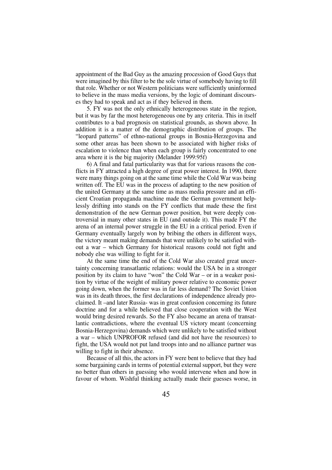appointment of the Bad Guy as the amazing procession of Good Guys that were imagined by this filter to be the sole virtue of somebody having to fill that role. Whether or not Western politicians were sufficiently uninformed to believe in the mass media versions, by the logic of dominant discourses they had to speak and act as if they believed in them.

5. FY was not the only ethnically heterogeneous state in the region, but it was by far the most heterogeneous one by any criteria. This in itself contributes to a bad prognosis on statistical grounds, as shown above. In addition it is a matter of the demographic distribution of groups. The "leopard patterns" of ethno-national groups in Bosnia-Herzegovina and some other areas has been shown to be associated with higher risks of escalation to violence than when each group is fairly concentrated to one area where it is the big majority (Melander 1999:95f)

6) A final and fatal particularity was that for various reasons the conflicts in FY attracted a high degree of great power interest. In 1990, there were many things going on at the same time while the Cold War was being written off. The EU was in the process of adapting to the new position of the united Germany at the same time as mass media pressure and an efficient Croatian propaganda machine made the German government helplessly drifting into stands on the FY conflicts that made these the first demonstration of the new German power position, but were deeply controversial in many other states in EU (and outside it). This made FY the arena of an internal power struggle in the EU in a critical period. Even if Germany eventually largely won by bribing the others in different ways, the victory meant making demands that were unlikely to be satisfied without a war – which Germany for historical reasons could not fight and nobody else was willing to fight for it.

At the same time the end of the Cold War also created great uncertainty concerning transatlantic relations: would the USA be in a stronger position by its claim to have "won" the Cold War – or in a weaker position by virtue of the weight of military power relative to economic power going down, when the former was in far less demand? The Soviet Union was in its death throes, the first declarations of independence already proclaimed. It –and later Russia- was in great confusion concerning its future doctrine and for a while believed that close cooperation with the West would bring desired rewards. So the FY also became an arena of transatlantic contradictions, where the eventual US victory meant (concerning Bosnia-Herzegovina) demands which were unlikely to be satisfied without a war – which UNPROFOR refused (and did not have the resources) to fight, the USA would not put land troops into and no alliance partner was willing to fight in their absence.

Because of all this, the actors in FY were bent to believe that they had some bargaining cards in terms of potential external support, but they were no better than others in guessing who would intervene when and how in favour of whom. Wishful thinking actually made their guesses worse, in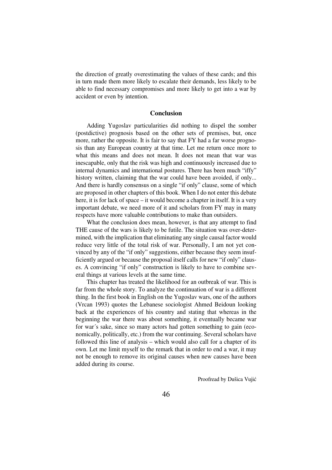the direction of greatly overestimating the values of these cards; and this in turn made them more likely to escalate their demands, less likely to be able to find necessary compromises and more likely to get into a war by accident or even by intention.

## **Conclusion**

Adding Yugoslav particularities did nothing to dispel the somber (postdictive) prognosis based on the other sets of premises, but, once more, rather the opposite. It is fair to say that FY had a far worse prognosis than any European country at that time. Let me return once more to what this means and does not mean. It does not mean that war was inescapable, only that the risk was high and continuously increased due to internal dynamics and international postures. There has been much "iffy" history written, claiming that the war could have been avoided, if only... And there is hardly consensus on a single "if only" clause, some of which are proposed in other chapters of this book. When I do not enter this debate here, it is for lack of space – it would become a chapter in itself. It is a very important debate, we need more of it and scholars from FY may in many respects have more valuable contributions to make than outsiders.

What the conclusion does mean, however, is that any attempt to find THE cause of the wars is likely to be futile. The situation was over-determined, with the implication that eliminating any single causal factor would reduce very little of the total risk of war. Personally, I am not yet convinced by any of the "if only" suggestions, either because they seem insufficiently argued or because the proposal itself calls for new "if only" clauses. A convincing "if only" construction is likely to have to combine several things at various levels at the same time.

This chapter has treated the likelihood for an outbreak of war. This is far from the whole story. To analyze the continuation of war is a different thing. In the first book in English on the Yugoslav wars, one of the authors (Vrcan 1993) quotes the Lebanese sociologist Ahmed Beidoun looking back at the experiences of his country and stating that whereas in the beginning the war there was about something, it eventually became war for war´s sake, since so many actors had gotten something to gain (economically, politically, etc.) from the war continuing. Several scholars have followed this line of analysis – which would also call for a chapter of its own. Let me limit myself to the remark that in order to end a war, it may not be enough to remove its original causes when new causes have been added during its course.

Proofread by Dušica Vujić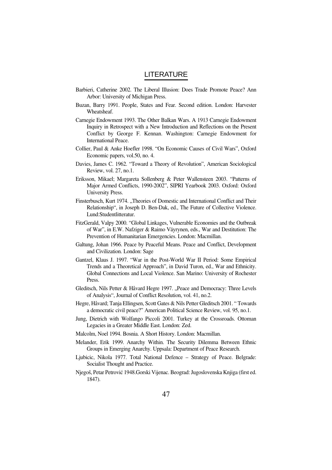# LITERATURE

- Barbieri, Catherine 2002. The Liberal Illusion: Does Trade Promote Peace? Ann Arbor: University of Michigan Press.
- Buzan, Barry 1991. People, States and Fear. Second edition. London: Harvester Wheatsheaf.
- Carnegie Endowment 1993. The Other Balkan Wars. A 1913 Carnegie Endowment Inquiry in Retrospect with a New Introduction and Reflections on the Present Conflict by George F. Kennan. Washington: Carnegie Endowment for International Peace.
- Collier, Paul & Anke Hoefler 1998. "On Economic Causes of Civil Wars", Oxford Economic papers, vol.50, no. 4.
- Davies, James C. 1962. "Toward a Theory of Revolution", American Sociological Review, vol. 27, no.1.
- Eriksson, Mikael; Margareta Sollenberg & Peter Wallensteen 2003. "Patterns of Major Armed Conflicts, 1990-2002", SIPRI Yearbook 2003. Oxford: Oxford University Press.
- Finsterbusch, Kurt 1974. "Theories of Domestic and International Conflict and Their Relationship", in Joseph D. Ben-Dak, ed., The Future of Collective Violence. Lund:Studentlitteratur.
- FitzGerald, Valpy 2000. "Global Linkages, Vulnerable Economies and the Outbreak of War", in E.W. Nafziger & Raimo Väyrynen, eds., War and Destitution: The Prevention of Humanitarian Emergencies. London: Macmillan.
- Galtung, Johan 1966. Peace by Peaceful Means. Peace and Conflict, Development and Civilization. London: Sage
- Gantzel, Klaus J. 1997. "War in the Post-World War II Period: Some Empirical Trends and a Theoretical Approach", in David Turon, ed., War and Ethnicity. Global Connections and Local Violence. San Marino: University of Rochester Press.
- Gleditsch, Nils Petter & Håvard Hegre 1997. "Peace and Democracy: Three Levels of Analysis", Journal of Conflict Resolution, vol. 41, no.2.
- Hegre, Håvard; Tanja Ellingsen, Scott Gates & Nils Petter Gleditsch 2001. " Towards a democratic civil peace?" American Political Science Review, vol. 95, no.1.
- Jung, Dietrich with Wolfango Piccoli 2001. Turkey at the Crossroads. Ottoman Legacies in a Greater Middle East. London: Zed.
- Malcolm, Noel 1994. Bosnia. A Short History. London: Macmillan.
- Melander, Erik 1999. Anarchy Within. The Security Dilemma Between Ethnic Groups in Emerging Anarchy. Uppsala: Department of Peace Research.
- Ljubicic, Nikola 1977. Total National Defence Strategy of Peace. Belgrade: Socialist Thought and Practice.
- Njegoš, Petar Petrović 1948.Gorski Vijenac. Beograd: Jugoslovenska Knjiga (first ed. 1847).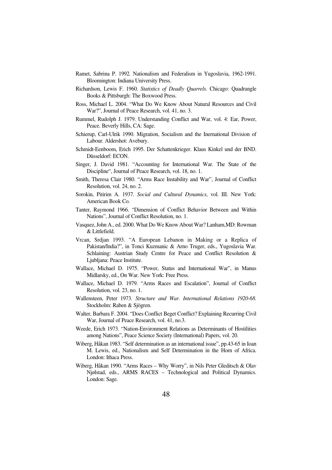- Ramet, Sabrina P. 1992. Nationalism and Federalism in Yugoslavia, 1962-1991. Bloomington: Indiana University Press.
- Richardson, Lewis F. 1960. *Statistics of Deadly Quarrels.* Chicago: Quadrangle Books & Pittsburgh: The Boxwood Press.
- Ross, Michael L. 2004. "What Do We Know About Natural Resources and Civil War?", Journal of Peace Research, vol. 41, no. 3.
- Rummel, Rudolph J. 1979. Understanding Conflict and War, vol. 4: Ear, Power, Peace. Beverly Hills, CA: Sage.
- Schierup, Carl-Ulrik 1990. Migration, Socialism and the Inernational Division of Labour. Aldershot: Avebury.
- Schmidt-Eenboom, Erich 1995. Der Schattenkrieger. Klaus Kinkel und der BND. Düsseldorf: ECON.
- Singer, J. David 1981. "Accounting for International War. The State of the Discipline", Journal of Peace Research, vol. 18, no. 1.
- Smith, Theresa Clair 1980. "Arms Race Instability and War", Journal of Conflict Resolution, vol. 24, no. 2.
- Sorokin, Pitirim A. 1937. *Social and Cultural Dynamics*, vol. III. New York: American Book Co.
- Tanter, Raymond 1966. "Dimension of Conflict Behavior Between and Within Nations", Journal of Conflict Resolution, no. 1.
- Vasquez, John A., ed. 2000. What Do We Know About War? Lanham,MD: Rowman & Littlefield.
- Vrcan, Srdjan 1993. "A European Lebanon in Making or a Replica of Pakistan/India?", in Tonci Kuzmanic & Arno Truger, eds., Yugoslavia War. Schlaining: Austrian Study Centre for Peace and Conflict Resolution & Ljubljana: Peace Institute.
- Wallace, Michael D. 1975. "Power, Status and International War", in Manus Midlarsky, ed., On War. New York: Free Press.
- Wallace, Michael D. 1979. "Arms Races and Escalation", Journal of Conflict Resolution, vol. 23, no. 1.
- Wallensteen, Peter 1973. *Structure and War. International Relations 1920-68.* Stockholm: Raben & Sjögren.
- Walter, Barbara F. 2004. "Does Conflict Beget Conflict? Explaining Recurring Civil War, Journal of Peace Research, vol. 41, no.3.
- Weede, Erich 1973. "Nation-Environment Relations as Determinants of Hostilities among Nations", Peace Science Society (International) Papers, vol. 20.
- Wiberg, Håkan 1983. "Self determination as an international issue", pp.43-65 in Ioan M. Lewis, ed., Nationalism and Self Determination in the Horn of Africa. London: Ithaca Press.
- Wiberg, Håkan 1990. "Arms Races Why Worry", in Nils Peter Gleditsch & Olav Njølstad, eds., ARMS RACES – Technological and Political Dynamics. London: Sage.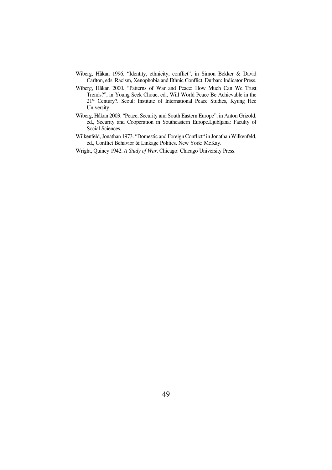- Wiberg, Håkan 1996. "Identity, ethnicity, conflict", in Simon Bekker & David Carlton, eds. Racism, Xenophobia and Ethnic Conflict. Durban: Indicator Press.
- Wiberg, Håkan 2000. "Patterns of War and Peace: How Much Can We Trust Trends?", in Young Seek Choue, ed., Will World Peace Be Achievable in the 21st Century?. Seoul: Institute of International Peace Studies, Kyung Hee University.
- Wiberg, Håkan 2003. "Peace, Security and South Eastern Europe", in Anton Grizold, ed., Security and Cooperation in Southeastern Europe.Ljubljana: Faculty of Social Sciences.
- Wilkenfeld, Jonathan 1973. "Domestic and Foreign Conflict" in Jonathan Wilkenfeld, ed., Conflict Behavior & Linkage Politics. New York: McKay.
- Wright, Quincy 1942. *A Study of War*. Chicago: Chicago University Press.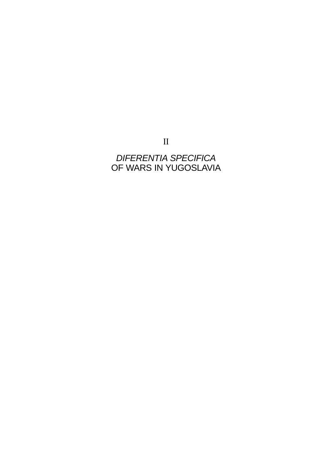II

*DIFERENTIA SPECIFICA* OF WARS IN YUGOSLAVIA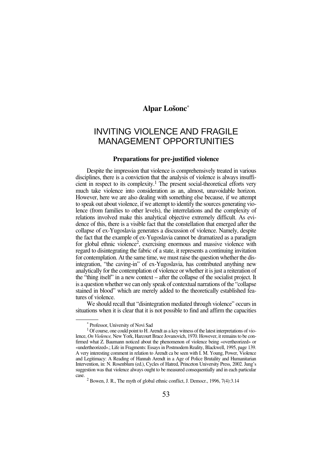# **Alpar Lošonc**\*

# INVITING VIOLENCE AND FRAGILE MANAGEMENT OPPORTUNITIES

## **Preparations for pre-justified violence**

Despite the impression that violence is comprehensively treated in various disciplines, there is a conviction that the analysis of violence is always insufficient in respect to its complexity.<sup>1</sup> The present social-theoretical efforts very much take violence into consideration as an, almost, unavoidable horizon. However, here we are also dealing with something else because, if we attempt to speak out about violence, if we attempt to identify the sources generating violence (from families to other levels), the interrelations and the complexity of relations involved make this analytical objective extremely difficult. As evidence of this, there is a visible fact that the constellation that emerged after the collapse of ex-Yugoslavia generates a discussion of violence. Namely, despite the fact that the example of ex-Yugoslavia cannot be dramatized as a paradigm for global ethnic violence<sup>2</sup>, exercising enormous and massive violence with regard to disintegrating the fabric of a state, it represents a continuing invitation for contemplation. At the same time, we must raise the question whether the disintegration, "the caving-in" of ex-Yugoslavia, has contributed anything new analytically for the contemplation of violence or whether it is just a reiteration of the "thing itself" in a new context – after the collapse of the socialist project. It is a question whether we can only speak of contextual narrations of the "collapse stained in blood" which are merely added to the theoretically established features of violence.

We should recall that "disintegration mediated through violence" occurs in situations when it is clear that it is not possible to find and affirm the capacities

<sup>\*</sup> Professor, University of Novi Sad

 $1$  Of course, one could point to H. Arendt as a key witness of the latest interpretations of violence, *On Violence,* New York, Harcourt Brace Jovanovich, 1970. However, it remains to be confirmed what Z. Baumann noticed about the phenomenon of violence being «overtheorized» or «undertheorized».; Life in Fragments: Essays in Postmodern Reality, Blackwell, 1995, page 139. A very interesting comment in relation to Arendt ca be seen with I. M. Young, Power, Violence and Legitimacy: A Reading of Hannah Arendt in a Age of Police Brutality and Humanitarian Intervention, in: N. Rosenblum (ed.), Cycles of Hatred, Princeton University Press, 2002. Jung's suggestion was that violence always ought to be measured consequentially and in each particular

case. 2 Bowen, J. R., The myth of global ethnic conflict, J. Democr., 1996, 7(4):3.14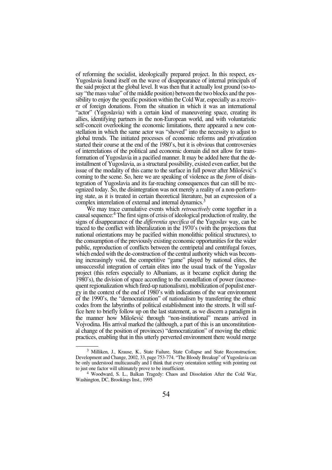of reforming the socialist, ideologically prepared project. In this respect, ex-Yugoslavia found itself on the wave of disappearance of internal principals of the said project at the global level. It was then that it actually lost ground (so-tosay "the mass value" of the middle position) between the two blocks and the possibility to enjoy the specific position within the Cold War, especially as a receiver of foreign donations. From the situation in which it was an international "actor" (Yugoslavia) with a certain kind of maneuvering space, creating its allies, identifying partners in the non-European world, and with voluntaristic self-conceit overlooking the economic limitations, there appeared a new constellation in which the same actor was "shoved" into the necessity to adjust to global trends. The initiated processes of economic reforms and privatization started their course at the end of the 1980's, but it is obvious that controversies of interrelations of the political and economic domain did not allow for transformation of Yugoslavia in a pacified manner. It may be added here that the deinstallment of Yugoslavia, as a structural possibility, existed even earlier, but the issue of the modality of this came to the surface in full power after Milošević's coming to the scene. So, here we are speaking of violence as the *form* of disintegration of Yugoslavia and its far-reaching consequences that can still be recognized today. So, the disintegration was not merely a reality of a non-performing state, as it is treated in certain theoretical literature, but an expression of a complex interrelation of external and internal dynamics.<sup>3</sup>

We may trace cumulative events which *retroactively* come together in a causal sequence:4 The first signs of crisis of ideological production of reality, the signs of disappearance of the *differentia specifica* of the Yugoslav way, can be traced to the conflict with liberalization in the 1970's (with the projections that national orientations may be pacified within monolithic political structures), to the consumption of the previously existing economic opportunities for the wider public, reproduction of conflicts between the centripetal and centrifugal forces, which ended with the de-construction of the central authority which was becoming increasingly void, the competitive "game" played by national elites, the unsuccessful integration of certain elites into the usual track of the Yugoslav project (this refers especially to Albanians, as it became explicit during the 1980's), the division of space according to the constellation of power (inconsequent regionalization which fired-up nationalism), mobilization of populist energy in the context of the end of 1980's with indications of the war environment of the 1990's, the "democratization" of nationalism by transferring the ethnic codes from the labyrinths of political establishment into the streets. It will suffice here to briefly follow up on the last statement, as we discern a paradigm in the manner how Milošević through "non-institutional" means arrived in Vojvodina. His arrival marked the (although, a part of this is an unconstitutional change of the position of provinces) "democratization" of moving the ethnic practices, enabling that in this utterly perverted environment there would merge

<sup>&</sup>lt;sup>3</sup> Milliken, J., Krause, K., State Failure, State Collapse and State Reconstruction; Development and Change, 2002, 33, page 753-774. "The Bloody Breakup" of Yugoslavia can be only understood multicausally and I think that every orientation settling with pointing out to just one factor will ultimately prove to be insufficient.

<sup>&</sup>lt;sup>4</sup> Woodward, S. L., Balkan Tragedy: Chaos and Dissolution After the Cold War, Washington, DC, Brookings Inst., 1995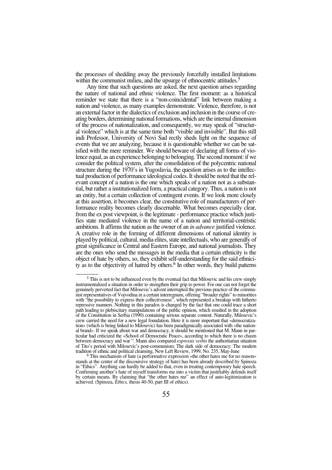the processes of shedding away the previously forcefully installed limitations within the communist milieu, and the upsurge of ethnocentric attitudes.<sup>5</sup>

Any time that such questions are asked, the next question arises regarding the nature of national and ethnic violence. The first moment: as a historical reminder we state that there is a "non-coincidental" link between making a nation and violence, as many examples demonstrate. Violence, therefore, is not an external factor in the dialectics of exclusion and inclusion in the course of creating borders, determining national formations, which are the internal dimension of the process of nationalization, and consequently, we may speak of "structural violence" which is at the same time both "visible and invisible". But this still indi Professor, University of Novi Sad rectly sheds light on the sequence of events that we are analyzing, because it is questionable whether we can be satisfied with the mere reminder. We should beware of declaring all forms of violence equal, as an experience belonging to belonging. The second moment: if we consider the political system, after the consolidation of the polycentric national structure during the 1970's in Yugoslavia, the question arises as to the intellectual production of performance ideological codes. It should be noted that the relevant concept of a nation is the one which speaks of a nation not as a substantial, but rather a institutionalized form, a practical category. Thus, a nation is not an entity, but a certain collection of contingent events. If we look more closely at this assertion, it becomes clear, the constitutive role of manufacturers of performance reality becomes clearly discernable. What becomes especially clear, from the ex post viewpoint, is the legitimate - performance practice which justifies state mediated violence in the name of a nation and territorial-centristic ambitions. It affirms the nation as the owner of an *in advance* justified violence. A creative role in the forming of different dimensions of national identity is played by political, cultural, media elites, state intellectuals, who are generally of great significance in Central and Eastern Europe, and national journalists. They are the ones who send the messages in the media that a certain ethnicity is the object of hate by others, so, they exhibit self-understanding for the said ethnicity as to the objectivity of hatred by others.<sup>6</sup> In other words, they build patterns

<sup>5</sup> This is not to be influenced even by the eventual fact that Milosevic and his crew simply instrumentalized a situation in order to strengthen their grip to power. For one can not forget the genuinely perverted fact that Milosevic's advent interrupted the previous practice of the communist representatives of Vojvodina in a certain interregnum, offering "broader rights" to minorities with "the possibility to express their collectiveness", which represented a breakup with hitherto repressive manners. Nothing in this paradox is changed by the fact that one could trace a short path leading to plebiscitary manipulations of the public opinion, which resulted in the adoption of the Constitution in Serbia (1990) containing serious separate content. Naturally, Milosevic's crew carried the need for a new legal foundation. Here it is more important that «democratization» (which is being linked to Milosevic) has been paradigmically associated with «the national brand». If we speak about war and democracy, it should be mentioned that M. Mann in particular had criticized the «School of Democratic Peace», according to which there is no chasm between democracy and war ". Mann also compared *expressis verbis* the authoritarian situation of Tito's period with Milosevic's post-communism; The dark side of democracy: The modern tradition of ethnic and political cleansing, New Left Review, 1999, No. 235, May-June <sup>6</sup> This mechanism of hate (a performative expression «the other hates me for no reason»

stands at the center of the discoursive strategy of hate) has been already described by Spinoza in "Ethics". Anything can hardly be added to that, even in treating contemporary hate speech. Confirming another's hate of myself transforms me into a victim that justifiably defends itself by certain means. By claiming that "the other hates me" an effect of auto-legitimization is achieved. (Spinoza, *Ethics,* thesis 40-50, part III of ethics).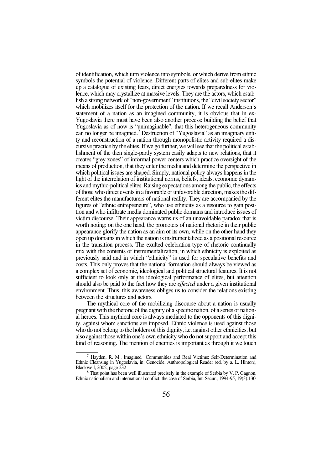of identification, which turn violence into symbols, or which derive from ethnic symbols the potential of violence. Different parts of elites and sub-elites make up a catalogue of existing fears, direct energies towards preparedness for violence, which may crystallize at massive levels. They are the actors, which establish a strong network of "non-government" institutions, the "civil society sector" which mobilizes itself for the protection of the nation. If we recall Anderson's statement of a nation as an imagined community, it is obvious that in ex-Yugoslavia there must have been also another process: building the belief that Yugoslavia as of now is "unimaginable", that this heterogeneous community can no longer be imagined.7 Destruction of "Yugoslavia" as an imaginary entity and reconstruction of a nation through monopolistic activity required a discursive practice by the elites. If we go further, we will see that the political establishment of the then single-partly system easily adapts to new relations, that it creates "grey zones" of informal power centers which practice oversight of the means of production, that they enter the media and determine the perspective in which political issues are shaped. Simply, national policy always happens in the light of the interrelation of institutional norms, beliefs, ideals, economic dynamics and mythic-political elites. Raising expectations among the public, the effects of those who direct events in a favorable or unfavorable direction, makes the different elites the manufacturers of national reality. They are accompanied by the figures of "ethnic entrepreneurs", who use ethnicity as a resource to gain position and who infiltrate media dominated public domains and introduce issues of victim discourse. Their appearance warns us of an unavoidable paradox that is worth noting: on the one hand, the promoters of national rhetoric in their public appearance glorify the nation as an aim of its own, while on the other hand they open up domains in which the nation is instrumentalized as a positional resource in the transition process. The exulted celebration-type of rhetoric continually mix with the contents of instrumentalization, in which ethnicity is exploited as previously said and in which "ethnicity" is used for speculative benefits and costs. This only proves that the national formation should always be viewed as a complex set of economic, ideological and political structural features. It is not sufficient to look only at the ideological performance of elites, but attention should also be paid to the fact how they are *effected* under a given institutional environment. Thus, this awareness obliges us to consider the relations existing between the structures and actors.

The mythical core of the mobilizing discourse about a nation is usually pregnant with the rhetoric of the dignity of a specific nation, of a series of national heroes. This mythical core is always mediated to the opponents of this dignity, against whom sanctions are imposed. Ethnic violence is used against those who do not belong to the holders of this dignity, i.e. against other ethnicities, but also against those within one's own ethnicity who do not support and accept this kind of reasoning. The mention of enemies is important as through it we touch

<sup>7</sup> Hayden, R. M., Imagined Communities and Real Victims: Self-Determination and Ethnic Cleansing in Yugoslavia, in: Genocide, Anthropological Reader (ed. by a. L. Hinton),

 $8$  That point has been well illustrated precisely in the example of Serbia by V. P. Gagnon, Ethnic nationalism and international conflict: the case of Serbia, Int. Secur., 1994-95, 19(3):130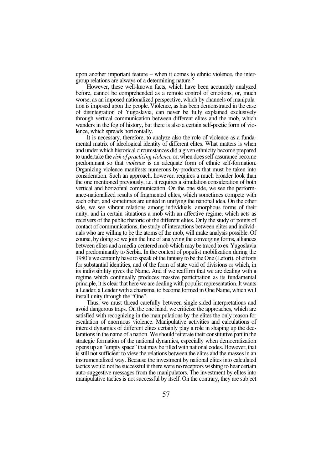upon another important feature – when it comes to ethnic violence, the intergroup relations are always of a determining nature.<sup>8</sup>

However, these well-known facts, which have been accurately analyzed before, cannot be comprehended as a remote control of emotions, or, much worse, as an imposed nationalized perspective, which by channels of manipulation is imposed upon the people. Violence, as has been demonstrated in the case of disintegration of Yugoslavia, can never be fully explained exclusively through vertical communication between different elites and the mob, which wanders in the fog of history, but there is also a certain self-poetic form of violence, which spreads horizontally.

It is necessary, therefore, to analyze also the role of violence as a fundamental matrix of ideological identity of different elites. What matters is when and under which historical circumstances did a given ethnicity become prepared to undertake the *risk of practicing violence* or, when does self-assurance become predominant so that *violence* is an adequate form of ethnic self-formation. Organizing violence manifests numerous by-products that must be taken into consideration. Such an approach, however, requires a much broader look than the one mentioned previously, i.e. it requires a simulation consideration of both vertical and horizontal communication. On the one side, we see the performance-nationalized results of fragmented elites, which sometimes compete with each other, and sometimes are united in unifying the national idea. On the other side, we see vibrant relations among individuals, amorphous forms of their unity, and in certain situations a mob with an affective regime, which acts as receivers of the public rhetoric of the different elites. Only the study of points of contact of communications, the study of interactions between elites and individuals who are willing to be the atoms of the mob, will make analysis possible. Of course, by doing so we join the line of analyzing the converging forms, alliances between elites and a media-centered mob which may be traced to ex-Yugoslavia and predominantly to Serbia. In the context of populist mobilization during the 1980's we certainly have to speak of the fantasy to be the One (Lefort), of efforts for substantial identities, and of the form of state void of divisions or which, in its indivisibility gives the Name. And if we reaffirm that we are dealing with a regime which continually produces massive participation as its fundamental principle, it is clear that here we are dealing with populist representation. It wants a Leader, a Leader with a charisma, to become formed in One Name, which will install unity through the "One".

Thus, we must thread carefully between single-sided interpretations and avoid dangerous traps. On the one hand, we criticize the approaches, which are satisfied with recognizing in the manipulations by the elites the only reason for escalation of enormous violence. Manipulative activities and calculations of interest dynamics of different elites certainly play a role in shaping up the declarations in the name of a nation. We should reiterate their constitutive part in the strategic formation of the national dynamics, especially when democratization opens up an "empty space" that may be filled with national codes. However, that is still not sufficient to view the relations between the elites and the masses in an instrumentalized way. Because the investment by national elites into calculated tactics would not be successful if there were no receptors wishing to hear certain auto-suggestive messages from the manipulators. The investment by elites into manipulative tactics is not successful by itself. On the contrary, they are subject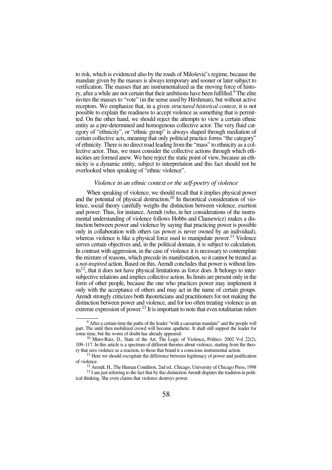to risk, which is evidenced also by the roads of Milošević's regime, because the mandate given by the masses is always temporary and sooner or later subject to verification. The masses that are instrumentalized as the moving force of history, after a while are not certain that their ambitions have been fulfilled.<sup>9</sup> The elite invites the masses to "vote" (in the sense used by Hirshman), but without active receptors. We emphasize that, in a given *structured historical context*, it is not possible to explain the readiness to accept violence as something that is permitted. On the other hand, we should reject the attempts to view a certain ethnic entity as a pre-determined and homogenous collective actor. The very fluid category of "ethnicity", or "ethnic group" is always shaped through mediation of certain collective acts, meaning that only political practice forms "the category" of ethnicity. There is no direct road leading from the "mass" to ethnicity as a collective actor. Thus, we must consider the collective actions through which ethnicities are formed anew. We here reject the static point of view, because an ethnicity is a dynamic entity, subject to interpretation and this fact should not be overlooked when speaking of "ethnic violence".

# *Violence in an ethnic context or the self-poetry of violence*

When speaking of violence, we should recall that it implies physical power and the potential of physical destruction.<sup>10</sup> In theoretical consideration of violence, social theory carefully weighs the distinction between violence, exertion and power. Thus, for instance, Arendt (who, in her considerations of the instrumental understanding of violence follows Hobbs and Clausewicz) makes a distinction between power and violence by saying that practicing power is possible only in collaboration with others (as power is never owned by an individual), whereas violence is like a physical force used to manipulate power.<sup>11</sup> Violence serves certain objectives and, in the political domain, it is subject to calculation. In contrast with aggression, in the case of violence it is necessary to contemplate the mixture of reasons, which precede its manifestation, so it cannot be treated as a *not-inspired* action. Based on this, Arendt concludes that power is without limits12, that it does not have physical limitations as force does. It belongs to intersubjective relations and implies collective action. Its limits are present only in the form of other people, because the one who practices power may implement it only with the acceptance of others and may act in the name of certain groups. Arendt strongly criticizes both theoreticians and practitioners for not making the distinction between power and violence, and for too often treating violence as an extreme expression of power.<sup>13</sup> It is important to note that even totalitarian rulers

<sup>&</sup>lt;sup>9</sup> After a certain time the paths of the leader "with a caesarian mandate" and the people will part. The until then mobilized crowd will become apathetic. It shall still support the leader for some time, but the worm of doubt has already appeared.

<sup>&</sup>lt;sup>10</sup> Muro-Ruiz, D., State of the Art, *The Logic of Violence*, *Politics: 2002 Vol 22(2)*, 109–117. In this article is a spectrum of different theories about violence, starting from the theo-

 $11$  Here we should excogitate the difference between legitimacy of power and justification. of violence.<br><sup>12</sup> Arendt. H., The Human Condition. 2nd ed., Chicago, University of Chicago Press, 1998

 $13$  I am just referring to the fact that by this distinction Arendt disputes the tradition in political thinking. She even claims that violence destroys power.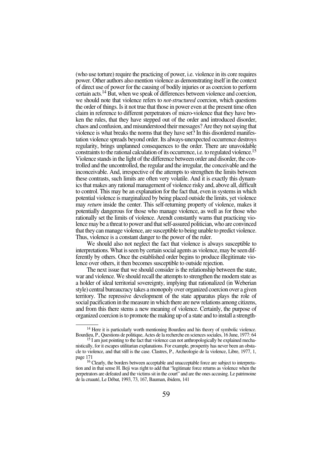(who use torture) require the practicing of power, i.e. violence in its core requires power. Other authors also mention violence as demonstrating itself in the context of direct use of power for the causing of bodily injuries or as coercion to perform certain acts.14 But, when we speak of differences between violence and coercion, we should note that violence refers to *not-structured* coercion, which questions the order of things. Is it not true that those in power even at the present time often claim in reference to different perpetrators of micro-violence that they have broken the rules, that they have stepped out of the order and introduced disorder, chaos and confusion, and misunderstood their messages? Are they not saying that violence is what breaks the norms that they have set? In this disordered manifestation violence spreads beyond order. Its always-unexpected occurrence destroys regularity, brings unplanned consequences to the order. There are unavoidable constraints to the rational calculation of its occurrence, i.e. to regulated violence.15 Violence stands in the light of the difference between order and disorder, the controlled and the uncontrolled, the regular and the irregular, the conceivable and the inconceivable. And, irrespective of the attempts to strengthen the limits between these contrasts, such limits are often very volatile. And it is exactly this dynamics that makes any rational management of violence risky and, above all, difficult to control. This may be an explanation for the fact that, even in systems in which potential violence is marginalized by being placed outside the limits, yet violence may *return* inside the center. This self-returning property of violence, makes it potentially dangerous for those who manage violence, as well as for those who rationally set the limits of violence. Arendt constantly warns that practicing violence may be a threat to power and that self-assured politician, who are convinced that they can manage violence, are susceptible to being unable to predict violence. Thus, violence is a constant danger to the power of the ruler.

We should also not neglect the fact that violence is always susceptible to interpretations. What is seen by certain social agents as violence, may be seen differently by others. Once the established order begins to produce illegitimate violence over others, it then becomes susceptible to outside rejection.

The next issue that we should consider is the relationship between the state, war and violence. We should recall the attempts to strengthen the modern state as a holder of ideal territorial sovereignty, implying that rationalized (in Weberian style) central bureaucracy takes a monopoly over organized coercion over a given territory. The repressive development of the state apparatus plays the role of social pacification in the measure in which there are new relations among citizens, and from this there stems a new meaning of violence. Certainly, the purpose of organized coercion is to promote the making up of a state and to install a strength-

<sup>&</sup>lt;sup>14</sup> Here it is particularly worth mentioning Bourdieu and his theory of symbolic violence.<br>Bourdieu, P., Questions de politique, Actes de la recherche en sciences sociales, 16 June, 1977: 64

 $15$  I am just pointing to the fact that violence can not anthropologically be explained mechanistically, for it escapes utilitarian explanations. For example, prosperity has never been an obstacle to violence, and that still is the case. Clastres, P., Archeologie de la violence, Libre, 1977, 1,

 $16$  Clearly, the borders between acceptable and unacceptable force are subject to interpretation and in that sense H. Beji was right to add that "legitimate force returns as violence when the perpetrators are defeated and the victims sit in the court" and are the ones accusing. Le patrimoine de la cruauté, Le Débat, 1993, 73, 167, Bauman, ibidem, 141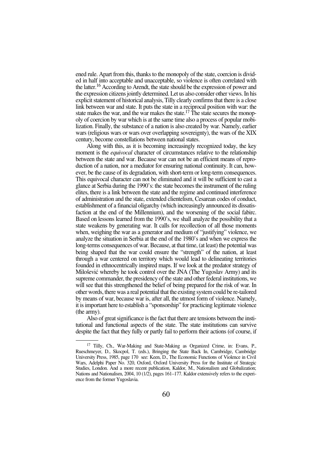ened rule. Apart from this, thanks to the monopoly of the state, coercion is divided in half into acceptable and unacceptable, so violence is often correlated with the latter.16 According to Arendt, the state should be the expression of power and the expression citizens jointly determined. Let us also consider other views. In his explicit statement of historical analysis, Tilly clearly confirms that there is a close link between war and state. It puts the state in a reciprocal position with war: the state makes the war, and the war makes the state.<sup>17</sup> The state secures the monopoly of coercion by war which is at the same time also a process of popular mobilization. Finally, the substance of a nation is also created by war. Namely, earlier wars (religious wars or wars over overlapping sovereignty), the wars of the XIX century, become constellations between national states.

Along with this, as it is becoming increasingly recognized today, the key moment is the *equivocal* character of circumstances relative to the relationship between the state and war. Because war can not be an efficient means of reproduction of a nation, nor a mediator for ensuring national continuity. It can, however, be the cause of its degradation, with short-term or long-term consequences. This equivocal character can not be eliminated and it will be sufficient to cast a glance at Serbia during the 1990's: the state becomes the instrument of the ruling elites, there is a link between the state and the regime and continued interference of administration and the state, extended clientelism, Cesarean codes of conduct, establishment of a financial oligarchy (which increasingly announced its dissatisfaction at the end of the Millennium), and the worsening of the social fabirc. Based on lessons learned from the 1990's, we shall analyze the possibility that a state weakens by generating war. It calls for recollection of all those moments when, weighing the war as a generator and medium of "justifying" violence, we analyze the situation in Serbia at the end of the 1980's and when we express the long-terms consequences of war. Because, at that time, (at least) the potential was being shaped that the war could ensure the "strength" of the nation, at least through a war centered on territory which would lead to delineating territories founded in ethnocentrically inspired maps. If we look at the predator strategy of Milošević whereby he took control over the JNA (The Yugoslav Army) and its supreme commander, the presidency of the state and other federal institutions, we will see that this strengthened the belief of being prepared for the risk of war. In other words, there was a real potential that the existing system could be re-tailored by means of war, because war is, after all, the utmost form of violence. Namely, it is important here to establish a "sponsorship" for practicing legitimate violence (the army).

Also of great significance is the fact that there are tensions between the institutional and functional aspects of the state. The state institutions can survive despite the fact that they fully or partly fail to perform their actions (of course, if

<sup>17</sup> Tilly, Ch., War-Making and State-Making as Organized Crime, in: Evans, P., Rueschmeyer, D., Skocpol, T. (eds.), Bringing the State Back In, Cambridge, Cambridge University Press, 1985, page 170 see: Keen, D., The Economic Functions of Violence in Civil Wars, Adelphi Paper No. 320, Oxford, Oxford University Press for the Institute of Strategic Studies, London. And a more recent publication, Kaldor, M., Nationalism and Globalization; Nations and Nationalism, 2004, 10 (1/2), pages 161–177. Kaldor extensively refers to the experience from the former Yugoslavia.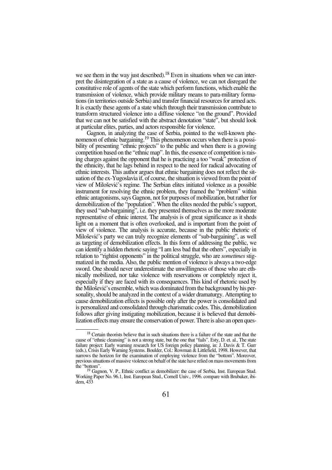we see them in the way just described).<sup>18</sup> Even in situations when we can interpret the disintegration of a state as a cause of violence, we can not disregard the constitutive role of agents of the state which perform functions, which enable the transmission of violence, which provide military means to para-military formations (in territories outside Serbia) and transfer financial resources for armed acts. It is exactly these agents of a state which through their transmission contribute to transform structured violence into a diffuse violence "on the ground". Provided that we can not be satisfied with the abstract denotation "state", but should look at particular elites, parties, and actors responsible for violence.

Gagnon, in analyzing the case of Serbia, pointed to the well-known phenomenon of ethnic bargaining.<sup>19</sup> This phenomenon occurs when there is a possibility of presenting "ethnic projects" to the public and when there is a growing competition based on the "ethnic map". In this, the essence of competition is raising charges against the opponent that he is practicing a too "weak" protection of the ethnicity, that he lags behind in respect to the need for radical advocating of ethnic interests. This author argues that ethnic bargaining does not reflect the situation of the ex-Yugoslavia if, of course, the situation is viewed from the point of view of Milošević's regime. The Serbian elites initiated violence as a possible instrument for resolving the ethnic problem, they framed the "problem" within ethnic antagonisms, says Gagnon, not for purposes of mobilization, but rather for demobilization of the "population". When the elites needed the public's support, they used "sub-bargaining", i.e. they presented themselves as the more moderate representative of ethnic interest. The analysis is of great significance as it sheds light on a moment that is often overlooked, and is important from the point of view of violence. The analysis is accurate, because in the public rhetoric of Milošević's party we can truly recognize elements of "sub-bargaining", as well as targeting of demobilization effects. In this form of addressing the public, we can identify a hidden rhetoric saying "I am less bad that the others", especially in relation to "rightist opponents" in the political struggle, who are *sometimes* stigmatized in the media. Also, the public mention of violence is always a two-edge sword. One should never underestimate the unwillingness of those who are ethnically mobilized, nor take violence with reservations or completely reject it, especially if they are faced with its consequences. This kind of rhetoric used by the Milošević's ensemble, which was dominated from the background by his personality, should be analyzed in the context of a wider dramaturgy. Attempting to cause demobilization effects is possible only after the power is consolidated and is personalized and consolidated through charismatic codes. This, demobilization follows after giving instigating mobilization, because it is believed that demobilization effects may ensure the conservation of power. There is also an open ques-

<sup>&</sup>lt;sup>18</sup> Certain theorists believe that in such situations there is a failure of the state and that the cause of "ethnic cleansing" is not a strong state, but the one that "fails". Esty, D. et. al., The state failure project: Early warning research for US foreign policy planning, in: J. Davis & T. Gurr (eds.), Crisis Early Warning Systems. Boulder, Col.: Rowman & Littlefield, 1998. However, that narrows the horizon for the examination of employing violence from the "bottom". Moreover, previous situations of massive violence on behalf of the state have relied on mass movements from the "bottom".

<sup>19</sup> Gagnon, V. P., Ethnic conflict as demobilizer: the case of Serbia*,* Inst. European Stud. Working Paper No. 96.1, Inst. European Stud., Cornell Univ., 1996. compare with Brubaker, ibidem, 433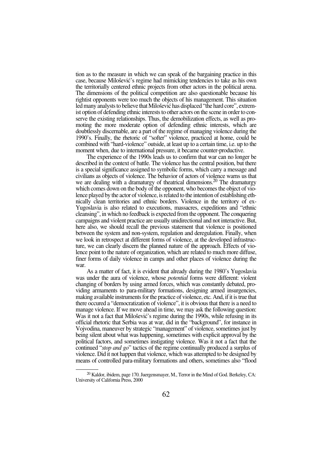tion as to the measure in which we can speak of the bargaining practice in this case, because Milošević's regime had mimicking tendencies to take as his own the territorially centered ethnic projects from other actors in the political arena. The dimensions of the political competition are also questionable because his rightist opponents were too much the objects of his management. This situation led many analysts to believe that Milošević has displaced "the hard core", extremist option of defending ethnic interests to other actors on the scene in order to conserve the existing relationships. Thus, the demobilization effects, as well as promoting the more moderate option of defending ethnic interests, which are doubtlessly discernable, are a part of the regime of managing violence during the 1990's. Finally, the rhetoric of "softer" violence, practiced at home, could be combined with "hard-violence" outside, at least up to a certain time, i.e. up to the moment when, due to international pressure, it became counter-productive.

The experience of the 1990s leads us to confirm that war can no longer be described in the context of battle. The violence has the central position, but there is a special significance assigned to symbolic forms, which carry a message and civilians as objects of violence. The behavior of actors of violence warns us that we are dealing with a dramaturgy of theatrical dimensions.<sup>20</sup> The dramaturgy which comes down on the body of the opponent, who becomes the object of violence played by the actor of violence, is related to the intention of establishing ethnically clean territories and ethnic borders. Violence in the territory of ex-Yugoslavia is also related to executions, massacres, expeditions and "ethnic cleansing", in which no feedback is expected from the opponent. The conquering campaigns and violent practice are usually unidirectional and not interactive. But, here also, we should recall the previous statement that violence is positioned between the system and non-system, regulation and deregulation. Finally, when we look in retrospect at different forms of violence, at the developed infrastructure, we can clearly discern the planned nature of the approach. Effects of violence point to the nature of organization, which are related to much more diffuse, finer forms of daily violence in camps and other places of violence during the war.

As a matter of fact, it is evident that already during the 1980's Yugoslavia was under the aura of violence, whose *potential* forms were different: violent changing of borders by using armed forces, which was constantly debated, providing armaments to para-military formations, designing armed insurgencies, making available instruments for the practice of violence, etc. And, if it is true that there occured a "democratization of violence", it is obvious that there is a need to manage violence. If we move ahead in time, we may ask the following question: Was it not a fact that Milošević's regime during the 1990s, while refusing in its official rhetoric that Serbia was at war, did in the "background", for instance in Vojvodina, maneuver by strategic "management" of violence, sometimes just by being silent about what was happening, sometimes with explicit approval by the political factors, and sometimes instigating violence. Was it not a fact that the continued "*stop and go*" tactics of the regime continually produced a surplus of violence. Did it not happen that violence, which was attempted to be designed by means of controlled para-military formations and others, sometimes also "flood

<sup>20</sup> Kaldor, ibidem, page 170. Juergensmayer, M., Terror in the Mind of God. Berkeley, CA: University of California Press, 2000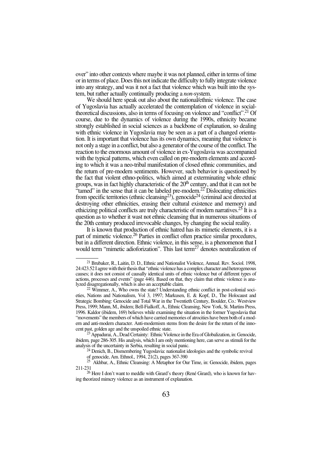over" into other contexts where maybe it was not planned, either in terms of time or in terms of place. Does this not indicate the difficulty to fully integrate violence into any strategy, and was it not a fact that violence which was built into the system, but rather actually continually producing a *non-*system.

We should here speak out also about the national/ethnic violence. The case of Yugoslavia has actually accelerated the contemplation of violence in socialtheoretical discussions, also in terms of focusing on violence and "conflict".21 Of course, due to the dynamics of violence during the 1990s, ethnicity became strongly established in social sciences as a backbone of explanation, so dealing with ethnic violence in Yugoslavia may be seen as a part of a changed orientation. It is important that violence has its own dynamics, meaning that violence is not only a stage in a conflict, but also a generator of the course of the conflict. The reaction to the enormous amount of violence in ex-Yugoslavia was accompanied with the typical patterns, which even called on pre-modern elements and according to which it was a neo-tribal manifestation of closed ethnic communities, and the return of pre-modern sentiments. However, such behavior is questioned by the fact that violent ethno-politics, which aimed at exterminating whole ethnic groups, was in fact highly characteristic of the 20<sup>th</sup> century, and that it can not be "tamed" in the sense that it can be labeled pre-modern.<sup>22</sup> Dislocating ethnicities from specific territories (ethnic cleansing $^{23}$ ), genocide<sup>24</sup> (criminal acst directed at destroying other ethnicities, erasing their cultural existence and memory) and ethicizing political conflicts are truly characteristic of modern narratives.25 It is a question as to whether it wast not ethnic cleansing that in numerous situations of the 20th century produced irrevocable changes, by changing the social reality.

It is known that production of ethnic hatred has its mimetic elements, it is a part of mimetic violence.<sup>26</sup> Parties in conflict often practice similar procedures, but in a different direction. Ethnic violence, in this sense, is a phenomenon that I would term "mimetic adioforization". This last term<sup>27</sup> denotes neutralization of

<sup>&</sup>lt;sup>21</sup> Brubaker, R., Laitin, D. D., Ethnic and Nationalist Violence, Annual. Rev. Sociol. 1998. 24:423.52 I agree with their thesis that "ethnic violence has a complex character and heterogeneous causes; it does not consist of causally identical units of ethnic violence but of different types of actions, processes and events" (page 446). Based on that, they claim that ethnic violence is ana-

 $22$  Wimmer, A., Who owns the state? Understanding ethnic conflict in post-colonial societies, Nations and Nationalism, Vol 3, 1997; Markusen, E. & Kopf, D., The Holocaust and Strategic Bombing: Genocide and Total War in the Twentieth Century, Boulder, Co.: Westview Press, 1999; Mann, M., ibidem; Bell-Fialkoff, A., Ethnic Cleansing, New York, St. Martins Press, 1996. Kaldor (ibidem, 169) believes while examining the situation in the former Yugoslavia that "movements" the members of which have carried memories of atrocities have been both of a modern and anti-modern character. Anti-modernism stems from the desire for the return of the inno-

<sup>&</sup>lt;sup>23</sup> Appadurai, A., Dead Certainty: Ethnic Violence in the Era of Globalization, in: Genocide, ibidem*,* page 286-305. His analysis, which I am only mentioning here, can serve as stimuli for the

<sup>&</sup>lt;sup>24</sup> Denich, B., Dismembering Yugoslavia: nationalist ideologies and the symbolic revival of genocide, Am. Ethnol., 1994, 21(2), pages 367-390

 $25$  Akhbar, A., Ethnic Cleansing: A Metaphor for Our Time, in: Genocide, ibidem, pages

<sup>211-231</sup>

<sup>&</sup>lt;sup>26</sup> Here I don't want to meddle with Girard's theory (René Girard), who is known for having theorized mimcry violence as an instrument of explanation.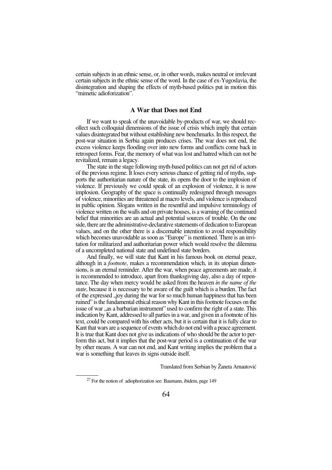certain subjects in an ethnic sense, or, in other words, makes neutral or irrelevant certain subjects in the ethnic sense of the word. In the case of ex-Yugoslavia, the disintegration and shaping the effects of myth-based politics put in motion this "mimetic adioforization".

### **A War that Does not End**

If we want to speak of the unavoidable by-products of war, we should recollect such colloquial dimensions of the issue of crisis which imply that certain values disintegrated but without establishing new benchmarks. In this respect, the post-war situation in Serbia again produces crises. The war does not end, the excess violence keeps flooding over into new forms and conflicts come back in retrospect forms. Fear, the memory of what was lost and hatred which can not be revitalized, remain a legacy.

The state in the stage following myth-based politics can not get rid of actors of the previous regime. It loses every serious chance of getting rid of myths, supports the authoritarian nature of the state, its opens the door to the implosion of violence. If previously we could speak of an explosion of violence, it is now implosion. Geography of the space is continually redesigned through messages of violence, minorities are threatened at macro levels, and violence is reproduced in public opinion. Slogans written in the resentful and impulsive terminology of violence written on the walls and on private houses, is a warning of the continued belief that minorities are an actual and potential sources of trouble. On the one side, there are the administrative-declarative statements of dedication to European values, and on the other there is a discernable intention to avoid responsibility which becomes unavoidable as soon as "Europe" is mentioned. There is an invitation for militarized and authoritarian power which would resolve the dilemma of a uncompleted national state and undefined state borders.

And finally, we will state that Kant in his famous book on eternal peace, although in a *footnote*, makes a recommendation which, in its utopian dimensions, is an eternal reminder. After the war, when peace agreements are made, it is recommended to introduce, apart from thanksgiving day, also a day of repentance. The day when mercy would be asked from the heaven *in the name of the state*, because it is necessary to be aware of the guilt which is a burden. The fact of the expressed , joy during the war for so much human happiness that has been ruined" is the fundamental ethical reason why Kant in this footnote focuses on the issue of war , as a barbarian instrument" used to confirm the right of a state. This indication by Kant, addressed to all parties in a war, and given in a footnote of his text, could be compared with his other acts, but it is certain that it is fully clear to Kant that wars are a sequence of events which do not end with a peace agreement. It is true that Kant does not give us indications of who should be the actor to perform this act, but it implies that the post-war period is a continuation of the war by other means. A war can not end, and Kant writing implies the problem that a war is something that leaves its signs outside itself.

Translated from Serbian by Žaneta Arnautović

 $27$  For the notion of adiophorization see: Baumann, ibidem, page 149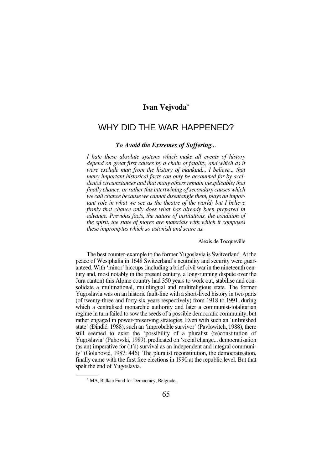# **Ivan Vejvoda**\*

# WHY DID THE WAR HAPPENED?

*To Avoid the Extremes of Suffering...*

*I hate these absolute systems which make all events of history depend on great first causes by a chain of fatality, and which as it were exclude man from the history of mankind... I believe... that many important historical facts can only be accounted for by accidental circumstances and that many others remain inexplicable; that finally chance, or rather this intertwining of secondary causes which we call chance because we cannot disentangle them, plays an important role in what we see as the theatre of the world; but I believe firmly that chance only does what has already been prepared in advance. Previous facts, the nature of institutions, the condition of the spirit, the state of mores are materials with which it composes these impromptus which so astonish and scare us.* 

Alexis de Tocqueville

The best counter-example to the former Yugoslavia is Switzerland. At the peace of Westphalia in 1648 Switzerland's neutrality and security were guaranteed. With 'minor' hiccups (including a brief civil war in the nineteenth century and, most notably in the present century, a long-running dispute over the Jura canton) this Alpine country had 350 years to work out, stabilise and consolidate a multinational, multilingual and multireligious state. The former Yugoslavia was on an historic fault-line with a short-lived history in two parts (of twenty-three and forty-six years respectively) from 1918 to 1991, during which a centralised monarchic authority and later a communist-totalitarian regime in turn failed to sow the seeds of a possible democratic community, but rather engaged in power-preserving strategies. Even with such an 'unfinished state' (Đinđić, 1988), such an 'improbable survivor' (Pavlowitch, 1988), there still seemed to exist the 'possibility of a pluralist (re)constitution of Yugoslavia' (Puhovski, 1989), predicated on 'social change... democratisation (as an) imperative for (it's) survival as an independent and integral community' (Golubović, 1987: 446). The pluralist reconstitution, the democratisation, finally came with the first free elections in 1990 at the republic level. But that spelt the end of Yugoslavia.

<sup>\*</sup> MA, Balkan Fund for Democracy, Belgrade.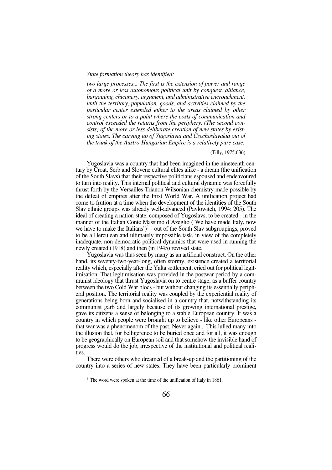#### *State formation theory has identified:*

*two large processes... The first is the extension of power and range of a more or less autonomous political unit by conquest, alliance, bargaining, chicanery, argument, and administrative encroachment, until the territory, population, goods, and activities claimed by the particular center extended either to the areas claimed by other strong centers or to a point where the costs of communication and control exceeded the returns from the periphery. (The second consists) of the more or less deliberate creation of new states by existing states. The carving up of Yugoslavia and Czechoslavakia out of the trunk of the Austro-Hungarian Empire is a relatively pure case.* 

### (Tilly, 1975:636)

Yugoslavia was a country that had been imagined in the nineteenth century by Croat, Serb and Slovene cultural elites alike - a dream (the unification of the South Slavs) that their respective politicians espoused and endeavoured to turn into reality. This internal political and cultural dynamic was forcefully thrust forth by the Versailles-Trianon Wilsonian chemistry made possible by the defeat of empires after the First World War. A unification project had come to frution at a time when the development of the identities of the South Slav ethnic groups was already well-advanced (Pavlowitch, 1994: 205). The ideal of creating a nation-state, composed of Yugoslavs, to be created - in the manner of the Italian Conte Massimo d'Azeglio ('We have made Italy, now we have to make the Italians' $)^1$  - out of the South Slav subgroupings, proved to be a Herculean and ultimately impossible task, in view of the completely inadequate, non-democratic political dynamics that were used in running the newly created (1918) and then (in 1945) revived state.

Yugoslavia was thus seen by many as an artificial construct. On the other hand, its seventy-two-year-long, often stormy, existence created a territorial reality which, especially after the Yalta settlement, cried out for political legitimisation. That legitimisation was provided in the postwar period by a communist ideology that thrust Yugoslavia on to centre stage, as a buffer country between the two Cold War blocs - but without changing its essentially peripheral position. The territorial reality was coupled by the experiential reality of generations being born and socialised in a country that, notwithstanding its communist garb and largely because of its growing international prestige, gave its citizens a sense of belonging to a stable European country. It was a country in which people were brought up to believe - like other Europeans that war was a phenomenom of the past. Never again... This lulled many into the illusion that, for belligerence to be buried once and for all, it was enough to be geographically on European soil and that somehow the invisible hand of progress would do the job, irrespective of the institutional and political realities.

There were others who dreamed of a break-up and the partitioning of the country into a series of new states. They have been particularly prominent

<sup>&</sup>lt;sup>1</sup> The word were spoken at the time of the unification of Italy in 1861.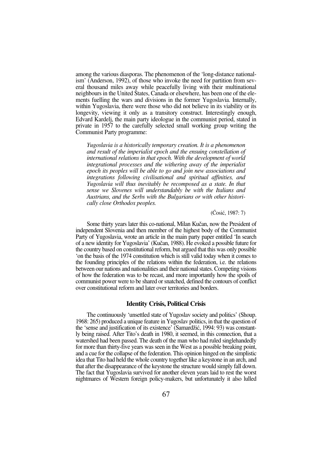among the various diasporas. The phenomenon of the 'long-distance nationalism' (Anderson, 1992), of those who invoke the need for partition from several thousand miles away while peacefully living with their multinational neighbours in the United States, Canada or elsewhere, has been one of the elements fuelling the wars and divisions in the former Yugoslavia. Internally, within Yugoslavia, there were those who did not believe in its viability or its longevity, viewing it only as a transitory construct. Interestingly enough, Edvard Kardelj, the main party ideologue in the communist period, stated in private in 1957 to the carefully selected small working group writing the Communist Party programme:

*Yugoslavia is a historically temporary creation. It is a phenomenon and result of the imperialist epoch and the ensuing constellation of international relations in that epoch. With the development of world integrational processes and the withering away of the imperialist epoch its peoples will be able to go and join new associations and integrations following civilisational and spiritual affinities, and Yugoslavia will thus inevitably be recomposed as a state. In that sense we Slovenes will understandably be with the Italians and Austrians, and the Serbs with the Bulgarians or with other historically close Orthodox peoples.* 

(Ćosić, 1987: 7)

Some thirty years later this co-national, Milan Kučan, now the President of independent Slovenia and then member of the highest body of the Communist Party of Yugoslavia, wrote an article in the main party paper entitled 'In search of a new identity for Yugoslavia' (Kučan, 1988). He evoked a possible future for the country based on constitutional reform, but argued that this was only possible 'on the basis of the 1974 constitution which is still valid today when it comes to the founding principles of the relations within the federation, i.e. the relations between our nations and nationalities and their national states. Competing visions of how the federation was to be recast, and more importantly how the spoils of communist power were to be shared or snatched, defined the contours of conflict over constitutional reform and later over territories and borders.

### **Identity Crisis, Political Crisis**

The continuously 'unsettled state of Yugoslav society and politics' (Shoup. 1968: 265) produced a unique feature in Yugoslav politics, in that the question of the 'sense and justification of its existence' (Samardžić, 1994: 93) was constantly being raised. After Tito's death in 1980, it seemed, in this connection, that a watershed had been passed. The death of the man who had ruled singlehandedly for more than thirty-five years was seen in the West as a possible breaking point, and a cue for the collapse of the federation. This opinion hinged on the simplistic idea that Tito had held the whole country together like a keystone in an arch, and that after the disappearance of the keystone the structure would simply fall down. The fact that Yugoslavia survived for another eleven years laid to rest the worst nightmares of Western foreign policy-makers, but unfortunately it also lulled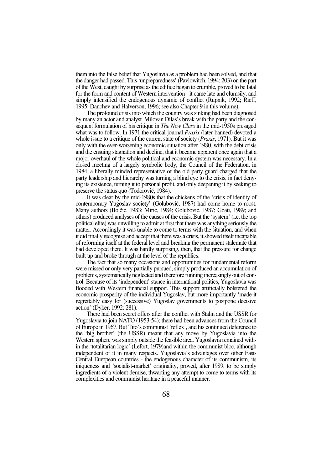them into the false belief that Yugoslavia as a problem had been solved, and that the danger had passed. This 'unpreparedness' (Pavlowitch, 1994: 203) on the part of the West, caught by surprise as the edifice began to crumble, proved to be fatal for the form and content of Western intervention - it came late and clumsily, and simply intensified the endogenous dynamic of conflict (Rupnik, 1992; Rieff, 1995; Danchev and Halverson, 1996; see also Chapter 9 in this volume).

The profound crisis into which the country was sinking had been diagnosed by many an actor and analyst. Milovan Đilas's break with the party and the consequent formulation of his critique in *The New Class* in the mid-1950s presaged what was to follow. In 1971 the critical journal *Praxix* (later banned) devoted a whole issue to a critique of the current state of society (*Praxis*, 1971). But it was only with the ever-worsening economic situation after 1980, with the debt crisis and the ensuing stagnation and decline, that it became apparent once again that a mojor overhaul of the whole political and economic system was necessary. In a closed meeting of a largely symbolic body, the Council of the Federation, in 1984, a liberally minded representative of the old party guard charged that the party leadership and hierarchy was turning a blind eye to the crisis, in fact denying its existence, turning it to personal profit, and only deepening it by seeking to preserve the status quo (Todorović, 1984).

It was clear by the mid-1980s that the chickens of the 'crisis of identity of contemporary Yugoslav society' (Golubović, 1987) had come home to roost. Many authors (Bolčić, 1983; Mirić, 1984; Golubović, 1987; Goati, 1989; and others) produced analyses of the causes of the crisis. But the 'system' (i.e. the top political elite) was unwilling to admit at first that there was anything seriously the matter. Accordingly it was unable to come to terms with the situation, and when it did finally recognise and accept that there was a crisis, it showed itself incapable of reforming itself at the federal level and breaking the permanent stalemate that had developed there. It was hardly surprising, then, that the pressure for change built up and broke through at the level of the republics.

The fact that so many occasions and opportunities for fundamental reform were missed or only very partially pursued, simply produced an accumulation of problems, systematically neglected and therefore running increasingly out of control. Because of its 'independent' stance in international politics, Yugoslavia was flooded with Western financial support. This support artificially bolstered the economic prosperity of the individual Yugoslav, but more importantly 'made it regrettably easy for (successive) Yugoslav governments to postpone decisive action' (Dyker, 1992: 281).

There had been secret offers after the conflict with Stalin and the USSR for Yugoslavia to join NATO (1953-54); there had been advances from the Council of Europe in 1967. But Tito's communist 'reflex', and his continued deference to the 'big brother' (the USSR) meant that any move by Yugoslavia into the Western sphere was simply outside the feasible area. Yugoslavia remained within the 'totalitarian logic' (Lefort, 1979)and within the communist bloc, although independent of it in many respects. Yugoslavia's advantages over other East-Central European countries - the endogenous character of its communism, its iniqueness and 'socialist-market' originality, proved, after 1989, to be simply ingredients of a violent demise, thwarting any attempt to come to terms with its complexities and communist heritage in a peaceful manner.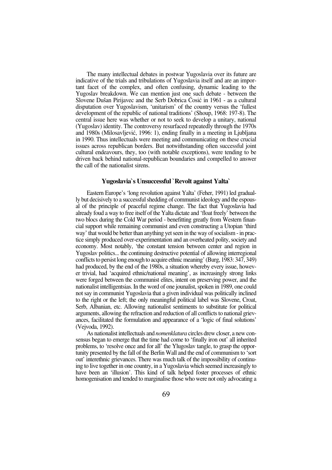The many intellectual debates in postwar Yugoslavia over its future are indicative of the trials and tribulations of Yugoslavia itself and are an important facet of the complex, and often confusing, dynamic leading to the Yugoslav breakdown. We can mention just one such debate - between the Slovene Dušan Pirijavec and the Serb Dobrica Ćosić in 1961 - as a cultural disputation over Yugoslavism, 'unitarism' of the country versus the 'fullest development of the republic of national traditions' (Shoup, 1968: 197-8). The central issue here was whether or not to seek to develop a unitary, national (Yugoslav) identity. The controversy resurfaced repeatedly through the 1970s and 1980s (Milosavljević, 1996: 1), ending finally in a meeting in Ljubljana in 1990. Thus intellectuals were meeting and communicating on these crucial issues across republican borders. But notwithstanding often successful joint cultural endeavours, they, too (with notable exceptions), were tending to be driven back behind national-republican boundaries and compelled to answer the call of the nationalist sirens.

### **Yugoslavia`s Unsuccessful `Revolt against Yalta`**

Eastern Europe's 'long revolution against Yalta' (Feher, 1991) led gradually but decisively to a successful shedding of communist ideology and the espousal of the principle of peaceful regime change. The fact that Yugoslavia had already foud a way to free itself of the Yalta dictate and 'float freely' between the two blocs during the Cold War period - benefitting greatly from Western financial support while remaining communist and even constructing a Utopian 'third way' that would be better than anything yet seen in the way of socialism - in practice simply produced over-experimentation and an overheated polity, society and economy. Most notably, 'the constant tension between center and region in Yugoslav politics... the continuing destructive potential of allowing interregional conflicts to persist long enough to acquire ethnic meaning' (Burg, 1983: 347, 349) had produced, by the end of the 1980s, a situation whereby every issue, however trivial, had 'acquired ethnic/national meaning', as increasingly strong links were forged between the communist elites, intent on preserving power, and the nationalist intelligentsias. In the word of one jounalist, spoken in 1989, one could not say in communist Yugoslavia that a given individual was politically inclined to the right or the left; the only meaningful political label was Slovene, Croat, Serb, Albanian, etc. Allowing nationalist sentiments to substitute for political arguments, allowing the refraction and reduction of all conflicts to national grievances, facilitated the formulation and appearance of a 'logic of final solutions' (Vejvoda, 1992).

As nationalist intellectuals and *nomenklatura* circles drew closer, a new consensus began to emerge that the time had come to 'finally iron out' all inherited problems, to 'resolve once and for all' the Ylugoslav tangle, to grasp the opportunity presented by the fall of the Berlin Wall and the end of communism to 'sort out' interethnic grievances. There was much talk of the impossibility of continuing to live together in one country, in a Yugoslavia which seemed increasingly to have been an 'illusion'. This kind of talk helped foster processes of ethnic homogenisation and tended to marginalise those who were not only advocating a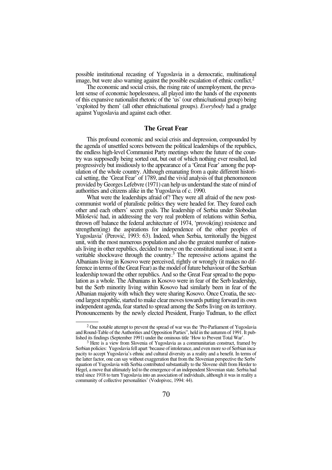possible institutional recasting of Yugoslavia in a democratic, multinational image, but were also warning against the possible escalation of ethnic conflict.<sup>2</sup>

The economic and social crisis, the rising rate of unemployment, the prevalent sense of economic hopelessness, all played into the hands of the exponents of this expansive nationalist rhetoric of the 'us' (our ethnic/national group) being 'exploited by them' (all other ethnic/national groups). *Everybody* had a grudge against Yugoslavia and against each other.

#### **The Great Fear**

This profound economic and social crisis and depression, compounded by the agenda of unsettled scores between the political leaderships of the republics, the endless high-level Communist Party meetings where the future of the country was supposedly being sorted out, but out of which nothing ever resulted, led progressively but insidiously to the appearance of a 'Great Fear' among the population of the whole country. Although emanating from a quite different historical setting, the 'Great Fear' of 1789, and the vivid analysis of that phenomoneon provided by Georges Lefebvre (1971) can help us understand the state of mind of authorities and citizens alike in the Yugoslavia of c. 1990.

What were the leaderships afraid of? They were all afraid of the new postcommunist world of pluralistic politics they were headed for. They feared each other and each others' secret goals. The leadership of Serbia under Slobodan Milošević had, in addressing the very real problem of relations within Serbia, thrown off balance the federal architecture of 1974, 'provok(ing) resistence and strengthen(ing) the aspirations for independence of the other peoples of Yugoslavia' (Perović, 1993: 63). Indeed, when Serbia, territorially the biggest unit, with the most numerous population and also the greatest number of nationals living in other republics, decided to move on the constitutional issue, it sent a veritable shockwave through the country.3 The repressive actions against the Albanians living in Kosovo were perceived, rightly or wrongly (it makes no difference in terms of the Great Fear) as the model of future behaviour of the Serbian leadership toward the other republics. And so the Great Fear spread to the population as a whole. The Albanians in Kosovo were in fear of the Serb leadership, but the Serb minority living within Kosovo had similarly been in fear of the Albanian majority with which they were sharing Kosovo. Once Croatia, the second largest republic, started to make clear moves towards putting forward its own independent agenda, fear started to spread among the Serbs living on its territory. Pronouncements by the newly elected President, Franjo Tuđman, to the effect

<sup>&</sup>lt;sup>2</sup> One notable attempt to prevent the spread of war was the 'Pre-Parliament of Yugoslavia and Round-Table of the Authorities and Opposition Parties", held in the autumm of 1991. It pub-<br>lished its findings (September 1991) under the ominous title 'How to Prevent Total War'.

 $3$  Here is a view from Slovenia of Yugoslavia as a communitarian construct, framed by Serbian policies: Yugoslavia fell apart 'because of intolerance, and even more so of Serbian incapacity to accept Yugoslavia's ethnic and cultural diversity as a reality and a benefit. In terms of the latter factor, one can say without exaggeration that from the Slovenian perspective the Serbs' equation of Yugoslavia with Serbia contributed substantially to the Slovene shift from Herder to Hegel, a move that ultimately led to the emergence of an independent Slovenian state. Serbia had tried since 1918 to turn Yugoslavia into an association of individuals, although it was in reality a community of collective personalities' (Vodopivec, 1994: 44).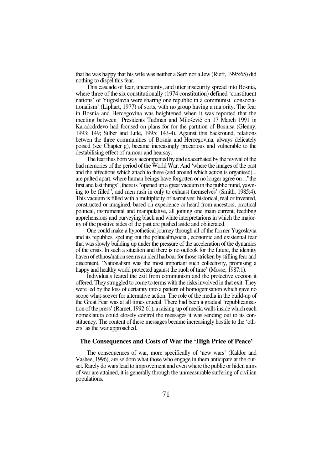that he was happy that his wife was neither a Serb nor a Jew (Rieff, 1995:65) did nothing to dispel this fear.

This cascade of fear, uncertainty, and utter insecurity spread into Bosnia, where three of the six constitutionally (1974 constitution) defined 'constituent nations' of Yugoslavia were sharing one republic in a communist 'consociationalism' (Liphart, 1977) of sorts, with no group having a majority. The fear in Bosnia and Hercegovina was heightened when it was reported that the meeting between Presidents Tuđman and Milošević on 17 March 1991 in Karađodrđevo had focused on plans for for the partition of Bosnisa (Glenny, 1993: 149; Silber and Litle, 1995: 143-4). Against this backround, relations betwen the three communities of Bosnia and Hercegovina, always delicately poised (see Chapter g), became increasingly precarious and vulnerable to the destabilising effect of rumour and hearsay.

The fear thus born way accompanied by and exacerbated by the revival of the bad memories of the period of the World War. And 'where the images of the past and the affections which attach to these (and around which action is organised)... are pulted apart, where human beings have forgotten or no longer agree on ..."the first and last things", there is "opened up a great vacuum in the public mind, yawning to be filled", and men rush in only to exhaust themselves' (Smith, 1985:4). This vacuum is filled with a multiplicity of narratives: historical, real or invented, constructed or imagined, based on experience or heard from ancestors, practical political, instrumental and manipulative, all joining one main current, feedibng apprehensions and purveying black and white interpretarions in which the majority of the positive sides of the past are pushed aside and obliterated.

One could make a hypothetical journey through all of the former Yugoslavia and its republics, spelling out the politicalm,social, economic and existential fear that was slowly building up under the pressure of the acceleration of the dynamics of the crisis. In such a situation and there is no outlook for the future, the identity haven of ethnos/nation seems an ideal harbour for those stricken by stifling fear and discontent. 'Nationalism was the most important such collectivity, promising a happy and healthy world protected against the ruoh of time' (Mosse, 1987:1).

Individuals feared the exit from communism and the protective cocoon it offered. They struggled to come to terms with the risks involved in that exit. They were led by the loss of certainty into a pattern of homogenisation which gave no scope what-soever for alternative action. The role of the media in the build-up of the Great Fear was at all times crucial. There had been a gradual 'republicanisation of the press' (Ramet, 1992:61), a raising-up of media walls inside which each nomeklatura could elosely control the messages it was sending out to its constituency. The content of these messages became increasingly hostile to the 'others' as the war approached.

### **The Consequences and Costs of War the 'High Price of Peace'**

The consequences of war, more specifically of 'new wars' (Kaldor and Vashee, 1996), are seldom what those who engage in them anticipate at the outset. Rarely do wars lead to improvement and even where the public or hiden aims of war are attained, it is generally through the unmeasurable suffering of civilian populations.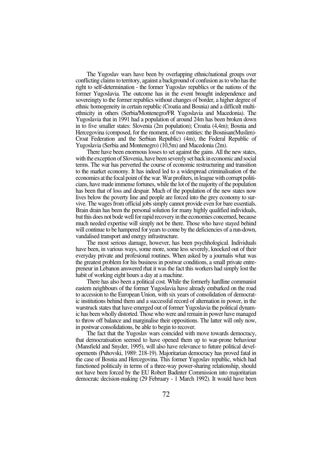The Yugoslav wars have been by overlapping ethnic/national groups over conflicting claims to territory, against a background of confusion as to who has the right to self-determination - the former Yugoslav republics or the nations of the former Yugoslavia. The outcome has in the event brought independence and sovereingty to the former republics without changes of border, a higher degree of ethnic homogeneity in certain republic (Croatia and Bosnia) and a difficult multiethnicity in others (Serbia/Montenegro/FR Yugoslavia and Macedonia). The Yugoslavia that in 1991 had a population of around 24m has been broken down in to five smaller states: Slovenia (2m population); Croatia (4,4m); Bosnia and Hercegovina (composed, for the moment, of two entities: the Bosnisan(Muslim)- Croat Federation and the Serbian Republic) (4m), the Federal Republic of Yugoslavia (Serbia and Montenegro) (10,5m) and Macedonia (2m).

There have been enormous losses to set against the gains. All the new states, with the exception of Slovenia, have been severely set back in economic and social terms. The war has perverted the course of economic restructuring and transition to the market economy. It has indeed led to a widespread criminalisation of the economies at the focal point of the war. War profiters, in league with corrupt politicians, have made immense fortunes, while the lot of the majority of the population has been that of loss and despair. Much of the population of the new states now lives below the poverty line and people are forced into the grey economy to survive. The wages from official jobs simply cannot provide even for bare essentials. Brain drain has been the personal solution for many highly qualified individuals, but this does not bode well for rapid recovery in the economies concerned, because much needed expertise will simply not be there. Those who have stayed behind will continue to be hampered for years to come by the deficiencies of a run-down, vandalised transport and energy infrastructure.

The most serious damage, however, has been psychhological. Individuals have been, in various ways, some more, some less severely, knocked out of their everyday private and profesional routines. When asked by a journalis what was the greatest problem for his business in postwar conditions, a small private entrepreneur in Lebanon answered rhat it was the fact this workers had simply lost the habit of working eight hours a day at a machine.

There has also been a political cost. While the formerly hardline communist eastern neighbours of the former Yugoslavia have already embarked on the road to accession to the European Union, with six years of consolidation of democratic institutions behind them and a successful record of alternation in power, in the warstruck states that have emerged out of former Yugoslavia the political dynamic has been wholly distorted. Those who were and remain in power have managed to throw off balance and marginalise their oppositions. The latter will only now, in postwar consolidations, be able to begin to recover.

The fact that the Yugoslav wars coincided with move towards democracy, that democratisation seemed to have opened them up to war-prone behaviour (Mansfield and Snyder, 1995), will also have relevance to future political developements (Puhovski, 1989: 218-19). Majoritarian democracy has proved fatal in the case of Bosnia and Hercegovina. This former Yugoslav republic, which had functioned politicaly in terms of a three-way power-sharing relationship, should not have been forced by the EU Robert Badinter Commission into majoritarian democratc decision-making (29 February - 1 March 1992). It would have been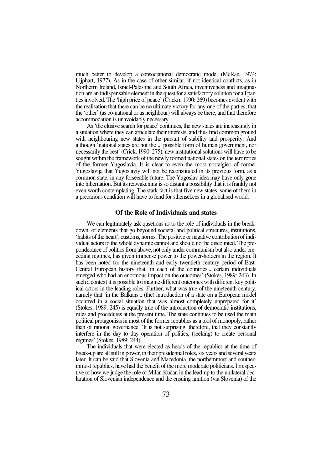much better to develop a consociational democratic model (McRae, 1974; Lijphart, 1977). As in the case of other similar, if not identical conflicts, as in Northerrn Ireland, Israel-Palestine and South Africa, inventiveness and imagination are an indispensable element in the quest for a satisfactory solution for all parties involved. The 'high price of peace' (Crickm 1990: 269) becomes evident with the realisation that there can be no ultimate victory for any one of the parties, that the 'other' (as co-national or as neighbour) will always be there, and that therefore accommodation is unavoidably necessary.

As 'the elusive search for peace' continues, the new states are increasingly in a situation where they can articulate their interests, and thus find common ground with neighbouring new states in the pursuit of stability and prosperity. And although 'national states are not the ... possible form of human government, nor necessarily the best' (Crick, 1990: 275), new institutional solutions will have to be sought within the framework of the newly formed national states on the terrirories of the former Yugoslavia. It is clear to even the most nostalgiec of former Yugoslavija that Yugoslaviy will not be reconstituted in its previous form, as a common state, in any forseeable future. The Yugoslav idea may have only gone into hibernation. But its reawakening is so distant a possibility that it is frankly not even worth contemplating. The stark fact is that five new states, some of them in a precarious condition will have to fend for sthensekces in a globalised world.

#### **Of the Role of Individuals and states**

We can legitimately ask qusetions as to the role of individuals in the breakdown, of elements that go beyound societal and political structures, institutions, 'habits of the heart', customs, norms. The positive or negative contribution of individual actors to the whole dynamic cannot and should not be discounted. The preponderance of politics from above, not only under communism but also under preceding regimes, has given immense power to the power-holders in the region. It has been noted for the nineteenth and early twentieth century period of East-Central European history that 'in each of the countries... certain individuals emerged who had an enormous impact on the outcomes' (Stokes, 1989: 243). In such a context it is possible to imagine different outcomes with different key political actors in the leading roles. Further, what was true of the nineteenth century, namely that 'in the Balkans... (the) introduction of a state on a European model occurred in a social situation that was almost completely unprepared for it' (Stokes, 1989: 245) is equally true of the introduction of democratic institutions, rules and procedures at the present time. The state continues to be used the main political protagonists in most of the former republics as a tool of monopoly, rather than of rational governance. 'It is not surprising, therefore, that they constantly interfere in the day to day operation of politics, (seeking) to create personal regimes' (Stokes, 1989: 244).

The individuals that were elected as heads of the republics at the time of break-up are all still in power, in their presidential roles, six years and several years later. It can be said that Slovenia and Macedonia, the northemmost and southermmost republics, have had the benefit of the more moderate politicians. I rrespective of how we judge the role of Milan Kučan in the lead-up to the unilateral declaration of Slovenian independence and the ensuing ignition (via Slovenia) of the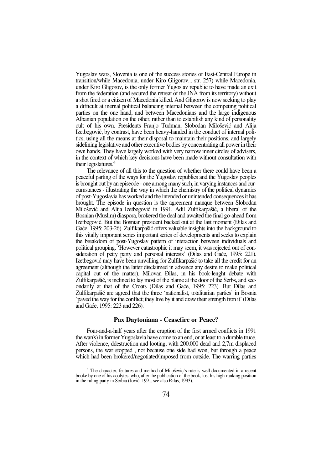Yugoslav wars, Slovenia is one of the success stories of East-Central Europe in transition/while Macedonia, under Kiro Gligorov... str. 257) while Macedonia, under Kiro Gligorov, is the only former Yugoslav republic to have made an exit from the federation (and secured the retreat of the JNA from its territory) without a shot fired or a citizen of Macedonia killed. And Gligorov is now seeking to play a difficult at inernal political balancing internal between the competing political parties on the one hand, and between Macedonians and the large indigenous Albanian population on the other, rather than to estabilish any kind of personality cult of his own. Presidents Franjo Tuđman, Slobodan Milošević and Alija Izetbegović, by contrast, have been heavy-handed in the conduct of internal politics, using all the means at their disposal to maintain their positions, and largely sidelining legislative and other executive bodies by concentrating all power in their own hands. They have largely worked with very narrow inner circles of advisers, in the context of which key decisions have been made without consultation with their legislatures.4

The relevance of all this to the question of whether there could have been a peaceful parting of the ways for the Yugoslav republics and the Yugoslav peoples is brought out by an episeode - one among many such, in varying instances and curcumstances - illustrating the way in which the chemistry of the political dynamics of post-Yugoslavia has worked and the intended or unintended consequences it has brought. The episode in question is the agreement manque between Slobodan Milošević and Alija Izetbegović in 1991. Adil Zulfikarpašić, a liberal of the Bosnian (Muslim) diaspora, brokered the deal and awaited the final go-ahead from Izetbegović. But the Bosnian president backed out at the last moment (Đilas and Gaće, 1995: 203-26). Zulfikarpašić offers valuable insights into the background to this vitally important series important series of developments and seeks to explain the breakdom of post-Yugoslav pattern of interaction between individuals and political grouping. 'However catastrophic it may seem, it was rejected out of consideration of petty party and personal interests' (Đilas and Gaće, 1995: 221). Izetbegović may have been unwilling for Zulfikarpašić to take all the credit for an agreement (although the latter disclaimed in advance any desire to make political capital out of the matter). Milovan Đilas, in his book-lenght debate with Zulfikarpašić, is inclined to lay most of the blame at the door of the Serbs, and secondarily at that of the Croats (Đilas and Gaće, 1995: 223). But Đilas and Zulfikarpašić are agreed that the three 'nationalist, totalitarian parties' in Bosnia 'paved the way for the conflict; they live by it and draw their strength fron it' (Đilas and Gaće, 1995: 223 and 226).

#### **Pax Daytoniana - Ceasefire or Peace?**

Four-and-a-half years after the eruption of the first armed conflicts in 1991 the war(s) in former Yugoslavia have come to an end, or at least to a durable truce. After violence, ddestruction and looting, with 200.000 dead and 2,7m displaced persons, the war stopped , not because one side had won, but through a peace which had been brokered/negotiated/imposed from outside. The warring parties

<sup>4</sup> The character, features and method of Miloševic's rute is well-documented in a recent booke by one of his acolytes, who, after the publication of the book, lost his high-ranking position in the ruling party in Serbia (Jović, 199... see also Đilas, 1993).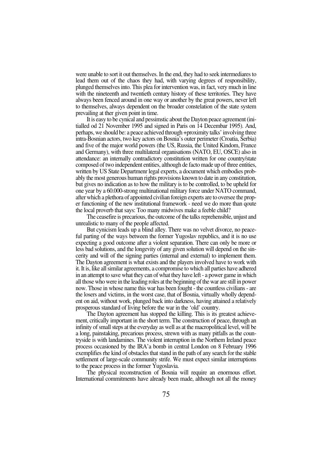were unable to sort it out themselves. In the end, they had to seek intermediares to lead them out of the chaos they had, with varying degrees of responsibility, plunged themselves into. This plea for intervention was, in fact, very much in line with the nineteenth and twentieth century history of these territories. They have always been fenced around in one way or another by the great powers, never left to themselves, always dependent on the broader constelation of the state system prevailing at ther given point in time.

It is easy to be cynical and pessimstic about the Dayton peace agreement (initialled od 21 November 1995 and signed in Paris on 14 Decembar 1995). And, perhaps, we should be: a peace achieved through +proximity talks' involving three intra-Bosnian actors, two key actors on Bosnia's outer perimeter (Croatia, Serbia) and five of the major world powers (the US, Russia, the United Kindom, France and Germany), with three multilateral organisations (NATO, EU, OSCE) also in attendance: an internally contradictory constitution written for one country/state composed of two independent entities, although de facto made up of three entities, written by US State Departmenr legal experts, a document which embodies probably the most generous human rights provisions known to date in any constitution, but gives no indication as to how the military is to be controlled, to be upheld for one year by a 60.000-strong multinational military force under NATO command, after which a plethora of appointed civilian foreign experts are to oversee the proper functioning of the new institutional framework - need we do more than qoute the local proverb that says: Too many midwives make a feeble child?

The ceasefire is precarious, the outcome of the talks reprehensible, unjust and unrealistic to many of the people affected.

But cynicism leads up a blind alley. There was no velvet divorce, no peaceful parting of the ways between the former Yugoslav republics, and it is no use expecting a good outcome after a violent separation. There can only be more or less bad solutions, and the longevity of any given solution will depend on the sincerity and will of the signing parties (internal and external) to implement them. The Dayton agreement is what exists and the players involved have to work with it. It is, like all similar agreements, a compromise to which all parties have adhered in an attempt to save what they can of what they have left - a power game in which all those who were in the leading roles at the beginning of the war are still in power now. Those in whose name this war has been fought - the countless civilians - are the losers and victims, in the worst case, that of Bosnia, virtually wholly dependent on aid, without work, plunged back into darkness, having attained a relatively prosperous standard of living before the war in the 'old' country.

The Dayton agreement has stopped the killing. This is its greatest achievement, critically important in the short term. The construction of peace, through an infinity of small steps at the everyday as well as at the macropolitical level, will be a long, painstaking, precarious process, strewn with as many pitfalls as the countryside is with landamines. The violent interruption in the Northem Ireland peace process occasioned by the IRA'a bomb in central London on 8 February 1996 exemplifies rhe kind of obstacles that stand in the path of any search for the stable settlement of large-scale community strife. We must expect similar interruptions to the peace process in the former Yugoslavia.

The physical reconstruction of Bosnia will require an enormous effort. International commitments have already been made, although not all the money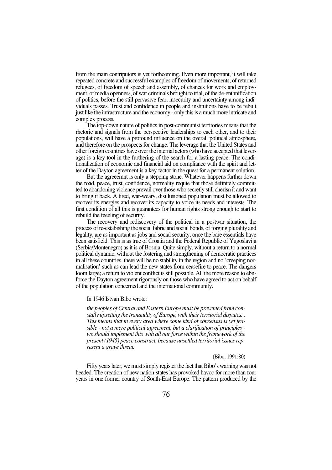from the main contriputors is yet forthcoming. Even more important, it will take repeated concrete and successful examples of freedom of movements, of returned refugees, of freedom of speech and assembly, of chances for work and employment, of media openness, of war criminals brought to trial, of the de-enthnification of politics, before the still pervasive fear, insecurity and uncertainty among individuals passes. Trust and confidence in people and institutions have to be rebult just like the infrastructure and the economy - only this is a much more intricate and complex process.

The top-down nature of politics in post-communist territories means that the rhetoric and signals from the perspective leaderships to each other, and to their populations, will have a profound influence on the overall political atmosphere, and therefore on the prospects for change. The leverage that the United States and other foreign countries have over the internal actors (who have accepted that leverage) is a key tool in the furthering of the search for a lasting peace. The conditionalization of economic and financial aid on compliance with the spirit and letter of the Dayton agreement is a key factor in the quest for a permanent solution.

But the agreeemnt is only a stepping stone. Whatever happens further down the road, peace, trust, confidence, normality requie that those definitely committed to abandoning violence prevail over those who secretly still cherisn it and want to bring it back. A tired, war-weary, disillusioned population must be allowed to recover its energies and recover its capacity to voice its needs and interests. The first condition of all this is guarantees for human rights strong enough to start to rebuild the feeeling of security.

The recovery and rediscovery of the political in a postwar situation, the process of re-estabishing the social fabric and social bonds, of forging plurality and legality, are as important as jobs and social security, once the bare essentials have been satisfield. This is as true of Croatia and the Federal Republic of Yugoslavija (Serbia/Montenegro) as it is of Bosnia. Quite simply, without a return to a normal political dynamic, without the fostering and strengthening of democratic practices in all these countries, there will be no stability in the region and no 'creeping normalisation' such as can lead the new states from ceasefire to peace. The dangers loom large; a return to violent conflict is still possible. All the more reason to ebnforce the Dayton agreement rigoronsly on those who have agreed to act on behalf of the population concerned and the international community.

In 1946 Istvan Bibo wrote:

*the peoples of Central and Eastern Europe must be prevented from constatly upsetting the tranquility of Europe, with their territorial disputes... This means that in every area where some kind of consensus is yet feasible - not a mere political agreement, but a clarification of principles we should implement this with all our force within the framework of the present (1945) peace construct, because unsettled territorial issues represent a grave threat.*

(Bibo, 1991:80)

Fifty years later, we must simply register the fact that Bibo's warning was not heeded. The creation of new nation-states has provoked havoc for more than four years in one former country of South-East Europe. The pattern produced by the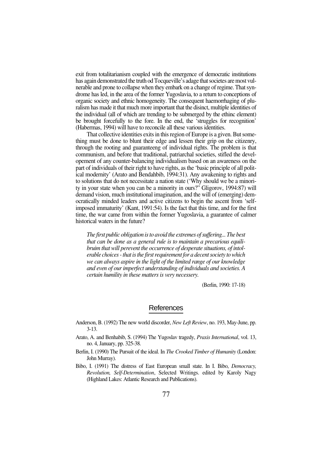exit from totalitarianism coupled with the emergence of democratic institutions has again demonstrated the truth od Tocqueville's adage that societes are most vulnerable and prone to collapse when they embark on a change of regime. That syndrome has led, in the area of the former Yugoslavia, to a return to conceptions of organic society and ethnic homogeneity. The consequent haemorrhaging of pluralism has made it that much more important that the disinct, multiple identities of the individual (all of which are trending to be submerged by the ethinc element) be brought forcefully to the fore. In the end, the 'struggles for recognition' (Habermas, 1994) will have to reconcile all these various identities.

That collective identities exits in this region of Europe is a given. But something must be done to blunt their edge and lessen their grip on the citizenry, through the rooting and guaranteeng of individual rights. The problem is that communism, and before that traditional, patriarchal societies, stifled the developement of any counter-balancing individualism based on an awareness on the part of individuals of their right to have rights, as the 'basic principle of all political modernity' (Arato and Bendahbib, 1994:31). Any awakening to rights and to solutions that do not necessitate a nation state ('Why should we be a minority in your state when you can be a minority in ours?" Gligorov, 1994:87) will demand vision, much institutional imagination, and the will of (emerging) democratically minded leaders and active citizens to begin the ascent from 'selfimposed immaturity' (Kant, 1991:54). Is the fact that this time, and for the first time, the war came from within the former Yugoslavia, a guarantee of calmer historical waters in the future?

*The first public obligation is to avoid the extremes of suffering... The best that can be done as a general rule is to maintain a precarious equilibruim that will perevent the occurrence of desperate situations, of intolerable choices - that is the first requirement for a decent society to which we can always aspire in the light of the limited range of our knowledge and even of our imperfect understanding of individuals and societies. A certain humility in these matters is very necessery.* 

(Berlin, 1990: 17-18)

## **References**

- Anderson, B. (1992) The new world discorder, *New Left Review*, no. 193, May-June, pp. 3-13.
- Arato, A. and Benhabib, S. (1994) The Yugoslav tragedy, *Praxis International*, vol. 13, no. 4, January, pp. 325-38.
- Berlin, I. (1990) The Pursuit of the ideal. In *The Crooked Timber of Humanity* (London: John Murray).
- Bibo, I. (1991) The distress of East European small state. In I. Bibo, *Democracy, Revolution, Self-Determination*, Selected Writings. edited by Karoly Nagy (Highland Lakes: Atlantic Research and Publications).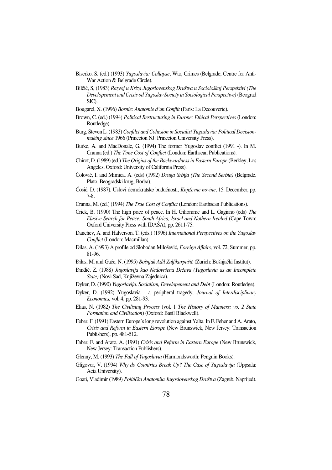- Biserko, S. (ed.) (1993) *Yugoslavia: Collapse*, War, Crimes (Belgrade; Centre for Anti-War Action & Belgrade Circle).
- Bilčić, S, (1983) *Razvoj u Kriza Jugoslovenskog Društva u Sociološkoj Perspektivi (The Developement and Crisis od Yugoslav Society in Sociological Perspective)* (Beograd SIC).
- Bougarel, X. (1996) *Bosnie: Anatomie d'un Conflit* (Paris: La Decouverte).
- Brown, C. (ed.) (1994) *Political Restructuring in Europe: Ethical Perspectives* (London: Routledge).
- Burg, Steven L. (1983) *Confilct and Cohesion in Socialist Yugoslavia: Political Decisionmaking since* 1966 (Princeton NJ: Princeton University Press).
- Burke, A. and MacDonalc, G. (1994) The former Yugoslav conflict (1991 -). In M. Cranna (ed.) *The Time Cost of Conflict* (London: Earthscan Publications).
- Chirot, D. (1989) (ed.) *The Origins of the Backwardness in Eastern Europe* (Berkley, Los Angeles, Oxford: University of California Press).
- Čolović, I. and Mimica, A. (eds) (1992) *Druga Srbija (The Second Serbia)* (Belgrade. Plato, Beogradski krug, Borba).
- Ćosić, D. (1987). Uslovi demokratske budućnosti, *Književne novine*, 15. December, pp. 7-8.
- Cranna, M. (ed.) (1994) *The True Cost of Conflict* (London: Earthscan Publications).
- Crick, B. (1990) The high price of peace. In H. Giliomme and L. Gagiano (eds) *The Elusive Search for Peace: South Africa, Israel and Nothern Irealnd* (Cape Town: Oxford University Press with IDASA), pp. 2611-75.
- Danchev, A. and Halverson, T. (eds.) (1996) *International Perspectives on the Yugoslav Conflict* (London: Macmillan).
- Đilas, A. (1993) A profile od Slobodan Milošević, *Foreign Affairs,* vol. 72, Summer, pp. 81-96.
- Đilas, M. and Gaće, N. (1995) *Bošnjak Adil Zulfikarpašić* (Zurich: Bošnjački Institut).
- Đinđić, Z. (1988) *Jugoslavija kao Nedovršena Država (Yugoslavia as an Incomplete State)* (Novi Sad, Književna Zajednica).
- Dyker, D. (1990) *Yugoslavija. Socialism, Developement and Debt* (London: Routledge).
- Dyker, D. (1992) Yugoslavia a peripheral tragedy, *Journal of Interdisciplinary Economies,* vol. 4, pp. 281-93.
- Elias, N. (1982) *The Civilising Process* (vol. 1 *The History of Manners; vo. 2 State Formation and Civilisation*) (Oxford: Basil Blackwell).
- Feher, F. (1991) Eastern Europe's long revolution against Yalta. In F. Feher and A. Arato, *Crisis and Reform in Eastern Europe* (New Brunswick, New Jersey: Transaction Publishers), pp. 481-512.
- Faher, F. and Arato, A. (1991) *Crisis and Reform in Eastern Europe* (New Brunswick, New Jersey: Transaction Publishers).
- Glenny, M. (1993) *The Fall of Yugoslavia* (Harmondsworth; Penguin Books).
- Gligovor, V. (1994) *Why do Countries Break Up? The Case of Yugoslavija* (Uppsala: Acta University).
- Goati, Vladimir (1989) *Politička Anatomija Jugoslovenskog Društva* (Zagreb, Naprijed).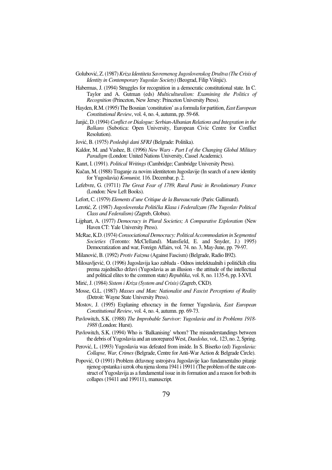- Golubović, Z. (1987) *Kriza Identiteta Savremenog Jugoslovenskog Društva (The Crisis of Identity in Contemporary Yugoslav Society)* (Beograd, Filip Višnjić).
- Habermas, J. (1994) Struggles for recognition in a democratic constitutional state. In C. Taylor and A. Gutman (eds) *Multiculturalism: Examining the Politics of Recognition* (Princeton, New Jersey: Princeton University Press).
- Hayden, R.M. (1995) The Bosnian 'constitution' as a formula for partition, *East European Constitutional Review*, vol. 4, no. 4, autumn, pp. 59-68.
- Janjić, D. (1994) *Conflict or Dialogue: Serbian-Albanian Relations and Integration in the Balkans* (Subotica: Open University, European Civic Centre for Conflict Resolution).
- Jović, B. (1975) *Poslednji dani SFRJ* (Belgrade: Politika).
- Kaldor, M. and Vashee, B. (1996) *New Wars Part I of the Changing Global Military Paradigm* (London: United Nations University, Cassel Academic).
- Kanrt, I. (1991). *Political Writings* (Cambridge; Cambridge University Press).
- Kučan, M. (1988) Traganje za novim identitetom Jugoslavije (In search of a new identity for Yugoslavia) *Komunist,* 116. Decembar, p. 2.
- Lefebvre, G. (19711) *The Great Fear of 1789, Rural Panic in Revolutionary France* (London: New Left Books).
- Lefort, C. (1979) *Elements d'une Critique de la Bureaucratie* (Paris: Gallimard).
- Lerotić, Z. (1987) *Jugoslovenska Politička Klasa i Federalizam (The Yugoslav Political Class and Federalism)* (Zagreb, Globus).
- Lijphart, A. (1977) *Democracy in Plural Societies; A Comparative Exploration* (New Haven CT: Yale University Press).
- McRae, K.D. (1974) *Consociational Democracy: Political Accommodation in Segmented Societies* (Toronto: McClelland). Mansfield, E. and Snyder, J.) 1995) Democratization and war, Foreign Affairs, vol. 74. no. 3, May-June, pp. 79-97.
- Milanović, B. (1992) *Protiv Faizma* (Against Fascism) (Belgrade, Radio B92).
- Milosavljević, O. (1996) Jugoslavija kao zabluda Odnos intelektualnih i političkih elita prema zajedničko državi (Yugoslavia as an illusion - the attitude of the intellectual and political elites to the common state) *Republika*, vol. 8, no. 1135-6, pp. I-XVI.
- Mirić, J. (1984) *Sistem i Kriza (System and Crisis)* (Zagreb, CKD).
- Mosse, G.L. (1987) *Masses and Man: Nationalist and Fascist Perceptions of Reality* (Detroit: Wayne State University Press).
- Mostov, J. (1995) Explaning ethocracy in the former Yugoslavia, *East European Constitutional Review*, vol. 4, no. 4, autumn. pp. 69-73.
- Pavlowitch, S.K. (1988) *The Improbable Survivor: Yugoslavia and its Problems 1918- 1988* (London: Hurst).
- Pavlowitch, S.K. (1994) Who is 'Balkanising' whom? The misunderstandings between the debris of Yugoslavia and an unorepared West, *Daedolus*, vol,. 123, no. 2, Spring.
- Perović, L. (1993) Yugoslavia was defeated from inside. In S. Biserko (ed) *Yugoslavia: Collapse, War, Crimes* (Belgrade, Centre for Anti-War Action & Belgrade Circle).
- Popović, O (1991) Problem državnog ustrojstva Jugoslavije kao fundamentalno pitanje njenog opstanka i uzrok oba njena sloma 1941 i 19911 (The problem of the state construct of Yugoslavija as a fundamental issue in its formation and a reason for both its collapes (19411 and 199111), manuscript.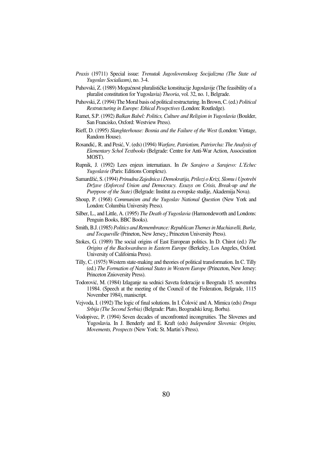- *Praxis* (19711) Special issue: *Trenutak Jugoslovenskoog Socijalizma (The State od Yugoslav Socialiasm)*, no. 3-4.
- Puhovski, Z. (1989) Mogućnost pluralističke konstitucije Jugoslavije (The feasibility of a pluralist constitution for Yugoslavia) *Theoria*, vol. 32, no. 1, Belgrade.
- Puhovski, Z. (1994) The Moral basis od political restructuring. In Brown, C. (ed.) *Political Restrutcturing in Europe: Ethical Pesepctives* (London: Routledge).
- Ramet, S.P. (1992) *Balkan Babel: Politics, Culture and Religion in Yugoslavia* (Boulder, San Francisko, Oxford: Westview Press).
- Rieff, D. (1995) *Slanghterhouse: Bosnia and the Failure of the West* (London: Vintage, Random House).
- Rosandić,. R. and Pesić, V. (eds) (1994) *Warfare, Patriotism, Patrisrcha: The Analysis of Elementary Schol Textbooks* (Belgrade: Centre for Anti-War Action, Associoation MOST).
- Rupnik, J. (1992) Lees enjeux internatiaux. In *De Sarajevo a Sarajevo: L'Echec Yugoslavie* (Paris: Editions Complexe).
- Samardžić, S. (1994) *Prinudna Zajednica i Demokratija, Prilozi o Krizi, Slomu i Upotrebi Države (Enforced Union and Democracy. Essays on Crisis, Break-up and the Purppose of the State)* (Belgrade: Institut za evropske studije, Akademija Nova).
- Shoup, P. (1968) *Communism and the Yugoslav National Question* (New York and London: Columbia University Press).
- Silber, L., and Little, A. (1995) *The Death of Yugoslavia* (Harmondeworth and Londons: Penguin Books, BBC Books).
- Smith, B.J. (1985) *Politics and Remembrance: Republican Themes in Machiavelli, Burke, and Tocqueville* (Prineton, New Jersey,; Princeton University Press).
- Stokes, G. (1989) The social origins of East European politics. In D. Chirot (ed.) *The Origins of the Backwardness in Eastern Europe* (Berkeley, Los Angeles, Oxford. University of Califoirnia Press).
- Tilly, C. (1975) Western state-making and theories of political transformation. In C. Tilly (ed.) The Formation of National States in Western Europe (Princeton, New Jersey: Princeton Znioversity Press).
- Todorović, M. (1984) Izlaganje na sednici Saveta federacije u Beogradu 15. novembra 11984. (Speech at the meeting of the Council of the Federation, Belgrade, 1115 November 1984), maniscript.
- Vejvoda, I. (1992) The logic of final solutions. In I. Čolović and A. Mimica (eds) *Druga Srbija (The Second Serbia)* (Belgrade: Plato, Beogradski krug, Borba).
- Vodopivec, P. (1994) Seven decades of unconfronted incongruities. The Slovenes and Yugoslavia. In J. Benderly and E. Kraft (eds) *Independent Slovenia: Origins, Movements, Prospects* (New York: St. Martin's Press).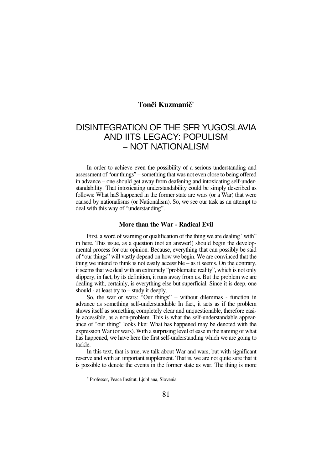# **Tonči Kuzmanič**\*

# DISINTEGRATION OF THE SFR YUGOSLAVIA AND IITS LEGACY: POPULISM – NOT NATIONALISM

In order to achieve even the possibility of a serious understanding and assessment of "our things" – something that was not even close to being offered in advance – one should get away from deafening and intoxicating self-understandability. That intoxicating understandability could be simply described as follows: What haS happened in the former state are wars (or a War) that were caused by nationalisms (or Nationalism). So, we see our task as an attempt to deal with this way of "understanding".

### **More than the War - Radical Evil**

First, a word of warning or qualification of the thing we are dealing "with" in here. This issue, as a question (not an answer!) should begin the developmental process for our opinion. Because, everything that can possibly be said of "our things" will vastly depend on how we begin. We are convinced that the thing we intend to think is not easily accessible – as it seems. On the contrary, it seems that we deal with an extremely "problematic reality", which is not only slippery, in fact, by its definition, it runs away from us. But the problem we are dealing with, certainly, is everything else but superficial. Since it is deep, one should - at least try to – study it deeply.

So, the war or wars: "Our things" – without dilemmas - function in advance as something self-understandable In fact, it acts as if the problem shows itself as something completely clear and unquestionable, therefore easily accessible, as a non-problem. This is what the self-understandable appearance of "our thing" looks like: What has happened may be denoted with the expression War (or wars). With a surprising level of ease in the naming of what has happened, we have here the first self-understanding which we are going to tackle.

In this text, that is true, we talk about War and wars, but with significant reserve and with an important supplement. That is, we are not quite sure that it is possible to denote the events in the former state as war. The thing is more

<sup>\*</sup> Professor, Peace Institut, Ljubljana, Slovenia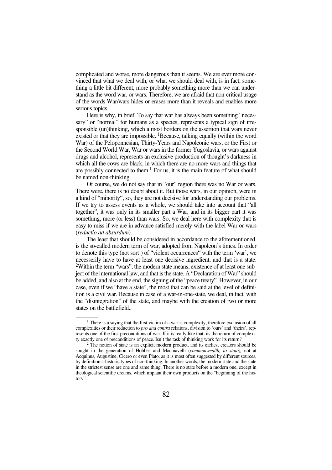complicated and worse, more dangerous than it seems. We are ever more convinced that what we deal with, or what we should deal with, is in fact, something a little bit different, more probably something more than we can understand as the word war, or wars. Therefore, we are afraid that non-critical usage of the words War/wars hides or erases more than it reveals and enables more serious topics.

Here is why, in brief. To say that war has always been something "necessary" or "normal" for humans as a species, represents a typical sign of irresponsible (un)thinking, which almost borders on the assertion that wars never existed or that they are impossible.  ${}^{1}$ Because, talking equally (within the word War) of the Peloponnesian, Thirty-Years and Napoleonic wars, or the First or the Second World War, War or wars in the former Yugoslavia, or wars against drugs and alcohol, represents an exclusive production of thought's darkness in which all the cows are black, in which there are no more wars and things that are possibly connected to them.<sup>1</sup> For us, it is the main feature of what should be named non-thinking.

Of course, we do not say that in "our" region there was no War or wars. There were, there is no doubt about it. But those wars, in our opinion, were in a kind of "minority", so, they are not decisive for understanding our problems. If we try to assess events as a whole, we should take into account that "all together", it was only in its smaller part a War, and in its bigger part it was something, more (or less) than wars. So, we deal here with complexity that is easy to miss if we are in advance satisfied merely with the label War or wars (*reductio ad absurdum*).

The least that should be considered in accordance to the aforementioned, is the so-called modern term of war, adopted from Napoleon's times. In order to denote this type (not sort!) of "violent occurrences" with the term 'war', we necesserily have to have at least one decisive ingredient, and that is a state. 2Within the term "wars", the modern state means, existence of at least one subject of the international law, and that is the state. A "Declaration of War" should be added, and also at the end, the signing of the "peace treaty". However, in our case, even if we "have a state", the most that can be said at the level of definition is a civil war. Because in case of a war-in-one-state, we deal, in fact, with the "disintegration" of the state, and maybe with the creation of two or more states on the battlefield..

<sup>&</sup>lt;sup>1</sup> There is a saying that the first victim of a war is complexity; therefore exclusion of all complexities or their reduction to *pro and contra* relations, division to 'ours' and 'theirs', represents one of the first preconditions of war. If it is really like that, iis the return of complexi-<br>ty exactly one of preconditions of peace. Isn't the task of thinking work for its return?

 $2$  The notion of state is an explicit modern product, and its earliest creators should be sought in the generation of Hobbes and Machiavelli (*commonwealth, lo stato),* not at Acquinus, Augustine, Cicero or even Plato, as it is most often suggested by different sources, by definition a-historic types of non-thinking. In another words, the modern state and the state in the strictest sense are one and same thing. There is no state before a modern one, except in theological scientific dreams, which implant their own products on the "beginning of the history".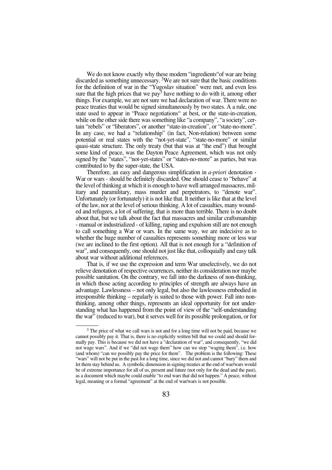We do not know exactly why these modern "ingredients" of war are being discarded as something unnecessary. <sup>3</sup>We are not sure that the basic conditions for the definition of war in the "Yugoslav situation" were met, and even less sure that the high prices that we pay<sup>3</sup> have nothing to do with it, among other things. For example, we are not sure we had declaration of war. There were no peace treaties that would be signed simultaneously by two states. A a rule, one state used to appear in "Peace negotiations" at best, or the state-in-creation, while on the other side there was something like "a company", "a society", certain "rebels" or "liberators", or another "state-in-creation", or "state-no-more". In any case, we had a "relationship" (in fact, Non-relation) between some potential or real states with the "not-yet-state", "state-no-more" or similar quasi-state structure. The only treaty (but that was at "the end") that brought some kind of peace, was the Dayton Peace Agreement, which was not only signed by the "states", "not-yet-states" or "states-no-more" as parties, but was contributed to by the super-state, the USA.

Therefore, an easy and dangerous simplification in *a-priori* denotation - War or wars - should be definitely discarded. One should cease to "behave" at the level of thinking at which it is enough to have well arranged massacres, military and paramilitary, mass murder and perpetrators, to "denote war". Unfortunately (or fortunately) it is not like that. It neither is like that at the level of the law, nor at the level of serious thinking. A lot of casualties, many wounded and refugees, a lot of suffering, that is more than terrible. There is no doubt about that, but we talk about the fact that massacres and similar craftsmanship - manual or industrialized - of killing, raping and expulsion still are not enough to call something a War or wars. In the same way, we are indecisive as to whether the huge number of casualties represents something more or less war (we are inclined to the first option). All that is not enough for a "definition of war", and consequently, one should not just like that, colloquially and easy talk about war without additional references.

That is, if we use the expression and term War unselectively, we do not relieve denotation of respective ocurrences, neither its consideration nor maybe possible sanitation. On the contrary, we fall into the darkness of non-thinking, in which those acting according to principles of strength are always have an advantage. Lawlessness – not only legal, but also the lawlessness embodied in irresponsible thinking – regularly is suited to those with power. Fall into nonthinking, among other things, represents an ideal opportunity for not understanding what has happened from the point of view of the "self-understanding the war" (reduced to war), but it serves well for its possible prolongation, or for

<sup>&</sup>lt;sup>3</sup> The price of what we call wars is not and for a long time will not be paid, because we cannot possibly pay it. That is, there is no explicitly written bill that we could and should formally pay. This is because we did not have a "declaration of war", and consequently, "we did not wage wars". And if we "did not wage them" how can we stop "waging them", i.e. how (and whom) "can we possibly pay the price for them". The problem is the following: These "wars" will not be put in the past for a long time, since we did not and cannot "bury" them and let them stay behind us. A symbolic dimension in signing treaties at the end of war/wars would be of extreme importance for all of us, present and future (not only for the dead and the past), as a document which maybe could enable "to end wars that did not happen." A peace, without legal, meaning or a formal "agreement" at the end of war/wars is not possible.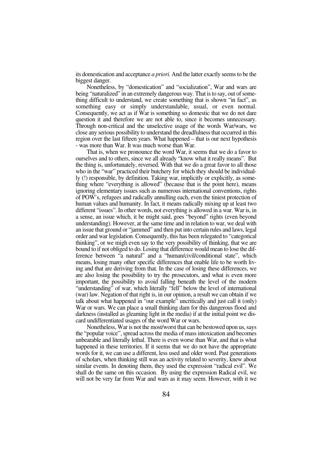its domestication and acceptance *a priori.* And the latter exactly seems to be the biggest danger.

Nonetheless, by "domestication" and "socialization", War and wars are being "naturalized" in an extremely dangerous way. That is to say, out of something difficult to understand, we create something that is shown "in fact", as something easy or simply understandable, usual, or even normal. Consequently, we act as if War is something so domestic that we do not dare question it and therefore we are not able to, since it becomes unnecessary. Through non-critical and the unselective usage of the words War/wars, we close any serious possibility to understand the dreadfulness that occurred in this region over the last fifteen years. What happened – that is our next hypothesis - was more than War. It was much worse than War.

That is, when we pronounce the word War, it seems that we do a favor to ourselves and to others, since we all already "know what it really means". But the thing is, unfortunately, reversed. With that we do a great favor to all those who in the "war" practiced their butchery for which they should be individually (!) responsible, by definition. Taking war, implicitly or explicitly, as something where "everything is allowed" (because that is the point here), means ignoring elementary issues such as numerous international conventions, rights of POW's, refugees and radically annulling each, even the tiniest protection of human values and humanity. In fact, it means radically mixing up at least two different "issues". In other words, not everything is allowed in a war. War is, in a sense, an issue which, it be might said, goes "beyond" rights (even beyond understanding). However, at the same time and in relation to war, we deal with an issue that ground or "jammed" and then put into certain rules and laws, legal order and war legislation. Consequently, this has been relegated to "categorical thinking", or we migh even say to the very possibility of thinking, that we are bound to if not obliged to do. Losing that difference would mean to lose the difference between "a natural" and a "human/civil/conditional state", which means, losing many other specific differences that enable life to be worth living and that are deriving from that. In the case of losing these differences, we are also losing the possibility to try the prosecutors, and what is even more important, the possibility to avoid falling beneath the level of the modern "understanding" of war, which literally "fell" below the level of international (war) law. Negation of that right is, in our opinion, a result we can obtain if we talk about what happened in "our example" uncritically and just call it (only) War or wars. We can place a small thinking dam for this dangerous flood and darkness (installed as gleaming light in the media) if at the initial point we discard undifferentiated usages of the word War or wars.

Nonetheless, War is not the most/worst that can be bestowed upon us, says the "popular voice", spread across the media of mass intoxication and becomes unbearable and literally lethal. There is even worse than War, and that is what happened in these territories. If it seems that we do not have the appropriate words for it, we can use a different, less used and older word. Past generations of scholars, when thinking still was an activity related to severity, knew about similar events. In denoting them, they used the expression "radical evil". We shall do the same on this occasion. By using the expression Radical evil, we will not be very far from War and wars as it may seem. However, with it we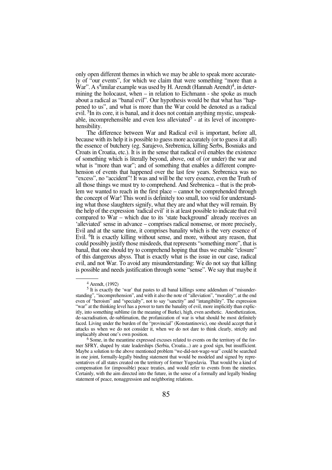only open different themes in which we may be able to speak more accurately of "our events", for which we claim that were something "more than a War". A s<sup>4</sup>imilar example was used by H. Arendt (Hannah Arendt)<sup>4</sup>, in determining the holocaust, when – in relation to Eichmann - she spoke as much about a radical as "banal evil". Our hypothesis would be that what has "happened to us", and what is more than the War could be denoted as a radical evil. 5In its core, it is banal, and it does not contain anything mystic, unspeakable, incomprehensible and even less alleviated<sup>5</sup> - at its level of incomprehensibility.

The difference between War and Radical evil is important, before all, because with its help it is possible to guess more accurately (or to guess it at all) the essence of butchery (eg. Sarajevo, Srebrenica, killing Serbs, Bosniaks and Croats in Croatia, etc.). It is in the sense that radical evil enables the existence of something which is literally beyond, above, out of (or under) the war and what is "more than war"; and of something that enables a different comprehension of events that happened over the last few years. Srebrenica was no "excess", no "accident"! It was and will be the very essence, even the Truth of all those things we must try to comprehend. And Srebrenica – that is the problem we wanted to reach in the first place – cannot be comprehended through the concept of War! This word is definitely too small, too void for understanding what those slaughters signify, what they are and what they will remain. By the help of the expression 'radical evil' it is at least possible to indicate that evil compared to War – which due to its 'state background' already receives an 'alleviated' sense in advance – comprises radical nonsense, or more precisely, Evil and at the same time, it comprises banality which is the very essence of Evil. <sup>6</sup>It is exactly killing without sense, and more, without any reason, that could possibly justify those misdeeds, that represents "something more", that is banal, that one should try to comprehend hoping that thus we enable "closure" of this dangerous abyss. That is exactly what is the issue in our case, radical evil, and not War. To avoid any misunderstanding: We do not say that killing is possible and needs justification through some "sense". We say that maybe it

<sup>4</sup> Arendt, (1992)

<sup>&</sup>lt;sup>5</sup> It is exactly the 'war' that pastes to all banal killings some addendum of "misunderstanding", "incomprehension", and with it also the note of "alleviation", "morality", at the end even of "heroism" and "specialty", not to say "sanctity" and "intangibility". The expression "war" at the thinking level has a power to turn the banality of evil, more implicitly than explicitly, into something sublime (in the meaning of Burke), high, even aesthetic. Anesthetization, de-sacradisation, de-sublimation, the profanization of war is what should be most definitely faced. Living under the burden of the "provincial" (Konstantinovic), one should accept that it attacks us when we do not consider it, when we do not dare to think clearly, strictly and implacably about one's own position. 6 Some, in the meantime expressed excuses related to events on the territory of the for-

mer SFRY, shaped by state leaderships (Serbia, Croatia...) are a good sign, but insufficient. Maybe a solution to the above mentioned problem "we-did-not-wage-war" could be searched in one joint, formally-legally binding statement that would be modeled and signed by representatives of all states created on the territory of former Yugoslavia. That would be a kind of compensation for (impossible) peace treaties, and would refer to events from the nineties. Certainly, with the aim directed into the future, in the sense of a formally and legally binding statement of peace, nonaggression and neighboring relations.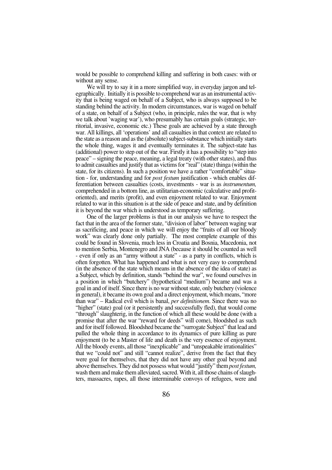would be possible to comprehend killing and suffering in both cases: with or without any sense.

We will try to say it in a more simplified way, in everyday jargon and telegraphically. Initially it is possible to comprehend war as an instrumental activity that is being waged on behalf of a Subject, who is always supposed to be standing behind the activity. In modern circumstances, war is waged on behalf of a state, on behalf of a Subject (who, in principle, rules the war, that is why we talk about 'waging war'), who presumably has certain goals (strategic, territorial, invasive, economic etc.) These goals are achieved by a state through war. All killings, all 'operations' and all casualties in that context are related to the state as a reason and as the (absolute) subject-substance which initially starts the whole thing, wages it and eventually terminates it. The subject-state has (additional) power to step out of the war. Firstly it has a possibility to "step into peace" – signing the peace, meaning, a legal treaty (with other states), and thus to admit casualties and justify that as victims for "real" (state) thinga (within the state, for its citizens). In such a position we have a rather "comfortable" situation - for, understanding and for *post festum* justification - which enables differentiation between casualties (costs, investments - war is as *instrumentum,* comprehended in a bottom line, as utilitarian-economic (calculative and profitoriented), and merits (profit), and even enjoyment related to war. Enjoyment related to war in this situation is at the side of peace and state, and by definition it is beyond the war which is understood as temporary suffering.

One of the larger problems is that in our analysis we have to respect the fact that in the area of the former state, "division of labor" between waging war as sacrificing, and peace in which we will enjoy the "fruits of all our bloody work" was clearly done only partially. The most complete example of this could be found in Slovenia, much less in Croatia and Bosnia, Macedonia, not to mention Serbia, Montenegro and JNA (because it should be counted as well - even if only as an "army without a state" - as a party in conflicts, which is often forgotten. What has happened and what is not very easy to comprehend (in the absence of the state which means in the absence of the idea of state) as a Subject, which by definition, stands "behind the war", we found ourselves in a position in which "butchery" (hypothetical "medium") became and was a goal in and of itself. Since there is no war without state, only butchery (violence in general), it became its own goal and a direct enjoyment, which means, "more than war" – Radical evil which is banal, *per definitionem*. Since there was no "higher" (state) goal (or it persistently and successfully fled), that would come "through" slaughterig, in the function of which all these would be done (with a promise that after the war "reward for deeds" will come), bloodshed as such and for itself followed. Bloodshed became the "surrogate Subject" that lead and pulled the whole thing in accordance to its dynamics of pure killing as pure enjoyment (to be a Master of life and death is the very essence of enjoyment. All the bloody events, all those "inexplicable" and "unspeakable irrationalities" that we "could not" and still "cannot realize", derive from the fact that they were goal for themselves, that they did not have any other goal beyond and above themselves. They did not possess what would "justify" them *post festum,* wash them and make them alleviated, sacred. With it, all those chains of slaughters, massacres, rapes, all those interminable convoys of refugees, were and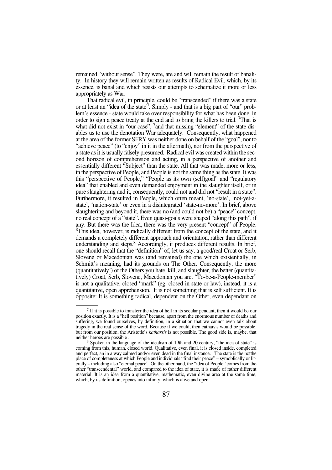remained "without sense". They were, are and will remain the result of banality. In history they will remain written as results of Radical Evil, which, by its essence, is banal and which resists our attempts to schematize it more or less appropriately as War.

That radical evil, in principle, could be "transcended" if there was a state or at least an "idea of the state". Simply - and that is a big part of "our" problem's essence - state would take over responsibility for what has been done, in order to sign a peace treaty at the end and to bring the killers to trial. 7That is what did not exist in "our case", <sup>7</sup> and that missing "element" of the state disables us to use the denotation War adequately. Consequently, what happened at the area of the former SFRY was neither done on behalf of the "goal", nor to "achieve peace" (to "enjoy" in it in the aftermath), nor from the perspective of a state as it is usually falsely presumed. Radical evil was created within the second horizon of comprehension and acting, in a perspective of another and essentially different "Subject" than the state. All that was made, more or less, in the perspective of People, and People is not the same thing as the state. It was this "perspective of People," "People as its own (self)goal" and "regulatory idea" that enabled and even demanded enjoyment in the slaughter itself, or in pure slaughtering and it, consequently, could not and did not "result in a state". Furthermore, it resulted in People, which often meant, 'no-state', 'not-yet-astate', 'nation-state' or even in a disintegrated 'state-no-more'. In brief, above slaughtering and beyond it, there was no (and could not be) a "peace" concept, no real concept of a "state". Even quasi-goals were shaped "along this path", if any. But there was the Idea, there was the very present "concept" of People. 8This idea, however, is radically different from the concept of the state, and it demands a completely different approach and orientation, rather than different understanding and steps.<sup>8</sup> Accordingly, it produces different results. In brief, one should recall that the "definition" of, let us say, a good/real Croat or Serb, Slovene or Macedonian was (and remained) the one which existentially, in Schmitt's meaning, had its grounds on The Other. Consequently, the more (quantitatively!) of the Others you hate, kill, and slaughter, the better (quantitatively) Croat, Serb, Slovene, Macedonian you are. "To-be-a-People-member" is not a qualitative, closed "mark" (eg. closed in state or law), instead, it is a quantitative, open apprehension. It is not something that is self sufficient. It is opposite: It is something radical, dependent on the Other, even dependant on

 $<sup>7</sup>$  If it is possible to transferr the idea of hell in its secular pendant, then it would be our</sup> position exactly. It is a "hell position" because, apart from the enormous number of deaths and suffering, we found ourselves, by definition, in a situation that we cannot even talk about tragedy in the real sense of the word. Because if we could, then catharsis would be possible, but from our position, the Aristotle's *katharsis* is not possible. The good side is, maybe, that

 $8$  Spoken in the language of the idealism of 19th and 20 century, "the idea of state" is coming from this, human, closed world. Qualitative, even final, it is closed inside, completed and perfect, an in a way calmed and/or even dead in the final instance. The state is the notthe place of completeness at which People and individuals "find their peace" – symoblically or literally – including also "eternal peace". On the other hand, the "idea of People" comes from the other "transcendental" world, and compared to the idea of state, it is made of rather different material. It is an idea from a quantitative, mathematic, even divine area at the same time, which, by its definition, openes into infinity, which is alive and open.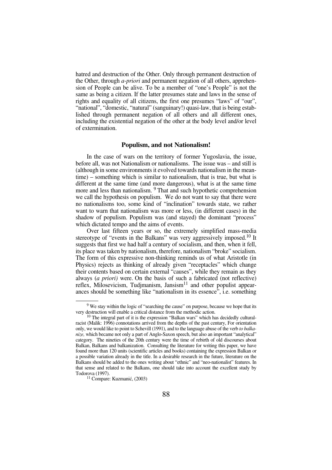hatred and destruction of the Other. Only through permanent destruction of the Other, through *a-priori* and permanent negation of all others, apprehension of People can be alive. To be a member of "one's People" is not the same as being a citizen. If the latter presumes state and laws in the sense of rights and equality of all citizens, the first one presumes "laws" of "our", "national", "domestic, "natural" (sanguinary!) quasi-law, that is being established through permanent negation of all others and all different ones, including the existential negation of the other at the body level and/or level of extermination.

#### **Populism, and not Nationalism!**

In the case of wars on the territory of former Yugoslavia, the issue, before all, was not Nationalism or nationalisms. The issue was – and still is (although in some environments it evolved towards nationalism in the meantime) – something which is similar to nationalism, that is true, but what is different at the same time (and more dangerous), what is at the same time more and less than nationalism. 9 That and such hypothetic comprehension we call the hypothesis on populism. We do not want to say that there were no nationalisms too, some kind of "inclination" towards state, we rather want to warn that nationalism was more or less, (in different cases) in the shadow of populism. Populism was (and stayed) the dominant "process" which dictated tempo and the aims of events.

Over last fifteen years or so, the extremely simplified mass-media stereotype of "events in the Balkans" was very aggressively imposed.<sup>10</sup> It suggests that first we had half a century of socialism, and then, when it fell, its place was taken by nationalism, therefore, nationalism "broke" socialism. The form of this expressive non-thinking reminds us of what Aristotle (in Physics) rejects as thinking of already given "receptacles" which change their contents based on certain external "causes", while they remain as they always (*a priori)* were. On the basis of such a fabricated (not reflective) reflex, Milosevicism, Tudjmanism, Jansism<sup>11</sup> and other populist appearances should be something like "nationalism in its essence", i.e. something

<sup>&</sup>lt;sup>9</sup> We stay within the logic of "searching the cause" on purpose, because we hope that its very destruction will enable a critical distance from the methodic action. 10 The integral part of it is the expression "Balkan wars" which has decidedly cultural-

racist (Malik: 1996) connotations arrived from the depths of the past century, For orientation only, we would like to point to Schevill (1991), and to the language abuse of the verb *to balkanize,* which became not only a part of Anglo-Saxon speech, but also an important "analytical" category. The nineties of the 20th century were the time of rebirth of old discourses about Balkan, Balkans and balkanization. Consulting the literature for writing this paper, we have found more than 120 units (scientific articles and books) containing the expression Balkan or a possible variation already in the title. In a desirable research in the future, literature on the Balkans should be added to the ones writing about "ethnic" and "neo-nationalist" features. In that sense and related to the Balkans, one should take into account the excellent study by Todorova (1997).

<sup>11</sup> Compare: Kuzmanić, (2003)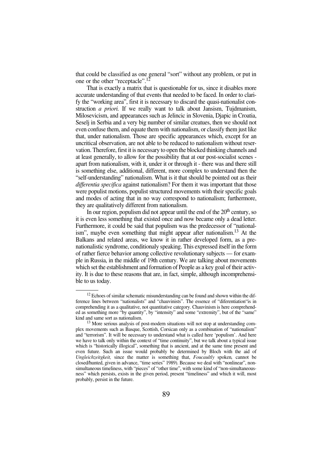that could be classified as one general "sort" without any problem, or put in one or the other "receptacle".12

That is exactly a matrix that is questionable for us, since it disables more accurate understanding of that events that needed to be faced. In order to clarify the "working area", first it is necessary to discard the quasi-nationalist construction *a priori.* If we really want to talk about Jansism, Tujdmanism, Milosevicism, and appearances such as Jelincic in Slovenia, Djapic in Croatia, Seselj in Serbia and a very big number of similar creatues, then we should not even confuse them, and equate them with nationalism, or classify them just like that, under nationalism. Those are specific appearances which, except for an uncritical observation, are not able to be reduced to nationalism without reservation. Therefore, first it is necessary to open the blocked thinking channels and at least generally, to allow for the possibility that at our post-socialist scenes apart from nationalism, with it, under it or through it - there was and there still is something else, additional, different, more complex to understand then the "self-understanding" nationalism. What is it that should be pointed out as their *differentia specifica* against nationalism? For them it was important that those were populist motions, populist structured movements with their specific goals and modes of acting that in no way correspond to nationalism; furthermore, they are qualitatively different from nationalism.

In our region, populism did not appear until the end of the  $20<sup>th</sup>$  century, so it is even less something that existed once and now became only a dead letter. Furthermore, it could be said that populism was the predecessor of "nationalism", maybe even something that might appear after nationalism.<sup>13</sup> At the Balkans and related areas, we know it in rather developed form, as a prenationalistic syndrome, conditionaly speaking. This expressed itself in the form of rather fierce behavior among collective revolutionary subjects — for example in Russia, in the middle of 19th century. We are talking about movements which set the establishment and formation of People as a key goal of their activity. It is due to these reasons that are, in fact, simple, although incomprehensible to us today.

<sup>&</sup>lt;sup>12</sup> Echoes of similar schematic misunderstanding can be found and shown within the difference lines between "nationalists" and "chauvinists". The essence of "diferentiation"is in comprehending it as a qualitative, not quantitative category. Chauvinism is here comprehended as something more "by quantity", by "intensity" and some "extremity", but of the "same" kind and same sort as nationalism.

<sup>&</sup>lt;sup>13</sup> More serious analysis of post-modern situations will not stop at understanding complex movements such as Basque, Scottish, Corsican only as a combination of "nationalism" and "terrorism". It will be necessary to understand what is called here 'populism'. And here we have to talk only within the context of "time continuity", but we talk about a typical issue which is "historically illogical", something that is ancient, and at the same time present and even future. Such an issue would probably be determined by Bloch with the aid of *Ungleichzeitgkeit,* since the matter is something that, *Foucaultly* spoken*,* cannot be closed/hunted, given in advance, "time series" 1989). Because we deal with "nonlinear", nonsimultaneous timeliness, with "pieces" of "other time", with some kind of "non-simultaneousness" which persists, exists in the given period, present "timeliness" and which it will, most probably, persist in the future.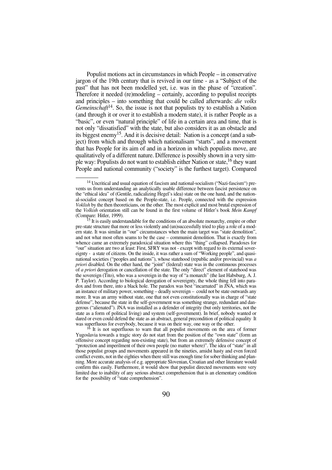Populist motions act in circumstances in which People – in conservative jargon of the 19th century that is revived in our time - as a "Subject of the past" that has not been modelled yet, i.e. was in the phase of "creation". Therefore it needed (re)modeling – certainly, according to populist receipts and principles – into something that could be called afterwards: *die volks Gemeinschaft*<sup>14</sup>. So, the issue is not that populists try to establish a Nation (and through it or over it to establish a modern state), it is rather People as a "basic", or even "natural principle" of life in a certain area and time, that is not only "dissatisfied" with the state, but also considers it as an obstacle and its biggest enemy15. And it is decisive detail: Nation is a concept (and a subject) from which and through which nationalisam "starts", and a movement that has People for its aim of and in a horizon in which populists move, are qualitatively of a different nature. Difference is possibly shown in a very simple way: Populists do not want to establish either Nation or state,<sup>16</sup> they want People and national community ("society" is the furthest target). Compared

 $16$  It is not superfluous to warn that all populist movements on the area of former. Yugoslavia towards a tragic story do not start from the position of the "own state" (form an offensive concept regarding non-existing state), but from an extremely defensive concept of "protection and imperilment of their own people (no matter where)". The idea of "state" in all those populist groups and movements appeared in the nineties, amidst hasty and even forced conflict events, not in the eighties when there still was enough time for sober thinking and planning. More accurate analysis of e.g. appropriate Slovenian, Croatian and other literature would confirm this easily. Furthermore, it would show that populist directed movements were very limited due to inability of any serious abstract comprehension that is an elementary condition for the possibility of "state comprehension".

<sup>&</sup>lt;sup>14</sup> Uncritical and usual equation of fascism and national-socialism ("Nazi-fascism") prevents us from understanding an analytically usable difference between fascist persistence on the "ethical idea" of (Gentile, radicalizing Hegel's idea) state on the one hand, and the national-socialist concept based on the People-state, i.e. People, connected with the expression *Voklish* by the then theoreticians, on the other. The most explicit and most brutal expression of the *Volkish* orientation still can be found in the first volume of Hitler's book *Mein Kampf* (Compare: Hitler, 1999). 15 It is easily understandable for the conditions of an absolute monarchy, empire or other

pre-state structure that more or less violently and (un)successfully tried to play a role of a modern state. It was similar in "our" circumstances when the main target was "state demolition", and not what most often seams to be the case – communist demolition. That is exactly from whence came an extremely paradoxical situation where this "thing" collapsed. Paradoxes for "our" situation are two at least: First, SFRY was not - except with regard to its external sovereignty - a state of citizens. On the inside, it was rather a sum of "Working people", and quasinational societies ("peoples and nations"), whose statehood (republic and/or provincial) was *a priori* disabled. On the other hand, the "joint" (federal) state was in the continuous processes of *a priori* derogation or cancellation of the state. The only "direct" element of statehood was the sovereign (Tito), who was a sovereign in the way of "a monarch" (the last Habsburg, A. J. P. Taylor). According to biological derogation of sovereignty, the whole thing fell into paradox and from there, into a black hole. The paradox was best "incarnated" in JNA, which was an instance of military power, something – deadly sovereign – could not be state outwards any more. It was an army without state, one that not even constitutionally was in charge of "state defense", because the state in the self-government was something strange, redundant and dangerous ("alienated"). JNA was installed as a defender of integrity (but only territories, not the state as a form of political living) and system (self-government). In brief, nobody wanted or dared or even could defend the state as an abstract, general precondition of political equality It was superfluous for everybody, because it was on their way, one way or the other.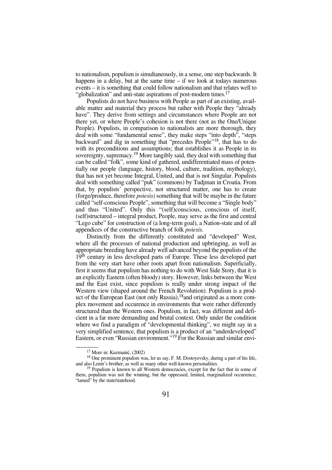to nationalism, populism is simultaneously, in a sense, one step backwards. It happens in a delay, but at the same time  $-$  if we look at todays numerous events – it is something that could follow nationalism and that relates well to "globalization" and anti-state aspirations of post-modern times.<sup>17</sup>

Populists do not have business with People as part of an existing, available matter and material they process but rather with People they "already have". They derive from settings and circumstances where People are not there yet, or where People's cohesion is not there (not as the One/Unique People). Populists, in comparison to nationalists are more thorough, they deal with some "fundamental sense", they make steps "into depth", "steps backward" and dig in something that "precedes People"18, that has to do with its preconditions and assumptions; that establishes it as People in its sovereignty, supremacy.<sup>19</sup> More tangibly said, they deal with something that can be called "folk", some kind of gathered, undifferentiated mass of potentially our people (language, history, blood, culture, tradition, mythology), that has not yet become Integral, United, and that is not Singular. Populists deal with something called "puk" (commons) by Tudjman in Croatia. From that, by populists' perspective, not structured matter, one has to create (forge/produce, therefore *poiesis)* something that will be maybe in the future called "self-conscious People", something that will become a "Single body" and thus "United". Only this "(self)conscious, conscious of itself, (self)structured – integral product, People, may serve as the first and central "Lego cube" for construction of (a long-term goal), a Nation-state and of all appendices of the constructive branch of folk *poiesis*.

Distinctly from the differently constituted and "developed" West, where all the processes of national production and upbringing, as well as appropriate breeding have already well advanced beyond the populists of the 19<sup>th</sup> century in less developed parts of Europe. These less developed part from the very start have other roots apart from nationalism. Superficially, first it seems that populism has nothing to do with West Side Story, that it is an explicitly Eastern (often bloody) story. However, links between the West and the East exist, since populism is really under strong impact of the Western view (shaped around the French Revolution). Populism is a product of the European East (not only Russia),<sup>18</sup>and originated as a more complex movement and occurence in environments that were rather differently structured than the Western ones. Populism, in fact, was different and deficient in a far more demanding and brutal context. Only under the condition where we find a paradigm of "developmental thinking", we might say in a very simplified sentence, that populism is a product of an "underdeveloped" Eastern, or even "Russian environment."<sup>19</sup> For the Russian and similar envi-

<sup>17</sup> More in: Kuzmanić, (2002)

<sup>&</sup>lt;sup>18</sup> One prominent populists was, let us say, F. M. Dostoyevsky, during a part of his life, and also Lenin's brother, as well as many other well-known personalities.

<sup>&</sup>lt;sup>19</sup> Populism is known to all Western democracies, except for the fact that in some of them, populism was not the winning, but the oppressed, limited, marginalized occurrence, "tamed" by the state/statehood.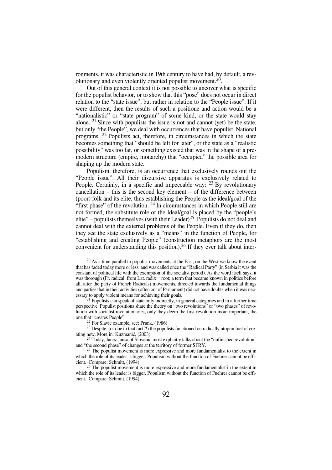ronments, it was characteristic in 19th century to have had, by default, a revolutionary and even violently oriented populist movement.20.

Out of this general context it is not possible to uncover what is specific for the populist behavior, or to show that this "pose" does not occur in direct relation to the "state issue", but rather in relation to the "People issue". If it were different, then the results of such a positione and action would be a "nationalistic" or "state program" of some kind, or the state would stay alone. <sup>21</sup> Since with populists the issue is not and cannot (yet) be the state, but only "the People", we deal with occurrences that have populist, National programs. 22 Populists act, therefore, in circumstances in which the state becomes something that "should be left for later", or the state as a "realistic possibility" was too far, or something existed that was in the shape of a premodern structure (empire, monarchy) that "occupied" the possible area for shaping up the modern state.

Populism, therefore, is an occurrence that exclusively rounds out the "People issue". All their discursive apparatus is exclusively related to People. Certainly, in a specific and impeccable way: <sup>23</sup> By revolutionary cancellation – this is the second key element – of the difference between (poor) folk and its elite; thus establishing the People as the ideal/goal of the "first phase" of the revolution.  $24$  In circumstances in which People still are not formed, the substitute role of the Ideal/goal is placed by the "people's elite" – populists themselves (with their Leader)<sup>25</sup>. Populists do not deal and cannot deal with the external problems of the People. Even if they do, then they see the state exclusively as a "means" in the function of People, for "establishing and creating People" (construction metaphors are the most convenient for understanding this position).<sup>26</sup> If they ever talk about inter-

 $20$  As a time parallel to populist movements at the East, on the West we know the event that has faded today more or less, and was called once the "Radical Party" (in Serbia it was the constant of political life with the exemption of the socialist period). As the word itself says, it was thorough (Fr. radical, from Lat. radix = root; a term that became known in politics before all, after the party of French Radicals) movements, directed towards the fundamental things and parties that in their activities (often out of Parliament) did not have doubts when it was necessary to apply violent means for achieving their goals.

<sup>&</sup>lt;sup>1</sup> Populists can speak of state only indirectly, in general categories and in a further time perspective. Populist positions share the theory on "two revolutions" or "two phases" of revolution with socialist revolutionaries, only they deem the first revolution more important, the

<sup>&</sup>lt;sup>22</sup> For Slavic example, see: Prunk, (1986)<br><sup>23</sup> Despite, (or due to that fact?!) the populists functioned on radically utopiin fuel of cre-<br>ating new. More in: Kuzmanić, (2003)

<sup>&</sup>lt;sup>24</sup> Today, Janez Jansa of Slovenia most explicitly talks about the "unfinished revolution" and "the second phase" of changes at the territory of former SFRY.

 $\frac{25}{25}$  The populist movement is more expressive and more fundamentalist to the extent in which the role of its leader is bigger. Populism without the function of Fuehrer cannot be effi-<br>cient. Compare: Schmitt. (1994)

<sup>&</sup>lt;sup>26</sup> The populist movement is more expressive and more fundamentalist in the extent in which the role of its leader is bigger. Populism without the function of Fuehrer cannot be efficient. Compare: Schmitt, (1994)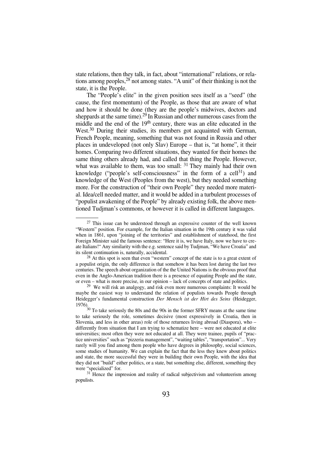state relations, then they talk, in fact, about "international" relations, or relations among peoples,  $28$  not among states. "A unit" of their thinking is not the state, it is the People.

The "People's elite" in the given position sees itself as a "seed" (the cause, the first momentum) of the People, as those that are aware of what and how it should be done (they are the people's midwives, doctors and sheppards at the same time).<sup>29</sup> In Russian and other numerous cases from the middle and the end of the 19<sup>th</sup> century, there was an elite educated in the West.<sup>30</sup> During their studies, its members got acquainted with German, French People, meaning, something that was not found in Russia and other places in undeveloped (not only Slav) Europe – that is, "at home", it their homes. Comparing two different situations, they wanted for their homes the same thing others already had, and called that thing the People. However, what was available to them, was too small: <sup>31</sup> They mainly had their own knowledge ("people's self-consciousness" in the form of a cell $31$ ) and knowledge of the West (Peoples from the west), but they needed something more. For the construction of "their own People" they needed more material. Idea/cell needed matter, and it would be added in a turbulent processes of "populist awakening of the People" by already existing folk, the above mentioned Tudjman's commons, or however it is called in different languages.

 $27$  This issue can be understood through an expressive counter of the well known "Western" position. For example, for the Italian situation in the 19th century it was valid when in 1861, upon "joining of the territories" and establishment of statehood, the first Foreign Minister said the famous sentence: "Here it is, we have Italy, now we have to create Italians!" Any similarity with the e.g. sentence said by Tudjman, "We have Croatia" and its silent continuation is, naturally, accidental.

 $28$  At this spot is seen that even "western" concept of the state is to a great extent of a populist origin, the only difference is that somehow it has been lost during the last two centuries. The speech about organization of the the United Nations is the obvious proof that even in the Anglo-American tradition there is a presence of equating People and the state, or even – what is more precise, in our opinion – lack of concepts of state and politics.

<sup>&</sup>lt;sup>29</sup> We will risk an analgogy, and risk even more numerous complaints: It would be maybe the easiest way to understand the relation of populists towards People through Heidegger's fundamental construction *Der Mensch ist der Hirt des Seins* (Heidegger, 1976).

 $30$  To take seriously the 80s and the 90s in the former SFRY means at the same time to take seriously the role, sometimes decisive (most expressively in Croatia, then in Slovenia, and less in other areas) role of those returnees living abroad (Diaspora), who – differently from situation that I am trying to schematize here – were not educated at elite universities; most often they were not educated at all. They were trainee, pupils of "practice universities" such as "pizzeria management", "waiting tables", "transportation"... Very rarely will you find among them people who have degrees in philosophy, social sciences, some studies of humanity. We can explain the fact that the less they knew about politics and state, the more successful they were in building their own People, with the idea that they did not "build" either politics, or a state, but something else, different, something they were "specialized" for.

<sup>&</sup>lt;sup>31</sup> Hence the impression and reality of radical subjectivism and volunteerism among populists.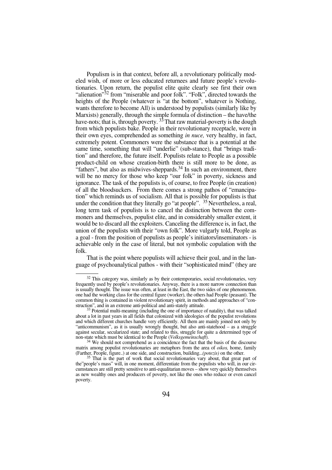Populism is in that context, before all, a revolutionary politically modeled wish, of more or less educated returnees and future people's revolutionaries. Upon return, the populist elite quite clearly see first their own "alienation"<sup>32</sup> from "miserable and poor folk". "Folk", directed towards the heights of the People (whatever is "at the bottom", whatever is Nothing, wants therefore to become All) is understood by populists (similarly like by Marxists) generally, through the simple formula of distinction – the have/the have-nots; that is, through poverty.  $3<sup>3</sup>$  That raw material-poverty is the dough from which populists bake. People in their revolutionary receptacle, were in their own eyes, comprehended as something *in nuce,* very healthy, in fact, extremely potent. Commoners were the substance that is a potential at the same time, something that will "underlie" (sub-stance), that "brings tradition" and therefore, the future itself. Populists relate to People as a possible product-child on whose creation-birth there is still more to be done, as "fathers", but also as midwives-sheppards. $34$  In such an environment, there will be no mercy for those who keep "our folk" in poverty, sickness and ignorance. The task of the populists is, of course, to free People (in creation) of all the bloodsuckers. From there comes a strong pathos of "emancipation" which reminds us of socialism. All that is possible for populists is that under the condition that they literally go "at people". <sup>35</sup> Nevertheless, a real, long term task of populists is to cancel the distinction between the commoners and themselves, populist elite, and in considerably smaller extent, it would be to discard all the exploiters. Canceling the difference is, in fact, the union of the populists with their "own folk". More vulgarly told, People as a goal - from the position of populists as people's initiators/inseminators - is achievable only in the case of literal, but not symbolic copulation with the folk.

That is the point where populists will achieve their goal, and in the language of psychoanalytical pathos - with their "sophisticated mind" (they are

 $32$  This category was, similarly as by their contemporaries, social revolutionaries, very frequently used by people's revolutionaries. Anyway, there is a more narrow connection than is usually thought. The issue was often, at least in the East, the two sides of one phenomenon. one had the working class for the central figure (worker), the others had People (peasant). The common thing is contained in violent revolutionary spirit, in methods and approaches of "con-<br>struction", and in an extreme anti-political and anti-stately attitude.

 $33$  Potential multi-meaning (including the one of importance of natality), that was talked about a lot in past years in all fields that colonized with ideologies of the populist revolutions and which different churches handle very efficiently. All them are mainly joined not only by "anticommunism", as it is usually wrongly thought, but also anti-statehood – as a struggle against secular, secularized state; and related to this, struggle for quite a determined type of non-state which must be identical to the People (Volksgemeinschaft).

<sup>&</sup>lt;sup>34</sup> We should not comprehend as a coincidence the fact that the basis of the discourse matrix among populist revolutionaries are metaphors from the area of *oikos,* home, family (Farther, People, figure..) at one side, and construction, building...*(potezis)* on the other.

 $35$  That is the part of work that social revolutionaries vary about, that great part of the"people's mass" will, in one moment, differentiate from the populists who will, in our circumstances are still pretty sensitive to anti-equalitarian moves – show very quickly themselves as new wealthy ones and producers of poverty, not like the ones who reduce or even cancel poverty.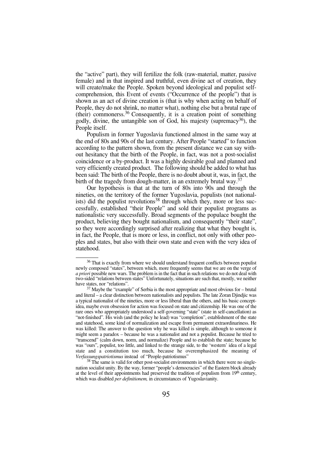the "active" part), they will fertilize the folk (raw-material, matter, passive female) and in that inspired and truthful, even divine act of creation, they will create/make the People. Spoken beyond ideological and populist selfcomprehension, this Event of events ("Occurrence of the people") that is shown as an act of divine creation is (that is why when acting on behalf of People, they do not shrink, no matter what), nothing else but a brutal rape of (their) commonerss.<sup>36</sup> Consequently, it is a creation point of something godly, divine, the untangible son of God, his majesty (supremacy $36$ ), the People itself.

Populism in former Yugoslavia functioned almost in the same way at the end of 80s and 90s of the last century. After People "started" to function according to the pattern shown, from the present distance we can say without hesitancy that the birth of the People, in fact, was not a post-socialist coincidence or a by-product. It was a highly desirable goal and planned and very efficiently created product. The following should be added to what has been said: The birth of the People, there is no doubt about it, was, in fact, the birth of the tragedy from dough-matter, in an extremely brutal way.<sup>37</sup>

Our hypothesis is that at the turn of 80s into 90s and through the nineties, on the territory of the former Yugoslavia, populists (not nationalists) did the populist revolutions<sup>38</sup> through which they, more or less successfully, established "their People" and sold their populist programs as nationalistic very successfully. Broad segments of the populace bought the product, believing they bought nationalism, and consequently "their state", so they were accordingly surprised after realizing that what they bought is, in fact, the People, that is more or less, in conflict, not only with other peoples and states, but also with their own state and even with the very idea of statehood.

<sup>&</sup>lt;sup>36</sup> That is exactly from where we should understand frequent conflicts between populist newly composed "states", between which, more frequently seems that we are on the verge of *a priori* possible new wars. The problem is in the fact that in such relations we do not deal with two-sided "relations between states" Unfortunately, situations are such that, mostly, we neither have states, nor "relations".

 $37$  Maybe the "example" of Serbia is the most appropriate and most obvious for – brutal and literal – a clear distinction between nationalists and populists. The late Zoran Djindjic was a typical nationalist of the nineties, more or less liberal than the others, and his basic conceptidea, maybe even obsession for action was focused on state and citizenship. He was one of the rare ones who appropriately understood a self-governing "state" (state in self-cancellation) as "not-finished". His wish (and the policy he lead) was "completion", establishment of the state and statehood, some kind of normalization and escape from permanent extraordinariness. He was killed: The answer to the question why he was killed is simple, although to someone it might seem a paradox – because he was a nationalist and not a populist. Because he tried to "transcend" (calm down, norm, and normalize) People and to establish the state; because he was "ours", populist, too little, and linked to the strange side, to the 'western' idea of a legal state and a constitution too much, because he overemphasized the meaning of *Verfassungspatriotismus* instead of 'People-patriotismus'

<sup>&</sup>lt;sup>38</sup> The same is valid for other post-socialist environments in which there were no singlenation socialist unity. By the way, former "people's democracies" of the Eastern block already at the level of their appointments had preserved the tradition of populism from 19th century, which was disabled *per definitionem*, in circumstances of Yugoslavianity.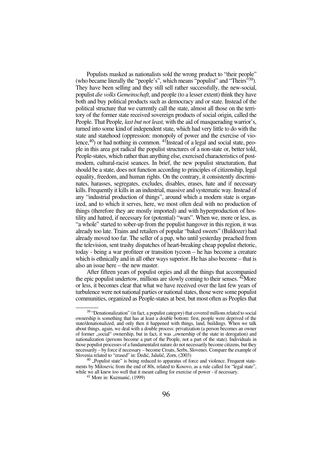Populists masked as nationalists sold the wrong product to "their people" (who became literally the "people's", which means "populist" and "Theirs"<sup>39</sup>). They have been selling and they still sell rather successfully, the new-social, populist *die volks Gemeinschaft*, and people (to a lesser extent) think they have both and buy political products such as democracy and or state. Instead of the political structure that we currently call the state, almost all those on the territory of the former state received sovereign products of social origin, called the People. That People, *last but not least,* with the aid of masquerading warrior's, turned into some kind of independent state, which had very little to do with the state and statehood (oppression: monopoly of power and the exercise of violence, $40$ ) or had nothing in common.  $41$ Instead of a legal and social state, people in this area got radical the populist structures of a non-state or, better told, People-states, which rather than anything else, exercised characteristics of postmodern, cultural-racist seances. In brief, the new populist structuration, that should be a state, does not function according to principles of citizenship, legal equality, freedom, and human rights. On the contrary, it consistently discriminates, harasses, segregates, excludes, disables, erases, hate and if necessary kills. Frequently it kills in an industrial, massive and systematic way. Instead of any "industrial production of things", around which a modern state is organized, and to which it serves, here, we most often deal with no production of things (therefore they are mostly imported) and with hyperproduction of hostility and hatred, if necessary for (potential) "wars". When we, more or less, as "a whole" started to sober-up from the populist hangover in this region, it was already too late. Trains and retailers of popular "baked sweets" (Buldozer) had already moved too far. The seller of a pup, who until yesterday preached from the television, sent trashy dispatches of heart-breaking cheap populist rhetoric, today - being a war profiteer or transition tycoon – he has become a creature which is ethnically and in all other ways superior. He has also become – that is also an issue here – the new master.

After fifteen years of populist orgies and all the things that accompanied the epic populist undertow, millions are slowly coming to their senses. <sup>42</sup>More or less, it becomes clear that what we have received over the last few years of turbulence were not national parties or national states, those were some populist communities, organized as People-states at best, but most often as Peoples that

<sup>&</sup>lt;sup>39</sup> "Denationalization" (in fact, a populist category) that covered millions related to social ownership is something that has at least a double bottom: first, people were deprived of the state/denationalized, and only then it happened with things, land, buildings. When we talk about things, again, we deal with a double process: privatization (a person becomes an owner of former "social" ownership, but in fact, it was "ownership of the state in derogation) and nationalization (persons become a part of the People, not a part of the state). Individuals in those populist processes of a fundamentalist nature do not necessarily become citizens, but they necessarily – by force if necessary – become Croats, Serbs, Slovenes. Compare the example of Slovenia related to "erased" in: Dedić, Jalušič, Zorn, (2003)

 $40$  "Populist state" is being reduced to apparatus of force and violence. Frequent statements by Milosevic from the end of 80s, related to Kosovo, as a rule called for "legal state", while we all knew too well that it meant calling for exercise of power - if necessary. <sup>41</sup> More in: Kuzmanić, (1999)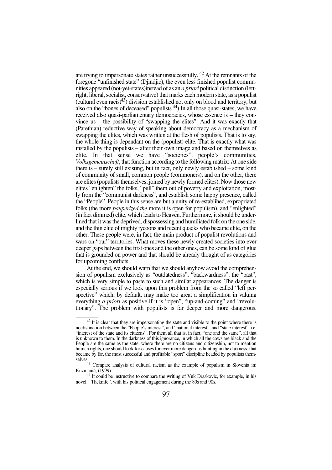are trying to impersonate states rather unsuccessfully.  $42$  At the remnants of the foregone "unfinished state" (Djindjic), the even less finished populist communities appeared (not-yet-states)instead of as an *a priori* political distinction (leftright, liberal, socialist, conservative) that marks each modern state, as a populist (cultural even racist<sup>43</sup>) division established not only on blood and territory, but also on the "bones of deceased" populists.44) In all those quasi-states, we have received also quasi-parliamentary democracies, whose essence is – they convince us – the possibility of "swapping the elites". And it was exactly that (Parethian) reductive way of speaking about democracy as a mechanism of swapping the elites, which was written at the flesh of populists. That is to say, the whole thing is dependant on the (populist) elite. That is exactly what was installed by the populists – after their own image and based on themselves as elite. In that sense we have "societies", people's communities, *Volksgemeinschaft*, that function according to the following matrix: At one side there is – surely still existing, but in fact, only newly established – some kind of community of small, common people (commoners), and on the other, there are elites (populists themselves, joined by newly formed elites). Now those new elites "enlighten" the folks, "pull" them out of poverty and exploitation, mostly from the "communist darkness", and establish some happy presence, called the "People". People in this sense are but a unity of re-establihed, expropriated folks (the more *pauperized the* more it is open for populism), and "enlighted" (in fact dimmed) elite, which leads to Heaven. Furthermore, it should be underlined that it was the deprived, dispossessing and humiliated folk on the one side, and the thin elite of mighty tycoons and recent quacks who became elite, on the other. These people were, in fact, the main product of populist revolutions and wars on "our" territories. What moves these newly created societies into ever deeper gaps between the first ones and the other ones, can be some kind of glue that is grounded on power and that should be already thought of as categories for upcoming conflicts.

At the end, we should warn that we should anyhow avoid the comprehension of populism exclusively as "outdatedness", "backwardness", the "past", which is very simple to paste to such and similar appearances. The danger is especially serious if we look upon this problem from the so called "left perspective" which, by default, may make too great a simplification in valuing everything *a priori* as positive if it is "open", "up-and-coming" and "revolutionary". The problem with populists is far deeper and more dangerous.

 $42$  It is clear that they are impersonating the state and visible to the point where there is no distinction between the "People's interest", and "national interest", and "state interest", i.e. "interest of the state and its citizens". For them all that is, in fact, "one and the same", all that is unknown to them. In the darkness of this ignorance, in which all the cows are black and the People are the same as the state, where there are no citizens and citizenship, not to mention human rights, one should look for causes for ever more dangerous hunting in the darkness, that became by far, the most successful and profitable "sport" discipline headed by populists themselves.

<sup>&</sup>lt;sup>43</sup> Compare analysis of cultural racism as the example of populism in Slovenia in: Kuzmanić, (1999)

<sup>&</sup>lt;sup>44</sup> It could be instructive to compare the writing of Vuk Draskovic, for example, in his novel " Theknife", with his political engagement during the 80s and 90s.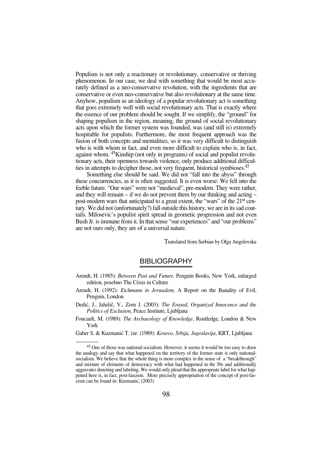Populism is not only a reactionary or revolutionary, conservative or thriving phenomenon. In our case, we deal with something that would be most accurately defined as a neo-conservative revolution, with the ingredients that are conservative or even neo-conservative but also revolutionary at the same time. Anyhow, populism as an ideology of a popular revolutionary act is something that goes extremely well with social revolutionary acts. That is exactly where the essence of our problem should be sought. If we simplify, the "ground" for shaping populism in the region, meaning, the ground of social revolutionary acts upon which the former system was founded, was (and still is) extremely hospitable for populists. Furthermore, the most frequent approach was the fusion of both concepts and mentalities, so it was very difficult to distinguish who is with whom in fact, and even more difficult to explain who is, in fact, against whom. 45Kinship (not only in programs) of social and populist revolutionary acts, their openness towards violence, only produce additional difficulties in attempts to decipher those, not very frequent, historical symbioses.45

Something else should be said. We did not "fall into the abyss" through these concurrencies, as it is often suggested. It is even worse: We fell into the feeble future. "Our wars" were not "medieval", pre-modern. They were rather, and they will remain – if we do not prevent them by our thinking and acting – post-modern wars that anticipated to a great extent, the "wars" of the 21st century. We did not (unfortunately?) fall outside this history, we are in its sad coattails. Milosevic's populist spirit spread in geometic progression and not even Bush Jr. is immune from it. In that sense "our experiences" and "our problems" are not ours only, they are of a universal nature.

Translated from Serbian by Olga Angelovska

## **BIBLIOGRAPHY**

Arendt, H. (1985): *Between Past and Future,* Penguin Books, New York, enlarged edition, posebno The Crisis in Culture

Arendt, H. (1992): *Eichmann in Jerusalem,* A Report on the Banality of Evil, Penguin, London

Dedić, J., Jalušič, V., Zorn J. (2003): *The Erased, Organized Innocence and the Politics of Exclusion,* Peace Institute, Ljubljana

Foucault, M. (1989): *The Archaeology of Knowledge*, Routledge, London & New York

Gaber S. & Kuzmanić T. (ur. (1989): *Kosovo, Srbija, Jugoslavija*, KRT, Ljubljana

<sup>45</sup> One of those was national-socialism. However, it seems it would be too easy to draw the analogy and say that what happened on the territory of the former state is only nationalsocialism. We believe that the whole thing is more complex in the sense of a "breakthrough" and mixture of elements of democracy with what had happened in thr 30s and additionally aggravates denoting and labeling. We would only plead that the appropriate label for what happened here is, in fact, post-fascism. More precisely appropriation of the concept of post-fascism can be found in: Kuzmanić, (2003)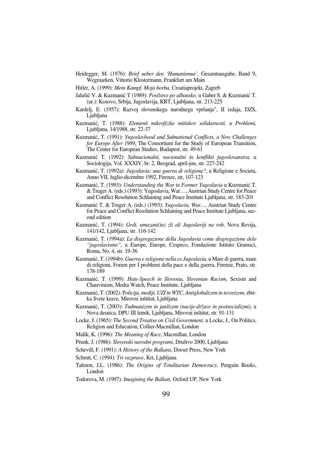- Heidegger, M. (1976): *Brief ueber den 'Humanismus',* Gesamtausgabe, Band 9, Wegmarken, Vittorio Klostermann, Frankfurt am Main
- Hitler, A. (1999): *Mein Kampf, Moja borba,* Croatiaprojekt, Zagreb
- Jalušič V. & Kuzmanić T (1989): *Posilstvo po albansko,* u Gaber S. & Kuzmanić T. (ur.): Kosovo, Srbija, Jugoslavija, KRT, Ljubljana, str. 213-225
- Kardelj, E. (1957): Razvoj slovenskega narodnega vpršanja", II izdaja, DZS, Ljubljana
- Kuzmanić, T. (1988): *Elementi mikrofizike mitinkov solidarnosti, u Problemi,* Ljubljana, 14/1988, str. 22-37
- Kuzmanić, T. (1991): *Yugoslavhood and Subnational Conflicts, u New Challenges for Europe After 1989*, The Consortium for the Study of European Transition, The Center for European Studies, Budapest, str. 49-61
- Kuzmanić T. (1992): *Subnacionalni, nacionalni in konflikti jugoslovanstva,* u Sociologija, Vol. XXXIV, br. 2, Beograd, april-jun, str. 227-242
- Kuzmanić, T. (1992a): *Jugoslavia: una guerra di religione?*, u Religione e Societa, Anno VII, luglio-dicembre 1992, Firenze, str, 107-123
- Kuzmanić, T. (1993): *Understanding the War in Former Yugoslavia* u Kuzmanić T. & Truger A. (eds.) (1993): Yugoslavia, War…, Austrian Study Centre for Peace and Conflict Resolution Schlaining and Peace Institute Ljubljana, str. 183-201
- Kuzmanić T. & Truger A. (eds.) (1993): *Yugoslavia, War…,* Austrian Study Centre for Peace and Conflict Resolution Schlaining and Peace Institute Ljubljana, second edition
- Kuzmanić, T. (1994): *Grdi, umazani(in) zli ali Jugoslaviji na rob,* Nova Revija, 141/142, Ljubljana, str. 116-142
- Kuzmanić, T. (1994a): *La disgregazione della Jugoslavia come disgregazione delo "jugoslavismo",* u Europe, Europe, Cespeco, Fondazione Istituto Gramsci, Roma, No. 4, str. 19-36
- Kuzmanić, T. (1994b): *Guerra e religione nella ex Jugoslavia,* u Mare di guerra, mare di religioni, Forum per I problemi della pace e della guerra, Firenze, Prato, str. 178-189
- Kuzmanić, T. (1999): *Hate-Speech in Slovenia, Slovenian Racism,* Sexism and Chauvinism, Media Watch, Peace Institute, Ljubljana
- Kuzmanić, T. (2002): P*olicija, mediji, UZI in WTC, Antiglobalizem in terorizem,* zbirka Svete krave, Mirovni inštitut, Ljubljana
- Kuzmanić, T. (2003): *Tuđmanizem in janšizem (nacije-države in postsocializmi)*, u Nova desnica, DPU III letnik, Ljubljana, Mirovni inštitut, str. 91-131
- Locke, J. (1965): *The Second Treatise on Civil Government,* u Locke, J., On Politics, Religion and Education, Collier-Macmillan, London
- Malik, K. (1996): *The Meaning of Race*, Macmillan, London
- Prunk, J. (1986): *Slovenski narodni programi*, Društvo 2000, Ljubljana
- Schevill, F. (1991): *A History of the Balkans*, Dorset Press, New York
- Schmtt, C. (1994): *Tri razprave*, Krt, Ljubljana
- Talmon, J.L. (1986): *The Origins of Totalitarian Democracy,* Penguin Books, London

Todorova, M. (1997): *Imagining the Balkan,* Oxford UP, New York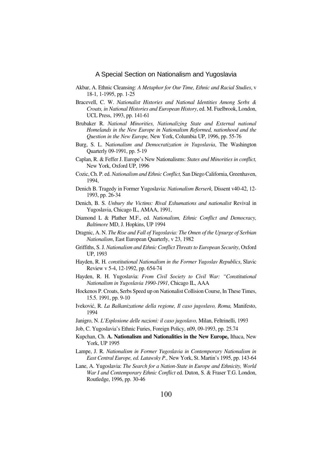#### A Special Section on Nationalism and Yugoslavia

- Akbar, A. Ethnic Cleansing: *A Metaphor for Our Time, Ethnic and Racial Studies*, v 18-1, 1-1995, pp. 1-25
- Bracevell, C. W. *Nationalist Histories and National Identities Among Serbs & Croats, in National Histories and European History*, ed. M. Fuelbrook, London, UCL Press, 1993, pp. 141-61
- Brubaker R. *National Minorities, Nationalizing State and External national Homelands in the New Europe in Nationalism Reformed, nationhood and the Question in the New Europe,* New York, Columbia UP, 1996, pp. 55-76
- Burg, S. L. N*ationalism and Democratization in Yugoslavia*, The Washington Quarterly 09-1991, pp. 5-19
- Caplan, R. & Feffer J. Europe's New Nationalisms: *States and Minorities in conflict,* New York, Oxford UP, 1996
- Cozic, Ch. P. ed. *Nationalism and Ethnic Conflict,* San Diego California, Greenhaven, 1994,
- Denich B. Tragedy in Former Yugoslavia: *Nationalism Berserk,* Dissent v40-42, 12- 1993, pp. 26-34
- Denich, B. S. *Unbury the Victims: Rival Exhumations and nationalist* Revival in Yugoslavia, Chicago IL, AMAA, 1991,
- Diamond L & Plather M.F., ed. *Nationalism, Ethnic Conflict and Democracy, Baltimore* MD, J. Hopkins, UP 1994
- Dragnic, A. N. *The Rise and Fall of Yugoslavia: The Omen of the Upsurge of Serbian Nationalism*, East European Quarterly, v 23, 1982
- Griffiths, S. J. *Nationalism and Ethnic Conflict Threats to European Security*, Oxford UP, 1993
- Hayden, R. H*. constitutional Nationalism in the Former Yugoslav Republics*, Slavic Review v 5-4, 12-1992, pp. 654-74
- Hayden, R. H. Yugoslavia: *From Civil Society to Civil War: "Constitutional Nationalism in Yugoslavia 1990-1991*, Chicago IL, AAA
- Hockenos P. Croats, Serbs Speed up on Nationalist Collision Course, In These Times, 15.5. 1991, pp. 9-10
- Iveković, R. *La Balkanizatione della regione, Il caso jugoslavo, Roma,* Manifesto, 1994
- Janigro, N. *L'Esplosione delle nazioni: il caso jugoslavo,* Milan, Feltrinelli, 1993
- Job, C. Yugoslavia's Ethnic Furies, Foreign Policy, n09, 09-1993, pp. 25.74
- Kupchan, Ch. **A. Nationalism and Nationalities in the New Europe,** Ithaca, New York, UP 1995
- Lampe, J. R. *Nationalism in Former Yugoslavia in Contemporary Nationalism in East Central Europe, ed. Latawsky P.,* New York, St. Martin's 1995, pp. 143-64
- Lane, A. Yugoslavia: *The Search for a Nation-State in Europe and Ethnicity, World War I and Contemporary Ethnic Conflict* ed. Duton, S. & Fraser T.G. London, Routledge, 1996, pp. 30-46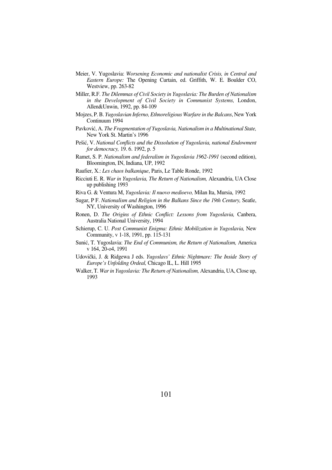- Meier, V. Yugoslavia: *Worsening Economic and nationalist Crisis, in Central and Eastern Europe:* The Opening Curtain, ed. Griffith, W. E. Boulder CO, Westview, pp. 263-82
- Miller, R.F. *The Dilemmas of Civil Society in Yugoslavia: The Burden of Nationalism in the Development of Civil Society in Communist Systems,* London, Allen&Unwin, 1992, pp. 84-109
- Mojzes, P. B. *Yugoslavian Inferno, Ethnoreligious Warfare in the Balcans*, New York Continuum 1994
- Pavković, A. *The Fragmentation of Yugoslavia, Nationalism in a Multinational State,* New York St. Martin's 1996
- Pešić, V. *National Conflicts and the Dissolution of Yugoslavia, national Endowment for democracy,* 19. 6. 1992, p. 5
- Ramet, S. P. *Nationalism and federalism in Yugoslavia 1962-1991* (second edition), Bloomington, IN, Indiana, UP, 1992
- Raufier, X.: *Les chaos balkanique*, Paris, Le Table Ronde, 1992
- Ricciuti E. R. *War in Yugoslavia, The Return of Nationalism,* Alexandria, UA Close up publishing 1993
- Riva G. & Ventura M, *Yugoslavia: Il nuovo medioevo,* Milan Ita, Mursia, 1992
- Sugar, P F. *Nationalism and Religion in the Balkans Since the 19th Century,* Seatle, NY, University of Washington, 1996
- Ronen, D. *The Origins of Ethnic Conflict: Lessons from Yugoslavia,* Canbera, Australia National University, 1994
- Schierup, C. U. *Post Communist Enigma: Ethnic Mobilization in Yugoslavia,* New Community, v 1-18, 1991, pp. 115-131
- Sunić, T. Yugoslavia: *The End of Communism, the Return of Nationalism,* America v 164, 20-o4, 1991
- Udovički, J. & Ridgewa J eds. *Yugoslavs' Ethnic Nightmare: The Inside Story of Europe's Unfolding Ordeal,* Chicago IL, L. Hill 1995
- Walker, T. *War in Yugoslavia: The Return of Nationalism,* Alexandria, UA, Close up, 1993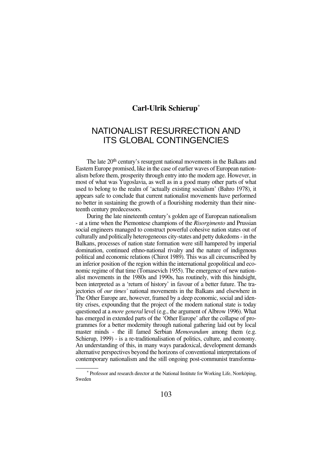# **Carl-Ulrik Schierup**\*

# NATIONALIST RESURRECTION AND ITS GLOBAL CONTINGENCIES

The late 20<sup>th</sup> century's resurgent national movements in the Balkans and Eastern Europe promised, like in the case of earlier waves of European nationalism before them, prosperity through entry into the modern age. However, in most of what was Yugoslavia, as well as in a good many other parts of what used to belong to the realm of 'actually existing socialism' (Bahro 1978), it appears safe to conclude that current nationalist movements have performed no better in sustaining the growth of a flourishing modernity than their nineteenth century predecessors.

During the late nineteenth century's golden age of European nationalism - at a time when the Piemontese champions of the *Risorgimento* and Prussian social engineers managed to construct powerful cohesive nation states out of culturally and politically heterogeneous city-states and petty dukedoms - in the Balkans, processes of nation state formation were still hampered by imperial domination, continued ethno-national rivalry and the nature of indigenous political and economic relations (Chirot 1989). This was all circumscribed by an inferior position of the region within the international geopolitical and economic regime of that time (Tomasevich 1955). The emergence of new nationalist movements in the 1980s and 1990s, has routinely, with this hindsight, been interpreted as a 'return of history' in favour of a better future. The trajectories of *our times'* national movements in the Balkans and elsewhere in The Other Europe are, however, framed by a deep economic, social and identity crises, expounding that the project of the modern national state is today questioned at a *more general* level (e.g., the argument of Albrow 1996). What has emerged in extended parts of the 'Other Europe' after the collapse of programmes for a better modernity through national gathering laid out by local master minds - the ill famed Serbian *Memorandum* among them (e.g. Schierup, 1999) - is a re-traditionalisation of politics, culture, and economy. An understanding of this, in many ways paradoxical, development demands alternative perspectives beyond the horizons of conventional interpretations of contemporary nationalism and the still ongoing post-communist transforma-

<sup>\*</sup> Professor and research director at the National Institute for Working Life, Norrköping, Sweden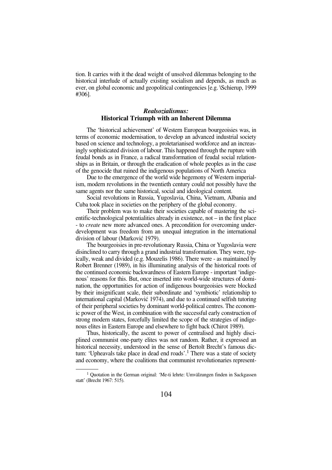tion. It carries with it the dead weight of unsolved dilemmas belonging to the historical interlude of actually existing socialism and depends, as much as ever, on global economic and geopolitical contingencies [e.g. \Schierup, 1999 #306].

## *Realsozialismus:* **Historical Triumph with an Inherent Dilemma**

The 'historical achievement' of Western European bourgeoisies was, in terms of economic modernisation, to develop an advanced industrial society based on science and technology, a proletarianised workforce and an increasingly sophisticated division of labour. This happened through the rupture with feudal bonds as in France, a radical transformation of feudal social relationships as in Britain, or through the eradication of whole peoples as in the case of the genocide that ruined the indigenous populations of North America

Due to the emergence of the world wide hegemony of Western imperialism, modern revolutions in the twentieth century could not possibly have the same agents nor the same historical, social and ideological content.

Social revolutions in Russia, Yugoslavia, China, Vietnam, Albania and Cuba took place in societies on the periphery of the global economy.

Their problem was to make their societies capable of mastering the scientific-technological potentialities already in existence, not – in the first place - to *create* new more advanced ones. A precondition for overcoming underdevelopment was freedom from an unequal integration in the international division of labour (Marković 1979).

The bourgeoisies in pre-revolutionary Russia, China or Yugoslavia were disinclined to carry through a grand industrial transformation. They were, typically, weak and divided (e.g. Mouzelis 1986). There were - as maintained by Robert Brenner (1989), in his illuminating analysis of the historical roots of the continued economic backwardness of Eastern Europe - important 'indigenous' reasons for this. But, once inserted into world-wide structures of domination, the opportunities for action of indigenous bourgeoisies were blocked by their insignificant scale, their subordinate and 'symbiotic' relationship to international capital (Marković 1974), and due to a continued selfish tutoring of their peripheral societies by dominant world-political centres. The economic power of the West, in combination with the successful early construction of strong modern states, forcefully limited the scope of the strategies of indigenous elites in Eastern Europe and elsewhere to fight back (Chirot 1989).

Thus, historically, the ascent to power of centralised and highly disciplined communist one-party elites was not random. Rather, it expressed an historical necessity, understood in the sense of Bertolt Brecht's famous dictum: 'Upheavals take place in dead end roads'.<sup>1</sup> There was a state of society and economy, where the coalitions that communist revolutionaries represent-

<sup>&</sup>lt;sup>1</sup> Quotation in the German original: 'Me-ti lehrte: Umvälzungen finden in Sackgassen statt' (Brecht 1967: 515).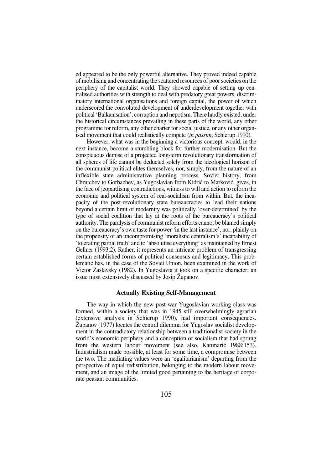ed appeared to be the only powerful alternative. They proved indeed capable of mobilising and concentrating the scattered resources of poor societies on the periphery of the capitalist world. They showed capable of setting up centralised authorities with strength to deal with predatory great powers, discriminatory international organisations and foreign capital, the power of which underscored the convoluted development of underdevelopment together with political 'Balkanisation', corruption and nepotism. There hardly existed, under the historical circumstances prevailing in these parts of the world, any other programme for reform, any other charter for social justice, or any other organised movement that could realistically compete (*in passim*, Schierup 1990).

However, what was in the beginning a victorious concept, would, in the next instance, become a stumbling block for further modernisation. But the conspicuous demise of a projected long-term revolutionary transformation of all spheres of life cannot be deducted solely from the ideological horizon of the communist political elites themselves, nor, simply, from the nature of an inflexible state administrative planning process. Soviet history, from Chrutchev to Gorbachev, as Yugoslavian from Kidrić to Marković, gives, in the face of jeopardising contradictions, witness to will and action to reform the economic and political system of real-socialism from within. But, the incapacity of the post-revolutionary state bureaucracies to lead their nations beyond a certain limit of modernity was politically 'over-determined' by the type of social coalition that lay at the roots of the bureaucracy's political authority. The paralysis of communist reform efforts cannot be blamed simply on the bureaucracy's own taste for power 'in the last instance', nor, plainly on the propensity of an uncompromising 'moralistic centralism's' incapability of 'tolerating partial truth' and to 'absolutise everything' as maintained by Ernest Gellner (1993:2). Rather, it represents an intricate problem of transgressing certain established forms of political consensus and legitimacy. This problematic has, in the case of the Soviet Union, been examined in the work of Victor Zaslavsky (1982). In Yugoslavia it took on a specific character; an issue most extensively discussed by Josip Županov.

#### **Actually Existing Self-Management**

The way in which the new post-war Yugoslavian working class was formed, within a society that was in 1945 still overwhelmingly agrarian (extensive analysis in Schierup 1990), had important consequences. Županov (1977) locates the central dilemma for Yugoslav socialist development in the contradictory relationship between a traditionalist society in the world's economic periphery and a conception of socialism that had sprung from the western labour movement (see also, Katunarić 1988:153). Industrialism made possible, at least for some time, a compromise between the two. The mediating values were an 'egalitarianism' departing from the perspective of equal redistribution, belonging to the modern labour movement, and an image of the limited good pertaining to the heritage of corporate peasant communities.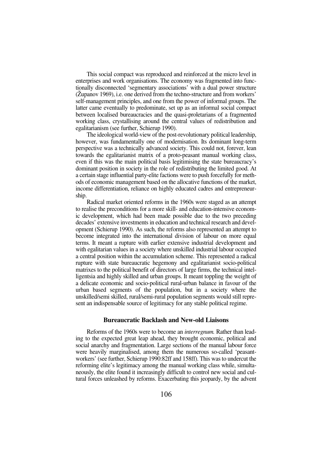This social compact was reproduced and reinforced at the micro level in enterprises and work organisations. The economy was fragmented into functionally disconnected 'segmentary associations' with a dual power structure (Županov 1969), i.e. one derived from the techno-structure and from workers' self-management principles, and one from the power of informal groups. The latter came eventually to predominate, set up as an informal social compact between localised bureaucracies and the quasi-proletarians of a fragmented working class, crystallising around the central values of redistribution and egalitarianism (see further, Schierup 1990).

The ideological world-view of the post-revolutionary political leadership, however, was fundamentally one of modernisation. Its dominant long-term perspective was a technically advanced society. This could not, forever, lean towards the egalitarianist matrix of a proto-peasant manual working class, even if this was the main political basis legitimising the state bureaucracy's dominant position in society in the role of redistributing the limited good. At a certain stage influential party-elite factions were to push forcefully for methods of economic management based on the allocative functions of the market, income differentiation, reliance on highly educated cadres and entrepreneurship.

Radical market oriented reforms in the 1960s were staged as an attempt to realise the preconditions for a more skill- and education-intensive economic development, which had been made possible due to the two preceding decades' extensive investments in education and technical research and development (Schierup 1990). As such, the reforms also represented an attempt to become integrated into the international division of labour on more equal terms. It meant a rupture with earlier extensive industrial development and with egalitarian values in a society where unskilled industrial labour occupied a central position within the accumulation scheme. This represented a radical rupture with state bureaucratic hegemony and egalitarianist socio-political matrixes to the political benefit of directors of large firms, the technical intelligentsia and highly skilled and urban groups. It meant toppling the weight of a delicate economic and socio-political rural-urban balance in favour of the urban based segments of the population, but in a society where the unskilled/semi skilled, rural/semi-rural population segments would still represent an indispensable source of legitimacy for any stable political regime.

#### **Bureaucratic Backlash and New-old Liaisons**

Reforms of the 1960s were to become an *interregnum.* Rather than leading to the expected great leap ahead, they brought economic, political and social anarchy and fragmentation. Large sections of the manual labour force were heavily marginalised, among them the numerous so-called 'peasantworkers' (see further, Schierup 1990:82ff and 158ff). This was to undercut the reforming elite's legitimacy among the manual working class while, simultaneously, the elite found it increasingly difficult to control new social and cultural forces unleashed by reforms. Exacerbating this jeopardy, by the advent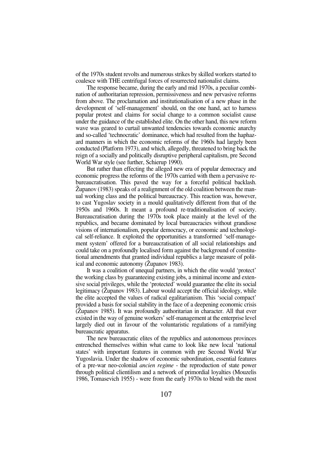of the 1970s student revolts and numerous strikes by skilled workers started to coalesce with THE centrifugal forces of resurrected nationalist claims.

The response became, during the early and mid 1970s, a peculiar combination of authoritarian repression, permissiveness and new pervasive reforms from above. The proclamation and institutionalisation of a new phase in the development of 'self-management' should, on the one hand, act to harness popular protest and claims for social change to a common socialist cause under the guidance of the established elite. On the other hand, this new reform wave was geared to curtail unwanted tendencies towards economic anarchy and so-called 'technocratic' dominance, which had resulted from the haphazard manners in which the economic reforms of the 1960s had largely been conducted (Platform 1973), and which, allegedly, threatened to bring back the reign of a socially and politically disruptive peripheral capitalism, pre Second World War style (see further, Schierup 1990).

But rather than effecting the alleged new era of popular democracy and economic progress the reforms of the 1970s carried with them a pervasive rebureaucratisation. This paved the way for a forceful political backlash. Županov (1983) speaks of a realignment of the old coalition between the manual working class and the political bureaucracy. This reaction was, however, to cast Yugoslav society in a mould qualitatively different from that of the 1950s and 1960s. It meant a profound re-traditionalisation of society. Bureaucratisation during the 1970s took place mainly at the level of the republics, and became dominated by local bureaucracies without grandiose visions of internationalism, popular democracy, or economic and technological self-reliance. It exploited the opportunities a transformed 'self-management system' offered for a bureaucratisation of all social relationships and could take on a profoundly localised form against the background of constitutional amendments that granted individual republics a large measure of political and economic autonomy (Županov 1983).

It was a coalition of unequal partners, in which the elite would 'protect' the working class by guaranteeing existing jobs, a minimal income and extensive social privileges, while the 'protected' would guarantee the elite its social legitimacy (Županov 1983). Labour would accept the official ideology, while the elite accepted the values of radical egalitarianism. This 'social compact' provided a basis for social stability in the face of a deepening economic crisis (Županov 1985). It was profoundly authoritarian in character. All that ever existed in the way of genuine workers' self-management at the enterprise level largely died out in favour of the voluntaristic regulations of a ramifying bureaucratic apparatus.

The new bureaucratic elites of the republics and autonomous provinces entrenched themselves within what came to look like new local 'national states' with important features in common with pre Second World War Yugoslavia. Under the shadow of economic subordination, essential features of a pre-war neo-colonial *ancien regime* - the reproduction of state power through political clientilism and a network of primordial loyalties (Mouzelis 1986, Tomasevich 1955) - were from the early 1970s to blend with the most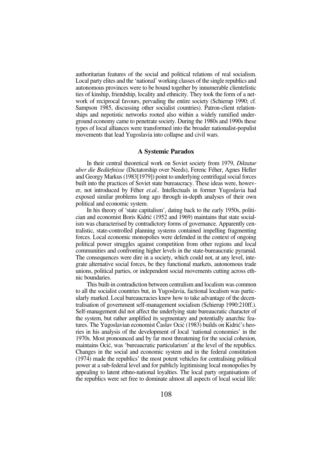authoritarian features of the social and political relations of real socialism. Local party elites and the 'national' working classes of the single republics and autonomous provinces were to be bound together by innumerable clientelistic ties of kinship, friendship, locality and ethnicity. They took the form of a network of reciprocal favours, pervading the entire society (Schierup 1990; cf. Sampson 1985, discussing other socialist countries). Patron-client relationships and nepotistic networks rooted also within a widely ramified underground economy came to penetrate society. During the 1980s and 1990s these types of local alliances were transformed into the broader nationalist-populist movements that lead Yugoslavia into collapse and civil wars.

#### **A Systemic Paradox**

In their central theoretical work on Soviet society from 1979, *Diktatur uber die Bedürfnisse* (Dictatorship over Needs), Ferenc Féher, Agnes Heller and Georgy Markus (1983[1979]) point to underlying centrifugal social forces built into the practices of Soviet state bureaucracy. These ideas were, however, not introduced by Féher *et.al.*. Intellectuals in former Yugoslavia had exposed similar problems long ago through in-depth analyses of their own political and economic system.

In his theory of 'state capitalism', dating back to the early 1950s, politician and economist Boris Kidrić (1952 and 1969) maintains that state socialism was characterised by contradictory forms of governance. Apparently centralistic, state-controlled planning systems contained impelling fragmenting forces. Local economic monopolies were defended in the context of ongoing political power struggles against competition from other regions and local communities and confronting higher levels in the state-bureaucratic pyramid. The consequences were dire in a society, which could not, at any level, integrate alternative social forces, be they functional markets, autonomous trade unions, political parties, or independent social movements cutting across ethnic boundaries.

This built-in contradiction between centralism and localism was common to all the socialist countries but, in Yugoslavia, factional localism was particularly marked. Local bureaucracies knew how to take advantage of the decentralisation of government self-management socialism (Schierup 1990:210ff.). Self-management did not affect the underlying state bureaucratic character of the system, but rather amplified its segmentary and potentially anarchic features. The Yugoslavian economist Časlav Ocić (1983) builds on Kidrić's heories in his analysis of the development of local 'national economies' in the 1970s. Most pronounced and by far most threatening for the social cohesion, maintains Ocić, was 'bureaucratic particularism' at the level of the republics. Changes in the social and economic system and in the federal constitution (1974) made the republics' the most potent vehicles for centralising political power at a sub-federal level and for publicly legitimising local monopolies by appealing to latent ethno-national loyalties. The local party organisations of the republics were set free to dominate almost all aspects of local social life: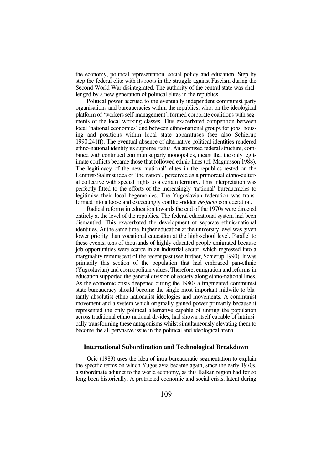the economy, political representation, social policy and education. Step by step the federal elite with its roots in the struggle against Fascism during the Second World War disintegrated. The authority of the central state was challenged by a new generation of political elites in the republics.

Political power accrued to the eventually independent communist party organisations and bureaucracies within the republics, who, on the ideological platform of 'workers self-management', formed corporate coalitions with segments of the local working classes. This exacerbated competition between local 'national economies' and between ethno-national groups for jobs, housing and positions within local state apparatuses (see also Schierup 1990:241ff). The eventual absence of alternative political identities rendered ethno-national identity its supreme status. An atomised federal structure, combined with continued communist party monopolies, meant that the only legitimate conflicts became those that followed ethnic lines (cf. Magnusson 1988). The legitimacy of the new 'national' elites in the republics rested on the Leninist-Stalinist idea of 'the nation', perceived as a primordial ethno-cultural collective with special rights to a certain territory. This interpretation was perfectly fitted to the efforts of the increasingly 'national' bureaucracies to legitimise their local hegemonies. The Yugoslavian federation was transformed into a loose and exceedingly conflict-ridden *de-facto* confederation.

Radical reforms in education towards the end of the 1970s were directed entirely at the level of the republics. The federal educational system had been dismantled. This exacerbated the development of separate ethnic-national identities. At the same time, higher education at the university level was given lower priority than vocational education at the high-school level. Parallel to these events, tens of thousands of highly educated people emigrated because job opportunities were scarce in an industrial sector, which regressed into a marginality reminiscent of the recent past (see further, Schierup 1990). It was primarily this section of the population that had embraced pan-ethnic (Yugoslavian) and cosmopolitan values. Therefore, emigration and reforms in education supported the general division of society along ethno-national lines. As the economic crisis deepened during the 1980s a fragmented communist state-bureaucracy should become the single most important midwife to blatantly absolutist ethno-nationalist ideologies and movements. A communist movement and a system which originally gained power primarily because it represented the only political alternative capable of uniting the population across traditional ethno-national divides, had shown itself capable of intrinsically transforming these antagonisms whilst simultaneously elevating them to become the all pervasive issue in the political and ideological arena.

### **International Subordination and Technological Breakdown**

Ocić (1983) uses the idea of intra-bureaucratic segmentation to explain the specific terms on which Yugoslavia became again, since the early 1970s, a subordinate adjunct to the world economy, as this Balkan region had for so long been historically. A protracted economic and social crisis, latent during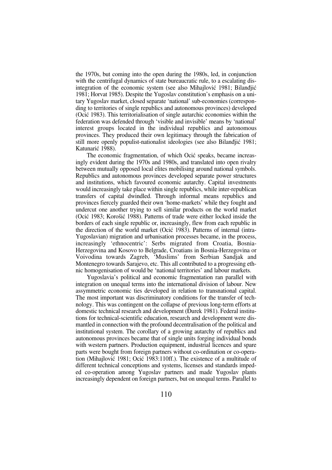the 1970s, but coming into the open during the 1980s, led, in conjunction with the centrifugal dynamics of state bureaucratic rule, to a escalating disintegration of the economic system (see also Mihajlović 1981; Bilanđjić 1981; Horvat 1985). Despite the Yugoslav constitution's emphasis on a unitary Yugoslav market, closed separate 'national' sub-economies (corresponding to territories of single republics and autonomous provinces) developed (Ocić 1983). This territorialisation of single autarchic economies within the federation was defended through 'visible and invisible' means by 'national' interest groups located in the individual republics and autonomous provinces. They produced their own legitimacy through the fabrication of still more openly populist-nationalist ideologies (see also Bilanđjić 1981; Katunarić 1988).

The economic fragmentation, of which Ocić speaks, became increasingly evident during the 1970s and 1980s, and translated into open rivalry between mutually opposed local elites mobilising around national symbols. Republics and autonomous provinces developed separate power structures and institutions, which favoured economic autarchy. Capital investments would increasingly take place within single republics, while inter-republican transfers of capital dwindled. Through informal means republics and provinces fiercely guarded their own 'home-markets' while they fought and undercut one another trying to sell similar products on the world market (Ocić 1983; Korošić 1988). Patterns of trade were either locked inside the borders of each single republic or, increasingly, flew from each republic in the direction of the world market (Ocić 1983). Patterns of internal (intra-Yugoslavian) migration and urbanisation processes became, in the process, increasingly 'ethnocentric': Serbs migrated from Croatia, Bosnia-Herzegovina and Kosovo to Belgrade, Croatians in Bosnia-Herzegovina or Voivodina towards Zagreb, 'Muslims' from Serbian Sandjak and Montenegro towards Sarajevo, etc. This all contributed to a progressing ethnic homogenisation of would be 'national territories' and labour markets.

Yugoslavia's political and economic fragmentation ran parallel with integration on unequal terms into the international division of labour. New assymmetric economic ties developed in relation to transnational capital. The most important was discriminatory conditions for the transfer of technology. This was contingent on the collapse of previous long-term efforts at domestic technical research and development (Đurek 1981). Federal institutions for technical-scientific education, research and development were dismantled in connection with the profound decentralisation of the political and institutional system. The corollary of a growing autarchy of republics and autonomous provinces became that of single units forging individual bonds with western partners. Production equipment, industrial licences and spare parts were bought from foreign partners without co-ordination or co-operation (Mihajlović 1981; Ocić 1983:110ff.). The existence of a multitude of different technical conceptions and systems, licenses and standards impeded co-operation among Yugoslav partners and made Yugoslav plants increasingly dependent on foreign partners, but on unequal terms. Parallel to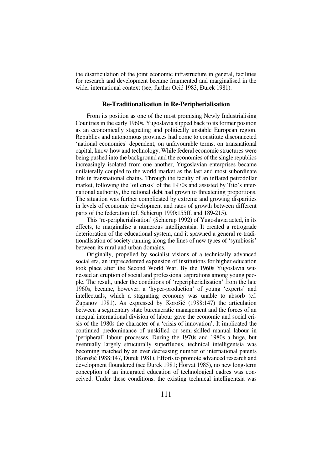the disarticulation of the joint economic infrastructure in general, facilities for research and development became fragmented and marginalised in the wider international context (see, further Ocić 1983, Đurek 1981).

#### **Re-Traditionalisation in Re-Peripherialisation**

From its position as one of the most promising Newly Industrialising Countries in the early 1960s, Yugoslavia slipped back to its former position as an economically stagnating and politically unstable European region. Republics and autonomous provinces had come to constitute disconnected 'national economies' dependent, on unfavourable terms, on transnational capital, know-how and technology. While federal economic structures were being pushed into the background and the economies of the single republics increasingly isolated from one another, Yugoslavian enterprises became unilaterally coupled to the world market as the last and most subordinate link in transnational chains. Through the faculty of an inflated petrodollar market, following the 'oil crisis' of the 1970s and assisted by Tito's international authority, the national debt had grown to threatening proportions. The situation was further complicated by extreme and growing disparities in levels of economic development and rates of growth between different parts of the federation (cf. Schierup 1990:155ff. and 189-215).

This 're-peripherialisation' (Schierup 1992) of Yugoslavia acted, in its effects, to marginalise a numerous intelligentsia. It created a retrograde deterioration of the educational system, and it spawned a general re-traditionalisation of society running along the lines of new types of 'symbiosis' between its rural and urban domains.

Originally, propelled by socialist visions of a technically advanced social era, an unprecedented expansion of institutions for higher education took place after the Second World War. By the 1960s Yugoslavia witnessed an eruption of social and professional aspirations among young people. The result, under the conditions of 'reperipherialisation' from the late 1960s, became, however, a 'hyper-production' of young 'experts' and intellectuals, which a stagnating economy was unable to absorb (cf. Županov 1981). As expressed by Korošić (1988:147) the articulation between a segmentary state bureaucratic management and the forces of an unequal international division of labour gave the economic and social crisis of the 1980s the character of a 'crisis of innovation'. It implicated the continued predominance of unskilled or semi-skilled manual labour in 'peripheral' labour processes. During the 1970s and 1980s a huge, but eventually largely structurally superfluous, technical intelligentsia was becoming matched by an ever decreasing number of international patents (Korošić 1988:147, Đurek 1981). Efforts to promote advanced research and development floundered (see Đurek 1981; Horvat 1985), no new long-term conception of an integrated education of technological cadres was conceived. Under these conditions, the existing technical intelligentsia was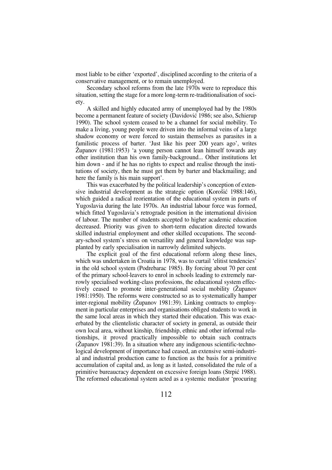most liable to be either 'exported', disciplined according to the criteria of a conservative management, or to remain unemployed.

Secondary school reforms from the late 1970s were to reproduce this situation, setting the stage for a more long-term re-traditionalisation of society.

A skilled and highly educated army of unemployed had by the 1980s become a permanent feature of society (Davidović 1986; see also, Schierup 1990). The school system ceased to be a channel for social mobility. To make a living, young people were driven into the informal veins of a large shadow economy or were forced to sustain themselves as parasites in a familistic process of barter. 'Just like his peer 200 years ago', writes Županov (1981:1953) 'a young person cannot lean himself towards any other institution than his own family-background... Other institutions let him down - and if he has no rights to expect and realise through the institutions of society, then he must get them by barter and blackmailing; and here the family is his main support'.

This was exacerbated by the political leadership's conception of extensive industrial development as the strategic option (Korošić 1988:146), which guided a radical reorientation of the educational system in parts of Yugoslavia during the late 1970s. An industrial labour force was formed, which fitted Yugoslavia's retrograde position in the international division of labour. The number of students accepted to higher academic education decreased. Priority was given to short-term education directed towards skilled industrial employment and other skilled occupations. The secondary-school system's stress on versatility and general knowledge was supplanted by early specialisation in narrowly delimited subjects.

The explicit goal of the first educational reform along these lines, which was undertaken in Croatia in 1978, was to curtail 'elitist tendencies' in the old school system (Podrebarac 1985). By forcing about 70 per cent of the primary school-leavers to enrol in schools leading to extremely narrowly specialised working-class professions, the educational system effectively ceased to promote inter-generational social mobility (Županov 1981:1950). The reforms were constructed so as to systematically hamper inter-regional mobility (Županov 1981:39). Linking contracts to employment in particular enterprises and organisations obliged students to work in the same local areas in which they started their education. This was exacerbated by the clientelistic character of society in general, as outside their own local area, without kinship, friendship, ethnic and other informal relationships, it proved practically impossible to obtain such contracts (Županov 1981:39). In a situation where any indigenous scientific-technological development of importance had ceased, an extensive semi-industrial and industrial production came to function as the basis for a primitive accumulation of capital and, as long as it lasted, consolidated the rule of a primitive bureaucracy dependent on excessive foreign loans (Strpić 1988). The reformed educational system acted as a systemic mediator 'procuring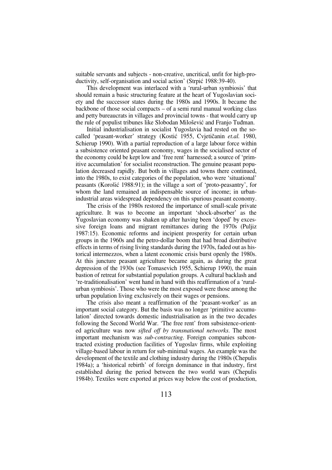suitable servants and subjects - non-creative, uncritical, unfit for high-productivity, self-organisation and social action' (Strpić 1988:39-40).

This development was interlaced with a 'rural-urban symbiosis' that should remain a basic structuring feature at the heart of Yugoslavian society and the successor states during the 1980s and 1990s. It became the backbone of those social compacts – of a semi rural manual working class and petty bureaucrats in villages and provincial towns - that would carry up the rule of populist tribunes like Slobodan Milošević and Franjo Tuđman.

Initial industrialisation in socialist Yugoslavia had rested on the socalled 'peasant-worker' strategy (Kostić 1955, Cvjetičanin *et.al.* 1980, Schierup 1990). With a partial reproduction of a large labour force within a subsistence oriented peasant economy, wages in the socialised sector of the economy could be kept low and 'free rent' harnessed; a source of 'primitive accumulation' for socialist reconstruction. The genuine peasant population decreased rapidly. But both in villages and towns there continued, into the 1980s, to exist categories of the population, who were 'situational' peasants (Korošić 1988:91); in the village a sort of 'proto-peasantry', for whom the land remained an indispensable source of income; in urbanindustrial areas widespread dependency on this spurious peasant economy.

The crisis of the 1980s restored the importance of small-scale private agriculture. It was to become an important 'shock-absorber' as the Yugoslavian economy was shaken up after having been 'doped' by excessive foreign loans and migrant remittances during the 1970s (Puljiz 1987:15). Economic reforms and incipient prosperity for certain urban groups in the 1960s and the petro-dollar boom that had broad distributive effects in terms of rising living standards during the 1970s, faded out as historical intermezzos, when a latent economic crisis burst openly the 1980s. At this juncture peasant agriculture became again, as during the great depression of the 1930s (see Tomasevich 1955, Schierup 1990), the main bastion of retreat for substantial population groups. A cultural backlash and 're-traditionalisation' went hand in hand with this reaffirmation of a 'ruralurban symbiosis'. Those who were the most exposed were those among the urban population living exclusively on their wages or pensions.

The crisis also meant a reaffirmation of the 'peasant-worker' as an important social category. But the basis was no longer 'primitive accumulation' directed towards domestic industrialisation as in the two decades following the Second World War. 'The free rent' from subsistence-oriented agriculture was now *sifted off by transnational networks*. The most important mechanism was *sub-contracting*. Foreign companies subcontracted existing production facilities of Yugoslav firms, while exploiting village-based labour in return for sub-minimal wages. An example was the development of the textile and clothing industry during the 1980s (Chepulis 1984a); a 'historical rebirth' of foreign dominance in that industry, first established during the period between the two world wars (Chepulis 1984b). Textiles were exported at prices way below the cost of production,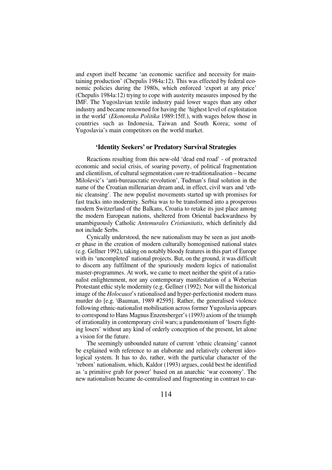and export itself became 'an economic sacrifice and necessity for maintaining production' (Chepulis 1984a:12). This was effected by federal economic policies during the 1980s, which enforced 'export at any price' (Chepulis 1984a:12) trying to cope with austerity measures imposed by the IMF. The Yugoslavian textile industry paid lower wages than any other industry and became renowned for having the 'highest level of exploitation in the world' (*Ekonomska Politika* 1989:15ff.), with wages below those in countries such as Indonesia, Taiwan and South Korea; some of Yugoslavia's main competitors on the world market.

#### **'Identity Seekers' or Predatory Survival Strategies**

Reactions resulting from this new-old 'dead end road' - of protracted economic and social crisis, of soaring poverty, of political fragmentation and clientilism, of cultural segmentation *cum* re-traditionalisation – became Milošević's 'anti-bureaucratic revolution', Tuđman's final solution in the name of the Croatian millenarian dream and, in effect, civil wars and 'ethnic cleansing'. The new populist movements started up with promises for fast tracks into modernity. Serbia was to be transformed into a prosperous modern Switzerland of the Balkans, Croatia to retake its just place among the modern European nations, sheltered from Oriental backwardness by unambiguously Catholic *Antemurales Cristianitatis*, which definitely did not include Serbs.

Cynically understood, the new nationalism may be seen as just another phase in the creation of modern culturally homogenised national states (e.g. Gellner 1992), taking on notably bloody features in this part of Europe with its 'uncompleted' national projects. But, on the ground, it was difficult to discern any fulfilment of the spuriously modern logics of nationalist master-programmes. At work, we came to meet neither the spirit of a rationalist enlightenment, nor any contemporary manifestation of a Weberian Protestant ethic style modernity (e.g. Gellner (1992). Nor will the historical image of the *Holocaust*'s rationalised and hyper-perfectionist modern mass murder do [e.g. \Bauman, 1989 #2595]. Rather, the generalised violence following ethnic-nationalist mobilisation across former Yugoslavia appears to correspond to Hans Magnus Enzensberger's (1993) axiom of the triumph of irrationality in contemporary civil wars; a pandemonium of 'losers fighting losers' without any kind of orderly conception of the present, let alone a vision for the future.

The seemingly unbounded nature of current 'ethnic cleansing' cannot be explained with reference to an elaborate and relatively coherent ideological system. It has to do, rather, with the particular character of the 'reborn' nationalism, which, Kaldor (1993) argues, could best be identified as 'a primitive grab for power' based on an anarchic 'war economy'. The new nationalism became de-centralised and fragmenting in contrast to ear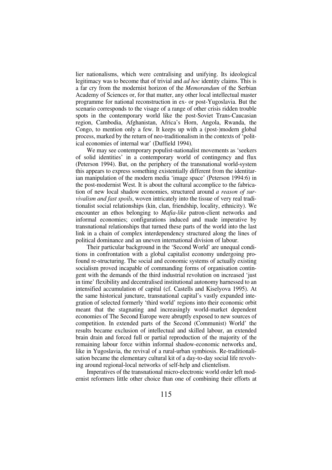lier nationalisms, which were centralising and unifying. Its ideological legitimacy was to become that of trivial and *ad hoc* identity claims. This is a far cry from the modernist horizon of the *Memorandum* of the Serbian Academy of Sciences or, for that matter, any other local intellectual master programme for national reconstruction in ex- or post-Yugoslavia. But the scenario corresponds to the visage of a range of other crisis ridden trouble spots in the contemporary world like the post-Soviet Trans-Caucasian region, Cambodia, Afghanistan, Africa's Horn, Angola, Rwanda, the Congo, to mention only a few. It keeps up with a (post-)modern global process, marked by the return of neo-traditionalism in the contexts of 'political economies of internal war' (Duffield 1994).

We may see contemporary populist-nationalist movements as 'seekers of solid identities' in a contemporary world of contingency and flux (Peterson 1994). But, on the periphery of the transnational world-system this appears to express something existentially different from the identitarian manipulation of the modern media 'image space' (Peterson 1994:6) in the post-modernist West. It is about the cultural accomplice to the fabrication of new local shadow economies, structured around *a reason of survivalism and fast spoils*, woven intricately into the tissue of very real traditionalist social relationships (kin, clan, friendship, locality, ethnicity). We encounter an ethos belonging to *Mafia-like* patron-client networks and informal economies; configurations induced and made imperative by transnational relationships that turned these parts of the world into the last link in a chain of complex interdependency structured along the lines of political dominance and an uneven international division of labour.

Their particular background in the 'Second World' are unequal conditions in confrontation with a global capitalist economy undergoing profound re-structuring. The social and economic systems of actually existing socialism proved incapable of commanding forms of organisation contingent with the demands of the third industrial revolution on increased 'just in time' flexibility and decentralised institutional autonomy harnessed to an intensified accumulation of capital (cf. Castells and Kiselyova 1995). At the same historical juncture, transnational capital's vastly expanded integration of selected formerly 'third world' regions into their economic orbit meant that the stagnating and increasingly world-market dependent economies of The Second Europe were abruptly exposed to new sources of competition. In extended parts of the Second (Communist) World' the results became exclusion of intellectual and skilled labour, an extended brain drain and forced full or partial reproduction of the majority of the remaining labour force within informal shadow-economic networks and, like in Yugoslavia, the revival of a rural-urban symbiosis. Re-traditionalisation became the elementary cultural kit of a day-to-day social life revolving around regional-local networks of self-help and clientelism.

Imperatives of the transnational micro-electronic world order left modernist reformers little other choice than one of combining their efforts at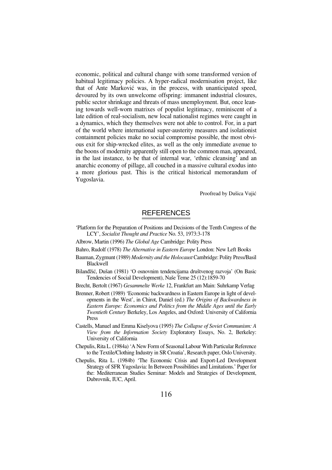economic, political and cultural change with some transformed version of habitual legitimacy policies. A hyper-radical modernisation project, like that of Ante Marković was, in the process, with unanticipated speed, devoured by its own unwelcome offspring: immanent industrial closures, public sector shrinkage and threats of mass unemployment. But, once leaning towards well-worn matrixes of populist legitimacy, reminiscent of a late edition of real-socialism, new local nationalist regimes were caught in a dynamics, which they themselves were not able to control. For, in a part of the world where international super-austerity measures and isolationist containment policies make no social compromise possible, the most obvious exit for ship-wrecked elites, as well as the only immediate avenue to the boons of modernity apparently still open to the common man, appeared, in the last instance, to be that of internal war, 'ethnic cleansing' and an anarchic economy of pillage, all couched in a massive cultural exodus into a more glorious past. This is the critical historical memorandum of Yugoslavia.

Proofread by Dušica Vujić

### REFERENCES

- 'Platform for the Preparation of Positions and Decisions of the Tenth Congress of the LCY', *Socialist Thought and Practice* No. 53, 1973:3-178
- Albrow, Martin (1996) *The Global Age* Cambridge: Polity Press

Bahro, Rudolf (1978) *The Alternative in Eastern Europe* London: New Left Books

- Bauman, Zygmunt (1989) *Modernity and the Holocaust* Cambridge: Polity Press/Basil Blackwell
- Bilanđžić, Dušan (1981) 'O osnovnim tendencijama društvenog razvoja' (On Basic Tendencies of Social Development), Naše Teme 25 (12):1859-70
- Brecht, Bertolt (1967) *Gesammelte Werke* 12, Frankfurt am Main: Suhrkamp Verlag
- Brenner, Robert (1989) 'Economic backwardness in Eastern Europe in light of developments in the West', in Chirot, Daniel (ed.) *The Origins of Backwardness in Eastern Europe: Economics and Politics from the Middle Ages until the Early Twentieth Century* Berkeley, Los Angeles, and Oxford: University of California Press
- Castells, Manuel and Emma Kiselyova (1995) *The Collapse of Soviet Communism: A View from the Information Society* Exploratory Essays, No. 2, Berkeley: University of California
- Chepulis, Rita L. (1984a) 'A New Form of Seasonal Labour With Particular Reference to the Textile/Clothing Industry in SR Croatia', Research paper, Oslo University.
- Chepulis, Rita L. (1984b) 'The Economic Crisis and Export-Led Development Strategy of SFR Yugoslavia: In Between Possibilities and Limitations.' Paper for the: Mediterranean Studies Seminar: Models and Strategies of Development, Dubrovnik, IUC, April.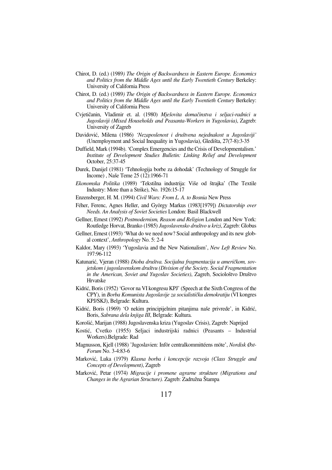- Chirot, D. (ed.) (1989*) The Origin of Backwardness in Eastern Europe. Economics and Politics from the Middle Ages until the Early Twentieth Century* Berkeley: University of California Press
- Chirot, D. (ed.) (1989*) The Origin of Backwardness in Eastern Europe. Economics and Politics from the Middle Ages until the Early Twentieth Century* Berkeley: University of California Press
- Cvjetičanin, Vladimir et. al. (1980) *Mješovita domačinstva i seljaci-radnici u Jugoslaviji (Mixed Households and Peasanta-Workers in Yugoslavia)*, Zagreb: University of Zagreb
- Davidović, Milena (1986) *'Nezaposlenost i društvena nejednakost u Jugoslaviji'* (Unemployment and Social Inequality in Yugoslavia), Gledišta, 27(7-8):3-35
- Duffield, Mark (1994b). 'Complex Emergencies and the Crisis of Developmentalism.' *Institute of Development Studies Bulletin: Linking Relief and Development* October, 25:37-45
- Đurek, Danijel (1981) 'Tehnologija borbe za dohodak' (Technology of Struggle for Income) , Naše Teme 25 (12):1966-71
- *Ekonomska Politika* (1989) 'Tekstilna industrija: Više od štrajka' (The Textile Industry: More than a Strike), No. 1926:15-17
- Enzensberger, H. M. (1994) *Civil Wars: From L. A. to Bosnia* New Press
- Féher, Ferenc, Agnes Heller, and György Markus (1983[1979]) *Dictatorship over Needs. An Analysis of Soviet Societies* London: Basil Blackwell
- Gellner, Ernest (1992) *Postmodernism, Reason and Religion* London and New York: Routledge Horvat, Branko (1985) *Jugoslavensko društvo u krizi*, Zagreb: Globus
- Gellner, Ernest (1993) 'What do we need now? Social anthropology and its new global context', *Anthropology* No. 5: 2-4
- Kaldor, Mary (1993) 'Yugoslavia and the New Nationalism', *New Left Review* No. 197:96-112
- Katunarić, Vjeran (1988) *Dioba društva. Socijalna fragmentacija u američkom, sovjetskom i jugoslavenskom društvu (Division of the Society. Social Fragmentation in the American, Soviet and Yugoslav Societies)*, Zagreb, Sociološtvo Društvo Hrvatske
- Kidrić, Boris (1952) 'Govor na VI kongresu KPJ' (Speech at the Sixth Congress of the CPY), in *Borba Komunista Jugoslavije za socialističku demokratiju* (VI kongres KPJ/SKJ), Belgrade: Kultura.
- Kidrić, Boris (1969) 'O nekim principijelnim pitanjima naše privrede', in Kidrić, Boris, *Sabrana dela knjiga III*, Belgrade: Kultura.
- Korošić, Marijan (1988) Jugoslavenska kriza (Yugoslav Crisis), Zagreb: Naprijed
- Kostić, Cvetko (1955) Seljaci industrijski radnici (Peasants Industrial Workers).Belgrade: Rad
- Magnusson, Kjell (1988) 'Jugoslavien: Inför centralkommittéens möte', *Nordisk Øst-Forum* No. 3-4:83-6
- Marković, Luka (1979) *Klasna borba i koncepcije razvoja (Class Struggle and Concepts of Development)*, Zagreb
- Marković, Petar (1974) *Migracije i promene agrarne strukture (Migrations and Changes in the Agrarian Structure).* Zagreb: Zadružna Štampa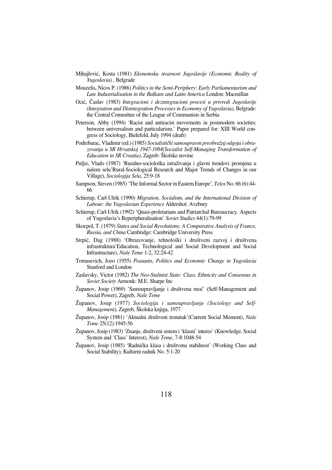- Mihajlović, Kosta (1981) *Ekonomska stvarnost Jugoslavije (Economic Reality of Yugoslavia)* , Belgrade
- Mouzelis, Nicos P. (1986) *Politics in the Semi-Periphery: Early Parliamentarism and Late Industrialisation in the Balkans and Latin America* London: Macmillan
- Ocić, Časlav (1983) *Integracioni i dezintegracioni procesi u privredi Jugoslavije (Integration and Disintegration Processes in Economy of Yugoslavia)*, Belgrade: the Central Committee of the League of Communists in Serbia
- Peterson, Abby (1994) 'Racist and antiracist movements in postmodern societies: between universalism and particularism.' Paper prepared for: XIII World congress of Sociology, Bielefeld, July 1994 (draft)
- Podrebarac, Vladimir (ed.) (1985) *Socialistički samoupravni preobražaj odgoja i obrazovanja u SR Hrvatskoj 1947-1984(Socialist Self-Managing Transformation of Education in SR Croatia)*, Zagreb: Školske novine
- Puljiz, Vlado (1987) 'Ruralno-sociološka istraživanja i glavni trendovi promjena u našem selu'Rural-Sociological Research and Major Trends of Changes in our Village), *Sociologija Sela*, 25:9-18
- Sampson, Steven (1985) 'The Informal Sector in Eastern Europe', *Telos* No. 66 (6):44- 66
- Schierup, Carl-Ulrik (1990) *Migration, Socialism, and the International Division of Labour: the Yugoslavian Experience* Aldershot: Avebury
- Schierup, Carl-Ulrik (1992) 'Quasi-proletarians and Patriarchal Bureaucracy. Aspects of Yugoslavia's Reperipheralisation' *Soviet Studies* 44(1):79-99
- Skocpol, T. (1979) *States and Social Revolutions: A Comparative Analysis of France, Russia, and China* Cambridge: Cambridge University Press
- Strpić, Dag (1988) 'Obrazovanje, tehnološki i društveni razvoj i društvena infrastruktura'Education, Technological and Social Development and Social Infrastructure), *Naše Teme* 1-2, 32:24-42
- Tomasevich, Jozo (1955) *Peasants, Politics and Economic Change in Yugoslavia* Stanford and London
- Zaslavsky, Victor (1982) *The Neo-Stalinist State: Class, Ethnicity and Consensus in Soviet Society* Armonk: M.E. Sharpe Inc
- Županov, Josip (1969) 'Samoupravljanje i društvena moć' (Self-Management and Social Power), Zagreb, *Naše Teme*
- Županov, Josip (1977) *Sociologija i samoupravljanje (Sociology and Self-Management),* Zagreb, Školska knjiga, 1977
- Županov, Josip (1981) 'Aktualni društveni trenutak'(Current Social Moment), *Naše Teme* 25(12):1945-56
- Županov, Josip (1983) 'Znanje, društveni sistem i 'klasni' interes' (Knowledge, Social System and 'Class' Interest), *Naše Teme*, 7-8:1048-54
- Županov, Josip (1985) 'Radnička klasa i društvena stabilnost' (Working Class and Social Stability), Kulturni radnik No. 5:1-20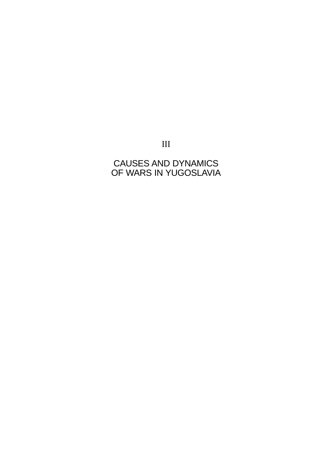III

# CAUSES AND DYNAMICS OF WARS IN YUGOSLAVIA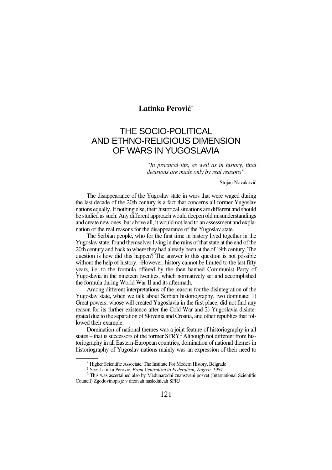### **Latinka Perović**\*

## THE SOCIO-POLITICAL AND ETHNO-RELIGIOUS DIMENSION OF WARS IN YUGOSLAVIA

*"In practical life, as well as in history, final decisions are made only by real reasons"*

Stojan Novaković

The disappearance of the Yugoslav state in wars that were waged during the last decade of the 20th century is a fact that concerns all former Yugoslav nations equally. If nothing else, their historical situations are different and should be studied as such. Any different approach would deepen old misunderstandings and create new ones, but above all, it would not lead to an assessment and explanation of the real reasons for the disappearance of the Yugoslav state.

The Serbian people, who for the first time in history lived together in the Yugoslav state, found themselves living in the ruins of that state at the end of the 20th century and back to where they had already been at the of 19th century. The question is how did this happen? The answer to this question is not possible without the help of history.  ${}^{1}\text{However}$ , history cannot be limited to the last fifty years, i.e. to the formula offered by the then banned Communist Party of Yugoslavia in the nineteen twenties, which normatively set and accomplished the formula during World War II and its aftermath.

Among different interpretations of the reasons for the disintegration of the Yugoslav state, when we talk about Serbian historiography, two dominate: 1) Great powers, whose will created Yugoslavia in the first place, did not find any reason for its further existence after the Cold War and 2) Yugoslavia disintegrated due to the separation of Slovenia and Croatia, and other republics that followed their example.

Domination of national themes was a joint feature of historiography in all states – that is successors of the former  $SFRY^2$  Although not different from historiography in all Eastern-European countries, domination of national themes in historiography of Yugoslav nations mainly was an expression of their need to

<sup>\*</sup> Higher Scientific Associate, The Institute For Modern History, Belgrade

<sup>1</sup> See: Latinka Perović, *From Centralism to Federalism, Zagreb, 1984*

<sup>&</sup>lt;sup>2</sup> This was ascertained also by Međunarodni znanstveni posvet (International Scientific Council) Zgodovinopisje v drzavah naslednicah SFRJ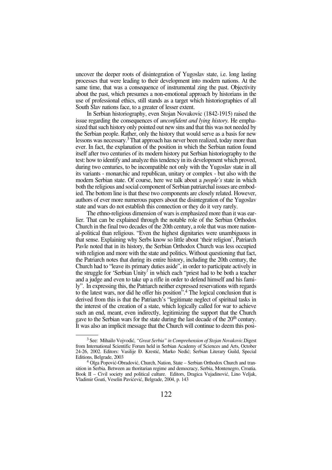uncover the deeper roots of disintegration of Yugoslav state, i.e. long lasting processes that were leading to their development into modern nations. At the same time, that was a consequence of instrumental zing the past. Objectivity about the past, which presumes a non-emotional approach by historians in the use of professional ethics, still stands as a target which historiographies of all South Slav nations face, to a greater of lesser extent.

In Serbian historiography, even Stojan Novakovic (1842-1915) raised the issue regarding the consequences of *unconfident and lying history.* He emphasized that such history only pointed out new sins and that this was not needed by the Serbian people. Rather, only the history that would serve as a basis for new lessons was necessary.3 That approach has never been realized, today more than ever. In fact, the explanation of the position in which the Serbian nation found itself after two centuries of its modern history put Serbian historiography to the test: how to identify and analyze this tendency in its development which proved, during two centuries, to be incompatible not only with the Yugoslav state in all its variants - monarchic and republican, unitary or complex - but also with the modern Serbian state. Of course, here we talk about a *people's* state in which both the religious and social component of Serbian patriarchal issues are embodied. The bottom line is that these two components are closely related. However, authors of ever more numerous papers about the disintegration of the Yugoslav state and wars do not establish this connection or they do it very rarely.

The ethno-religious dimension of wars is emphasized more than it was earlier. That can be explained through the notable role of the Serbian Orthodox Church in the final two decades of the 20th century, a role that was more national-political than religious. "Even the highest dignitaries were unambiguous in that sense. Explaining why Serbs know so little about 'their religion', Patriarch Pavle noted that in its history, the Serbian Orthodox Church was less occupied with religion and more with the state and politics. Without questioning that fact, the Patriarch notes that during its entire history, including the 20th century, the Church had to "leave its primary duties aside", in order to participate actively in the struggle for 'Serbian Unity' in which each "priest had to be both a teacher and a judge and even to take up a rifle in order to defend himself and his family". In expressing this, the Patriarch neither expressed reservations with regards to the latest wars, nor did he offer his position".4 The logical conclusion that is derived from this is that the Patriarch's "legitimate neglect of spiritual tasks in the interest of the creation of a state, which logically called for war to achieve such an end, meant, even indirectly, legitimizing the support that the Church gave to the Serbian wars for the state during the last decade of the  $20<sup>th</sup>$  century. It was also an implicit message that the Church will continue to deem this posi-

<sup>3</sup> See: Mihailo Vojvodić, *"Great Serbia" in Comprehension of Stojan Novakovic.*Digest from International Scientific Forum held in Serbian Academy of Sciences and Arts, October 24-26, 2002. Editors: Vasilije Đ. Krestić, Marko Nedić; Serbian Literary Guild, Special

<sup>&</sup>lt;sup>4</sup> Olga Popović-Obradović, Church, Nation, State – Serbian Orthodox Church and transition in Serbia. Between au thoritarian regime and democracy, Serbia, Montenegro, Croatia. Book II – Civil society and political culture. Editors, Dragica Vujadinović, Lino Veljak, Vladimir Goati, Veselin Pavićević, Belgrade, 2004, p. 143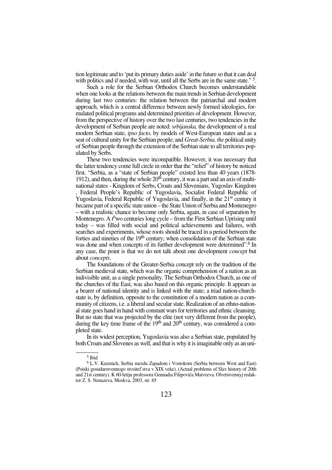tion legitimate and to 'put its primary duties aside' in the future so that it can deal with politics and if needed, with war, until all the Serbs are in the same state." <sup>5</sup>.

Such a role for the Serbian Orthodox Church becomes understandable when one looks at the relations between the main trends in Serbian development during last two centuries: the relation between the patriarchal and modern approach, which is a central difference between newly formed ideologies, formulated political programs and determined priorities of development. However, from the perspective of history over the two last centuries, two tendencies in the development of Serbian people are noted: s*rbijanska,* the development of a real modern Serbian state, *ipso facto,* by models of West-European states and as a seat of cultural unity for the Serbian people; and *Great-Serbia, the* political unity of Serbian people through the extension of the Serbian state to all territories populated by Serbs.

These two tendencies were incompatible. However, it was necessary that the latter tendency come full circle in order that the "relief" of history be noticed first. "Serbia, as a "state of Serbian people" existed less than 40 years (1878- 1912), and then, during the whole  $20<sup>th</sup>$  century, it was a part and an axis of multinational states - Kingdom of Serbs, Croats and Slovenians, Yugoslav Kingdom , Federal People's Republic of Yugoslavia, Socialist Federal Republic of Yugoslavia, Federal Republic of Yugoslavia, and finally, in the 21<sup>st</sup> century it became part of a specific state union – the State Union of Serbia and Montenegro – with a realistic chance to become only Serbia, again, in case of separation by Montenegro. A  $t^6$ wo centuries long cycle – from the First Serbian Uprising until today – was filled with social and political achievements and failures, with searches and experiments, whose roots should be traced in a period between the forties and nineties of the 19<sup>th</sup> century; when consolidation of the Serbian state was done and when concepts of its further development were determined".<sup>6</sup> In any case, the point is that we do not talk about one development *concept* but about *concepts*.

The foundations of the Greater-Serbia concept rely on the tradition of the Serbian medieval state, which was the organic comprehension of a nation as an indivisible unit, as a single personality. The Serbian Orthodox Church, as one of the churches of the East, was also based on this organic principle. It appears as a bearer of national identity and is linked with the state; a triad nation-churchstate is, by definition, opposite to the constitution of a modern nation as a community of citizens, i.e. a liberal and secular state. Realization of an ethno-national state goes hand in hand with constant wars for territories and ethnic cleansing. But no state that was projected by the elite (not very different from the people), during the key time frame of the  $19<sup>th</sup>$  and  $20<sup>th</sup>$  century, was considered a completed state.

In its widest perception, Yugoslavia was also a Serbian state, populated by both Croats and Slovenes as well, and that is why it is imaginable only as an uni-

<sup>5</sup> Ibid

<sup>6</sup> L.V. Kuzmich, Serbia mezdu Zapadom i Vostokom (Serbia between West and East) (Poiski gosudarstvennogo stvoitel'stva v XIX veke). (Actual problems of Slav history of 20th and 21st century). K 60-letiju professora Gennadia Filipoviča Matveeva. Olvetstvennyj redaktor Z. S. Nenazeva, Moskva, 2003, str. 65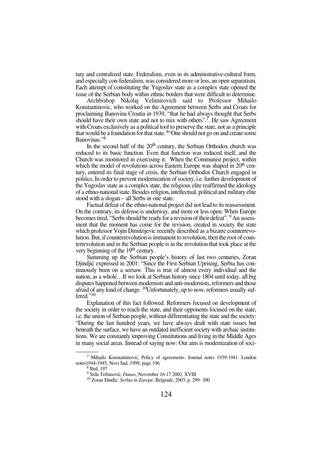tary and centralized state. Federalism, even in its administrative-cultural form, and especially con-federalism, was considered more or less, an open separatism. Each attempt of constituting the Yugoslav state as a complex state opened the issue of the Serbian body within ethnic borders that were difficult to determine.

Archbishop Nikolaj Velimirovich said to Professor Mihailo Konstantinovic, who worked on the Agreement between Serbs and Croats for proclaiming Banovina Croatia in 1939, "that he had always thought that Serbs should have their own state and not to mix with others".<sup>7</sup>. He saw Agreement with Croats exclusively as a political tool to preserve the state, not as a principle that would be a foundation for that state.  $8"$ One should not go on and create some Banovinas."8

In the second half of the  $20<sup>th</sup>$  century, the Serbian Orthodox church was reduced to its basic function. Even that function was reduced itself, and the Church was monitored in exercising it. When the Communist project, within which the model of revolutions across Eastern Europe was shaped in 20<sup>th</sup> century, entered its final stage of crisis, the Serbian Orthodox Church engaged in politics. In order to prevent modernization of society, i.e. further development of the Yugoslav state as a complex state, the religious elite reaffirmed the ideology of a ethno-national state. Besides religion, intellectual, political and military elite stood with a slogan – all Serbs in one state.

Factual defeat of the ethno-national project did not lead to its reassessment. On the contrary, its defense is underway, and more or less open. When Europe becomes tired, "Serbs should be ready for a revision of their defeat". <sup>9</sup> An assessment that the moment has come for the revision, created in society the state which professor Vojin Dimitrijevic recently described as a bizarre counterrevolution. But, if counterrevolution is immanent to revolution, then the root of counterrevolution and in the Serbian people is in the revolution that took place at the very beginning of the 19<sup>th</sup> century.

Summing up the Serbian people's history of last two centuries, Zoran Djindjić expressed in 2001: "Since the First Serbian Uprising, Serbia has continuously been on a seesaw. This is true of almost every individual and the nation, as a whole…If we look at Serbian history since 1804 until today, all big disputes happened between modernists and anti-modernists, reformers and those afraid of any kind of change. 10Unfortunately, up to now, reformers usually suffered."<sup>10</sup>

Explanation of this fact followed. Reformers focused on development of the society in order to reach the state, and their opponents focused on the state, i.e. the union of Serbian people, without differentiating the state and the society: "During the last hundred years, we have always dealt with state issues but beneath the surface, we have an outdated inefficient society with archaic institutions. We are constantly improving Constitutions and living in the Middle Ages in many social areas. Instead of saying now: Our aim is modernization of soci-

<sup>7</sup> Mihailo Konstantinović, Policy of agreements. Journal notes 1939-1941. London notes1944-1945, Novi Sad, 1998, page 196<br><sup>8</sup> Ibid, 197

<sup>9</sup> Srđa Trifunović, *Danas*, November 16-17 2002, XVIII

<sup>10</sup> Zoran Đinđić, *Serbia in Europe,* Belgrade, 2003, p. 299- 300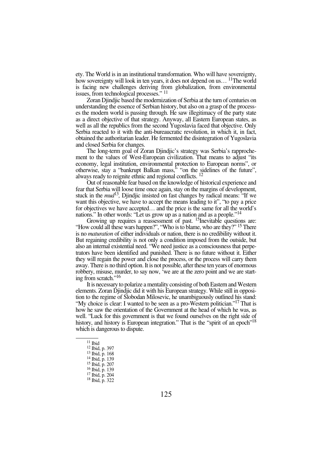ety. The World is in an institutional transformation. Who will have sovereignty, how sovereignty will look in ten years, it does not depend on us... <sup>11</sup>The world is facing new challenges deriving from globalization, from environmental issues, from technological processes." <sup>11</sup>

Zoran Djindjic based the modernization of Serbia at the turn of centuries on understanding the essence of Serbian history, but also on a grasp of the processes the modern world is passing through. He saw illegitimacy of the party state as a direct objective of that strategy. Anyway, all Eastern European states, as well as all the republics from the second Yugoslavia faced that objective. Only Serbia reacted to it with the anti-bureaucratic revolution, in which it, in fact, obtained the authoritarian leader. He fermented the disintegration of Yugoslavia and closed Serbia for changes.

The long-term goal of Zoran Djindjic's strategy was Serbia's rapprochement to the values of West-European civilization. That means to adjust "its economy, legal institution, environmental protection to European norms", or otherwise, stay a "bankrupt Balkan mass," "on the sidelines of the future", always ready to reignite ethnic and regional conflicts. <sup>12</sup>

Out of reasonable fear based on the knowledge of historical experience and fear that Serbia will loose time once again, stay on the margins of development, stuck in the *mud*13*,* Djindjic insisted on fast changes by radical means: "If we want this objective, we have to accept the means leading to it", "to pay a price for objectives we have accepted… and the price is the same for all the world's nations." In other words: "Let us grow up as a nation and as a people."<sup>14</sup>

Growing up requires a reassessment of past. <sup>15</sup>Inevitable questions are: "How could all these wars happen?", "Who is to blame, who are they?" <sup>15</sup> There is no *maturation* of either individuals or nation, there is no credibility without it. But regaining credibility is not only a condition imposed from the outside, but also an internal existential need. "We need justice as a consciousness that perpetrators have been identified and punished. There is no future without it. Either they will regain the power and close the process, or the process will carry them away. There is no third option. It is not possible, after these ten years of enormous robbery, misuse, murder, to say now, 'we are at the zero point and we are starting from scratch."16

It is necessary to polarize a mentality consisting of both Eastern and Western elements. Zoran Djindjic did it with his European strategy. While still in opposition to the regime of Slobodan Milosevic, he unambiguously outlined his stand: "My choice is clear: I wanted to be seen as a pro-Western politician."<sup>17</sup> That is how he saw the orientation of the Government at the head of which he was, as well. "Luck for this government is that we found ourselves on the right side of history, and history is European integration." That is the "spirit of an epoch"<sup>18</sup> which is dangerous to dispute.

 $\frac{11}{12}$  Ibid, p. 397

<sup>13</sup> Ibid, p. 168<br>
<sup>14</sup> Ibid, p. 139<br>
<sup>15</sup> Ibid, p. 207<br>
<sup>16</sup> Ibid, p. 139<br>
<sup>17</sup> Ibid, p. 204<br>
<sup>18</sup> Ibid, p. 322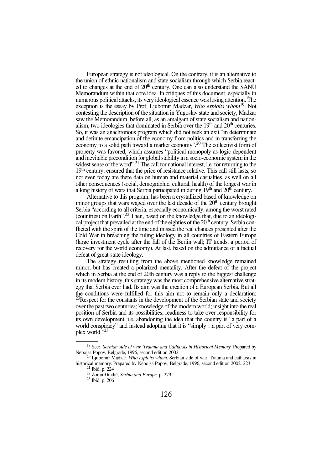European strategy is not ideological. On the contrary, it is an alternative to the union of ethnic nationalism and state socialism through which Serbia reacted to changes at the end of  $20<sup>th</sup>$  century. One can also understand the SANU Memorandum within that core idea. In critiques of this document, especially in numerous political attacks, its very ideological essence was losing attention. The exception is the essay by Prof. Ljubomir Madzar, *Who exploits whom*19. Not contesting the description of the situation in Yugoslav state and society, Madzar saw the Memorandum, before all, as an amalgam of state socialism and nationalism, two ideologies that dominated in Serbia over the  $19<sup>th</sup>$  and  $20<sup>th</sup>$  centuries. So, it was an anachronous program which did not seek an exit "in determinate and definite emancipation of the economy from politics and in transferring the economy to a solid path toward a market economy".20 The collectivist form of property was favored, which assumes "political monopoly as logic dependent and inevitable precondition for global stability in a socio-economic system in the widest sense of the word".<sup>21</sup> The call for national interest, i.e. for returning to the 19<sup>th</sup> century, ensured that the price of resistance relative. This call still lasts, so not even today are there data on human and material casualties, as well on all other consequences (social, demographic, cultural, health) of the longest war in a long history of wars that Serbia participated in during 19<sup>th</sup> and 20<sup>th</sup> century.

Alternative to this program, has been a crystallized based of knowledge on minor groups that wars waged over the last decade of the 20<sup>th</sup> century brought Serbia "according to all criteria, especially economically, among the worst rated (countries) on Earth".22 Then, based on the knowledge that, due to an ideological project that prevailed at the end of the eighties of the  $20<sup>th</sup>$  century, Serbia conflicted with the spirit of the time and missed the real chances presented after the Cold War in breaching the ruling ideology in all countries of Eastern Europe (large investment cycle after the fall of the Berlin wall; IT trends, a period of recovery for the world economy). At last, based on the admittance of a factual defeat of great-state ideology.

The strategy resulting from the above mentioned knowledge remained minor, but has created a polarized mentality. After the defeat of the project which in Serbia at the end of 20th century was a reply to the biggest challenge in its modern history, this strategy was the most comprehensive alternative strategy that Serbia ever had. Its aim was the creation of a European Serbia. But all the conditions were fulfilled for this aim not to remain only a declaration:  $23$ Respect for the constants in the development of the Serbian state and society over the past two centuries; knowledge of the modern world; insight into the real position of Serbia and its possibilities; readiness to take over responsibility for its own development, i.e. abandoning the idea that the country is "a part of a world conspiracy" and instead adopting that it is "simply…a part of very complex world."23

<sup>&</sup>lt;sup>19</sup> See: *Serbian side of war. Trauma and Catharsis in Historical Memory*. Prepared by Nebojsa Popov, Belgrade, 1996, second edition 2002.

<sup>&</sup>lt;sup>0</sup> Ljubomir Madzar, *Who exploits whom*. Serbian side of war. Trauma and catharsis in historical memory. Prepared by Nebojsa Popov, Belgrade, 1996, second edition 2002. 223<br><sup>21</sup> Ibid, p. 224<br><sup>22</sup> Zoran Đinđić, *Serbia and Europe*, p. 279<br><sup>23</sup> Ibid, p. 206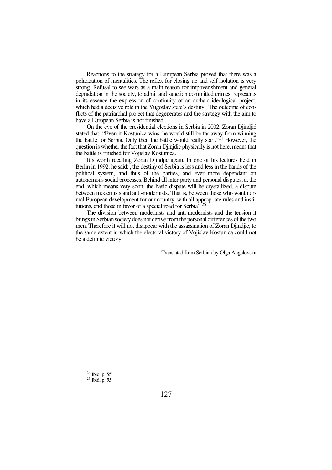Reactions to the strategy for a European Serbia proved that there was a polarization of mentalities. The reflex for closing up and self-isolation is very strong. Refusal to see wars as a main reason for impoverishment and general degradation in the society, to admit and sanction committed crimes, represents in its essence the expression of continuity of an archaic ideological project, which had a decisive role in the Yugoslav state's destiny. The outcome of conflicts of the patriarchal project that degenerates and the strategy with the aim to have a European Serbia is not finished.

On the eve of the presidential elections in Serbia in 2002, Zoran Djindjić stated that: "Even if Kostunica wins, he would still be far away from winning the battle for Serbia. Only then the battle would really start."<sup>24</sup> However, the question is whether the fact that Zoran Djinjdic physically is not here, means that the battle is finished for Vojislav Kostunica.

It's worth recalling Zoran Djindjic again. In one of his lectures held in Berlin in 1992. he said: "the destiny of Serbia is less and less in the hands of the political system, and thus of the parties, and ever more dependant on autonomous social processes. Behind all inter-party and personal disputes, at the end, which means very soon, the basic dispute will be crystallized, a dispute between modernists and anti-modernists. That is, between those who want normal European development for our country, with all appropriate rules and institutions, and those in favor of a special road for Serbia<sup> $\frac{1}{25}$ </sup>

The division between modernists and anti-modernists and the tension it brings in Serbian society does not derive from the personal differences of the two men. Therefore it will not disappear with the assassination of Zoran Djindjic, to the same extent in which the electoral victory of Vojislav Kostunica could not be a definite victory.

Translated from Serbian by Olga Angelovska

 $^{24}$  Ibid, p. 55<br> $^{25}$  Ibid, p. 55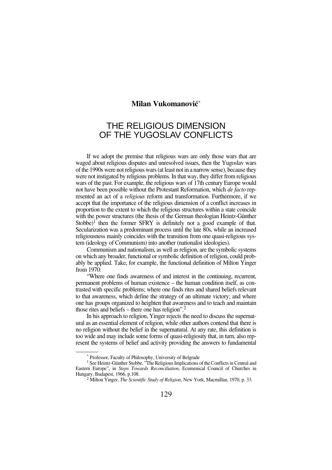## **Milan Vukomanović**\*

## THE RELIGIOUS DIMENSION OF THE YUGOSLAV CONFLICTS

If we adopt the premise that religious wars are only those wars that are waged about religious disputes and unresolved issues, then the Yugoslav wars of the 1990s were not religious wars (at least not in a narrow sense), because they were not instigated by religious problems. In that way, they differ from religious wars of the past. For example, the religious wars of 17th century Europe would not have been possible without the Protestant Reformation, which *de facto* represented an act of a *religious* reform and transformation. Furthermore, if we accept that the importance of the religious dimension of a conflict increases in proportion to the extent to which the religious structures within a state coincide with the power structures (the thesis of the German theologian Heintz-Günther Stobbe)<sup>1</sup> then the former SFRY is definitely not a good example of that. Secularization was a predominant process until the late 80s, while an increased religiousness mainly coincides with the transition from one quasi-religious system (ideology of Communism) into another (nationalist ideologies).

Communism and nationalism, as well as religion, are the symbolic systems on which any broader, functional or symbolic definition of religion, could probably be applied. Take, for example, the functional definition of Milton Yinger from 1970:

"Where one finds awareness of and interest in the continuing, recurrent, permanent problems of human existence – the human condition itself, as contrasted with specific problems; where one finds rites and shared beliefs relevant to that awareness, which define the strategy of an ultimate victory; and where one has groups organized to heighten that awareness and to teach and maintain those rites and beliefs – there one has religion".2

In his approach to religion, Yinger rejects the need to discuss the supernatural as an essential element of religion, while other authors contend that there is no religion without the belief in the supernatural. At any rate, this definition is too wide and may include some forms of quasi-religiosity that, in turn, also represent the systems of belief and activity providing the answers to fundamental

<sup>\*</sup> Professor, Faculty of Philosophy, University of Belgrade

<sup>&</sup>lt;sup>1</sup> See Heintz-Günther Stobbe, "The Religious Implications of the Conflicts in Central and Eastern Europe", in *Steps Towards Reconciliation*, Ecumenical Council of Churches in

<sup>&</sup>lt;sup>2</sup> Milton Yinger, *The Scientific Study of Religion*, New York, Macmillan, 1970, p. 33.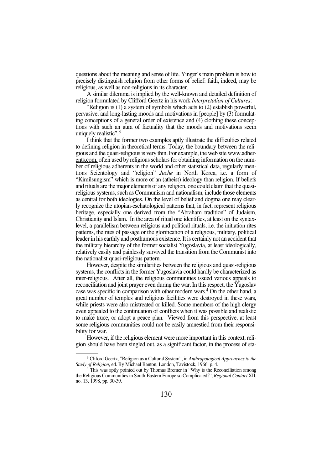questions about the meaning and sense of life. Yinger's main problem is how to precisely distinguish religion from other forms of belief: faith, indeed, may be religious, as well as non-religious in its character.

A similar dilemma is implied by the well-known and detailed definition of religion formulated by Clifford Geertz in his work *Interpretation of Cultures*:

"Religion is (1) a system of symbols which acts to (2) establish powerful, pervasive, and long-lasting moods and motivations in [people] by (3) formulating conceptions of a general order of existence and  $(4)$  clothing these conceptions with such an aura of factuality that the moods and motivations seem uniquely realistic". $3$ 

I think that the former two examples aptly illustrate the difficulties related to defining religion in theoretical terms. Today, the boundary between the religious and the quasi-religious is very thin. For example, the web site www.adherents.com, often used by religious scholars for obtaining information on the number of religious adherents in the world and other statistical data, regularly mentions Scientology and "religion" *Juche* in North Korea, i.e. a form of "Kimilsungism" which is more of an (atheist) ideology than religion. If beliefs and rituals are the major elements of any religion, one could claim that the quasireligious systems, such as Communism and nationalism, include those elements as central for both ideologies. On the level of belief and dogma one may clearly recognize the utopian-eschatological patterns that, in fact, represent religious heritage, especially one derived from the "Abraham tradition" of Judaism, Christianity and Islam. In the area of ritual one identifies, at least on the syntaxlevel, a parallelism between religious and political rituals, i.e. the initiation rites patterns, the rites of passage or the glorification of a religious, military, political leader in his earthly and posthumous existence. It is certainly not an accident that the military hierarchy of the former socialist Yugoslavia, at least ideologically, relatively easily and painlessly survived the transition from the Communist into the nationalist quasi-religious pattern.

However, despite the similarities between the religious and quasi-religious systems, the conflicts in the former Yugoslavia could hardly be characterized as inter-religious. After all, the religious communities issued various appeals to reconciliation and joint prayer even during the war. In this respect, the Yugoslav case was specific in comparison with other modern wars.4 On the other hand, a great number of temples and religious facilities were destroyed in these wars, while priests were also mistreated or killed. Some members of the high clergy even appealed to the continuation of conflicts when it was possible and realistic to make truce, or adopt a peace plan. Viewed from this perspective, at least some religious communities could not be easily amnestied from their responsibility for war.

However, if the religious element were more important in this context, religion should have been singled out, as a significant factor, in the process of sta-

<sup>3</sup> Cliford Geertz, "Religion as a Cultural System", in *Anthropological Approaches to the*

This was aptly pointed out by Thomas Bremer in "Why is the Reconciliation among the Religious Communities in South-Eastern Europe so Complicated?", *Regional Contact* XII, no. 13, 1998, pp. 30-39.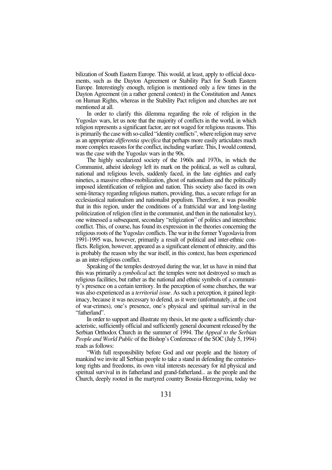bilization of South Eastern Europe. This would, at least, apply to official documents, such as the Dayton Agreement or Stability Pact for South Eastern Europe. Interestingly enough, religion is mentioned only a few times in the Dayton Agreement (in a rather general context) in the Constitution and Annex on Human Rights, whereas in the Stability Pact religion and churches are not mentioned at all.

In order to clarify this dilemma regarding the role of religion in the Yugoslav wars, let us note that the majority of conflicts in the world, in which religion represents a significant factor, are not waged for religious reasons. This is primarily the case with so-called "identity conflicts", where religion may serve as an appropriate *differentia specifica* that perhaps more easily articulates much more complex reasons for the conflict, including warfare. This, I would contend, was the case with the Yugoslav wars in the 90s.

The highly secularized society of the 1960s and 1970s, in which the Communist, atheist ideology left its mark on the political, as well as cultural, national and religious levels, suddenly faced, in the late eighties and early nineties, a massive ethno-mobilization, ghost of nationalism and the politically imposed identification of religion and nation. This society also faced its own semi-literacy regarding religious matters, providing, thus, a secure refuge for an ecclesiastical nationalism and nationalist populism. Therefore, it was possible that in this region, under the conditions of a fratricidal war and long-lasting politicization of religion (first in the communist, and then in the nationalist key), one witnessed a subsequent, secondary "religization" of politics and interethnic conflict. This, of course, has found its expression in the theories concerning the religious roots of the Yugoslav conflicts. The war in the former Yugoslavia from 1991-1995 was, however, primarily a result of political and inter-ethnic conflicts. Religion, however, appeared as a significant element of ethnicity, and this is probably the reason why the war itself, in this context, has been experienced as an inter-religious conflict.

Speaking of the temples destroyed during the war, let us have in mind that this was primarily a *symbolical* act: the temples were not destroyed so much as religious facilities, but rather as the national and ethnic symbols of a community's presence on a certain territory. In the perception of some churches, the war was also experienced as a *territorial issue*. As such a perception, it gained legitimacy, because it was necessary to defend, as it were (unfortunately, at the cost of war-crimes), one's presence, one's physical and spiritual survival in the "fatherland".

In order to support and illustrate my thesis, let me quote a sufficiently characteristic, sufficiently official and sufficiently general document released by the Serbian Orthodox Church in the summer of 1994. The *Appeal to the Serbian People and World Public* of the Bishop's Conference of the SOC (July 5, 1994) reads as follows:

"With full responsibility before God and our people and the history of mankind we invite all Serbian people to take a stand in defending the centurieslong rights and freedoms, its own vital interests necessary for itd physical and spiritual survival in its fatherland and grand-fatherland... as the people and the Church, deeply rooted in the martyred country Bosnia-Herzegovina, today we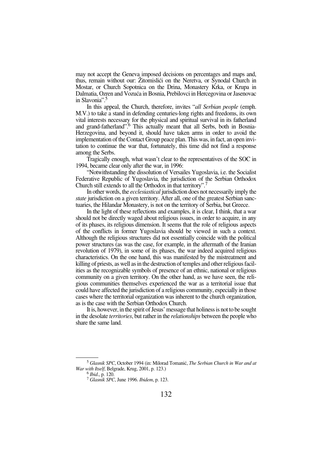may not accept the Geneva imposed decisions on percentages and maps and, thus, remain without our: Žitomislići on the Neretva, or Synodal Church in Mostar, or Church Sopotnica on the Drina, Monastery Krka, or Krupa in Dalmatia, Ozren and Vozuća in Bosnia, Prebilovci in Hercegovina or Jasenovac in Slavonia".5

In this appeal, the Church, therefore, invites "*all Serbian people* (emph. M.V.) to take a stand in defending centuries-long rights and freedoms, its own vital interests necessary for the physical and spiritual survival in its fatherland and grand-fatherland".6 This actually meant that all Serbs, both in Bosnia-Herzegovina, and beyond it, should have taken arms in order to avoid the implementation of the Contact Group peace plan. This was, in fact, an open invitation to continue the war that, fortunately, this time did not find a response among the Serbs.

Tragically enough, what wasn't clear to the representatives of the SOC in 1994, became clear only after the war, in 1996:

"Notwithstanding the dissolution of Versailes Yugoslavia, i.e. the Socialist Federative Republic of Yugoslavia, the jurisdiction of the Serbian Orthodox Church still extends to all the Orthodox in that territory".<sup>7</sup>

In other words, the *ecclesiastical* jurisdiction does not necessarily imply the *state* jurisdiction on a given territory. After all, one of the greatest Serbian sanctuaries, the Hilandar Monastery, is not on the territory of Serbia, but Greece.

In the light of these reflections and examples, it is clear, I think, that a war should not be directly waged about religious issues, in order to acquire, in any of its phases, its religious dimension. It seems that the role of religious aspects of the conflicts in former Yugoslavia should be viewed in such a context. Although the religious structures did not essentially coincide with the political power structures (as was the case, for example, in the aftermath of the Iranian revolution of 1979), in some of its phases, the war indeed acquired religious characteristics. On the one hand, this was manifested by the mistreatment and killing of priests, as well as in the destruction of temples and other religious facilities as the recognizable symbols of presence of an ethnic, national or religious community on a given territory. On the other hand, as we have seen, the religious communities themselves experienced the war as a territorial issue that could have affected the jurisdiction of a religious community, especially in those cases where the territorial organization was inherent to the church organization, as is the case with the Serbian Orthodox Church.

It is, however, in the spirit of Jesus' message that holiness is not to be sought in the desolate *territories*, but rather in the *relationships* between the people who share the same land.

<sup>5</sup> *Glasnik SPC*, October 1994 (in: Milorad Tomanić, *The Serbian Church in War and at War with Itself*, Belgrade, Krug, 2001, p. 123.) <sup>6</sup> *Ibid*., p. 120.

<sup>7</sup> *Glasnik SPC*, June 1996. *Ibidem*, p. 123.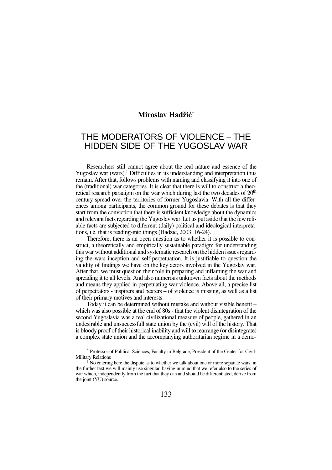### **Miroslav Hadžić**\*

## THE MODERATORS OF VIOLENCE – THE HIDDEN SIDE OF THE YUGOSLAV WAR

Researchers still cannot agree about the real nature and essence of the Yugoslav war (wars).<sup>1</sup> Difficulties in its understanding and interpretation thus remain. After that, follows problems with naming and classifying it into one of the (traditional) war categories. It is clear that there is will to construct a theoretical research paradigm on the war which during last the two decades of  $20<sup>th</sup>$ century spread over the territories of former Yugoslavia. With all the differences among participants, the common ground for these debates is that they start from the conviction that there is sufficient knowledge about the dynamics and relevant facts regarding the Yugoslav war.Let us put aside that the few reliable facts are subjected to diferrent (daily) political and ideological interpretations, i.e. that is reading-into things (Hadzic, 2003: 16-24).

Therefore, there is an open question as to whether it is possible to construct, a theoretically and empirically sustainable paradigm for understanding this war without additional and systematic research on the hidden issues regarding the wars inception and self-perpetuation. It is justifiable to question the validity of findings we have on the key actors involved in the Yugoslav war. After that, we must question their role in preparing and inflaming the war and spreading it to all levels. And also numerous unknown facts about the methods and means they applied in perpetuating war violence. Above all, a precise list of perpetrators - inspirers and bearers – of violence is missing, as well as a list of their primary motives and interests.

Today it can be determined without mistake and without visible benefit – which was also possible at the end of 80s - that the violent disintegration of the second Yugoslavia was a real civilizational measure of people, gathered in an undesirable and unsuccessfull state union by the (evil) will of the history. That is bloody proof of their historical inability and will to rearrange (or disintegrate) a complex state union and the accompanying authoritarian regime in a demo-

<sup>\*</sup> Professor of Political Sciences, Faculty in Belgrade, President of the Center for Civil-

 $1$ <sup>I</sup>No entering here the dispute as to whether we talk about one or more separate wars, in the further text we will mainly use singular, having in mind that we refer also to the series of war which, independently from the fact that they can and should be differentiated, derive from the joint (YU) source.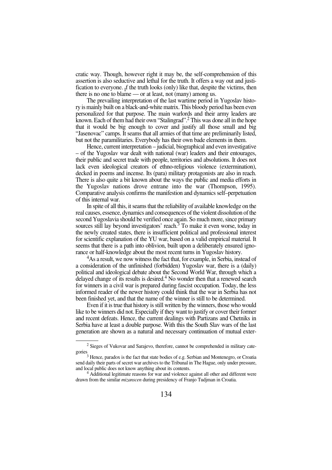cratic way. Though, however right it may be, the self-comprehension of this assertion is also seductive and lethal for the truth. It offers a way out and justification to everyone.  $I<sub>f</sub>$  the truth looks (only) like that, despite the victims, then there is no one to blame — or at least, not (many) among us.

The prevailing interpretation of the last wartime period in Yugoslav history is mainly built on a black-and-white matrix. This bloody period has been even personalized for that purpose. The main warlords and their army leaders are known. Each of them had their own "Stalingrad".2 This was done all in the hope that it would be big enough to cover and justify all those small and big "Jasenovac" camps. It seams that all armies of that time are preliminarily listed, but not the paramilitaries. Everybody has their own bade elements in them.

Hence, current interpretation – judicial, biographical and even investigative – of the Yugoslav war dealt with national (war) leaders and their entourages, their public and secret trade with people, territories and absolutions. It does not lack even ideological creators of ethno-religious violence (extermination), decked in poems and incense. Its (para) military protagonists are also in reach. There is also quite a bit known about the ways the public and media efforts in the Yugoslav nations drove entrane into the war (Thompson, 1995). Comparative analysis confirms the manifestion and dynamics self–perpetuation of this internal war.

In spite of all this, it seams that the reliability of available knowledge on the real causes, essence, dynamics and consequences of the violent dissolution of the second Yugoslavia should be verified once again. So much more, since primary sources still lay beyond investigators' reach.<sup>3</sup> To make it even worse, today in the newly created states, there is insufficient political and professional interest for scientific explanation of the YU war, based on a valid empirical material. It seems that there is a path into oblivion, built upon a deliberately ensured ignorance or half-knowledge about the most recent turns in Yugoslav history. 4As a result, we now witness the fact that, for example, in Serbia, instead of

a consideration of the unfinished (forbidden) Yugoslav war, there is a (daily) political and ideological debate about the Second World War, through which a delayed change of its results is desired.<sup>4</sup> No wonder then that a renewed search for winners in a civil war is prepared during fascist occupation. Today, the less informed reader of the newer history could think that the war in Serbia has not been finished yet, and that the name of the winner is still to be determined.

Even if it is true that history is still written by the winners, those who would like to be winners did not. Especially if they want to justify or cover their former and recent defeats. Hence, the current dealings with Partizans and Chetniks in Serbia have at least a double purpose. With this the South Slav wars of the last generation are shown as a natural and necessary continuation of mutual exter-

<sup>2</sup> Sieges of Vukovar and Sarajevo, therefore, cannot be comprehended in military cate-

gories<br><sup>3</sup> Hence, paradox is the fact that state bodies of e.g. Serbian and Montenegro, or Croatia send daily their parts of secret war archives to the Tribunal in The Hague, only under pressure, and local public does not know anything about its contents.

<sup>&</sup>lt;sup>4</sup> Additional legitimate reasons for war and violence against all other and different were drawn from the similar *mizanscen* during presidency of Franjo Tudjman in Croatia.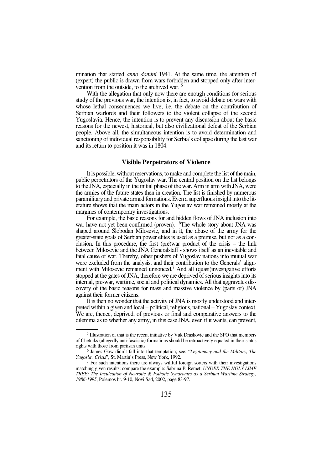mination that started *anno domini* 1941. At the same time, the attention of (expert) the public is drawn from wars forbidden and stopped only after intervention from the outside, to the archived war. <sup>5</sup>

With the allegation that only now there are enough conditions for serious study of the previous war, the intention is, in fact, to avoid debate on wars with whose lethal consequences we live; i.e. the debate on the contribution of Serbian warlords and their followers to the violent collapse of the second Yugoslavia. Hence, the intention is to prevent any discussion about the basic reasons for the newest, historical, but also civilizational defeat of the Serbian people. Above all, the simultaneous intention is to avoid determination and sanctioning of individual responsibility for Serbia's collapse during the last war and its return to position it was in 1804.

### **Visible Perpetrators of Violence**

It is possible, without reservations, to make and complete the list of the main, public perpetrators of the Yugoslav war. The central position on the list belongs to the JNA, especially in the initial phase of the war. Arm in arm with JNA, were the armies of the future states then in creation. The list is finished by numerous paramilitary and private armed formations. Even a superfluous insight into the literature shows that the main actors in the Yugoslav war remained mostly at the margines of contemporary investigations.

For example, the basic reasons for and hidden flows of JNA inclusion into war have not yet been confirmed (proven). <sup>6</sup>The whole story about JNA was shaped around Slobodan Milosevic, and in it, the abuse of the army for the greater-state goals of Serbian power elites is used as a premise, but not as a conclusion. In this procedure, the first (pre)war product of the crisis – the link between Milosevic and the JNA Generalstaff - shows itself as an inevitable and fatal cause of war. Thereby, other pushers of Yugoslav nations into mutual war were excluded from the analysis, and their contribution to the Generals' alignment with Milosevic remained unnoticed.<sup>7</sup> And all (quasi)investigative efforts stopped at the gates of JNA, therefore we are deprived of serious insights into its internal, pre-war, wartime, social and political dynamics. All that aggravates discovery of the basic reasons for mass and massive violence by (parts of) JNA against their former citizens.

It is then no wonder that the activity of JNA is mostly understood and interpreted within a given and local – political, religious, national – Yugoslav context. We are, thence, deprived, of previous or final and comparative answers to the dilemma as to whether any army, in this case JNA, even if it wants, can prevent,

<sup>5</sup> Illustration of that is the recent initiative by Vuk Draskovic and the SPO that members of Chetniks (allegedly anti-fascistic) formations should be retroactively equaled in their status

<sup>&</sup>lt;sup>6</sup> James Gow didn't fall into that temptation; see: "*Legitimacy and the Military, The Yugoslav Crisis*", St. Martin's Press, New York, 1992.

 $<sup>7</sup>$  For such intentions there are always willful foreign sorters with their investigations</sup> matching given results: compare the example: Sabrina P. Remet, *UNDER THE HOLY LIME TREE: The Inculcation of Neurotic & Psihotic Syndromes as a Serbian Wartime Strategy, 1986-1995*, Polemos br. 9-10, Novi Sad, 2002, page 83-97.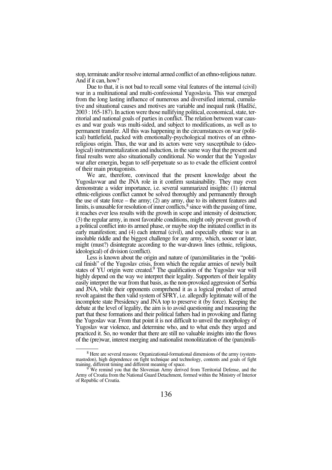stop, terminate and/or resolve internal armed conflict of an ethno-religious nature. And if it can, how?

Due to that, it is not bad to recall some vital features of the internal (civil) war in a multinational and multi-confessional Yugoslavia. This war emerged from the long lasting influence of numerous and diversified internal, cumulative and situational causes and motives are variable and inequal rank (Hadžić, 2003 : 165-187). In action were those nullifying political, economical, state, territorial and national goals of parties in conflict. The relation between war causes and war goals was multi-sided, and subject to modifications, as well as to permanent transfer. All this was happening in the circumstances on war (political) battlefield, packed with emotionally-psychological motives of an ethnoreligious origin. Thus, the war and its actors were very susceptibale to (ideological) instrumentalization and induction, in the same way that the present and final results were also situationally conditional. No wonder that the Yugoslav war after emergin, began to self-perpetuate so as to evade the efficient control of their main protagonists.

We are, therefore, convinced that the present knowledge about the Yugoslavwar and the JNA role in it confirm sustainability. They may even demonstrate a wider importance, i.e. several summarized insights: (1) internal ethnic-religious conflict cannot be solved thoroughly and permanently through the use of state force – the army; (2) any army, due to its inherent features and limits, is unusable for resolution of inner conflicts, $8$  since with the passing of time, it reaches ever less results with the growth in scope and intensity of destruction; (3) the regular army, in most favorable conditions, might only prevent growth of a political conflict into its armed phase, or maybe stop the initiated conflict in its early manifestion; and (4) each internal (civil), and especially ethnic war is an insoluble riddle and the biggest challenge for any army, which, sooner or later, might (must?) disintegrate according to the war-drawn lines (ethnic, religious, ideological) of division (conflict).

Less is known about the origin and nature of (para)militaries in the "political finish" of the Yugoslav crisis, from which the regular armies of newly built states of YU origin were created.9 The qualification of the Yugoslav war will highly depend on the way we interpret their legality. Supporters of their legality easily interpret the war from that basis, as the non-provoked aggression of Serbia and JNA, while their opponents comprehend it as a logical product of armed revolt against the then valid system of SFRY, i.e. allegedly legitimate will of the incomplete state Presidency and JNA top to preserve it (by force). Keeping the debate at the level of legality, the aim is to avoid questioning and measuring the part that these formations and their political fathers had in provoking and flaring the Yugoslav war. From that point it is not difficult to unveil the morphology of Yugoslav war violence, and determine who, and to what ends they urged and practiced it. So, no wonder that there are still no valuable insights into the flows of the (pre)war, interest merging and nationalist monolitization of the (para)mili-

<sup>&</sup>lt;sup>8</sup> Here are several reasons: Organizational-formational dimensions of the army (systemmastodon), high dependence on fight technique and technology, contents and goals of fight training, different timing and different meaning of space.

We remind you that the Slovenian Army derived from Territorial Defense, and the Army of Croatia from the National Guard Detachment, formed within the Ministry of Interior of Republic of Croatia.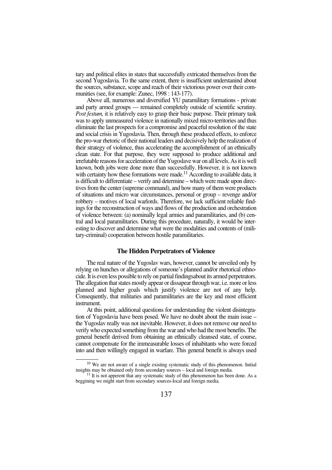tary and political elites in states that successfully extricated themselves from the second Yugoslavia. To the same extent, there is insufficient understanind about the sources, substance, scope and reach of their victorious power over their communities (see, for example: Zunec, 1998 : 143-177).

Above all, numerous and diversified YU paramilitary formations - private and party armed groups — remained completely outside of scientific scrutiny. *Post festum,* it is relatively easy to grasp their basic purpose. Their primary task was to apply unmeasured violence in nationally mixed micro-territories and thus eliminate the last prospects for a compromise and peaceful resolution of the state and social crisis in Yugoslavia. Then, through these produced effects, to enforce the pro-war rhetoric of their national leaders and decisively help the realization of their strategy of violence, thus accelerating the accomplishment of an ethnically clean state. For that purpose, they were supposed to produce additional and irrefutable reasons for acceleration of the Yugoslave war on all levels. As it is well known, both jobs were done more than successfully. However, it is not known with certainty how these formations were made.<sup>11</sup> According to available data, it is difficult to differentiate – verify and determine – which were made upon directives from the center (supreme command), and how many of them were products of situations and micro war circumstances, personal or group – revenge and/or robbery – motives of local warlords. Therefore, we lack sufficient reliable findings for the reconstruction of ways and flows of the production and orchestration of violence between: (a) nominally legal armies and paramilitaries, and (b) central and local paramilitaries. During this procedure, naturally, it would be interesting to discover and determine what were the modalities and contents of (military-criminal) cooperation between hostile paramilitaries.

### **The Hidden Perpetrators of Violence**

The real nature of the Yugoslav wars, however, cannot be unveiled only by relying on hunches or allegations of someone's planned and/or rhetorical ethnocide. It is even less possible to rely on partial findingsabout its armed perpetrators. The allegation that states mostly appear or dissapear through war, i.e. more or less planned and higher goals which justify violence are not of any help. Consequently, that militaries and paramilitaries are the key and most efficient instrument.

At this point, additional questions for understanding the violent disintegration of Yugoslavia have been posed. We have no doubt about the main issue – the Yugoslav really was not inevitable. However, it does not remove our need to verify who expected something from the war and who had the most benefits. The general benefit derived from obtaining an ethnically cleansed state, of course, cannot compensate for the immeasurable losses of inhabitants who were forced into and then willingly engaged in warfare. This general benefit is always used

 $10$  We are not aware of a single existing systematic study of this phenomenon. Initial insights may be obtained only from secondary sources  $-$  local and foreign media.

 $11$  It is not apperent that any systematic study of this phenomenon has been done. As a beggining we might start from secondary sources-local and foreign media.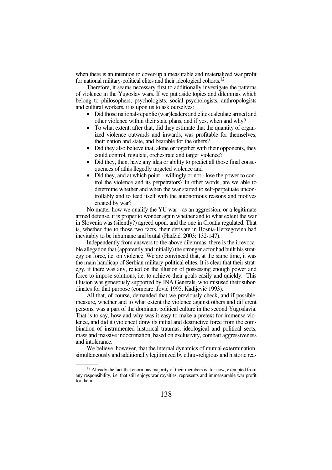when there is an intention to cover-up a measurable and materialized war profit for national military-political elites and their ideological cohorts.12

Therefore, it seams necessary first to additionally investigate the patterns of violence in the Yugoslav wars. If we put aside topics and dilemmas which belong to philosophers, psychologists, social psychologists, anthropologists and cultural workers, it is upon us to ask ourselves:

- Did those national-republic (war)leaders and elites calculate armed and other violence within their state plans, and if yes, when and why?
- To what extent, after that, did they estimate that the quantity of organized violence outwards and inwards, was profitable for themselves, their nation and state, and bearable for the others?
- Did they also believe that, alone or together with their opponents, they could control, regulate, orchestrate and target violence?
- Did they, then, have any idea or ability to predict all those final consequences of athis llegedly targeted violence and
- Did they, and at which point willingly or not lose the power to control the violence and its perpetrators? In other words, are we able to determine whether and when the war started to self-perpetuate uncontrollably and to feed itself with the autonomous reasons and motives created by war?

No matter how we qualify the YU war - as an aggression, or a legitimate armed defense, it is proper to wonder again whether and to what extent the war in Slovenia was (silently?) agreed upon, and the one in Croatia regulated. That is, whether due to those two facts, their derivate in Bosnia-Herzegovina had inevitably to be inhumane and brutal (Hadžić, 2003: 132-147).

Independently from answers to the above dilemmas, there is the irrevocable allegation that (apparently and initially) the stronger actor had built his strategy on force, i.e. on violence. We are convinced that, at the same time, it was the main handicap of Serbian military-political elites. It is clear that their strategy, if there was any, relied on the illusion of possessing enough power and force to impose solutions, i.e. to achieve their goals easily and quickly. This illusion was generously supported by JNA Generals, who misused their subordinates for that purpose (compare: Jović 1995, Kadijević 1993).

All that, of course, demanded that we previously check, and if possible, measure, whether and to what extent the violence against others and different persons, was a part of the dominant political culture in the second Yugoslavia. That is to say, how and why was it easy to make a pretext for immense violence, and did it (violence) draw its initial and destructive force from the combination of instrumented historical traumas, ideological and political sects, mass and massive indoctrination, based on exclusivity, combatt aggressiveness and intolerance.

We believe, however, that the internal dynamics of mutual extermination, simultaneously and additionally legitimized by ethno-religious and historic rea-

<sup>&</sup>lt;sup>12</sup> Already the fact that enormous majority of their members is, for now, exempted from any responsibility, i.e. that still enjoys war royalties, represents and immeasurable war profit for them.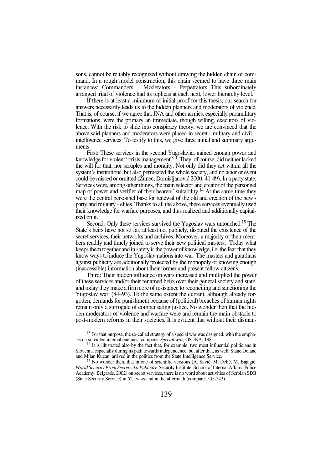sons, cannot be reliably recognized without drawing the hidden chain of command. In a rough model construction, this chain seemed to have three main instances: Commanders – Moderators - Perpetrators This subordinately arranged triad of violence had its replicas at each next, lower hierarchy level.

If there is at least a minimum of initial proof for this thesis, our search for answers necessarily leads us to the hidden planners and moderators of violence. That is, of course, if we agree that JNA and other armies, especially paramilitary formations, were the primary an immediate, though willing, executors of violence. With the risk to slide into conspiracy theory, we are convinced that the above said planners and moderators were placed in secret - military and civil – intelligence services. To testify to this, we give three initial and summary arguments:

First: These services in the second Yugoslavia, gained enough power and knowledge for violent "crisis management"<sup>13</sup>. They, of course, did neither lacked the will for that, nor scruples and morality. Not only did they act within all the system's institutions, but also permeated the whole society, and no actor or event could be missed or omitted (Žunec, Domišljanović 2000: 41-49). In a party state, Services were, among other things, the main selector and creator of the personnel map of power and verifier of their bearers' suitability.<sup>14</sup> At the same time they were the central personnel base for renewal of the old and creation of the new party and military - elites. Thanks to all the above, these services eventually used their knowledge for warfare purposes, and thus realized and additionally capitalized on it.

Second: Only these services survived the Yugoslav wars untouched.<sup>15</sup> The State's heirs have not so far, at least not publicly, disputed the exisitence of the secret services, their networks and archives. Moreover, a majority of their members readily and timely joined to serve their new political masters. Today what keeps them together and in safety is the power of knowledge, i.e. the fear that they know ways to induce the Yugoslav nations into war. The masters and guardians against publicity are additionally protected by the monopoly of knowing enough (inaccessible) information about their former and present fellow citizens.

Third: Their hidden influence on wars increased and multiplied the power of these services and/or their renamed heirs over their general society and state, and today they make a firm core of resistance to reconciling and sanctioning the Yugoslav war. (84–93). To the same extent the current, although already forgotten, demands for punishment because of (political) breaches of human rights remain only a surrogate of compensating justice. No wonder then that the hidden moderators of violence and warfare were and remain the main obstacle to post-modern reforms in their societies. It is evident that without their disman-

<sup>&</sup>lt;sup>13</sup> For that purpose, the so-called strategy of a special war was designed, with the emphasis on so-called internal enemies; compare: *Special war,* GS JNA, 1981.

<sup>&</sup>lt;sup>14</sup> It is illustrated also by the fact that, for example, two most influential politicians in Slovenia, especially during its path towards independence, but after that, as well, Stane Dolanc

 $15$  No wonder then, that in one of scientific versions (A. Savić, M. Delić, M. Bajagić, *World Security From Secrecy To Publicity,* Security Institute, School of Internal Affairs, Police Academy, Belgrade, 2002) on secret services, there is no word about activities of Serbian SDB (State Security Service) in YU wars and in the aftermath (compare: 535-543)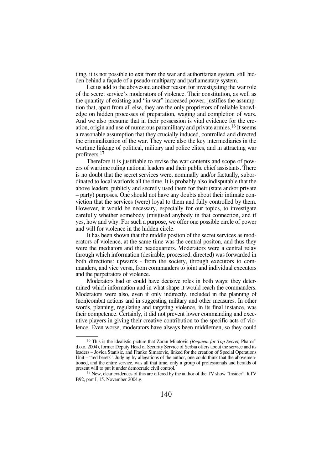tling, it is not possible to exit from the war and authoritarian system, still hidden behind a façade of a pseudo-multiparty and parliamentary system.

Let us add to the abovesaid another reason for investigating the war role of the secret service's moderators of violence. Their constitution, as well as the quantity of existing and "in war" increased power, justifies the assumption that, apart from all else, they are the only proprietors of reliable knowledge on hidden processes of preparation, waging and completion of wars. And we also presume that in their possession is vital evidence for the creation, origin and use of numerous paramilitary and private armies.16 It seems a reasonable assumption that they crucially induced, controlled and directed the criminalization of the war. They were also the key intermediaries in the wartime linkage of political, military and police elites, and in attracting war profiteers.17

Therefore it is justifiable to revise the war contents and scope of powers of wartime ruling national leaders and their public chief assistants. There is no doubt that the secret services were, nominally and/or factually, subordinated to local warlords all the time. It is probably also indisputable that the above leaders, publicly and secretly used them for their (state and/or private – party) purposes. One should not have any doubts about their intimate conviction that the services (were) loyal to them and fully controlled by them. However, it would be necessary, especially for our topics, to investigate carefully whether somebody (mis)used anybody in that connection, and if yes, how and why. For such a purpose, we offer one possible circle of power and will for violence in the hidden circle.

It has been shown that the middle positon of the secret services as moderators of violence, at the same time was the central positon, and thus they were the mediators and the headquarters. Moderators were a central relay through which information (desirable, processed, directed) was forwarded in both directions: upwards - from the society, through executors to commanders, and vice versa, from commanders to joint and individual executors and the perpetrators of violence.

Moderators had or could have decisive roles in both ways: they determined which information and in what shape it would reach the commanders. Moderators were also, even if only indirectly, included in the planning of (non)combat actions and in suggesting military and other measures. In other words, planning, regulating and targeting violence, in its final instance, was their competence. Certainly, it did not prevent lower commanding and executive players in giving their creative contribution to the specific acts of violence. Even worse, moderators have always been middlemen, so they could

<sup>16</sup> This is the idealistic picture that Zoran Mijatovic *(Requiem for Top Secret,* Pharos" d.o.o, 2004), former Deputy Head of Security Service of Serbia offers about the service and its leaders – Jovica Stanisic, and Franko Simatovic, linked for the creation of Special Operations Unit – "red berets". Judging by allegations of the author, one could think that the abovementioned, and the entire service, was all that time, only a group of professionals and heralds of present will to put it under democratic civil control.

 $17$  New, clear evidences of this are offered by the author of the TV show "Insider", RTV B92, part I, 15. November 2004.g.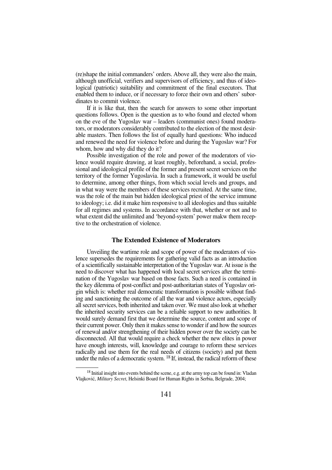(re)shape the initial commanders' orders. Above all, they were also the main, although unofficial, verifiers and supervisors of efficiency, and thus of ideological (patriotic) suitability and commitment of the final executors. That enabled them to induce, or if necessary to force their own and others' subordinates to commit violence.

If it is like that, then the search for answers to some other important questions follows. Open is the question as to who found and elected whom on the eve of the Yugoslav war – leaders (communist ones) found moderators, or moderators considerably contributed to the election of the most desirable masters. Then follows the list of equally hard questions: Who induced and renewed the need for violence before and during the Yugoslav war? For whom, how and why did they do it?

Possible investigation of the role and power of the moderators of violence would require drawing, at least roughly, beforehand, a social, professional and ideological profile of the former and present secret services on the territory of the former Yugoslavia. In such a framework, it would be useful to determine, among other things, from which social levels and groups, and in what way were the members of these services recruited. At the same time, was the role of the main but hidden ideological priest of the service immune to ideology; i.e. did it make him responsive to all ideologies and thus suitable for all regimes and systems. In accordance with that, whether or not and to what extent did the unlimited and 'beyond-system' power makw them receptive to the orchestration of violence.

### **The Extended Existence of Moderators**

Unveiling the wartime role and scope of power of the moderators of violence supersedes the requirements for gathering valid facts as an introduction of a scientifically sustainable interpretation of the Yugoslav war. At issue is the need to discover what has happened with local secret services after the termination of the Yugoslav war based on those facts. Such a need is contained in the key dilemma of post-conflict and post-authoritarian states of Yugoslav origin which is: whether real democratic transformation is possible without finding and sanctioning the outcome of all the war and violence actors, especially all secret services, both inherited and taken over. We must also look at whether the inherited security services can be a reliable support to new authorities. It would surely demand first that we determine the source, content and scope of their current power. Only then it makes sense to wonder if and how the sources of renewal and/or strengthening of their hidden power over the society can be disconnected. All that would require a check whether the new elites in power have enough interests, will, knowledge and courage to reform these services radically and use them for the real needs of citizens (society) and put them under the rules of a democratic system. <sup>18</sup> If, instead, the radical reform of these

<sup>&</sup>lt;sup>18</sup> Initial insight into events behind the scene, e.g. at the army top can be found in: Vladan Vlajković, *Military Secret*, Helsinki Board for Human Rights in Serbia, Belgrade, 2004;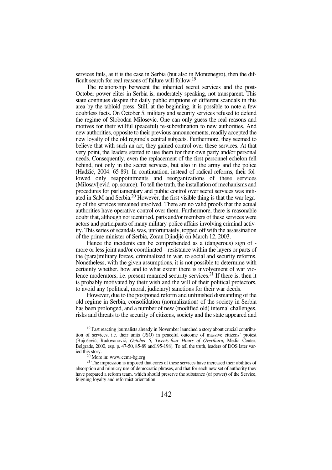services fails, as it is the case in Serbia (but also in Montenegro), then the difficult search for real reasons of failure will follow.19

The relationship betweent the inherited secret services and the post-October power elites in Serbia is, moderately speaking, not transparent. This state continues despite the daily public eruptions of different scandals in this area by the tabloid press. Still, at the beginning, it is possible to note a few doubtless facts. On October 5, military and security services refused to defend the regime of Slobodan Milosevic. One can only guess the real reasons and motives for their willful (peaceful) re-subordination to new authorities. And new authorities, opposite to their previous announcements, readily accepted the new loyalty of the old regime's central subjects. Furthermore, they seemed to believe that with such an act, they gained control over these services. At that very point, the leaders started to use them for their own party and/or personal needs. Consequently, even the replacement of the first personnel echelon fell behind, not only in the secret services, but also in the army and the police (Hadžić, 2004: 65-89). In continuation, instead of radical reforms, their followed only reappointments and reorganizations of these services (Milosavljević, op. source). To tell the truth, the installation of mechanisms and procedures for parliamentary and public control over secret services was initiated in SaM and Serbia.20 However, the first visible thing is that the war legacy of the services remained unsolved. There are no valid proofs that the actual authorities have operative control over them. Furthermore, there is reasonable doubt that, although not identified, parts and/or members of these services were actors and participants of many military-police affairs involving criminal activity. This series of scandals was, unfortunately, topped off with the assassination of the prime minister of Serbia, Zoran Djindjić on March 12, 2003.

Hence the incidents can be comprehended as a (dangerous) sign of more or less joint and/or coordinated – resistance within the layers or parts of the (para)military forces, criminalized in war, to social and security reforms. Nonetheless, with the given assumptions, it is not possible to determine with certainty whether, how and to what extent there is involvement of war violence moderators, i.e. present renamed security services.<sup>21</sup> If there is, then it is probably motivated by their wish and the will of their political protectors, to avoid any (political, moral, judiciary) sanctions for their war deeds.

However, due to the postponed reform and unfinished dismantling of the old regime in Serbia, consolidation (normalization) of the society in Serbia has been prolonged, and a number of new (modified old) internal challenges, risks and threats to the security of citizens, society and the state appeared and

<sup>&</sup>lt;sup>19</sup> Fast reacting journalists already in November launched a story about crucial contribution of services, i.e. their units (JSO) in peaceful outcome of massive citizens' protest (Bujošević, Radovanović, *October 5, Twenty-four Hours of Overthurn,* Media Center, Belgrade, 2000, esp. p. 47-50, 85-89 and195-198). To tell the truth, leaders of DOS later var-

 $^{20}$  More in: www.ccmr-bg.org  $^{21}$  The impression is imposed that cores of these services have increased their abilities of absorption and mimicry use of democratic phrases, and that for each new set of authority they have prepared a reform team, which should preserve the substance (of power) of the Service, feigning loyalty and reformist orientation.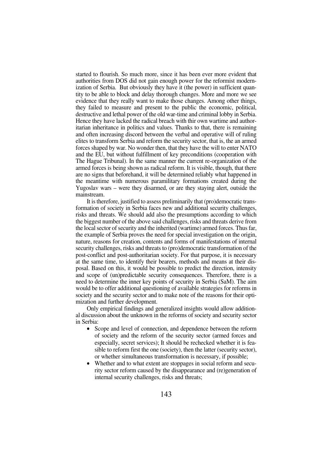started to flourish. So much more, since it has been ever more evident that authorities from DOS did not gain enough power for the reformist modernization of Serbia. But obviously they have it (the power) in sufficient quantity to be able to block and delay thorough changes. More and more we see evidence that they really want to make those changes. Among other things, they failed to measure and present to the public the economic, political, destructive and lethal power of the old war-time and criminal lobby in Serbia. Hence they have lacked the radical breach with thir own wartime and authoritarian inheritance in politics and values. Thanks to that, there is remaining and often increasing discord between the verbal and operative will of ruling elites to transform Serbia and reform the security sector, that is, the an armed forces shaped by war. No wonder then, that they have the will to enter NATO and the EU, but without fulfillment of key preconditions (cooperation with The Hague Tribunal). In the same manner the current re-organization of the armed forces is being shown as radical reform. It is visible, though, that there are no signs that beforehand, it will be determined reliably what happened in the meantime with numerous paramilitary formations created during the Yugoslav wars – were they disarmed, or are they staying alert, outside the mainstream.

It is therefore, justified to assess preliminarily that (pro)democratic transformation of society in Serbia faces new and additional security challenges, risks and threats. We should add also the presumptions according to which the biggest number of the above said challenges, risks and threats derive from the local sector of security and the inherited (wartime) armed forces. Thus far, the example of Serbia proves the need for special investigation on the origin, nature, reasons for creation, contents and forms of manifestations of internal security challenges, risks and threats to (pro)democratic transformation of the post-conflict and post-authoritarian society. For that purpose, it is necessary at the same time, to identify their bearers, methods and means at their disposal. Based on this, it would be possible to predict the direction, intensity and scope of (un)predictable security consequences. Therefore, there is a need to determine the inner key points of security in Serbia (SaM). The aim would be to offer additional questioning of available strategies for reforms in society and the security sector and to make note of the reasons for their optimization and further development.

Only empirical findings and generalized insights would allow additional discussion about the unknown in the reforms of society and security sector in Serbia:

- Scope and level of connection, and dependence between the reform of society and the reform of the security sector (armed forces and especially, secret services); It should be rechecked whether it is feasible to reform first the one (society), then the latter (security sector), or whether simultaneous transformation is necessary, if possible;
- Whether and to what extent are stoppages in social reform and security sector reform caused by the disappearance and (re)generation of internal security challenges, risks and threats;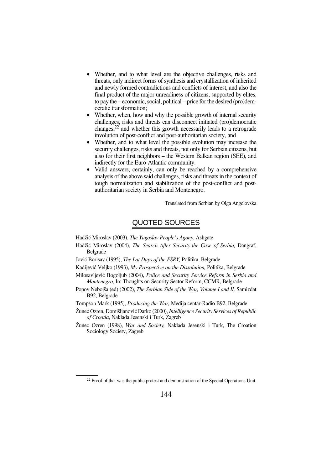- Whether, and to what level are the objective challenges, risks and threats, only indirect forms of synthesis and crystallization of inherited and newly formed contradictions and conflicts of interest, and also the final product of the major unreadiness of citizens, supported by elites, to pay the – economic, social, political – price for the desired (pro)democratic transformation;
- Whether, when, how and why the possible growth of internal security challenges, risks and threats can disconnect initiated (pro)democratic changes, $2^{2}$  and whether this growth necessarily leads to a retrograde involution of post-conflict and post-authoritarian society, and
- Whether, and to what level the possible evolution may increase the security challenges, risks and threats, not only for Serbian citizens, but also for their first neighbors – the Western Balkan region (SEE), and indirectly for the Euro-Atlantic community.
- Valid answers, certainly, can only be reached by a comprehensive analysis of the above said challenges, risks and threats in the context of tough normalization and stabilization of the post-conflict and postauthoritarian society in Serbia and Montenegro.

Translated from Serbian by Olga Angelovska

## QUOTED SOURCES

Hadžić Miroslav (2003), *The Yugoslav People's Agony*, Ashgate

- Hadžić Miroslav (2004), *The Search After Security-the Case of Serbia,* Dangraf, Belgrade
- Jović Borisav (1995), *The Lat Days of the FSRY,* Politika, Belgrade

Kadijević Veljko (1993), *My Prospective on the Dissolution,* Politika, Belgrade

- Milosavljević Bogoljub (2004), *Police and Security Service Reform in Serbia and Montenegro,* In: Thoughts on Security Sector Reform, CCMR, Belgrade
- Popov Nebojša (ed) (2002), *The Serbian Side of the War, Volume I and II,* Samizdat B92, Belgrade
- Tompson Mark (1995), *Producing the War,* Medija centar-Radio B92, Belgrade
- Žunec Ozren, Domišljanović Darko (2000), *Intelligence Security Services of Republic of Croatia*, Naklada Jesenski i Turk, Zagreb
- Žunec Ozren (1998), *War and Society,* Naklada Jesenski i Turk, The Croation Sociology Society, Zagreb

<sup>&</sup>lt;sup>22</sup> Proof of that was the public protest and demonstration of the Special Operations Unit.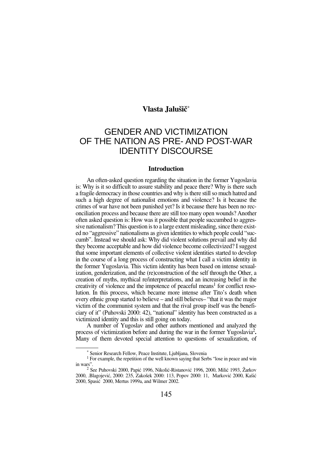## **Vlasta Jalušič**\*

# GENDER AND VICTIMIZATION OF THE NATION AS PRE- AND POST-WAR IDENTITY DISCOURSE

## **Introduction**

An often-asked question regarding the situation in the former Yugoslavia is: Why is it so difficult to assure stability and peace there? Why is there such a fragile democracy in those countries and why is there still so much hatred and such a high degree of nationalist emotions and violence? Is it because the crimes of war have not been punished yet? Is it because there has been no reconciliation process and because there are still too many open wounds? Another often asked question is: How was it possible that people succumbed to aggressive nationalism? This question is to a large extent misleading, since there existed no "aggressive" nationalisms as given identities to which people could "succumb". Instead we should ask: Why did violent solutions prevail and why did they become acceptable and how did violence become collectivized? I suggest that some important elements of collective violent identities started to develop in the course of a long process of constructing what I call a victim identity in the former Yugoslavia. This victim identity has been based on intense sexualization, genderization, and the (re)construction of the self through the Other, a creation of myths, mythical re/interpretations, and an increasing belief in the creativity of violence and the impotence of peaceful means<sup>1</sup> for conflict resolution. In this process, which became more intense after Tito's death when every ethnic group started to believe – and still believes– "that it was the major victim of the communist system and that the rival group itself was the beneficiary of it" (Puhovski 2000: 42), "national" identity has been constructed as a victimized identity and this is still going on today.

A number of Yugoslav and other authors mentioned and analyzed the process of victimization before and during the war in the former Yugoslavia2**.** Many of them devoted special attention to questions of sexualization, of

<sup>\*</sup> Senior Research Fellow, Peace Institute, Ljubljana, Slovenia

<sup>&</sup>lt;sup>1</sup> For example, the repetition of the well known saying that Serbs "lose in peace and win in wars".

<sup>2</sup> See Puhovski 2000, Papić 1996, Nikolić-Ristanović 1996, 2000, Milić 1993, Žarkov 2000, .Blagojević, 2000: 235, Zakošek 2000: 113, Popov 2000: 11, Marković 2000, Kašić 2000, Spasić 2000, Mertus 1999a, and Wilmer 2002.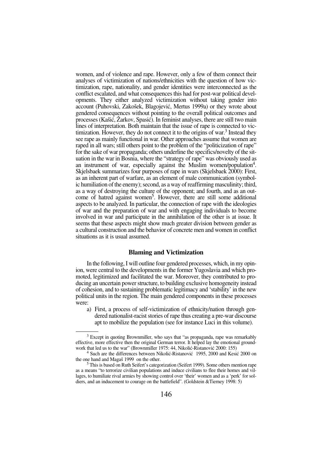women, and of violence and rape. However, only a few of them connect their analyses of victimization of nations/ethnicities with the question of how victimization, rape, nationality, and gender identities were interconnected as the conflict escalated, and what consequences this had for post-war political developments. They either analyzed victimization without taking gender into account (Puhovski, Zakošek, Blagojević, Mertus 1999a) or they wrote about gendered consequences without pointing to the overall political outcomes and processes (Kašić, Žarkov, Spasić). In feminist analyses, there are still two main lines of interpretation. Both maintain that the issue of rape is connected to victimization. However, they do not connect it to the origins of war.3 Instead they see rape as mainly functional in war. Other approaches assume that women are raped in all wars; still others point to the problem of the "politicization of rape" for the sake of war propaganda; others underline the specifics/novelty of the situation in the war in Bosnia, where the "strategy of rape" was obviously used as an instrument of war, especially against the Muslim women/population<sup>4</sup>. Skjelsbaek summarizes four purposes of rape in wars (Skjelsbaek 2000): First, as an inherent part of warfare, as an element of male communication (symbolic humiliation of the enemy); second, as a way of reaffirming masculinity; third, as a way of destroying the culture of the opponent; and fourth, and as an outcome of hatred against women<sup>5</sup>. However, there are still some additional aspects to be analyzed. In particular, the connection of rape with the ideologies of war and the preparation of war and with engaging individuals to become involved in war and participate in the annihilation of the other is at issue. It seems that these aspects might show much greater division between gender as a cultural construction and the behavior of concrete men and women in conflict situations as it is usual assumed.

## **Blaming and Victimization**

In the following, I will outline four gendered processes, which, in my opinion, were central to the developments in the former Yugoslavia and which promoted, legitimized and facilitated the war. Moreover, they contributed to producing an uncertain power structure, to building exclusive homogeneity instead of cohesion, and to sustaining problematic legitimacy and 'stability' in the new political units in the region. The main gendered components in these processes were:

a) First, a process of self-victimization of ethnicity/nation through gendered nationalist-racist stories of rape thus creating a pre-war discourse apt to mobilize the population (see for instance Luci in this volume).

 $3$  Except in quoting Brownmiller, who says that "as propaganda, rape was remarkably effective, more effective then the original German terror. It helped lay the emotional groundwork that led us to the war" (Brownmiller 1975: 44, Nikolić-Ristanović 2000: 155)

<sup>&</sup>lt;sup>4</sup> Such are the differences between Nikolić-Ristanović 1995, 2000 and Kesić 2000 on the one hand and Magaš 1999 on the other.

 $5$  This is based on Ruth Seifert's categorization (Seifert 1999). Some others mention rape as a means "to terrorize civilian populations and induce civilians to flee their homes and villages, to humiliate rival armies by showing control over 'their' women and as a 'perk' for soldiers, and an inducement to courage on the battlefield". (Goldstein &Tierney 1998: 5)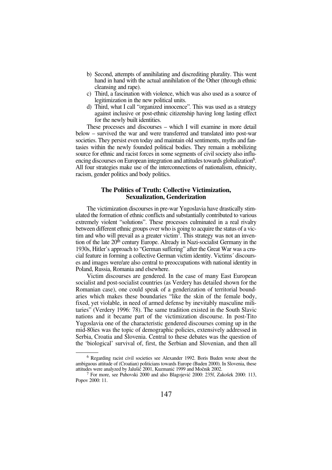- b) Second, attempts of annihilating and discrediting plurality. This went hand in hand with the actual annihilation of the Other (through ethnic cleansing and rape).
- c) Third, a fascination with violence, which was also used as a source of legitimization in the new political units.
- d) Third, what I call "organized innocence"*.* This was used as a strategy against inclusive or post-ethnic citizenship having long lasting effect for the newly built identities.

These processes and discourses – which I will examine in more detail below – survived the war and were transferred and translated into post-war societies. They persist even today and maintain old sentiments, myths and fantasies within the newly founded political bodies. They remain a mobilizing source for ethnic and racist forces in some segments of civil society also influencing discourses on European integration and attitudes towards globalization<sup>6</sup>. All four strategies make use of the interconnections of nationalism, ethnicity, racism, gender politics and body politics.

## **The Politics of Truth: Collective Victimization, Sexualization, Genderization**

The victimization discourses in pre-war Yugoslavia have drastically stimulated the formation of ethnic conflicts and substantially contributed to various extremely violent "solutions". These processes culminated in a real rivalry between different ethnic groups over who is going to acquire the status of a victim and who will prevail as a greater victim7. This strategy was not an invention of the late  $20<sup>th</sup>$  century Europe. Already in Nazi-socialist Germany in the 1930s, Hitler's approach to "German suffering" after the Great War was a crucial feature in forming a collective German victim identity. Victims´ discourses and images were/are also central to preoccupations with national identity in Poland, Russia, Romania and elsewhere.

Victim discourses are gendered. In the case of many East European socialist and post-socialist countries (as Verdery has detailed shown for the Romanian case), one could speak of a genderization of territorial boundaries which makes these boundaries "like the skin of the female body, fixed, yet violable, in need of armed defense by inevitably masculine militaries" (Verdery 1996: 78). The same tradition existed in the South Slavic nations and it became part of the victimization discourse. In post-Tito Yugoslavia one of the characteristic gendered discourses coming up in the mid-80ies was the topic of demographic policies, extensively addressed in Serbia, Croatia and Slovenia. Central to these debates was the question of the 'biological' survival of, first, the Serbian and Slovenian, and then all

<sup>6</sup> Regarding racist civil societies see Alexander 1992. Boris Buden wrote about the ambiguous attitude of (Croatian) politicians towards Europe (Buden 2000). In Slovenia, these attitudes were analyzed by Jalušič 2001, Kuzmanić 1999 and Močnik 2002.

<sup>7</sup> For more, see Puhovski 2000 and also Blagojević 2000: 235f, Zakošek 2000: 113, Popov 2000: 11.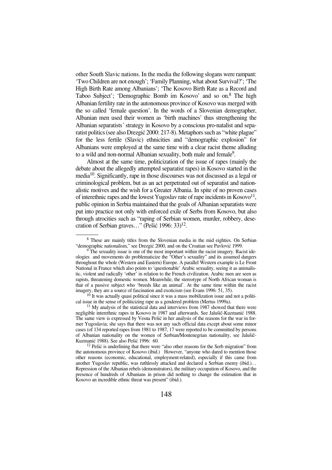other South Slavic nations. In the media the following slogans were rampant: 'Two Children are not enough'; 'Family Planning, what about Survival?'; 'The High Birth Rate among Albanians'; 'The Kosovo Birth Rate as a Record and Taboo Subject'; 'Demographic Bomb im Kosovo' and so on.<sup>8</sup> The high Albanian fertility rate in the autonomous province of Kosovo was merged with the so called 'female question'. In the words of a Slovenian demographer, Albanian men used their women as 'birth machines' thus strengthening the Albanian separatists´ strategy in Kosovo by a conscious pro-natalist and separatist politics (see also Drezgić 2000: 217-8). Metaphors such as "white plague" for the less fertile (Slavic) ethnicities and "demographic explosion" for Albanians were employed at the same time with a clear racist theme alluding to a wild and non-normal Albanian sexuality, both male and female<sup>9</sup>.

Almost at the same time, politicization of the issue of rapes (mainly the debate about the allegedly attempted separatist rapes) in Kosovo started in the media10. Significantly, rape in those discourses was not discussed as a legal or criminological problem, but as an act perpetrated out of separatist and nationalistic motives and the wish for a Greater Albania. In spite of no proven cases of interethnic rapes and the lowest Yugoslav rate of rape incidents in  $Kosovo<sup>11</sup>$ , public opinion in Serbia maintained that the goals of Albanian separatists were put into practice not only with enforced exile of Serbs from Kosovo, but also through atrocities such as "raping of Serbian women, murder, robbery, desecration of Serbian graves..." (Pešić 1996: 33)<sup>12</sup>.

 $\frac{10 \text{ It}}{10 \text{ It}}$  was actually quasi political since it was a mass mobilization issue and not a political issue in the sense of politicizing rape as a gendered problem (Mertus 1999a).

 $11$  My analysis of the statistical data and interviews from 1987 showed that there were negligible interethnic rapes in Kosovo in 1987 and afterwards. See Jalušič-Kuzmanić 1988. The same view is expressed by Vesna Pešić in her analysis of the reasons for the war in former Yugoslavia; she says that there was not any such official data except about some minor cases (of 134 reported rapes from 1981 to 1987, 17 were reported to be committed by persons of Albanian nationality on the women of Serbian/Montenegrian nationality, see Jalušič-Kuzmanić 1988). See also Pešić 1996: 60.

 $12$  Pešić is underlining that there were "also other reasons for the Serb migration" from the autonomous province of Kosovo (ibid.) However, "anyone who dared to mention those other reasons (economic, educational, employment-related), especially if this came from another Yugoslav republic, was ruthlessly attacked and declared a Serbian enemy (ibid.)… Repression of the Albanian rebels (demonstrators), the military occupation of Kosovo, and the presence of hundreds of Albanians in prison did nothing to change the estimation that in Kosovo an incredible ethnic threat was present" (ibid.).

<sup>&</sup>lt;sup>8</sup> These are mainly titles from the Slovenian media in the mid eighties. On Serbian "demographic nationalism," see Drezgić 2000, and on the Croatian see Pavlović 1999.

The sexuality issue is one of the most important within the racist imagery. Racist ideologies and movements do problematicize the "Other's sexuality" and its assumed dangers throughout the whole (Western and Eastern) Europe. A parallel Western example is Le Front National in France which also points to 'questionable' Arabic sexuality, seeing it as animalistic, violent and radically 'other' in relation to the French civilization. Arabic men are seen as rapists, threatening domestic women. Meanwhile, the stereotype of North African woman is that of a passive subject who 'breeds like an animal'. At the same time within the racist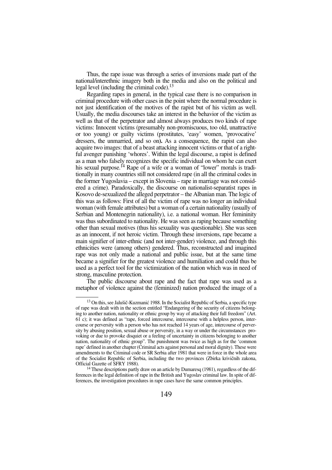Thus, the rape issue was through a series of inversions made part of the national/interethnic imagery both in the media and also on the political and legal level (including the criminal code).13

Regarding rapes in general, in the typical case there is no comparison in criminal procedure with other cases in the point where the normal procedure is not just identification of the motives of the rapist but of his victim as well. Usually, the media discourses take an interest in the behavior of the victim as well as that of the perpetrator and almost always produces two kinds of rape victims: Innocent victims (presumably non-promiscuous, too old, unattractive or too young) or guilty victims (prostitutes, 'easy' women, 'provocative' dressers, the unmarried, and so on**).** As a consequence, the rapist can also acquire two images: that of a beast attacking innocent victims or that of a rightful avenger punishing 'whores'. Within the legal discourse, a rapist is defined as a man who falsely recognizes the specific individual on whom he can exert his sexual purpose.<sup>14</sup> Rape of a wife or a woman of "lower" morals is traditionally in many countries still not considered rape (in all the criminal codes in the former Yugoslavia – except in Slovenia – rape in marriage was not considered a crime). Paradoxically, the discourse on nationalist-separatist rapes in Kosovo de-sexualized the alleged perpetrator – the Albanian man. The logic of this was as follows: First of all the victim of rape was no longer an individual woman (with female attributes) but a woman of a certain nationality (usually of Serbian and Montenegrin nationality), i.e. a national woman. Her femininity was thus subordinated to nationality. He was seen as raping because something other than sexual motives (thus his sexuality was questionable). She was seen as an innocent, if not heroic victim. Through these inversions, rape became a main signifier of inter-ethnic (and not inter-gender) violence, and through this ethnicities were (among others) gendered. Thus, reconstructed and imagined rape was not only made a national and public issue, but at the same time became a signifier for the greatest violence and humiliation and could thus be used as a perfect tool for the victimization of the nation which was in need of strong, masculine protection.

The public discourse about rape and the fact that rape was used as a metaphor of violence against the (feminized) nation produced the image of a

<sup>13</sup> On this, see Jalušič-Kuzmanić 1988. In the Socialist Republic of Serbia, a specific type of rape was dealt with in the section entitled "Endangering of the security of citizens belonging to another nation, nationality or ethnic group by way of attacking their full freedom" (Art. 61 c); it was defined as "rape, forced intercourse, intercourse with a helpless person, intercourse or perversity with a person who has not reached 14 years of age, intercourse of perversity by abusing position, sexual abuse or perversity, in a way or under the circumstances provoking or due to provoke disquiet or a feeling of uncertainty in citizens belonging to another nation, nationality of ethnic group". The punishment was twice as high as for the 'common rape' defined in another chapter (Criminal acts against personal and moral dignity). These were amendments to the Criminal code or SR Serbia after 1981 that were in force in the whole area of the Socialist Republic of Serbia, including the two provinces (Zbirka krivičnih zakona, Official Gazette of SFRY 1988).

<sup>&</sup>lt;sup>14</sup> These descriptions partly draw on an article by Dumaresq (1981), regardless of the differences in the legal definition of rape in the British and Yugoslav criminal law. In spite of differences, the investigation procedures in rape cases have the same common principles.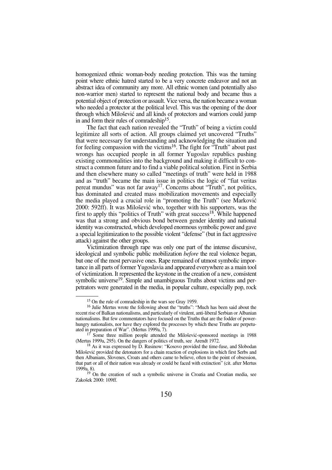homogenized ethnic woman-body needing protection. This was the turning point where ethnic hatred started to be a very concrete endeavor and not an abstract idea of community any more. All ethnic women (and potentially also non-warrior men) started to represent the national body and became thus a potential object of protection or assault. Vice versa, the nation became a woman who needed a protector at the political level. This was the opening of the door through which Milošević and all kinds of protectors and warriors could jump in and form their rules of comradeship<sup>15</sup>.

The fact that each nation revealed the "Truth" of being a victim could legitimize all sorts of action. All groups claimed yet uncovered "Truths" that were necessary for understanding and acknowledging the situation and for feeling compassion with the victims<sup>16</sup>. The fight for "Truth" about past wrongs has occupied people in all former Yugoslav republics pushing existing commonalities into the background and making it difficult to construct a common future and to find a viable political solution. First in Serbia and then elsewhere many so called "meetings of truth" were held in 1988 and as "truth" became the main issue in politics the logic of "fiat veritas pereat mundus" was not far away17. Concerns about "Truth", not politics, has dominated and created mass mobilization movements and especially the media played a crucial role in "promoting the Truth" (see Marković 2000: 592ff). It was Milošević who, together with his supporters, was the first to apply this "politics of Truth" with great success<sup>18</sup>. While happened was that a strong and obvious bond between gender identity and national identity was constructed, which developed enormous symbolic power and gave a special legitimization to the possible violent "defense" (but in fact aggressive attack) against the other groups.

Victimization through rape was only one part of the intense discursive, ideological and symbolic public mobilization *before* the real violence began, but one of the most pervasive ones. Rape remained of utmost symbolic importance in all parts of former Yugoslavia and appeared everywhere as a main tool of victimization. It represented the keystone in the creation of a new, consistent symbolic universe<sup>19</sup>. Simple and unambiguous Truths about victims and perpetrators were generated in the media, in popular culture, especially pop, rock

<sup>&</sup>lt;sup>15</sup> On the rule of comradeship in the wars see Gray 1959.<br><sup>16</sup> Julie Mertus wrote the following about the "truths": "Much has been said about the recent rise of Balkan nationalisms, and particularly of virulent, anti-liberal Serbian or Albanian nationalisms. But few commentators have focused on the Truths that are the fodder of powerhungry nationalists, nor have they explored the processes by which these Truths are perpetu-

ated in preparation of War". (Mertus 1999a, 7).<br>
<sup>17</sup> Some three million people attended the Milošević-sponsored meetings in 1988<br>
(Mertus 1999a, 295). On the dangers of politics of truth, see Arendt 1972.

 $^{18}$  As it was expressed by D. Rusinow: "Kosovo provided the time-fuse, and Slobodan Milošević provided the detonators for a chain reaction of explosions in which first Serbs and then Albanians, Slovenes, Croats and others came to believe, often to the point of obsession, that part or all of their nation was already or could be faced with extinction" (cit. after Mertus 1999a, 8).

 $19$  On the creation of such a symbolic universe in Croatia and Croatian media, see Zakošek 2000: 109ff.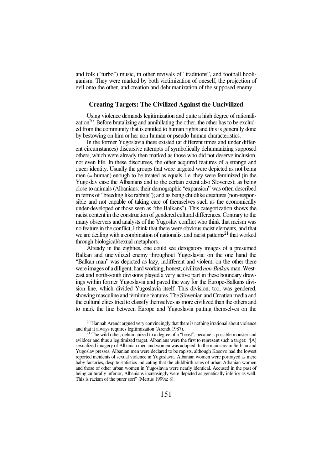and folk ("turbo") music, in other revivals of "traditions", and football hooliganism. They were marked by both victimization of oneself, the projection of evil onto the other, and creation and dehumanization of the supposed enemy.

### **Creating Targets: The Civilized Against the Uncivilized**

Using violence demands legitimization and quite a high degree of rationalization<sup>20</sup>. Before brutalizing and annihilating the other, the other has to be excluded from the community that is entitled to human rights and this is generally done by bestowing on him or her non-human or pseudo-human characteristics.

In the former Yugoslavia there existed (at different times and under different circumstances) discursive attempts of symbolically dehumanizing supposed others, which were already then marked as those who did not deserve inclusion, not even life. In these discourses, the other acquired features of a strange and queer identity. Usually the groups that were targeted were depicted as not being men (= human) enough to be treated as equals, i.e. they were feminized (in the Yugoslav case the Albanians and to the certain extent also Slovenes); as being close to animals (Albanians: their demographic "expansion" was often described in terms of "breeding like rabbits"); and as being childlike creatures (non-responsible and not capable of taking care of themselves such as the economically under-developed or those seen as "the Balkans"). This categorization shows the racist content in the construction of gendered cultural differences. Contrary to the many observers and analysts of the Yugoslav conflict who think that racism was no feature in the conflict, I think that there were obvious racist elements, and that we are dealing with a combination of nationalist and racist patterns<sup>21</sup> that worked through biological/sexual metaphors.

Already in the eighties, one could see derogatory images of a presumed Balkan and uncivilized enemy throughout Yugoslavia: on the one hand the "Balkan man" was depicted as lazy, indifferent and violent; on the other there were images of a diligent, hard working, honest, civilized *non-Balkan*man. Westeast and north-south divisions played a very active part in these boundary drawings within former Yugoslavia and paved the way for the Europe-Balkans division line, which divided Yugoslavia itself. This division, too, was gendered, showing masculine and feminine features. The Slovenian and Croatian media and the cultural elites tried to classify themselves as more civilized than the others and to mark the line between Europe and Yugoslavia putting themselves on the

 $^{20}$  Hannah Arendt argued very convincingly that there is nothing irrational about violence and that it always requires legitimization (Arendt 1987).

<sup>&</sup>lt;sup>21</sup> The wild other, dehumanized to a degree of a "beast", became a possible monster and evildoer and thus a legitimized target. Albanians were the first to represent such a target: "[A] sexualized imagery of Albanian men and women was adopted. In the mainstream Serbian and Yugoslav presses, Albanian men were declared to be rapists, although Kosovo had the lowest reported incidents of sexual violence in Yugoslavia. Albanian women were portrayed as mere baby factories, despite statistics indicating that the childbirth rates of urban Albanian women and those of other urban women in Yugoslavia were nearly identical. Accused in the past of being culturally inferior, Albanians increasingly were depicted as genetically inferior as well. This is racism of the purer sort" (Mertus 1999a: 8).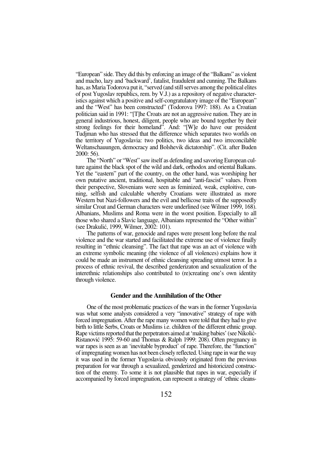"European" side. They did this by enforcing an image of the "Balkans" as violent and macho, lazy and 'backward', fatalist, fraudulent and cunning. The Balkans has, as Maria Todorova put it, "served (and still serves among the political elites of post Yugoslav republics, rem. by V.J.) as a repository of negative characteristics against which a positive and self-congratulatory image of the "European" and the "West" has been constructed" (Todorova 1997: 188). As a Croatian politician said in 1991: "[T]he Croats are not an aggressive nation. They are in general industrious, honest, diligent, people who are bound together by their strong feelings for their homeland". And: "[W]e do have our president Tudjman who has stressed that the difference which separates two worlds on the territory of Yugoslavia: two politics, two ideas and two irreconcilable Weltanschauungen, democracy and Bolshevik dictatorship". (Cit. after Buden 2000: 56).

The "North" or "West" saw itself as defending and savoring European culture against the black spot of the wild and dark, orthodox and oriental Balkans. Yet the "eastern" part of the country, on the other hand, was worshiping her own putative ancient, traditional, hospitable and "anti-fascist" values. From their perspective, Slovenians were seen as feminized, weak, exploitive, cunning, selfish and calculable whereby Croatians were illustrated as more Western but Nazi-followers and the evil and bellicose traits of the supposedly similar Croat and German characters were underlined (see Wilmer 1999, 168). Albanians, Muslims and Roma were in the worst position. Especially to all those who shared a Slavic language, Albanians represented the "Other within" (see Drakulić, 1999, Wilmer, 2002: 101).

The patterns of war, genocide and rapes were present long before the real violence and the war started and facilitated the extreme use of violence finally resulting in "ethnic cleansing". The fact that rape was an act of violence with an extreme symbolic meaning (the violence of all violences) explains how it could be made an instrument of ethnic cleansing spreading utmost terror. In a process of ethnic revival, the described genderizaton and sexualization of the interethnic relationships also contributed to (re)creating one's own identity through violence.

#### **Gender and the Annihilation of the Other**

One of the most problematic practices of the wars in the former Yugoslavia was what some analysts considered a very "innovative" strategy of rape with forced impregnation. After the rape many women were told that they had to give birth to little Serbs, Croats or Muslims i.e. children of the different ethnic group. Rape victims reported that the perpetrators aimed at 'making babies' (see Nikolić-Ristanović 1995: 59-60 and Thomas & Ralph 1999: 208). Often pregnancy in war rapes is seen as an 'inevitable byproduct' of rape. Therefore, the "function" of impregnating women has not been closely reflected. Using rape in war the way it was used in the former Yugoslavia obviously originated from the previous preparation for war through a sexualized, genderized and historicized construction of the enemy. To some it is not plausible that rapes in war, especially if accompanied by forced impregnation, can represent a strategy of 'ethnic cleans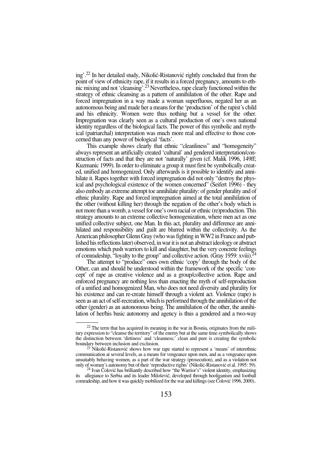ing'.22 In her detailed study, Nikolić-Ristanović rightly concluded that from the point of view of ethnicity rape, if it results in a forced pregnancy, amounts to ethnic mixing and not 'cleansing'.<sup>23</sup> Nevertheless, rape clearly functioned within the strategy of ethnic cleansing as a pattern of annihilation of the other. Rape and forced impregnation in a way made a woman superfluous, negated her as an autonomous being and made her a means for the 'production' of the rapist´s child and his ethnicity. Women were thus nothing but a vessel for the other. Impregnation was clearly seen as a cultural production of one's own national identity regardless of the biological facts. The power of this symbolic and mythical (patriarchal) interpretation was much more real and effective to those concerned than any power of biological 'facts'.

This example shows clearly that ethnic "cleanliness" and "homogeneity" always represent an artificially created 'cultural' and gendered interpretation/construction of facts and that they are not 'naturally' given (cf. Malik 1996, 149ff; Kuzmanic 1999). In order to eliminate a group it must first be symbolically created, unified and homogenized. Only afterwards is it possible to identify and annihilate it. Rapes together with forced impregnation did not only "destroy the physical and psychological existence of the women concerned" (Seifert 1996) - they also embody an extreme attempt toe annihilate plurality: of gender plurality and of ethnic plurality. Rape and forced impregnation aimed at the total annihilation of the other (without killing her) through the negation of the other's body which is not more than a womb, a vessel for one's own racial or ethnic (re)production. This strategy amounts to an extreme collective homogenization, where men act as one unified collective subject, one Man. In this act, plurality and difference are annihilated and responsibility and guilt are blurred within the collectivity. As the American philosopher Glenn Gray (who was fighting in WW2 in France and published his reflections later) observed, in war it is not an abstract ideology or abstract emotions which push warriors to kill and slaughter, but the very concrete feelings of comradeship, "loyalty to the group" and collective action. (Gray 1959: xviii).<sup>24</sup>

The attempt to "produce" ones own ethnic 'copy' through the body of the Other, can and should be understood within the framework of the specific 'concept' of rape as creative violence and as a group/collective action. Rape and enforced pregnancy are nothing less than enacting the myth of self-reproduction of a unified and homogenized Man, who does not need diversity and plurality for his existence and can re-create himself through a violent act. Violence (rape) is seen as an act of self-recreation, which is performed through the annihilation of the other (gender) as an autonomous being. The annihilation of the other, the annihilation of her/his basic autonomy and agency is thus a gendered and a two-way

<sup>&</sup>lt;sup>22</sup> The term that has acquired its meaning in the war in Bosnia, originates from the military expression to "cleanse the territory" of the enemy but at the same time symbolically shows the distinction between 'dirtiness' and 'cleanness;' clean and pure is creating the symbolic

 $^{23}$  Nikolić-Ristanović shows how war rape started to represent a 'means' of interethnic communication at several levels, as a means for vengeance upon men, and as a vengeance upon unsuitably behaving women, as a part of the war strategy (prosecution), and as a violation not only of women's autonomy but of their 'reproductive rights' (Nikolić-Ristanović et al. 1995: 59).

 $^{24}$  Ivan Čolović has brilliantly described how "the Warrior's" violent identity, emphasizing its allegiance to Serbia and its leader Miloševič, developed through hooliganism and football comradeship, and how it was quickly mobilized for the war and killings (see Čolović 1996, 2000)..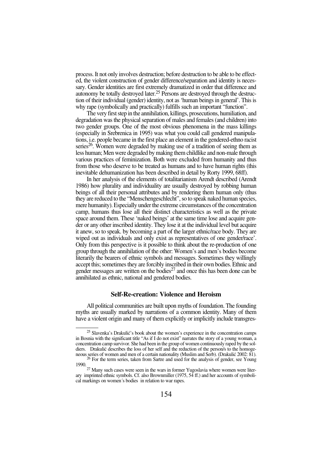process. It not only involves destruction; before destruction to be able to be effected, the violent construction of gender difference/separation and identity is necessary. Gender identities are first extremely dramatized in order that difference and autonomy be totally destroyed later.<sup>25</sup> Persons are destroyed through the destruction of their individual (gender) identity, not as 'human beings in general'. This is why rape (symbolically and practically) fulfills such an important "function".

The very first step in the annihilation, killings, prosecutions, humiliation, and degradation was the physical separation of males and females (and children) into two gender groups. One of the most obvious phenomena in the mass killings (especially in Srebrenica in 1995) was what you could call gendered manipulations, i.e. people became in the first place an element in the gendered-ethno racist series<sup>26</sup>. Women were degraded by making use of a tradition of seeing them as less human; Men were degraded by making them childlike and non-male through various practices of feminization. Both were excluded from humanity and thus from those who deserve to be treated as humans and to have human rights (this inevitable dehumanization has been described in detail by Rorty 1999, 68ff).

In her analysis of the elements of totalitarianism Arendt described (Arendt 1986) how plurality and individuality are usually destroyed by robbing human beings of all their personal attributes and by rendering them human only (thus they are reduced to the "Menschengeschlecht", so to speak naked human species, mere humanity). Especially under the extreme circumstances of the concentration camp, humans thus lose all their distinct characteristics as well as the private space around them. These 'naked beings' at the same time lose and acquire gender or any other inscribed identity. They lose it at the individual level but acquire it anew, so to speak. by becoming a part of the larger ethnic/race body. They are wiped out as individuals and only exist as representatives of one gender/race'. Only from this perspective is it possible to think about the re-production of one group through the annihilation of the other: Women's and men's bodies become literarily the bearers of ethnic symbols and messages. Sometimes they willingly accept this; sometimes they are forcibly inscribed in their own bodies. Ethnic and gender messages are written on the bodies<sup>27</sup> and once this has been done can be annihilated as ethnic, national and gendered bodies.

#### **Self-Re-creation: Violence and Heroism**

All political communities are built upon myths of foundation. The founding myths are usually marked by narrations of a common identity. Many of them have a violent origin and many of them explicitly or implicitly include transgres-

<sup>25</sup> Slavenka's Drakulić's book about the women's experience in the concentration camps in Bosnia with the significant title "As if I do not exist" narrates the story of a young woman, a concentration camp survivor. She had been in the group of women continuously raped by the soldiers. Drakulić describes the loss of her self and the reduction of the person/s to the homogeneous series of women and men of a certain nationality (Muslim and Serb). (Drakulić 2002: 81). <sup>26</sup> For the term series, taken from Sartre and used for the analysis of gender, see Young

<sup>1990.</sup>

<sup>&</sup>lt;sup>27</sup> Many such cases were seen in the wars in former Yugoslavia where women were literary imprinted ethnic symbols. Cf. also Brownmiller (1975, 54 ff.) and her accounts of symbolical markings on women´s bodies in relation to war rapes.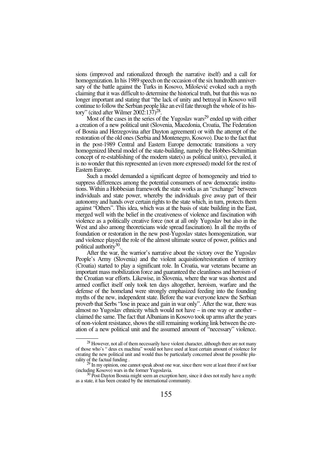sions (improved and rationalized through the narrative itself) and a call for homogenization. In his 1989 speech on the occasion of the six hundredth anniversary of the battle against the Turks in Kosovo, Milošević evoked such a myth claiming that it was difficult to determine the historical truth, but that this was no longer important and stating that "the lack of unity and betrayal in Kosovo will continue to follow the Serbian people like an evil fate through the whole of its his-<br>tory" (cited after Wilmer  $2002:137$ )<sup>28</sup>.

Most of the cases in the series of the Yugoslav wars<sup>29</sup> ended up with either a creation of a new political unit (Slovenia, Macedonia, Croatia, The Federation of Bosnia and Herzegovina after Dayton agreement) or with the attempt of the restoration of the old ones (Serbia and Montenegro, Kosovo). Due to the fact that in the post-1989 Central and Eastern Europe democratic transitions a very homogenized liberal model of the state-building, namely the Hobbes-Schmittian concept of re-establishing of the modern state( $\overline{s}$ ) as political unit( $\overline{s}$ ), prevailed, it is no wonder that this represented an (even more expressed) model for the rest of Eastern Europe.

Such a model demanded a significant degree of homogeneity and tried to suppress differences among the potential consumers of new democratic institutions. Within a Hobbesian framework the state works as an "exchange" between individuals and state power, whereby the individuals give away part of their autonomy and hands over certain rights to the state which, in turn, protects them against "Others". This idea, which was at the basis of state building in the East, merged well with the belief in the creativeness of violence and fascination with violence as a politically creative force (not at all only Yugoslav but also in the West and also among theoreticians wide spread fascination). In all the myths of foundation or restoration in the new post-Yugoslav states homogenization, war and violence played the role of the almost ultimate source of power, politics and political authority $30$ .

After the war, the warrior's narrative about the victory over the Yugoslav People's Army (Slovenia) and the violent acquisition/restoration of territory (Croatia) started to play a significant role. In Croatia, war veterans became an important mass mobilization force and guaranteed the cleanliness and heroism of the Croatian war efforts. Likewise, in Slovenia, where the war was shortest and armed conflict itself only took ten days altogether, heroism, warfare and the defense of the homeland were strongly emphasized feeding into the founding myths of the new, independent state. Before the war everyone knew the Serbian proverb that Serbs "lose in peace and gain in war only". After the war, there was almost no Yugoslav ethnicity which would not have – in one way or another – claimed the same. The fact that Albanians in Kosovo took up arms after the years of non-violent resistance, shows the still remaining working link between the creation of a new political unit and the assumed amount of "necessary" violence.

 $28$  However, not all of them necessarily have violent character, although there are not many of those who's " deus ex machina" would not have used at least certain amount of violence for creating the new political unit and would thus be particularly concerned about the possible plurality of the factual funding .<br><sup>29</sup> In my opinion, one cannot speak about one war, since there were at least three if not four

<sup>(</sup>including Kosovo) wars in the former Yugoslavia. 30 Post-Dayton Bosnia might seem an exception here, since it does not really have a myth:

as a state, it has been created by the international community.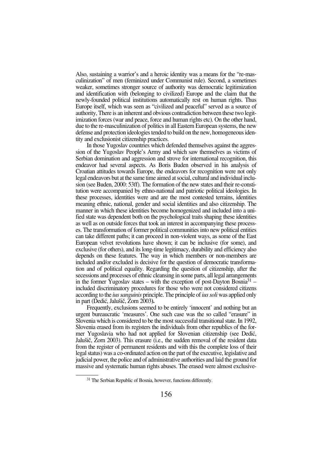Also, sustaining a warrior's and a heroic identity was a means for the "re-masculinization" of men (feminized under Communist rule). Second, a sometimes weaker, sometimes stronger source of authority was democratic legitimization and identification with (belonging to civilized) Europe and the claim that the newly-founded political institutions automatically rest on human rights. Thus Europe itself, which was seen as "civilized and peaceful" served as a source of authority, There is an inherent and obvious contradiction between these two legitimization forces (war and peace, force and human rights etc). On the other hand, due to the re-masculinization of politics in all Eastern European systems, the new defense and protection ideologies tended to build on the new, homogeneous identity and exclusionist citizenship practices.

In those Yugoslav countries which defended themselves against the aggression of the Yugoslav People's Army and which saw themselves as victims of Serbian domination and aggression and strove for international recognition, this endeavor had several aspects. As Boris Buden observed in his analysis of Croatian attitudes towards Europe, the endeavors for recognition were not only legal endeavors but at the same time aimed at social, cultural and individual inclusion (see Buden, 2000: 53ff). The formation of the new states and their re-constitution were accompanied by ethno-national and patriotic political ideologies. In these processes, identities were and are the most contested terrains, identities meaning ethnic, national, gender and social identities and also citizenship. The manner in which these identities become homogenized and included into a unified state was dependent both on the psychological traits shaping these identities as well as on outside forces that took an interest in accompanying these processes. The transformation of former political communities into new political entities can take different paths; it can proceed in non-violent ways, as some of the East European velvet revolutions have shown; it can be inclusive (for some), and exclusive (for others), and its long-time legitimacy, durability and efficiency also depends on these features. The way in which members or non-members are included and/or excluded is decisive for the question of democratic transformation and of political equality. Regarding the question of citizenship, after the secessions and processes of ethnic cleansing in some parts, all legal arrangements in the former Yugoslav states – with the exception of post-Dayton Bosnia<sup>31</sup> – included discriminatory procedures for those who were not considered citizens according to the *ius sanguinis* principle. The principle of *ius soli* was applied only in part (Dedić, Jalušič, Zorn 2003**).**

Frequently, exclusions seemed to be entirely 'innocent' and nothing but an urgent bureaucratic 'measures'. One such case was the so called "erasure" in Slovenia which is considered to be the most successful transitional state. In 1992, Slovenia erased from its registers the individuals from other republics of the former Yugoslavia who had not applied for Slovenian citizenship (see Dedić, Jalušič, Zorn 2003). This erasure (i.e., the sudden removal of the resident data from the register of permanent residents and with this the complete loss of their legal status) was a co-ordinated action on the part of the executive, legislative and judicial power, the police and of administrative authorities and laid the ground for massive and systematic human rights abuses. The erased were almost exclusive-

<sup>&</sup>lt;sup>31</sup> The Serbian Republic of Bosnia, however, functions differently.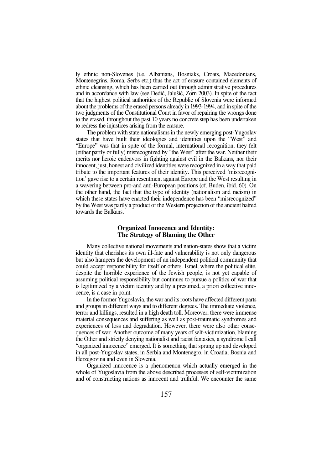ly ethnic non-Slovenes (i.e. Albanians, Bosniaks, Croats, Macedonians, Montenegrins, Roma, Serbs etc.) thus the act of erasure contained elements of ethnic cleansing, which has been carried out through administrative procedures and in accordance with law (see Dedić, Jalušič, Zorn 2003). In spite of the fact that the highest political authorities of the Republic of Slovenia were informed about the problems of the erased persons already in 1993-1994, and in spite of the two judgments of the Constitutional Court in favor of repairing the wrongs done to the erased, throughout the past 10 years no concrete step has been undertaken to redress the injustices arising from the erasure.

The problem with state nationalisms in the newly emerging post-Yugoslav states that have built their ideologies and identities upon the "West" and "Europe" was that in spite of the formal, international recognition, they felt (either partly or fully) misrecognized by "the West" after the war. Neither their merits nor heroic endeavors in fighting against evil in the Balkans, nor their innocent, just, honest and civilized identities were recognized in a way that paid tribute to the important features of their identity. This perceived 'misrecognition' gave rise to a certain resentment against Europe and the West resulting in a wavering between pro-and anti-European positions (cf. Buden, ibid. 60). On the other hand, the fact that the type of identity (nationalism and racism) in which these states have enacted their independence has been "misrecognized" by the West was partly a product of the Western projection of the ancient hatred towards the Balkans.

## **Organized Innocence and Identity: The Strategy of Blaming the Other**

Many collective national movements and nation-states show that a victim identity that cherishes its own ill-fate and vulnerability is not only dangerous but also hampers the development of an independent political community that could accept responsibility for itself or others. Israel, where the political elite, despite the horrible experience of the Jewish people, is not yet capable of assuming political responsibility but continues to pursue a politics of war that is legitimized by a victim identity and by a presumed, a priori collective innocence, is a case in point.

In the former Yugoslavia, the war and its roots have affected different parts and groups in different ways and to different degrees. The immediate violence, terror and killings, resulted in a high death toll. Moreover, there were immense material consequences and suffering as well as post-traumatic syndromes and experiences of loss and degradation. However, there were also other consequences of war. Another outcome of many years of self-victimization, blaming the Other and strictly denying nationalist and racist fantasies, a syndrome I call "organized innocence" emerged. It is something that sprung up and developed in all post-Yugoslav states, in Serbia and Montenegro, in Croatia, Bosnia and Herzegovina and even in Slovenia.

Organized innocence is a phenomenon which actually emerged in the whole of Yugoslavia from the above described processes of self-victimization and of constructing nations as innocent and truthful. We encounter the same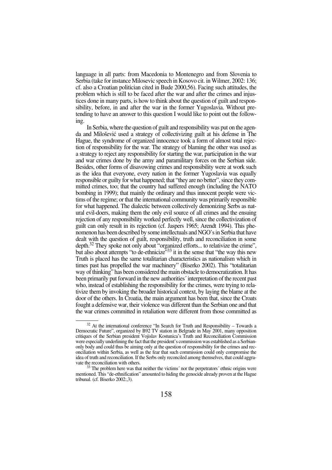language in all parts: from Macedonia to Montenegro and from Slovenia to Serbia (take for instance Milosevic speech in Kosovo cit. in Wilmer, 2002: 136; cf. also a Croatian politician cited in Bude 2000,56). Facing such attitudes, the problem which is still to be faced after the war and after the crimes and injustices done in many parts, is how to think about the question of guilt and responsibility, before, in and after the war in the former Yugoslavia. Without pretending to have an answer to this question I would like to point out the following.

In Serbia, where the question of guilt and responsibility was put on the agenda and Milošević used a strategy of collectivizing guilt at his defense in The Hague, the syndrome of organized innocence took a form of almost total rejection of responsibility for the war. The strategy of blaming the other was used as a strategy to reject any responsibility for starting the war, participation in the war and war crimes done by the army and paramilitary forces on the Serbian side. Besides, other forms of disavowing crimes and responsibility were at work such as the idea that everyone, every nation in the former Yugoslavia was equally responsible or guilty for what happened; that "they are no better", since they committed crimes, too; that the country had suffered enough (including the NATO bombing in 1999); that mainly the ordinary and thus innocent people were victims of the regime; or that the international community was primarily responsible for what happened. The dialectic between collectively demonizing Serbs as natural evil-doers, making them the only evil source of all crimes and the ensuing rejection of any responsibility worked perfectly well, since the collectivization of guilt can only result in its rejection (cf. Jaspers 1965; Arendt 1994). This phenomenon has been described by some intellectuals and NGO's in Serbia that have dealt with the question of guilt, responsibility, truth and reconciliation in some depth.<sup>32</sup> They spoke not only about "organized efforts... to relativize the crime", but also about attempts "to de-ethnicize" $33$  it in the sense that "the way this new Truth is placed has the same totalitarian characteristics as nationalism which in times past has propelled the war machinery" (Biserko 2002). This "totalitarian way of thinking" has been considered the main obstacle to democratization. It has been primarily put forward in the new authorities´ interpretation of the recent past who, instead of establishing the responsibility for the crimes, were trying to relativize them by invoking the broader historical context, by laying the blame at the door of the others. In Croatia, the main argument has been that, since the Croats fought a defensive war, their violence was different than the Serbian one and that the war crimes committed in retaliation were different from those committed as

 $32$  At the international conference "In Search for Truth and Responsibility – Towards a Democratic Future", organized by B92 TV station in Belgrade in May 2001, many opposition critiques of the Serbian president Vojislav Kostunica's Truth and Reconciliation Commission were especially underlining the fact that the president's commission was established as a Serbianonly body and could thus be aiming only at the question of responsibility for the crimes and reconciliation within Serbia, as well as the fear that such commission could only compromise the idea of truth and reconciliation. If the Serbs only reconciled among themselves, that could aggravate the reconciliation with others.

 $33$  The problem here was that neither the victims' nor the perpetrators' ethnic origins were mentioned. This "de-ethnification" amounted to hiding the genocide already proven at the Hague tribunal. (cf. Biserko 2002:,3).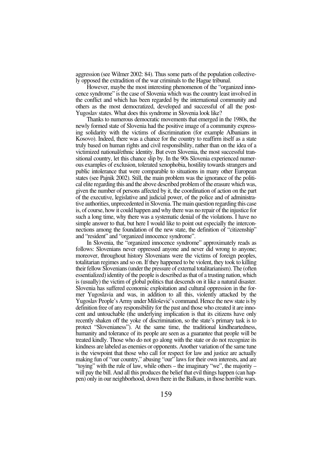aggression (see Wilmer 2002: 84). Thus some parts of the population collectively opposed the extradition of the war criminals to the Hague tribunal.

However, maybe the most interesting phenomenon of the "organized innocence syndrome" is the case of Slovenia which was the country least involved in the conflict and which has been regarded by the international community and others as the most democratized, developed and successful of all the post-Yugoslav states. What does this syndrome in Slovenia look like?

Thanks to numerous democratic movements that emerged in the 1980s, the newly formed state of Slovenia had the positive image of a community expressing solidarity with the victims of discrimination (for example Albanians in Kosovo). Indeed, there was a chance for the country to reaffirm itself as a state truly based on human rights and civil responsibility, rather than on the idea of a victimized national/ethnic identity. But even Slovenia, the most successful transitional country, let this chance slip by. In the 90s Slovenia experienced numerous examples of exclusion, tolerated xenophobia, hostility towards strangers and public intolerance that were comparable to situations in many other European states (see Pajnik 2002). Still, the main problem was the ignorance of the political elite regarding this and the above described problem of the erasure which was, given the number of persons affected by it, the coordination of action on the part of the executive, legislative and judicial power, of the police and of administrative authorities, unprecedented in Slovenia. The main question regarding this case is, of course, how it could happen and why there was no repair of the injustice for such a long time, why there was a systematic denial of the violations. I have no simple answer to that, but here I would like to point out especially the interconnections among the foundation of the new state, the definition of "citizenship" and "resident" and "organized innocence syndrome".

In Slovenia, the "organized innocence syndrome" approximately reads as follows: Slovenians never oppressed anyone and never did wrong to anyone; moreover, throughout history Slovenians were the victims of foreign peoples, totalitarian regimes and so on. If they happened to be violent, they took to killing their fellow Slovenians (under the pressure of external totalitarianism). The (often essentialized) identity of the people is described as that of a trusting nation, which is (usually) the victim of global politics that descends on it like a natural disaster. Slovenia has suffered economic exploitation and cultural oppression in the former Yugoslavia and was, in addition to all this, violently attacked by the Yugoslav People's Army under Milošević's command. Hence the new state is by definition free of any responsibility for the past and those who created it are innocent and untouchable (the underlying implication is that its citizens have only recently shaken off the yoke of discrimination, so the state's primary task is to protect "Slovenianess"). At the same time, the traditional kindheartedness, humanity and tolerance of its people are seen as a guarantee that people will be treated kindly. Those who do not go along with the state or do not recognize its kindness are labeled as enemies or opponents. Another variation of the same tune is the viewpoint that those who call for respect for law and justice are actually making fun of "our country," abusing "our" laws for their own interests, and are "toying" with the rule of law, while others – the imaginary "we", the majority – will pay the bill. And all this produces the belief that evil things happen (can happen) only in our neighborhood, down there in the Balkans, in those horrible wars.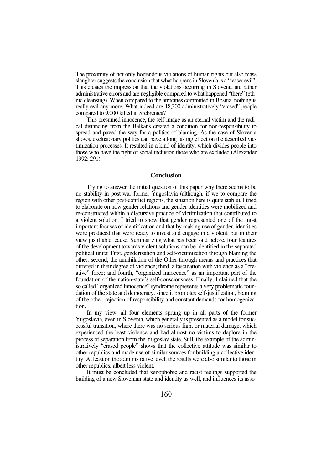The proximity of not only horrendous violations of human rights but also mass slaughter suggests the conclusion that what happens in Slovenia is a "lesser evil". This creates the impression that the violations occurring in Slovenia are rather administrative errors and are negligible compared to what happened "there" (ethnic cleansing). When compared to the atrocities committed in Bosnia, nothing is really evil any more. What indeed are 18,300 administratively "erased" people compared to 9,000 killed in Srebrenica?

This presumed innocence, the self-image as an eternal victim and the radical distancing from the Balkans created a condition for non-responsibility to spread and paved the way for a politics of blaming. As the case of Slovenia shows, exclusionary politics can have a long lasting effect on the described victimization processes. It resulted in a kind of identity, which divides people into those who have the right of social inclusion those who are excluded (Alexander 1992: 291).

#### **Conclusion**

Trying to answer the initial question of this paper why there seems to be no stability in post-war former Yugoslavia (although, if we to compare the region with other post-conflict regions, the situation here is quite stable), I tried to elaborate on how gender relations and gender identities were mobilized and re-constructed within a discursive practice of victimization that contributed to a violent solution. I tried to show that gender represented one of the most important focuses of identification and that by making use of gender, identities were produced that were ready to invest and engage in a violent, but in their view justifiable, cause. Summarizing what has been said before, four features of the development towards violent solutions can be identified in the separated political units: First, genderization and self-victimization through blaming the other: second, the annihilation of the Other through means and practices that differed in their degree of violence; third, a fascination with violence as a "creative" force; and fourth, "organized innocence" as an important part of the foundation of the nation-state's self-consciousness. Finally, I claimed that the so called "organized innocence" syndrome represents a very problematic foundation of the state and democracy, since it promotes self-justification, blaming of the other, rejection of responsibility and constant demands for homogenization.

In my view, all four elements sprung up in all parts of the former Yugoslavia, even in Slovenia, which generally is presented as a model for successful transition, where there was no serious fight or material damage, which experienced the least violence and had almost no victims to deplore in the process of separation from the Yugoslav state. Still, the example of the administratively "erased people" shows that the collective attitude was similar to other republics and made use of similar sources for building a collective identity. At least on the administrative level, the results were also similar to those in other republics, albeit less violent.

It must be concluded that xenophobic and racist feelings supported the building of a new Slovenian state and identity as well, and influences its asso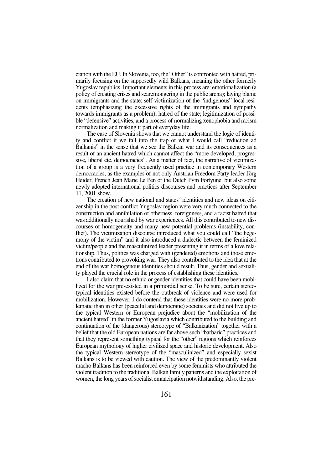ciation with the EU. In Slovenia, too, the "Other" is confronted with hatred, primarily focusing on the supposedly wild Balkans, meaning the other formerly Yugoslav republics. Important elements in this process are: emotionalization (a policy of creating crises and scaremongering in the public arena); laying blame on immigrants and the state; self-victimization of the "indigenous" local residents (emphasizing the excessive rights of the immigrants and sympathy towards immigrants as a problem); hatred of the state; legitimization of possible "defensive" activities, and a process of normalizing xenophobia and racism normalization and making it part of everyday life.

The case of Slovenia shows that we cannot understand the logic of identity and conflict if we fall into the trap of what I would call "reduction ad Balkanis" in the sense that we see the Balkan war and its consequences as a result of an ancient hatred which cannot affect the "more developed, progressive, liberal etc. democracies". As a matter of fact, the narrative of victimization of a group is a very frequently used practice in contemporary Western democracies, as the examples of not only Austrian Freedom Party leader Jörg Heider, French Jean Marie Le Pen or the Dutch Pym Fortyune. but also some newly adopted international politics discourses and practices after September 11, 2001 show.

The creation of new national and states´ identities and new ideas on citizenship in the post conflict Yugoslav region were very much connected to the construction and annihilation of otherness, foreignness, and a racist hatred that was additionally nourished by war experiences. All this contributed to new discourses of homogeneity and many new potential problems (instability, conflict). The victimization discourse introduced what you could call "the hegemony of the victim" and it also introduced a dialectic between the feminized victim/people and the masculinized leader presenting it in terms of a love relationship. Thus, politics was charged with (gendered) emotions and those emotions contributed to provoking war. They also contributed to the idea that at the end of the war homogenous identities should result. Thus, gender and sexuality played the crucial role in the process of establishing these identities.

I also claim that no ethnic or gender identities that could have been mobilized for the war pre-existed in a primordial sense. To be sure, certain stereotypical identities existed before the outbreak of violence and were used for mobilization. However, I do contend that these identities were no more problematic than in other (peaceful and democratic) societies and did not live up to the typical Western or European prejudice about the "mobilization of the ancient hatred" in the former Yugoslavia which contributed to the building and continuation of the (dangerous) stereotype of "Balkanization" together with a belief that the old European nations are far above such "barbaric" practices and that they represent something typical for the "other" regions which reinforces European mythology of higher civilized space and historic development. Also the typical Western stereotype of the "masculinized" and especially sexist Balkans is to be viewed with caution. The view of the predominantly violent macho Balkans has been reinforced even by some feminists who attributed the violent tradition to the traditional Balkan family patterns and the exploitation of women, the long years of socialist emancipation notwithstanding. Also, the pre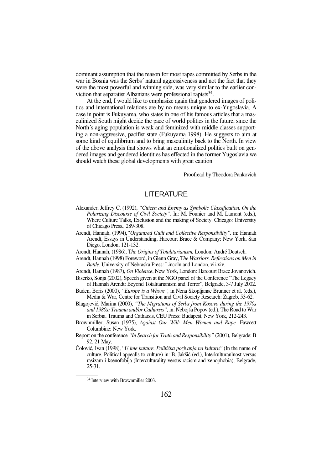dominant assumption that the reason for most rapes committed by Serbs in the war in Bosnia was the Serbs´ natural aggressiveness and not the fact that they were the most powerful and winning side, was very similar to the earlier conviction that separatist Albanians were professional rapists<sup>34</sup>.

At the end, I would like to emphasize again that gendered images of politics and international relations are by no means unique to ex-Yugoslavia. A case in point is Fukuyama, who states in one of his famous articles that a masculinized South might decide the pace of world politics in the future, since the North´s aging population is weak and feminized with middle classes supporting a non-aggressive, pacifist state (Fukuyama 1998). He suggests to aim at some kind of equilibrium and to bring masculinity back to the North. In view of the above analysis that shows what an emotionalized politics built on gendered images and gendered identities has effected in the former Yugoslavia we should watch these global developments with great caution.

Proofread by Theodora Pankovich

## LITERATURE

- Alexander, Jeffrey C. (1992), *"Citizen and Enemy as Symbolic Classification. On the Polarizing Discourse of Civil Society".* In: M. Founier and M. Lamont (eds.), Where Culture Talks, Exclusion and the making of Society. Chicago: University of Chicago Press., 289-308.
- Arendt, Hannah, (1994),*"Organized Guilt and Collective Responsibility",* in: Hannah Arendt, Essays in Understanding, Harcourt Brace & Company: New York, San Diego, London, 121-132.
- Arendt, Hannah, (1986), T*he Origins of Totalitarianism,* London: André Deutsch.
- Arendt, Hannah (1998) Foreword, in Glenn Gray, T*he Warriors. Reflections on Men in Battle*. University of Nebraska Press: Lincoln and London, vii-xiv.
- Arendt, Hannah (1987), *On Violence*, New York, London: Harcourt Brace Jovanovich. Biserko, Sonja (2002), Speech given at the NGO panel of the Conference "The Legacy of Hannah Arendt: Beyond Totalitarianism and Terror", Belgrade, 3-7 July 2002.
- Buden, Boris (2000), *"Europe is a Whore",* in Nena Skopljanac Brunner et al. (eds.), Media & War, Centre for Transition and Civil Society Research: Zagreb, 53-62.
- Blagojević, Marina (2000), *"The Migrations of Serbs from Kosovo during the 1970s and 1980s: Trauma and/or Catharsis",* in: Nebojša Popov (ed.), The Road to War in Serbia. Trauma and Catharsis, CEU Press: Budapest, New York, 212-243.
- Brownmiller, Susan (1975), *Against Our Will: Men Women and Rape.* Fawcett Columbine: New York.
- Report on the conference *"In Search for Truth and Responsibility"* (2001), Belgrade: B 92, 21 May.
- Čolović, Ivan (1998), "*U ime kulture. Politička pozivanja na kulturu".*(In the name of culture. Political appealls to culture) in: B. Jakšić (ed.), Interkulturanlnost versus rasizam i ksenofobija (Interculturality versus racism and xenophobia), Belgrade, 25-31.

<sup>34</sup> Interview with Brownmiller 2003.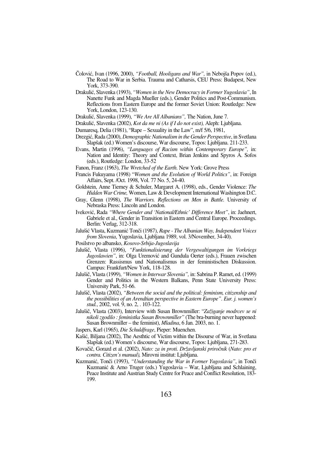- Čolović, Ivan (1996, 2000), *"Football, Hooligans and War",* in Nebojša Popov (ed.), The Road to War in Serbia. Trauma and Catharsis, CEU Press: Budapest, New York, 373-390.
- Drakulić, Slavenka (1993), *"Women in the New Democracy in Former Yugoslavia"*, In Nanette Funk and Magda Mueller (eds.), Gender Politics and Post-Communism. Reflections from Eastern Europe and the former Soviet Union: Routledge: New York, London, 123-130.
- Drakulić, Slavenka (1999), *"We Are All Albanians",* The Nation, June 7.
- Drakulić, Slavenka (2002), *Kot da me ni (As if I do not exist),* Aleph: Ljubljana.
- Dumaresq, Delia (1981), "Rape Sexuality in the Law", m/f 5/6, 1981,
- Drezgić, Rada (2000), *Demographic Nationalism in the Gender Perspective*, in Svetlana Slapšak (ed.) Women's discourse, War discourse, Topos: Ljubljana. 211-233.
- Evans, Martin (1996), *"Languages of Racism within Contemporary Europe",* in: Nation and Identity: Theory and Context, Brian Jenkins and Spyros A. Sofos (eds.), Routledge: London, 33-52
- Fanon, Franz (1963), *The Wretched of the Earth*. New York: Grove Press
- Francis Fukuyama (1998) "*Women and the Evolution of World Politics"*, in: Foreign Affairs, Sept. /Oct. 1998, Vol. 77 No. 5, 24-40.
- Goldstein, Anne Tierney & Schuler, Margaret A. (1998), eds., Gender Violence: *The Hidden War Crime,* Women, Law & Development International Washington D.C.
- Gray, Glenn (1998), *The Warriors. Reflections on Men in Battle.* University of Nebraska Press: Lincoln and London.
- Iveković, Rada *"Where Gender and 'National/Ethnic' Difference Meet"*, in: Jaehnert, Gabriele et al., Gender in Transition in Eastern and Central Europe. Proceedings. Berlin: Verlag, 312-318.
- Jalušić Vlasta, Kuzmanić Tonči (1987), *Rape The Albanian Way, Independent Voices from Slovenia*, Yugoslavia, Ljubljana 1989, vol. 3/November, 34-40).
- Posilstvo po albansko, *Kosovo-Srbija-Jugoslavija*
- Jalušič, Vlasta (1996), *"Funktionalisierung der Vergewaltigungen im Vorkriegs Jugoslawien"*, in: Olga Uremović and Gundula Oerter (eds.), Frauen zwischen Grenzen: Rassismus und Nationalismus in der feministischen Diskussion. Campus: Frankfurt/New York, 118-128.
- Jalušič, Vlasta (1999), *"Women in Interwar Slovenia",* in: Sabrina P. Ramet, ed. (1999) Gender and Politics in the Western Balkans, Penn State University Press: University Park, 51-66.
- Jalušič, Vlasta (2002), *"Between the social and the political: feminism, citizenship and the possibilities of an Arendtian perspective in Eastern Europe"*. *Eur. j. women's stud.*, 2002, vol. 9, no. 2, . 103-122.
- Jalušič, Vlasta (2003), Interview with Susan Brownmiller: "*Zažiganje modrcev se ni nikoli zgodilo : feministka Susan Brownmiller"* (The bra-burning never happened: Susan Brownmiller – the feminist), *Mladina*, 6 Jan. 2003, no. 1.
- Jaspers, Karl (1965), *Die Schuldfrage*, Pieper: Muenchen.
- Kašić, Biljana (2002), The Aesthtic of Victim within the Disourse of War, in Svetlana Slapšak (ed.) Women's discourse, War discourse, Topos: Ljubljana, 271-283.
- Kovačič, Gorazd et al. (2002), *Nato: za in proti. Državljanski priročnik* (*Nato: pro et contra. Citizen's manual),* Mirovni institut: Ljubljana.
- Kuzmanić, Tonči (1993), *"Understanding the War in Former Yugoslavia"*, in Tonči Kuzmanić & Arno Truger (eds.) Yugoslavia – War, Ljubljana and Schlaining, Peace Institute and Austrian Study Centre for Peace and Conflict Resolution, 183- 199.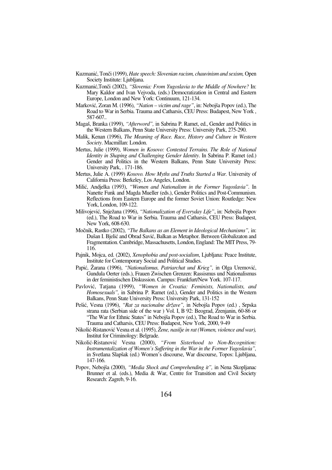- Kuzmanić, Tonči (1999), *Hate speech: Slovenian racism, chauvinism and sexism,* Open Society Institute: Ljubljana.
- Kuzmanić,Tonči (2002), *"Slovenia: From Yugoslavia to the Middle of Nowhere?* In: Mary Kaldor and Ivan Vejvoda, (eds.) Democratization in Central and Eastern Europe, London and New York: Continuum, 121-134.
- Marković, Zoran M. (1996), *"Nation victim and rage"*, in: Nebojša Popov (ed.), The Road to War in Serbia. Trauma and Catharsis, CEU Press: Budapest, New York , 587-607..
- Magaš, Branka (1999), *"Afterword",* in Sabrina P. Ramet, ed., Gender and Politics in the Western Balkans, Penn State University Press: University Park, 275-290.
- Malik, Kenan (1996), *The Meaning of Race. Race, History and Culture in Western Society*. Macmillan: London.
- Mertus, Julie (1999), *Women in Kosovo: Contested Terrains. The Role of National Identity in Shaping and Challenging Gender Identity*. In Sabrina P. Ramet (ed.) Gender and Politics in the Western Balkans, Penn State University Press: University Park, . 171-186.
- Mertus, Julie A. (1999) *Kosovo. How Myths and Truths Started a War.* University of California Press: Berkeley, Los Angeles, London.
- Milić, Andjelka (1993), *"Women and Nationalism in the Former Yugoslavia".* In Nanette Funk and Magda Mueller (eds.), Gender Politics and Post-Communism. Reflections from Eastern Europe and the former Soviet Union: Routledge: New York, London, 109-122.
- Milivojević, Snježana (1996), *"Nationalization of Everyday Life"*, in: Nebojša Popov (ed.), The Road to War in Serbia. Trauma and Catharsis, CEU Press: Budapest, New York, 608-630.
- Močnik, Rastko (2002), *"The Balkans as an Element in Ideological Mechanisms",* in: Dušan I. Bjelić and Obrad Savić, Balkan as Metaphor. Between Globalizaton and Fragmentation. Cambridge, Massachusetts, London, England: The MIT Press, 79- 116.
- Pajnik, Mojca, ed. (2002), *Xenophobia and post-socialism*, Ljubljana: Peace Institute, Institute for Contemporary Social and Political Studies.
- Papić, Žarana (1996), *"Nationalismus, Patriarchat und Krieg",* in Olga Uremović, Gundula Oerter (eds.), Frauen Zwischen Grenzen: Rassismus und Nationalismus in der feministischen Diskussion. Campus: Frankfurt/New York. 107-117.
- Pavlović, Tatjana (1999), *"Women in Croatia: Feminists, Nationalists, and Homosexuals",* in Sabrina P. Ramet (ed.), Gender and Politics in the Western Balkans, Penn State University Press: University Park, 131-152
- Pešić, Vesna (1996), *"Rat za nacionalne države",* in Nebojša Popov (ed.) , Srpska strana rata (Serbian side of the war ) Vol. I, B 92: Beograd, Zrenjanin, 60-86 or "The War for Ethnic States" in Nebojša Popov (ed.), The Road to War in Serbia. Trauma and Catharsis, CEU Press: Budapest, New York, 2000, 9-49
- Nikolić-Ristanović Vesna et al. (1995), *Žene, nasilje in rat (Women, violence and war),* Institut for Criminology: Belgrade.
- Nikolić-Ristanović Vesna (2000), *"From Sisterhood to Non-Recognition: Instrumentalization of Women's Suffering in the War in the Former Yugoslavia",* in Svetlana Slapšak (ed.) Women's discourse, War discourse, Topos: Ljubljana, 147-166.
- Popov, Nebojša (2000), *"Media Shock and Comprehending it",* in Nena Skopljanac Brunner et al. (eds.), Media & War, Centre for Transition and Civil Society Research: Zagreb, 9-16.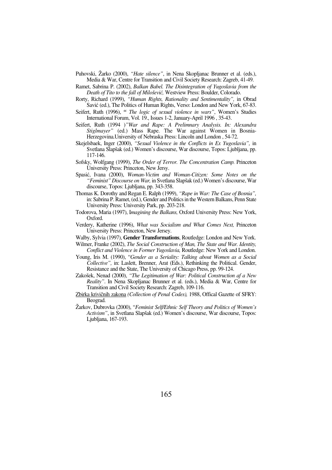- Puhovski, Žarko (2000), *"Hate silence"*, in Nena Skopljanac Brunner et al. (eds.), Media & War, Centre for Transition and Civil Society Research: Zagreb, 41-49.
- Ramet, Sabrina P. (2002), *Balkan Babel. The Disintegration of Yugoslavia from the Death of Tito to the fall of Milošević,* Westview Press: Boulder, Colorado.
- Rorty, Richard (1999), *"Human Rights, Rationality and Sentimentality",* in Obrad Savić (ed.), The Politics of Human Rights, Verso: London and New York, 67-83.
- Seifert, Ruth (1996), *"The logic of sexual violence in wars"*, Women's Studies International Forum, Vol. 19., Issues 1-2, January-April 1996 , 35-43.
- Seifert, Ruth (1994 )*"War and Rape: A Prelimnary Analysis. In: Alexandra Stiglmayer"* (ed.) Mass Rape. The War against Women in Bosnia-Herzegovina.University of Nebraska Press: Lincoln and London , 54-72.
- Skejelsbaek, Inger (2000), *"Sexual Violence in the Conflicts in Ex Yugoslavia",* in Svetlana Slapšak (ed.) Women's discourse, War discourse, Topos: Ljubljana, pp. 117-146.
- Sofsky, Wolfgang (1999), *The Order of Terror. The Concentration Camp.* Princeton University Press: Princeton, New Jersy.
- Spasić, Ivana (2000), *Woman-Victim and Woman-Citizen: Some Notes on the "Feminist" Discourse on War,* in Svetlana Slapšak (ed.) Women's discourse, War discourse, Topos: Ljubljana, pp. 343-358.
- Thomas K. Dorothy and Regan E. Ralph (1999), *"Rape in War: The Case of Bosnia",* in: Sabrina P. Ramet, (ed.), Gender and Politics in the Western Balkans, Penn State University Press: University Park, pp. 203-218.
- Todorova, Maria (1997), I*magining the Balkans,* Oxford University Press: New York, Oxford.
- Verdery, Katherine (1996), *What was Socialism and What Comes Next,* Princeton University Press: Princeton, New Jersey.
- Walby, Sylvia (1997), **Gender Transformations**, Routledge: London and New York.
- Wilmer, Franke (2002), *The Social Construction of Man, The State and War. Identity, Conflict and Violence in Former Yugoslavia,* Routledge: New York and London.
- Young, Iris M. (1990), "*Gender as a Seriality: Talking about Women as a Social Collective",* in: Laslett, Brenner, Arat (Eds.), Rethinking the Political. Gender, Resistance and the State, The University of Chicago Press, pp. 99-124.
- Zakošek, Nenad (2000), *"The Legitimation of War: Political Construction af a New Reality"*. In Nena Skopljanac Brunner et al. (eds.), Media & War, Centre for Transition and Civil Society Research: Zagreb, 109-116.
- Zbirka krivičnih zakona *(Collection of Penal Codes),* 1988, Offical Gazette of SFRY: Beograd.
- Žarkov, Dubrovka (2000), "*Feminist Self/Ethnic Self Theory and Politics of Women's Activism"*, in Svetlana Slapšak (ed.) Women's discourse, War discourse, Topos: Ljubljana, 167-193.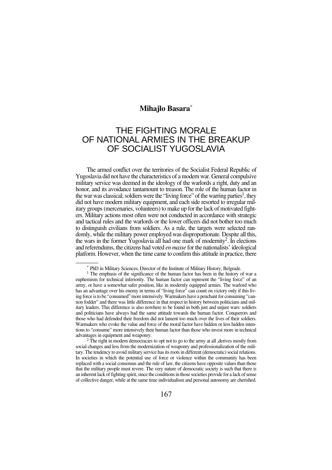## **Mihajlo Basara**\*

## THE FIGHTING MORALE OF NATIONAL ARMIES IN THE BREAKUP OF SOCIALIST YUGOSLAVIA

The armed conflict over the territories of the Socialist Federal Republic of Yugoslavia did not have the characteristics of a modern war. General compulsive military service was deemed in the ideology of the warlords a right, duty and an honor, and its avoidance tantamount to treason. The role of the human factor in the war was classical; soldiers were the "living force" of the warring parties<sup>1</sup>, they did not have modern military equipment, and each side resorted to irregular military groups (mercenaries, volunteers) to make up for the lack of motivated fighters. Military actions most often were not conducted in accordance with strategic and tactical rules and the warlords or the lower officers did not bother too much to distinguish civilians from soldiers. As a rule, the targets were selected randomly, while the military power employed was disproportionate. Despite all this, the wars in the former Yugoslavia all had one mark of modernity2. In elections and referendums, the citizens had voted *en masse* for the nationalists' ideological platform. However, when the time came to confirm this attitude in practice, there

<sup>\*</sup> PhD in Military Sciences, Director of the Institute of Military History, Belgrade.

<sup>&</sup>lt;sup>1</sup> The emphasis of the significance of the human factor has been in the history of war a euphemism for technical inferiority. The human factor can represent the "living force" of an army, or have a somewhat safer position, like in modernly equipped armies. The warlord who has an advantage over his enemy in terms of "living force" can count on victory only if this living force is to be "consumed" more intensively. Warmakers have a penchant for consuming "cannon fodder" and there was little difference in that respect in history between politicians and military leaders. This difference is also nowhere to be found in both just and unjust wars: soldiers and politicians have always had the same attitude towards the human factor. Conquerors and those who had defended their freedom did not lament too much over the lives of their soldiers. Warmakers who evoke the value and force of the moral factor have hidden or less hidden intentions to "consume" more intensively their human factor than those who invest more in technical

<sup>&</sup>lt;sup>2</sup> The right in modern democracies to opt not to go to the army at all ,derives mostly from social changes and less from the modernization of weaponry and professionalization of the military. The tendency to avoid military service has its roots in different (democratic) social relations. In societies in which the potential use of force or violence within the community has been replaced with a social consensus and the rule of law, the citizens have opposite values than those that the military people must revere. The very nature of democratic society is such that there is an inherent lack of fighting spirit, since the conditions in those societies provide for a lack of sense of collective danger, while at the same time individualism and personal autonomy are cherished.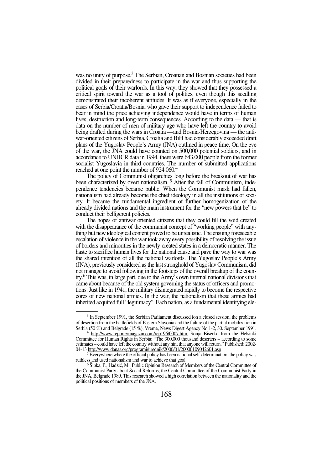was no unity of purpose.<sup>3</sup> The Serbian, Croatian and Bosnian societies had been divided in their preparedness to participate in the war and thus supporting the political goals of their warlords. In this way, they showed that they possessed a critical spirit toward the war as a tool of politics, even though this seedling demonstrated their incoherent attitudes. It was as if everyone, especially in the cases of Serbia/Croatia/Bosnia, who gave their support to independence failed to bear in mind the price achieving independence would have in terms of human lives, destruction and long-term consequences. According to the data — that is data on the number of men of military age who have left the country to avoid being drafted during the wars in Croatia —and Bosnia-Herzegovina — the antiwar-oriented citizens of Serbia, Croatia and BiH had considerably exceeded draft plans of the Yugoslav People's Army (JNA) outlined in peace time. On the eve of the war, the JNA could have counted on 500,000 potential soldiers, and in accordance to UNHCR data in 1994. there were 643,000 people from the former socialist Yugoslavia in third countries. The number of submitted applications reached at one point the number of 924.060.4

The policy of Communist oligarchies long before the breakout of war has been characterized by overt nationalism.<sup>5</sup> After the fall of Communism, independence tendencies became public. When the Communist mask had fallen, nationalism had already become the chief ideology in all the institutions of society. It became the fundamental ingredient of further homogenization of the already divided nations and the main instrument for the "new powers that be" to conduct their belligerent policies.

The hopes of antiwar oriented citizens that they could fill the void created with the disappearance of the communist concept of "working people" with anything but new ideological content proved to be unrealistic. The ensuing foreseeable escalation of violence in the war took away every possibility of resolving the issue of borders and minorities in the newly-created states in a democratic manner. The haste to sacrifice human lives for the national cause and pave the way to war was the shared intention of all the national warlords. The Yugoslav People's Army (JNA), previously considered as the last stronghold of Yugoslav Communism, did not manage to avoid following in the footsteps of the overall breakup of the country.6 This was, in large part, due to the Army's own internal national divisions that came about because of the old system governing the status of officers and promotions. Just like in 1941, the military disintegrated rapidly to become the respective cores of new national armies. In the war, the nationalism that these armies had inherited acquired full "legitimacy". Each nation, as a fundamental identifying ele-

<sup>&</sup>lt;sup>3</sup> In September 1991, the Serbian Parliament discussed ion a closed session, the problems of desertion from the battlefields of Eastern Slavonia and the failure of the partial mobilization in Serbia  $(50\%)$  and Belgrade  $(15\%)$ , Vreme, News Digest Agency No 1-2, 30. September 1991. Serbia (50 %) and Belgrade (15 %), Vreme, News Digest Agency No 1-2, 30. September 1991.<br><sup>4</sup> http://www.reportermagazin.com/rep196/0007.htm. Sonja Biserko from the Helsinki

Committee for Human Rights in Serbia: "The 300,000 thousand deserters – according to some estimates – could have left the country without any hint that anyone will return." Published: 2002-

<sup>04-13</sup> http://www.danas.org/programi/urednik/2000/01/20000109042601.asp  $\frac{5}{5}$  Everywhere where the official policy has been national self-determination, the policy was ruthless and used nationalism and war to achieve t

<sup>&</sup>lt;sup>6</sup> Šipka, P., Hadžić, M., Public Opinion Research of Members of the Central Committee of the Communist Party about Social Reforms, the Central Committee of the Communist Party in the JNA, Belgrade 1989. This research showed a high correlation between the nationality and the political positions of members of the JNA.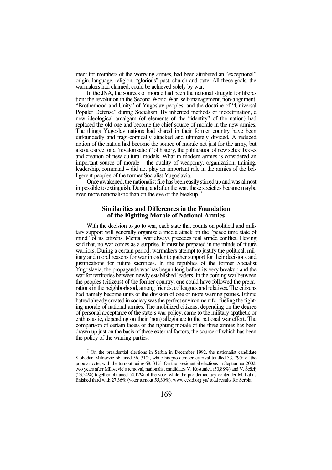ment for members of the worrying armies, had been attributed an "exceptional" origin, language, religion, "glorious" past, church and state. All these goals, the warmakers had claimed, could be achieved solely by war.

In the JNA, the sources of morale had been the national struggle for liberation: the revolution in the Second World War, self-management, non-alignment, "Brotherhood and Unity" of Yugoslav peoples, and the doctrine of "Universal Popular Defense" during Socialism. By inherited methods of indoctrination, a new ideological amalgam (of elements of the "identity" of the nation) had replaced the old one and become the chief source of morale in the new armies. The things Yugoslav nations had shared in their former country have been unfoundedly and tragi-comically attacked and ultimately divided. A reduced notion of the nation had become the source of morale not just for the army, but also a source for a "revalorization" of history, the publication of new schoolbooks and creation of new cultural models. What in modern armies is considered an important source of morale – the quality of weaponry, organization, training, leadership, command – did not play an important role in the armies of the belligerent peoples of the former Socialist Yugoslavia.

Once awakened, the nationalist fire has been easily stirred up and was almost impossible to extinguish. During and after the war, these societies became maybe even more nationalistic than on the eve of the breakup.

## **Similarities and Differences in the Foundation of the Fighting Morale of National Armies**

With the decision to go to war, each state that counts on political and military support will generally organize a media attack on the "peace time state of mind" of its citizens. Mental war always precedes real armed conflict. Having said that, no war comes as a surprise. It must be prepared in the minds of future warriors. During a certain period, warmakers attempt to justify the political, military and moral reasons for war in order to gather support for their decisions and justifications for future sacrifices. In the republics of the former Socialist Yugoslavia, the propaganda war has begun long before its very breakup and the war for territories between newly established leaders. In the coming war between the peoples (citizens) of the former country, one could have followed the preparations in the neighborhood, among friends, colleagues and relatives. The citizens had namely become units of the division of one or more warring parties. Ethnic hatred already created in society was the perfect environment for fueling the fighting morale of national armies. The mobilized citizens, depending on the degree of personal acceptance of the state's war policy, came to the military apathetic or enthusiastic, depending on their (non) allegiance to the national war effort. The comparison of certain facets of the fighting morale of the three armies has been drawn up just on the basis of these external factors, the source of which has been the policy of the warring parties:

<sup>7</sup> On the presidential elections in Serbia in December 1992, the nationalist candidate Slobodan Milosevic obtained 56, 31%, while his pro-democracy rival totalled 33, 79% of the popular vote, with the turnout being 68, 31%. On the presidential elections in September 2002, two years after Milosevic's removal, nationalist candidates V. Kostunica (30,88%) and V. Šešelj (23,24%) together obtained 54,12% of the vote, while the pro-democracy contender M. Labus finished third with 27,36% (voter turnout 55,30%). www.cesid.org.yu/ total results for Serbia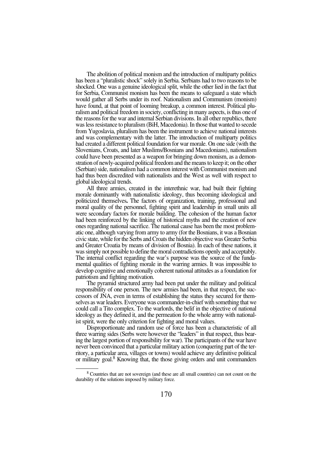The abolition of political monism and the introduction of multiparty politics has been a "pluralistic shock" solely in Serbia. Serbians had to two reasons to be shocked. One was a genuine ideological split, while the other lied in the fact that for Serbia, Communist monism has been the means to safeguard a state which would gather all Serbs under its roof. Nationalism and Communism (monism) have found, at that point of looming breakup, a common interest. Political pluralism and political freedom in society, conflicting in many aspects, is thus one of the reasons for the war and internal Serbian divisions. In all other republics, there was less resistance to pluralism (BiH, Macedonia). In those that wanted to secede from Yugoslavia, pluralism has been the instrument to achieve national interests and was complementary with the latter. The introduction of multiparty politics had created a different political foundation for war morale. On one side (with the Slovenians, Croats, and later Muslims/Bosnians and Macedonians), nationalism could have been presented as a weapon for bringing down monism, as a demonstration of newly-acquired political freedom and the means to keep it; on the other (Serbian) side, nationalism had a common interest with Communist monism and had thus been discredited with nationalists and the West as well with respect to global ideological trends.

All three armies, created in the interethnic war, had built their fighting morale dominantly with nationalistic ideology, thus becoming ideological and politicized themselves**.** The factors of organization, training, professional and moral quality of the personnel, fighting spirit and leadership in small units all were secondary factors for morale building. The cohesion of the human factor had been reinforced by the linking of historical myths and the creation of new ones regarding national sacrifice. The national cause has been the most problematic one, although varying from army to army (for the Bosnians, it was a Bosnian civic state, while for the Serbs and Croats the hidden objective was Greater Serbia and Greater Croatia by means of division of Bosnia). In each of these nations, it was simply not possible to define the moral contradictions openly and acceptably. The internal conflict regarding the war's purpose was the source of the fundamental qualities of fighting morale in the warring armies. It was impossible to develop cognitive and emotionally coherent national attitudes as a foundation for patriotism and fighting motivation.

The pyramid structured army had been put under the military and political responsibility of one person. The new armies had been, in that respect, the successors of JNA, even in terms of establishing the status they secured for themselves as war leaders. Everyone was commander-in-chief with something that we could call a Tito complex. To the warlords, the belif in the objective of national ideology as they defined it, and the permeation fo the whole army with nationalist spirit, were the only criterion for fighting and moral values.

Disproportionate and random use of force has been a characteristic of all three warring sides (Serbs were however the "leaders" in that respect, thus bearing the largest portion of responsibility for war). The participants of the war have never been convinced that a particular military action (conquering part of the territory, a particular area, villages or towns) would achieve any definitive political or military goal.8 Knowing that, the those giving orders and unit commanders

<sup>8</sup> Countries that are not sovereign (and these are all small countries) can not count on the durability of the solutions imposed by military force.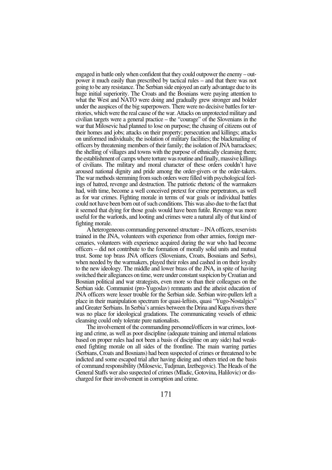engaged in battle only when confident that they could outpower the enemy – outpower it much easily than prescribed by tactical rules – and that there was not going to be any resistance. The Serbian side enjoyed an early advantage due to its huge initial superiority. The Croats and the Bosnians were paying attention to what the West and NATO were doing and gradually grew stronger and bolder under the auspices of the big superpowers. There were no decisive battles for territories, which were the real cause of the war. Attacks on unprotected military and civilian targets were a general practice – the "courage" of the Slovenians in the war that Milosevic had planned to lose on purpose; the chasing of citizens out of their homes and jobs; attacks on their property; persecution and killings; attacks on uniformed individuals; the isolation of military facilities; the blackmailing of officers by threatening members of their family; the isolation of JNA barrackses; the shelling of villages and towns with the purpose of ethnically cleansing them; the establishment of camps where torture was routine and finally, massive killings of civilians. The military and moral character of these orders couldn't have aroused national dignity and pride among the order-givers or the order-takers. The war methods stemming from such orders were filled with psychological feelings of hatred, revenge and destruction. The patriotic rhetoric of the warmakers had, with time, become a well conceived pretext for crime perpetrators, as well as for war crimes. Fighting morale in terms of war goals or individual battles could not have been born out of such conditions. This was also due to the fact that it seemed that dying for those goals would have been futile. Revenge was more useful for the warlords, and looting and crimes were a natural ally of that kind of fighting morale.

A heterogeneous commanding personnel structure – JNA officers, reservists trained in the JNA, volunteers with experience from other armies, foreign mercenaries, volunteers with experience acquired during the war who had become officers – did not contribute to the formation of morally solid units and mutual trust. Some top brass JNA officers (Slovenians, Croats, Bosnians and Serbs), when needed by the warmakers, played their roles and cashed in on their loyalty to the new ideology. The middle and lower brass of the JNA, in spite of having switched their allegiances on time, were under constant suspicion by Croatian and Bosnian political and war strategists, even more so than their colleagues on the Serbian side. Communist (pro-Yugoslav) remnants and the atheist education of JNA officers were lesser trouble for the Serbian side. Serbian wire-pullers left a place in their manipulation spectrum for quasi-leftists, quasi "Yugo-Nostalgics" and Greater Serbians. In Serbia's armies between the Drina and Kupa rivers there was no place for ideological gradations. The communicating vessels of ethnic cleansing could only tolerate pure nationalists.

The involvement of the commanding personnel/officers in war crimes, looting and crime, as well as poor discipline (adequate training and internal relations based on proper rules had not been a basis of discipline on any side) had weakened fighting morale on all sides of the frontline. The main warring parties (Serbians, Croats and Bosnians) had been suspected of crimes or threatened to be indicted and some escaped trial after having dieing and others tried on the basis of command responsibility (Milosevic, Tudjman, Izetbegovic). The Heads of the General Staffs wer also suspected of crimes (Mladic, Gotovina, Halilovic) or discharged for their involvement in corruption and crime.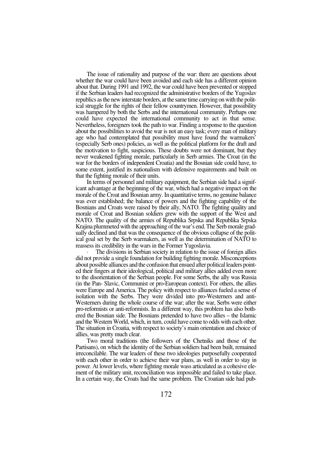The issue of rationality and purpose of the war: there are questions about whether the war could have been avoided and each side has a different opinion about that. During 1991 and 1992, the war could have been prevented or stopped if the Serbian leaders had recognized the administrative borders of the Yugoslav republics as the new interstate borders, at the same time carrying on with the political struggle for the rights of their fellow countrymen. However, that possibility was hampered by both the Serbs and the international community. Perhaps one could have expected the international community to act in that sense. Nevertheless, foreigners took the path to war. Finding a response to the question about the possibilities to avoid the war is not an easy task; every man of military age who had contemplated that possibility must have found the warmakers' (especially Serb ones) policies, as well as the political platform for the draft and the motivation to fight, suspicious. These doubts were not dominant, but they never weakened fighting morale, particularly in Serb armies. The Croat (in the war for the borders of independent Croatia) and the Bosnian side could have, to some extent, justified its nationalism with defensive requirements and built on that the fighting morale of their units.

In terms of personnel and military equipment, the Serbian side had a significant advantage at the beginning of the war, which had a negative impact on the morale of the Croat and Bosnian army. In quantitative terms, no genuine balance was ever established; the balance of powers and the fighting capability of the Bosnians and Croats were raised by their ally, NATO. The fighting quality and morale of Croat and Bosnian soldiers grew with the support of the West and NATO. The quality of the armies of Republika Srpska and Republika Srpska Krajina plummeted with the approaching of the war's end. The Serb morale gradually declined and that was the consequence of the obvious collapse of the political goal set by the Serb warmakers, as well as the determination of NATO to reassess its credibility in the wars in the Former Yugoslavia.

The divisions in Serbian society in relation to the issue of foreign allies did not provide a single foundation for building fighting morale. Misconceptions about possible alliances and the confusion that ensued after political leaders pointed their fingers at their ideological, political and military allies added even more to the disorientation of the Serbian people. For some Serbs, the ally was Russia (in the Pan- Slavic, Communist or pro-European context). For others, the allies were Europe and America. The policy with respect to alliances fueled a sense of isolation with the Serbs. They were divided into pro-Westerners and anti-Westerners during the whole course of the war; after the war, Serbs were either pro-reformists or anti-reformists. In a different way, this problem has also bothered the Bosnian side. The Bosnians pretended to have two allies – the Islamic and the Western World, which, in turn, could have come to odds with each other. The situation in Croatia, with respect to society's main orientation and choice of allies, was pretty much clear.

Two moral traditions (the followers of the Chetniks and those of the Partisans), on which the identity of the Serbian soldiers had been built, remained irreconcilable. The war leaders of these two ideologies purposefully cooperated with each other in order to achieve their war plans, as well in order to stay in power. At lower levels, where fighting morale wass articulated as a cohesive element of the military unit, reconciliation was impossible and failed to take place. In a certain way, the Croats had the same problem. The Croatian side had pub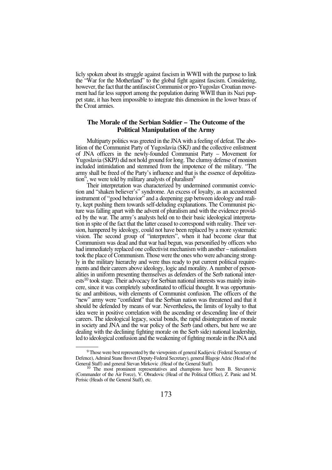licly spoken about its struggle against fascism in WWII with the purpose to link the "War for the Motherland" to the global fight against fascism. Considering, however, the fact that the antifascist Communist or pro-Yugoslav Croatian movement had far less support among the population during WWII than its Nazi puppet state, it has been impossible to integrate this dimension in the lower brass of the Croat armies.

## **The Morale of the Serbian Soldier – The Outcome of the Political Manipulation of the Army**

Multiparty politics was greeted in the JNA with a feeling of defeat. The abolition of the Communist Party of Yugoslavia (SKJ) and the collective enlistment of JNA officers in the newly-founded Communist Party – Movement for Yugoslavia (SKPJ) did not hold ground for long. The clumsy defense of monism included intimidation and stemmed from the impotence of the military. "The army shall be freed of the Party's influence and that is the essence of depolitization", we were told by military analysts of pluralism<sup>9</sup>

Their interpretation was characterized by undermined communist conviction and "shaken believer's" syndrome. An excess of loyalty, as an accustomed instrument of "good behavior" and a deepening gap between ideology and reality, kept pushing them towards self-deluding explanations. The Communist picture was falling apart with the advent of pluralism and with the evidence provided by the war. The army's analysts held on to their basic ideological interpretation in spite of the fact that the latter ceased to correspond with reality. Their version, hampered by ideology, could not have been replaced by a more systematic vision. The second group of "interpreters", when it had become clear that Communism was dead and that war had begun, was personified by officers who had immediately replaced one collectivist mechanism with another – nationalism took the place of Communism. Those were the ones who were advancing strongly in the military hierarchy and were thus ready to put current political requirements and their careers above ideology, logic and morality. A number of personalities in uniform presenting themselves as defenders of the Serb national interests<sup>10</sup> took stage. Their advocacy for Serbian national interests was mainly insincere, since it was completely subordinated to official thought. It was opportunistic and ambitious, with elements of Communist confusion. The officers of the "new" army were "confident" that the Serbian nation was threatened and that it should be defended by means of war. Nevertheless**,** the limits of loyalty to that idea were in positive correlation with the ascending or descending line of their careers. The ideological legacy, social bonds, the rapid disintegration of morale in society and JNA and the war policy of the Serb (and others, but here we are dealing with the declining fighting morale on the Serb side) national leadership, led to ideological confusion and the weakening of fighting morale in the JNA and

<sup>9</sup> Those were best represented by the viewpoints of general Kadijevic (Federal Secretary of Defence), Admiral Stane Brovet (Deputy-Federal Secretary), general Blagoje Adzic (Head of the

<sup>&</sup>lt;sup>10</sup> The most prominent representatives and champions have been B. Stevanovic (Commander of the Air Force), V. Obradovic (Head of the Political Office), Z. Panic and M. Perisic (Heads of the General Staff), etc.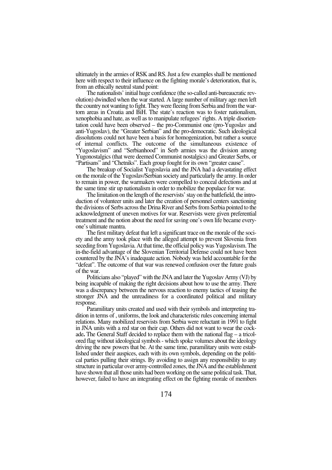ultimately in the armies of RSK and RS. Just a few examples shall be mentioned here with respect to their influence on the fighting morale's deterioration, that is, from an ethically neutral stand point:

The nationalists' initial huge confidence (the so-called anti-bureaucratic revolution) dwindled when the war started. A large number of military age men left the country not wanting to fight. They were fleeing from Serbia and from the wartorn areas in Croatia and BiH. The state's reaction was to foster nationalism, xenophobia and hate, as well as to manipulate refugees' rights. A triple disorientation could have been observed – the pro-Communist one (pro-Yugoslav and anti-Yugoslav), the "Greater Serbian" and the pro-democratic. Such ideological dissolutions could not have been a basis for homogenization, but rather a source of internal conflicts. The outcome of the simultaneous existence of "Yugoslavism" and "Serbianhood" in Serb armies was the division among Yugonostalgics (that were deemed Communist nostalgics) and Greater Serbs, or "Partisans" and "Chetniks". Each group fought for its own "greater cause".

The breakup of Socialist Yugoslavia and the JNA had a devastating effect on the morale of the Yugoslav/Serbian society and particularly the army. In order to remain in power, the warmakers were compelled to conceal defections and at the same time stir up nationalism in order to mobilize the populace for war.

The limitation on the length of the reservists' stay on the battlefield, the introduction of volunteer units and later the creation of personnel centers sanctioning the divisions of Serbs across the Drina River and Serbs from Serbia pointed to the acknowledgment of uneven motives for war. Reservists were given preferential treatment and the notion about the need for saving one's own life became everyone's ultimate mantra.

The first military defeat that left a significant trace on the morale of the society and the army took place with the alleged attempt to prevent Slovenia from seceding from Yugoslavia. At that time, the official policy was Yugoslavism. The in-the-field advantage of the Slovenian Territorial Defense could not have been countered by the JNA's inadequate action. Nobody was held accountable for the "defeat". The outcome of that war was renewed confusion over the future goals of the war.

Politicians also "played" with the JNA and later the Yugoslav Army (VJ) by being incapable of making the right decisions about how to use the army. There was a discrepancy between the nervous reaction to enemy tactics of teasing the stronger JNA and the unreadiness for a coordinated political and military response.

Paramilitary units created and used with their symbols and interpreting tradition in terms of , uniforms, the look and characteristic rules concerning internal relations. Many mobilized reservists from Serbia were reluctant in 1991 to fight in JNA units with a red star on their cap. Others did not want to wear the cockade**.** The General Staff decided to replace them with the national flag – a tricolored flag without ideological symbols - which spoke volumes about the ideology driving the new powers that be. At the same time, paramilitary units were established under their auspices, each with its own symbols, depending on the political parties pulling their strings. By avoiding to assign any responsibility to any structure in particular over army-controlled zones, the JNA and the establishment have shown that all those units had been working on the same political task. That, however, failed to have an integrating effect on the fighting morale of members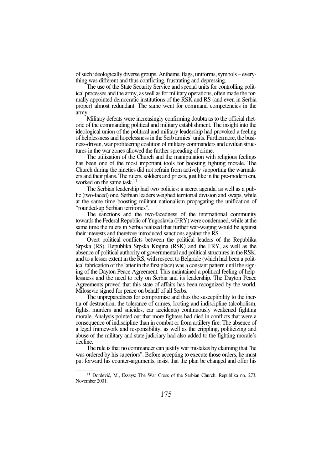of such ideologically diverse groups. Anthems, flags, uniforms, symbols – everything was different and thus conflicting, frustrating and depressing.

The use of the State Security Service and special units for controlling political processes and the army, as well as for military operations, often made the formally appointed democratic institutions of the RSK and RS (and even in Serbia proper) almost redundant. The same went for command competencies in the army.

Military defeats were increasingly confirming doubta as to the official rhetoric of the commanding political and military establishment. The insight into the ideological union of the political and military leadership had provoked a feeling of helplessness and hopelessness in the Serb armies' units. Furthermore, the business-driven, war profiteering coalition of military commanders and civilian structures in the war zones allowed the further spreading of crime.

The utilization of the Church and the manipulation with religious feelings has been one of the most important tools for boosting fighting morale. The Church during the nineties did not refrain from actively supporting the warmakers and their plans. The rulers, soldiers and priests, just like in the pre-modern era, worked on the same task.<sup>11</sup>

The Serbian leadership had two policies: a secret agenda, as well as a public (two-faced) one. Serbian leaders weighed territorial division and swaps, while at the same time boosting militant nationalism propagating the unification of "rounded-up Serbian territories".

The sanctions and the two-facedness of the international community towards the Federal Republic of Yugoslavia (FRY) were condemned, while at the same time the rulers in Serbia realized that further war-waging would be against their interests and therefore introduced sanctions against the RS.

Overt political conflicts between the political leaders of the Republika Srpska (RS), Republika Srpska Krajina (RSK) and the FRY, as well as the absence of political authority of governmental and political structures in the RSK, and to a lesser extent in the RS, with respect to Belgrade (which had been a political fabrication of the latter in the first place) was a constant pattern until the signing of the Dayton Peace Agreement. This maintained a political feeling of helplessness and the need to rely on Serbia and its leadership. The Dayton Peace Agreements proved that this state of affairs has been recognized by the world. Milosevic signed for peace on behalf of all Serbs.

The unpreparedness for compromise and thus the susceptibility to the inertia of destruction, the tolerance of crimes, looting and indiscipline (alcoholism, fights, murders and suicides, car accidents) continuously weakened fighting morale. Analysis pointed out that more fighters had died in conflicts that were a consequence of indiscipline than in combat or from artillery fire. The absence of a legal framework and responsibility, as well as the crippling, politicizing and abuse of the military and state judiciary had also added to the fighting morale's decline.

The rule is that no commander can justify war mistakes by claiming that "he was ordered by his superiors". Before accepting to execute those orders, he must put forward his counter-arguments, insist that the plan be changed and offer his

<sup>11</sup> Đorđević, M., Essays: The War Cross of the Serbian Church, Republika no. 273, November 2001.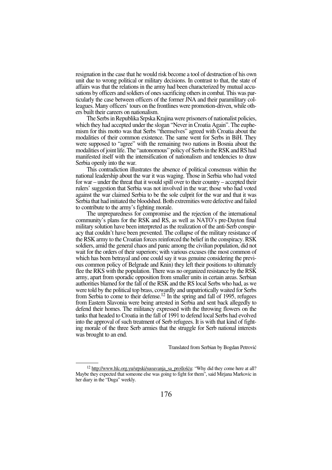resignation in the case that he would risk become a tool of destruction of his own unit due to wrong political or military decisions. In contrast to that, the state of affairs was that the relations in the army had been characterized by mutual accusations by officers and soldiers of ones sacrificing others in combat. This was particularly the case between officers of the former JNA and their paramilitary colleagues. Many officers' tours on the frontlines were promotion-driven, while others built their careers on nationalism.

The Serbs in Republika Srpska Krajina were prisoners of nationalist policies, which they had accepted under the slogan "Never in Croatia Again". The euphemism for this motto was that Serbs "themselves" agreed with Croatia about the modalities of their common existence. The same went for Serbs in BiH. They were supposed to "agree" with the remaining two nations in Bosnia about the modalities of joint life. The "autonomous" policy of Serbs in the RSK and RS had manifested itself with the intensification of nationalism and tendencies to draw Serbia openly into the war.

This contradiction illustrates the absence of political consensus within the national leadership about the war it was waging. Those in Serbia who had voted for war – under the threat that it would spill over to their country – accepted their rulers' suggestion that Serbia was not involved in the war; those who had voted against the war claimed Serbia to be the sole culprit for the war and that it was Serbia that had initiated the bloodshed. Both extremities were defective and failed to contribute to the army's fighting morale.

The unpreparedness for compromise and the rejection of the international community's plans for the RSK and RS, as well as NATO's pre-Dayton final military solution have been interpreted as the realization of the anti-Serb conspiracy that couldn't have been prevented. The collapse of the military resistance of the RSK army to the Croatian forces reinforced the belief in the conspiracy. RSK soldiers, amid the general chaos and panic among the civilian population, did not wait for the orders of their superiors; with various excuses (the most common of which has been betrayal and one could say it was genuine considering the previous common policy of Belgrade and Knin) they left their positions to ultimately flee the RKS with the population. There was no organized resistance by the RSK army, apart from sporadic opposition from smaller units in certain areas. Serbian authorities blamed for the fall of the RSK and the RS local Serbs who had, as we were told by the political top brass, cowardly and unpatriotically waited for Serbs from Serbia to come to their defense.12 In the spring and fall of 1995, refugees from Eastern Slavonia were being arrested in Serbia and sent back allegedly to defend their homes. The militancy expressed with the throwing flowers on the tanks that headed to Croatia in the fall of 1991 to defend local Serbs had evolved into the approval of such treatment of Serb refugees. It is with that kind of fighting morale of the three Serb armies that the struggle for Serb national interests was brought to an end.

Translated from Serbian by Bogdan Petrović

<sup>&</sup>lt;sup>12</sup> http://www.hlc.org.yu/srpski/suoavanja\_sa\_prošlošću: "Why did they come here at all? Maybe they expected that someone else was going to fight for them", said Mirjana Markovic in her diary in the "Duga" weekly.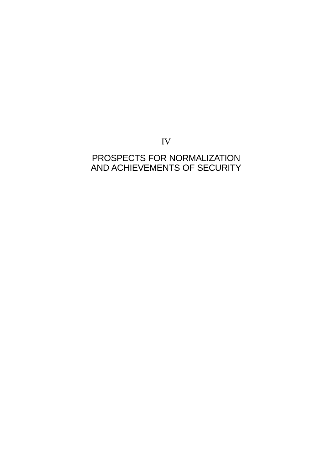# PROSPECTS FOR NORMALIZATION AND ACHIEVEMENTS OF SECURITY

IV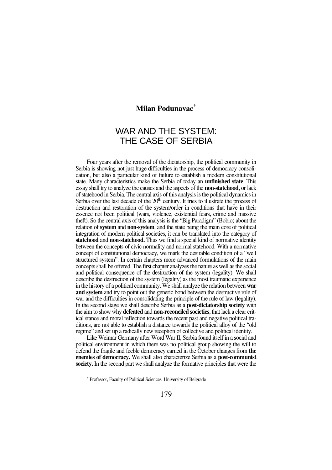## **Milan Podunavac**\*

# WAR AND THE SYSTEM: THE CASE OF SERBIA

Four years after the removal of the dictatorship, the political community in Serbia is showing not just huge difficulties in the process of democracy consolidation, but also a particular kind of failure to establish a modern constitutional state. Many characteristics make the Serbia of today an **unfinished state**. This essay shall try to analyze the causes and the aspects of the **non-statehood,** or lack of statehood in Serbia. The central axis of this analysis is the political dynamics in Serbia over the last decade of the  $20<sup>th</sup>$  century. It tries to illustrate the process of destruction and restoration of the system/order in conditions that have in their essence not been political (wars, violence, existential fears, crime and massive theft). So the central axis of this analysis is the "Big Paradigm" (Bobio) about the relation of **system** and **non-system**, and the state being the main core of political integration of modern political societies, it can be translated into the category of **statehood** and **non-statehood.** Thus we find a special kind of normative identity between the concepts of civic normality and normal statehood. With a normative concept of constitutional democracy, we mark the desirable condition of a "well structured system". In certain chapters more advanced formulations of the main concepts shall be offered. The first chapter analyzes the nature as well as the social and political consequence of the destruction of the system (legality). We shall describe the destruction of the system (legality) as the most traumatic experience in the history of a political community. We shall analyze the relation between **war and system** and try to point out the generic bond between the destructive role of war and the difficulties in consolidating the principle of the rule of law (legality). In the second stage we shall describe Serbia as a **post-dictatorship society** with the aim to show why **defeated** and **non-reconciled societies**, that lack a clear critical stance and moral reflection towards the recent past and negative political traditions, are not able to establish a distance towards the political alloy of the "old regime" and set up a radically new reception of collective and political identity.

Like Weimar Germany after Word War II, Serbia found itself in a social and political environment in which there was no political group showing the will to defend the fragile and feeble democracy earned in the October changes from **the enemies of democracy.** We shall also characterize Serbia as a **post-communist society.** In the second part we shall analyze the formative principles that were the

<sup>\*</sup> Professor, Faculty of Political Sciences, University of Belgrade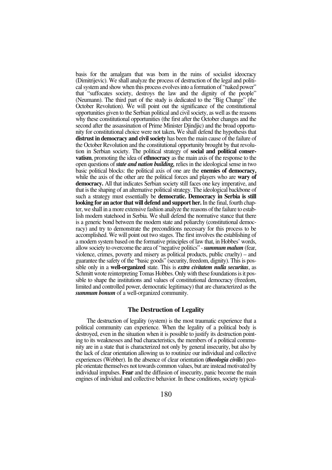basis for the amalgam that was born in the ruins of socialist ideocracy (Dimitrijevic). We shall analyze the process of destruction of the legal and political system and show when this process evolves into a formation of "naked power" that "suffocates society, destroys the law and the dignity of the people" (Neumann). The third part of the study is dedicated to the "Big Change" (the October Revolution). We will point out the significance of the constitutional opportunities given to the Serbian political and civil society, as well as the reasons why these constitutional opportunities (the first after the October changes and the second after the assassination of Prime Minister Djindjic) and the broad opportunity for constitutional choice were not taken**.** We shall defend the hypothesis that **distrust in democracy and civil society** has been the main cause of the failure of the October Revolution and the constitutional opportunity brought by that revolution in Serbian society. The political strategy of **social and political conservatism**, promoting the idea of **ethnocracy** as the main axis of the response to the open questions of *state and nation building,* relies in the ideological sense in two basic political blocks: the political axis of one are the **enemies of democracy,** while the axis of the other are the political forces and players who are **wary of democracy.** All that indicates Serbian society still faces one key imperative, and that is the shaping of an alternative political strategy. The ideological backbone of such a strategy must essentially be **democratic. Democracy in Serbia is still looking for an actor that will defend and support her.** In the final, fourth chapter, we shall in a more extensive fashion analyze the reasons of the failure to establish modern statehood in Serbia. We shall defend the normative stance that there is a generic bond between the modern state and poliarchy (constitutional democracy) and try to demonstrate the preconditions necessary for this process to be accomplished. We will point out two stages. The first involves the establishing of a modern system based on the formative principles of law that, in Hobbes' words, allow society to overcome the area of "negative politics" - *summum malum* (fear, violence, crimes, poverty and misery as political products, public cruelty) – and guarantee the safety of the "basic goods" (security, freedom, dignity). This is possible only in a **well-organized** state. This is *extra civitatem nulla securitas*, as Schmitt wrote reinterpreting Tomas Hobbes. Only with these foundations is it possible to shape the institutions and values of constitutional democracy (freedom, limited and controlled power, democratic legitimacy) that are characterized as the *summum bonum* of a well-organized community.

## **The Destruction of Legality**

The destruction of legality (system) is the most traumatic experience that a political community can experience. When the legality of a political body is destroyed, even in the situation when it is possible to justify its destruction pointing to its weaknesses and bad characteristics, the members of a political community are in a state that is characterized not only by general insecurity, but also by the lack of clear orientation allowing us to routinize our individual and collective experiences (Webber). In the absence of clear orientation (*theologia civilis*) people orientate themselves not towards common values, but are instead motivated by individual impulses. **Fear** and the diffusion of insecurity, panic become the main engines of individual and collective behavior. In these conditions, society typical-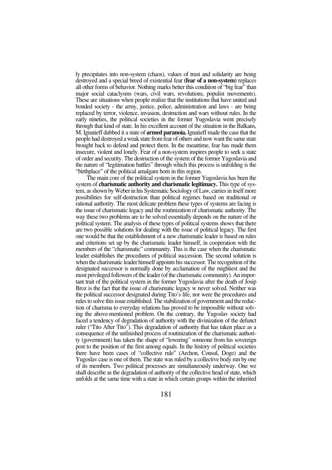ly precipitates into non-system (chaos), values of trust and solidarity are being destroyed and a special breed of existential fear **(fear of a non-system)** replaces all other forms of behavior. Nothing marks better this condition of "big fear" than major social cataclysms (wars, civil wars, revolutions, populist movements). These are situations when people realize that the institutions that have united and bonded society - the army, justice, police, administration and laws - are being replaced by terror, violence, invasion, destruction and wars without rules. In the early nineties, the political societies in the former Yugoslavia went precisely through that kind of state. In his excellent account of the situation in the Balkans, M. Ignatieff dubbed it a state of **armed paranoia.** Ignatieff made the case that the people had destroyed a weak state from fear of others and now want the same state brought back to defend and protect them. In the meantime, fear has made them insecure, violent and lonely. Fear of a non-system inspires people to seek a state of order and security. The destruction of the system of the former Yugoslavia and the nature of "legitimation battles" through which this process is unfolding is the "birthplace" of the political amalgam born in this region.

The main core of the political system in the former Yugoslavia has been the system of **charismatic authority and charismatic legitimacy.** This type of system, as shown by Weber in his Systematic Sociology of Law, carries in itself more possibilities for self-destruction than political regimes based on traditional or rational authority. The most delicate problem these types of systems are facing is the issue of charismatic legacy and the routinization of charismatic authority. The way these two problems are to be solved essentially depends on the nature of the political system. The analysis of these types of political systems shows that there are two possible solutions for dealing with the issue of political legacy. The first one would be that the establishment of a new charismatic leader is based on rules and criterions set up by the charismatic leader himself, in cooperation with the members of the "charismatic" community. This is the case when the charismatic leader establishes the procedures of political succession. The second solution is when the charismatic leader himself appoints his successor. The recognition of the designated successor is normally done by acclamation of the mightiest and the most privileged followers of the leader (of the charismatic community). An important trait of the political system in the former Yugoslavia after the death of Josip Broz is the fact that the issue of charismatic legacy w never solved. Neither was the political successor designated during Tito's life, nor were the procedures and rules to solve this issue established. The stabilization of government and the reduction of charisma to everyday relations has proved to be impossible without solving the above-mentioned problem. On the contrary, the Yugoslav society had faced a tendency of degradation of authority with the divinization of the defunct ruler ("Tito After Tito"). This degradation of authority that has taken place as a consequence of the unfinished process of routinization of the charismatic authority (government) has taken the shape of "lowering" someone from his sovereign post to the position of the first among equals. In the history of political societies there have been cases of "collective rule" (Archon, Consul, Doge) and the Yugoslav case is one of them. The state was ruled by a collective body run by one of its members. Two political processes are simultaneously underway. One we shall describe as the degradation of authority of the collective head of state, which unfolds at the same time with a state in which certain groups within the inherited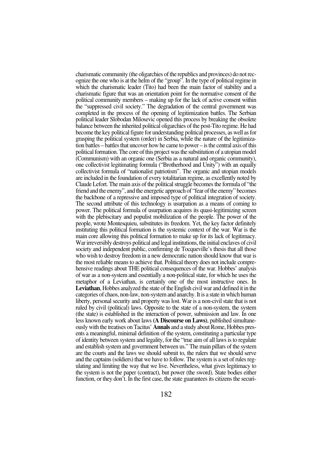charismatic community (the oligarchies of the republics and provinces) do not recognize the one who is at the helm of the "group". In the type of political regime in which the charismatic leader (Tito) had been the main factor of stability and a charismatic figure that was an orientation point for the normative consent of the political community members – making up for the lack of active consent within the "suppressed civil society." The degradation of the central government was completed in the process of the opening of legitimization battles. The Serbian political leader Slobodan Milosevic opened this process by breaking the obsolete balance between the inherited political oligarchies of the post-Tito regime. He had become the key political figure for understanding political processes, as well as for grasping the political system (order) in Serbia, while the nature of the legitimization battles – battles that uncover how he came to power – is the central axis of this political formation. The core of this project was the substitution of a utopian model (Communism) with an organic one (Serbia as a natural and organic community), one collectivist legitimating formula ("Brotherhood and Unity") with an equally collectivist formula of "nationalist patriotism". The organic and utopian models are included in the foundation of every totalitarian regime, as excellently noted by Claude Lefort. The main axis of the political struggle becomes the formula of "the friend and the enemy", and the energetic approach of "fear of the enemy" becomes the backbone of a repressive and imposed type of political integration of society. The second attribute of this technology is usurpation as a means of coming to power. The political formula of usurpation acquires its quasi-legitimizing screen with the plebiscitary and populist mobilization of the people. The power of the people, wrote Montesquieu, substitutes its freedom. Yet, the key factor definitely instituting this political formation is the systemic context of the war. War is the main core allowing this political formation to make up for its lack of legitimacy. War irreversibly destroys political and legal institutions, the initial enclaves of civil society and independent public, confirming de Tocqueville's thesis that all those who wish to destroy freedom in a new democratic nation should know that war is the most reliable means to achieve that. Political theory does not include comprehensive readings about THE political consequences of the war. Hobbes' analysis of war as a non-system and essentially a non-political state, for which he uses the metaphor of a Leviathan, is certainly one of the most instructive ones. In **Leviathan**, Hobbes analyzed the state of the English civil war and defined it in the categories of chaos, non-law, non-system and anarchy. It is a state in which human liberty, personal security and property was lost. War is a non-civil state that is not ruled by civil (political) laws. Opposite to the state of a non-system, the system (the state) is established in the interaction of power, submission and law. In one less known early work about laws **(A Discourse on Laws)**, published simultaneously with the treatises on Tacitus' **Annals** and a study about Rome, Hobbes presents a meaningful, minimal definition of the system, constituting a particular type of identity between system and legality, for the "true aim of all laws is to regulate and establish system and government between us." The main pillars of the system are the courts and the laws we should submit to, the rulers that we should serve and the captains (soldiers) that we have to follow. The system is a set of rules regulating and limiting the way that we live. Nevertheless, what gives legitimacy to the system is not the paper (contract), but power (the sword). State bodies either function, or they don't. In the first case, the state guarantees its citizens the securi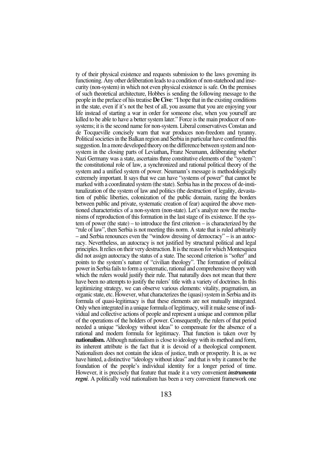ty of their physical existence and requests submission to the laws governing its functioning. Any other deliberation leads to a condition of non-statehood and insecurity (non-system) in which not even physical existence is safe. On the premises of such theoretical architecture, Hobbes is sending the following message to the people in the preface of his treatise **De Cive**: "I hope that in the existing conditions in the state, even if it's not the best of all, you assume that you are enjoying your life instead of starting a war in order for someone else, when you yourself are killed to be able to have a better system later." Force is the main producer of nonsystems; it is the second name for non-system. Liberal conservatives Constan and de Tocqueville concisely warn that war produces non-freedom and tyranny. Political societies in the Balkan region and Serbia in particular have confirmed this suggestion. In a more developed theory on the difference between system and nonsystem in the closing parts of Leviathan**,** Franz Neumann, deliberating whether Nazi Germany was a state, ascertains three constitutive elements of the "system": the constitutional role of law, a synchronized and rational political theory of the system and a unified system of power. Neumann's message is methodologically extremely important. It says that we can have "systems of power" that cannot be marked with a coordinated system (the state). Serbia has in the process of de-institunalization of the system of law and politics (the destruction of legality, devastation of public liberties, colonization of the public domain, razing the borders between public and private, systematic creation of fear) acquired the above mentioned characteristics of a non-system (non-state). Let's analyze now the mechanisms of reproduction of this formation in the last stage of its existence. If the system of power (the state) – to introduce the first criterion – is characterized by the "rule of law", then Serbia is not meeting this norm. A state that is ruled arbitrarily – and Serbia renounces even the "window dressing of democracy" – is an autocracy. Nevertheless, an autocracy is not justified by structural political and legal principles. It relies on their very destruction. It is the reason for which Montesquieu did not assign autocracy the status of a state. The second criterion is "softer" and points to the system's nature of "civilian theology". The formation of political power in Serbia fails to form a systematic, rational and comprehensive theory with which the rulers would justify their rule. That naturally does not mean that there have been no attempts to justify the rulers' title with a variety of doctrines. In this legitimizing strategy, we can observe various elements: vitality, pragmatism, an organic state, etc. However, what characterizes the (quasi) system in Serbia and its formula of quasi-legitimacy is that these elements are not mutually integrated. Only when integrated in a unique formula of legitimacy, will it make sense of individual and collective actions of people and represent a unique and common pillar of the operations of the holders of power. Consequently, the rulers of that period needed a unique "ideology without ideas" to compensate for the absence of a rational and modern formula for legitimacy. That function is taken over by **nationalism.** Although nationalism is close to ideology with its method and form, its inherent attribute is the fact that it is devoid of a theological component. Nationalism does not contain the ideas of justice, truth or prosperity. It is, as we have hinted, a distinctive "ideology without ideas" and that is why it cannot be the foundation of the people's individual identity for a longer period of time. However, it is precisely that feature that made it a very convenient *instrumenta regni*. A politically void nationalism has been a very convenient framework one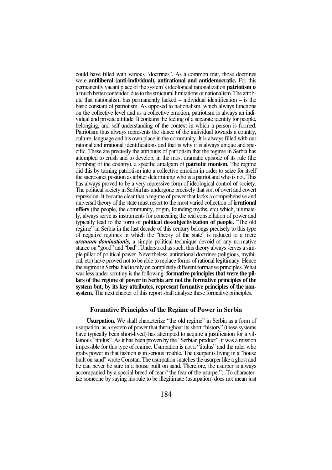could have filled with various "doctrines". As a common trait, those doctrines were **antiliberal (anti-individual), antirational and antidemocratic.** For this permanently vacant place of the system's ideological rationalization **patriotism** is a much better contender, due to the structural limitations of nationalism. The attribute that nationalism has permanently lacked – individual identification – is the basic constant of patriotism. As opposed to nationalism, which always functions on the collective level and as a collective emotion, patriotism is always an individual and private attitude. It contains the feeling of a separate identity for people, belonging, and self-understanding of the context in which a person is formed. Patriotism thus always represents the stance of the individual towards a country, culture, language and his own place in the community. It is always filled with our rational and irrational identifications and that is why it is always unique and specific. These are precisely the attributes of patriotism that the regime in Serbia has attempted to crush and to develop, in the most dramatic episode of its rule (the bombing of the country), a specific amalgam of **patriotic monism.** The regime did this by turning patriotism into a collective emotion in order to seize for itself the sacrosanct position as arbiter determining who is a patriot and who is not. This has always proved to be a very repressive form of ideological control of society. The political society in Serbia has undergone precisely that sort of overt and covert repression. It became clear that a regime of power that lacks a comprehensive and universal theory of the state must resort to the most varied collection of **irrational offers** (the people, the community, origin, founding myths, etc) which, ultimately, always serve as instruments for concealing the real constellation of power and typically lead to the form of **political de-subjectivization of people.** "The old regime" in Serbia in the last decade of this century belongs precisely to this type of negative regimes in which the "theory of the state" is reduced to a mere *arcanum dominationis,* a simple political technique devoid of any normative stance on "good" and "bad". Understood as such, this theory always serves a simple pillar of political power. Nevertheless, antirational doctrines (religious, mythical, etc) have proved not to be able to replace forms of rational legitimacy. Hence the regime in Serbia had to rely on completely different formative principles. What was less under scrutiny is the following: **formative principles that were the pillars of the regime of power in Serbia are not the formative principles of the system but, by its key attributes, represent formative principles of the nonsystem.** The next chapter of this report shall analyze these formative principles.

#### **Formative Principles of the Regime of Power in Serbia**

**Usurpation.** We shall characterize "the old regime" in Serbia as a form of usurpation, as a system of power that throughout its short "history" (these systems have typically been short-lived) has attempted to acquire a justification for a villainous "titulus". As it has been proven by the "Serbian product", it was a mission impossible for this type of regime. Usurpation is not a "titulus" and the ruler who grabs power in that fashion is in serious trouble. The usurper is living in a "house built on sand" wrote Constan. The usurpation snatches the usurper like a ghost and he can never be sure in a house built on sand. Therefore, the usurper is always accompanied by a special breed of fear ("the fear of the usurper"). To characterize someone by saying his rule to be illegitimate (usurpation) does not mean just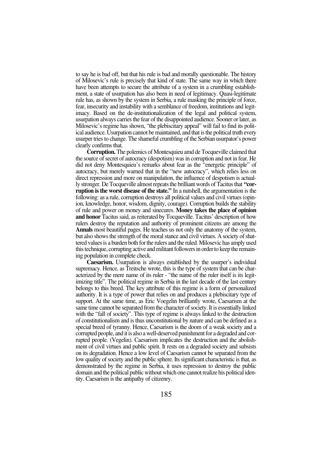to say he is bad off, but that his rule is bad and morally questionable. The history of Milosevic's rule is precisely that kind of state. The same way in which there have been attempts to secure the attribute of a system in a crumbling establishment, a state of usurpation has also been in need of legitimacy. Quasi-legitimate rule has, as shown by the system in Serbia, a rule masking the principle of force, fear, insecurity and instability with a semblance of freedom, institutions and legitimacy. Based on the de-institutionalization of the legal and political system, usurpation always carries the fear of the disappointed audience. Sooner or later, as Milosevic's regime has shown, "the plebiscitary appeal" will fail to find its political audience. Usurpation cannot be maintained, and that is the political truth every usurper tries to change. The shameful crumbling of the Serbian usurpator's power clearly confirms that.

**Corruption.** The polemics of Montesquieu amd de Tocqueville claimed that the source of secret of autocracy (despotism) was in corruption and not in fear. He did not deny Montesquieu's remarks about fear as the "energetic principle" of autocracy, but merely warned that in the "new autocracy", which relies less on direct repression and more on manipulation, the influence of despotism is actually stronger. De Tocqueville almost repeats the brilliant words of Tacitus that **"corruption is the worst disease of the state."** In a nutshell, the argumentation is the following: as a rule, corruption destroys all political values and civil virtues (opinion, knowledge, honor, wisdom, dignity, courage). Corruption builds the stability of rule and power on money and sinecures. **Money takes the place of opinion and honor** Tacitus said, as reiterated by Tocqueville. Tacitus' description of how rulers destroy the reputation and authority of prominent citizens are among the **Annals** most beautiful pages. He teaches us not only the anatomy of the system, but also shows the strength of the moral stance and civil virtues. A society of shattered values is a burden both for the rulers and the ruled. Milosevic has amply used this technique, corrupting active and militant followers in order to keep the remaining population in complete check.

**Caesarism.** Usurpation is always established by the usurper's individual supremacy. Hence, as Treitsche wrote, this is the type of system that can be characterized by the mere name of its ruler - "the name of the ruler itself is its legitimizing title". The political regime in Serbia in the last decade of the last century belongs to this breed. The key attribute of this regime is a form of personalized authority. It is a type of power that relies on and produces a plebiscitary type of support. At the same time, as Eric Voegelin brilliantly wrote, Caesarism at the same time cannot be separated from the character of society. It is essentially linked with the "fall of society". This type of regime is always linked to the destruction of constitutionalism and is thus unconstitutional by nature and can be defined as a special breed of tyranny. Hence, Caesarism is the doom of a weak society and a corrupted people, and it is also a well-deserved punishment for a degraded and corrupted people. (Vegelin). Caesarism implicates the destruction and the abolishment of civil virtues and public spirit. It rests on a degraded society and subsists on its degradation. Hence a low level of Caesarism cannot be separated from the low quality of society and the public sphere. Its significant characteristic is that, as demonstrated by the regime in Serbia, it uses repression to destroy the public domain and the political public without which one cannot realize his political identity. Caesarism is the antipathy of citizenry.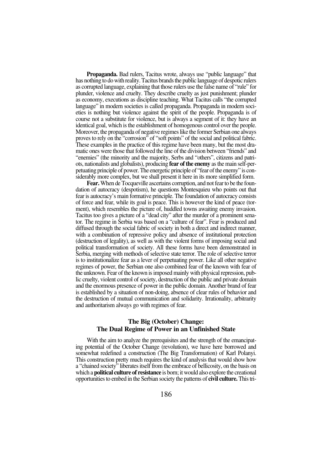**Propaganda.** Bad rulers, Tacitus wrote, always use "public language" that has nothing to do with reality. Tacitus brands the public language of despotic rulers as corrupted language, explaining that those rulers use the false name of "rule" for plunder, violence and cruelty. They describe cruelty as just punishment; plunder as economy, executions as discipline teaching. What Tacitus calls "the corrupted language" in modern societies is called propaganda. Propaganda in modern societies is nothing but violence against the spirit of the people. Propaganda is of course not a substitute for violence, but is always a segment of it: they have an identical goal, which is the establishment of homogenous control over the people. Moreover, the propaganda of negative regimes like the former Serbian one always proves to rely on the "corrosion" of "soft points" of the social and political fabric. These examples in the practice of this regime have been many, but the most dramatic ones were those that followed the line of the division between "friends" and "enemies" (the minority and the majority, Serbs and "others", citizens and patriots, nationalists and globalists), producing **fear of the enemy** as the main self-perpetuating principle of power. The energetic principle of "fear of the enemy" is considerably more complex, but we shall present it here in its more simplified form.

**Fear.** When de Tocqueville ascertains corruption, and not fear to be the foundation of autocracy (despotism), he questions Montesquieu who points out that fear is autocracy's main formative principle. The foundation of autocracy consists of force and fear, while its goal is peace. This is however the kind of peace (torment), which resembles the picture of, huddled towns awaiting enemy invasion. Tacitus too gives a picture of a "dead city" after the murder of a prominent senator. The regime in Serbia was based on a "culture of fear". Fear is produced and diffused through the social fabric of society in both a direct and indirect manner, with a combination of repressive policy and absence of institutional protection (destruction of legality), as well as with the violent forms of imposing social and political transformation of society. All these forms have been demonstrated in Serbia, merging with methods of selective state terror. The role of selective terror is to institutionalize fear as a lever of perpetuating power. Like all other negative regimes of power, the Serbian one also combined fear of the known with fear of the unknown. Fear of the known is imposed mainly with physical repression, public cruelty, violent control of society, destruction of the public and private domain and the enormous presence of power in the public domain. Another brand of fear is established by a situation of non-doing, absence of clear rules of behavior and the destruction of mutual communication and solidarity. Irrationality, arbitrarity and authoritarism always go with regimes of fear.

## **The Big (October) Change: The Dual Regime of Power in an Unfinished State**

With the aim to analyze the prerequisites and the strength of the emancipating potential of the October Change (revolution), we have here borrowed and somewhat redefined a construction (The Big Transformation) of Karl Polanyi. This construction pretty much requires the kind of analysis that would show how a "chained society" liberates itself from the embrace of bellicosity, on the basis on which a **political culture of resistance** is born; it would also explore the creational opportunities to embed in the Serbian society the patterns of **civil culture.** This tri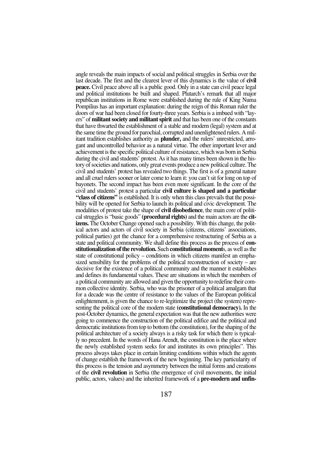angle reveals the main impacts of social and political struggles in Serbia over the last decade. The first and the clearest lever of this dynamics is the value of **civil peace.** Civil peace above all is a public good. Only in a state can civil peace legal and political institutions be built and shaped. Plutarch's remark that all major republican institutions in Rome were established during the rule of King Numa Pompilius has an important explanation: during the reign of this Roman ruler the doors of war had been closed for fourty-three years. Serbia is a imbued with "layers" of **militant society and militant spirit** and that has been one of the constants that have thwarted the establishment of a stable and modern (legal) system and at the same time the ground for parochial, corrupted and unenlightened rulers. A militant tradition establishes authority as **plunder,** and the rulers' unrestricted, arrogant and uncontrolled behavior as a natural virtue. The other important lever and achievement is the specific political culture of resistance, which was born in Serbia during the civil and students' protest. As it has many times been shown in the history of societies and nations, only great events produce a new political culture. The civil and students' protest has revealed two things. The first is of a general nature and all cruel rulers sooner or later come to learn it: you can't sit for long on top of bayonets. The second impact has been even more significant. In the core of the civil and students' protest a particular **civil culture is shaped and a particular "class of citizens"** is established. It is only when this class prevails that the possibility will be opened for Serbia to launch its political and civic development. The modalities of protest take the shape of **civil disobedience**, the main core of political struggles is "basic goods" **(procedural rights)** and the main actors are the **citizens.** The October Change opened such a possibility. With this change, the political actors and actors of civil society in Serbia (citizens, citizens' associations, political parties) get the chance for a comprehensive restructuring of Serbia as a state and political community. We shall define this process as the process of **constitutionalization of the revolution.** Such **constitutional moment**s, as well as the state of constitutional policy – conditions in which citizens manifest an emphasized sensibility for the problems of the political reconstruction of society – are decisive for the existence of a political community and the manner it establishes and defines its fundamental values. These are situations in which the members of a political community are allowed and given the opportunity to redefine their common collective identity. Serbia, who was the prisoner of a political amalgam that for a decade was the centre of resistance to the values of the European political enlightenment, is given the chance to re-legitimize the project (the system) representing the political core of the modern state **(constitutional democracy).** In the post-October dynamics, the general expectation was that the new authorities were going to commence the construction of the political edifice and the political and democratic institutions from top to bottom (the constitution), for the shaping of the political architecture of a society always is a risky task for which there is typically no precedent. In the words of Hana Arendt, the constitution is the place where the newly established system seeks for and institutes its own principles". This process always takes place in certain limiting conditions within which the agents of change establish the framework of the new beginning. The key particularity of this process is the tension and asymmetry between the initial forms and creations of the **civil revolution** in Serbia (the emergence of civil movements, the initial public, actors, values) and the inherited framework of a **pre-modern and unfin-**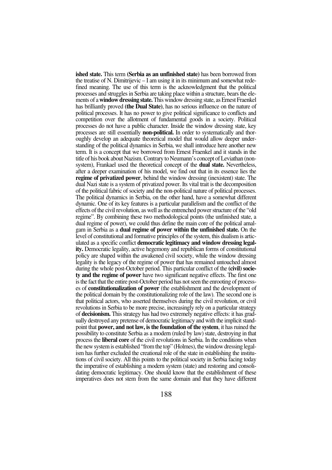**ished state.** This term **(Serbia as an unfinished state)** has been borrowed from the treatise of N. Dimitrijevic – I am using it in its minimum and somewhat redefined meaning. The use of this term is the acknowledgment that the political processes and struggles in Serbia are taking place within a structure, bears the elements of a **window dressing state.**This window dressing state, as Ernest Fraenkel has brilliantly proved **(the Dual State)**, has no serious influence on the nature of political processes. It has no power to give political significance to conflicts and competition over the allotment of fundamental goods in a society. Political processes do not have a public character. Inside the window dressing state, key processes are still essentially **non-political.** In order to systematically and thoroughly develop an adequate theoretical model that would allow deeper understanding of the political dynamics in Serbia, we shall introduce here another new term. It is a concept that we borrowed from Ernest Fraenkel and it stands in the title of his book about Nazism. Contrary to Neumann's concept of Leviathan (nonsystem), Frankael used the theoretical concept of the **dual state.** Nevertheless, after a deeper examination of his model, we find out that in its essence lies the **regime of privatized power**, behind the window dressing (inexistent) state. The dual Nazi state is a system of privatized power. Its vital trait is the decomposition of the political fabric of society and the non-political nature of political processes. The political dynamics in Serbia, on the other hand, have a somewhat different dynamic. One of its key features is a particular parallelism and the conflict of the effects of the civil revolution, as well as the entrenched power structure of the "old regime". By combining these two methodological points (the unfinished state, a dual regime of power), we could thus define the main core of the political amalgam in Serbia as a **dual regime of power within the unfinished state.** On the level of constitutional and formative principles of the system, this dualism is articulated as a specific conflict **democratic legitimacy and window dressing legality.** Democratic legality, active hegemony and republican forms of constitutional policy are shaped within the awakened civil society, while the window dressing legality is the legacy of the regime of power that has remained untouched almost during the whole post-October period. This particular conflict of the **(civil) society and the regime of power** have two significant negative effects. The first one is the fact that the entire post-October period has not seen the enrooting of processes of **constitutionalization of power** (the establishment and the development of the political domain by the constitutionalizing role of the law). The second one is that political actors, who asserted themselves during the civil revolution, or civil revolutions in Serbia to be more precise, increasingly rely on a particular strategy of **decisionism.** This strategy has had two extremely negative effects: it has gradually destroyed any pretense of democratic legitimacy and with the implicit standpoint that **power, and not law, is the foundation of the system**, it has ruined the possibility to constitute Serbia as a modern (ruled by law) state, destroying in that process the **liberal core** of the civil revolutions in Serbia. In the conditions when the new system is established "from the top" (Holmes), the window dressing legalism has further excluded the creational role of the state in establishing the institutions of civil society. All this points to the political society in Serbia facing today the imperative of establishing a modern system (state) and restoring and consolidating democratic legitimacy. One should know that the establishment of these imperatives does not stem from the same domain and that they have different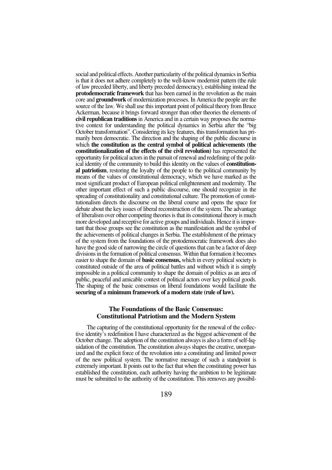social and political effects. Another particularity of the political dynamics in Serbia is that it does not adhere completely to the well-know modernist pattern (the rule of law preceded liberty, and liberty preceded democracy), establishing instead the **protodemocratic framework** that has been earned in the revolution as the main core and **groundwork** of modernization processes. In America the people are the source of the law. We shall use this important point of political theory from Bruce Ackerman, because it brings forward stronger than other theories the elements of **civil republican traditions** in America and in a certain way proposes the normative context for understanding the political dynamics in Serbia after the "big October transformation". Considering its key features, this transformation has primarily been democratic. The direction and the shaping of the public discourse in which **the constitution as the central symbol of political achievements (the constitutionalization of the effects of the civil revolution)** has represented the opportunity for political actors in the pursuit of renewal and redefining of the political identity of the community to build this identity on the values of **constitutional patriotism**, restoring the loyalty of the people to the political community by means of the values of constitutional democracy, which we have marked as the most significant product of European political enlightenment and modernity. The other important effect of such a public discourse, one should recognize in the spreading of constitutionality and constitutional culture. The promotion of constitutionalism directs the discourse on the liberal course and opens the space for debate about the key issues of liberal reconstruction of the system. The advantage of liberalism over other competing theories is that its constitutional theory is much more developed and receptive for active groups and individuals. Hence it is important that those groups see the constitution as the manifestation and the symbol of the achievements of political changes in Serbia. The establishment of the primacy of the system from the foundations of the protodemocratic framework does also have the good side of narrowing the circle of questions that can be a factor of deep divisions in the formation of political consensus. Within that formation it becomes easier to shape the domain of **basic consensus,** which in every political society is constituted outside of the area of political battles and without which it is simply impossible in a political community to shape the domain of politics as an area of public, peaceful and amicable contest of political actors over key political goods. The shaping of the basic consensus on liberal foundations would facilitate the **securing of a minimum framework of a modern state (rule of law).**

## **The Foundations of the Basic Consensus: Constitutional Patriotism and the Modern System**

The capturing of the constitutional opportunity for the renewal of the collective identity's redefinition I have characterized as the biggest achievement of the October change. The adoption of the constitution always is also a form of self-liquidation of the constitution. The constitution always shapes the creative, unorganized and the explicit force of the revolution into a constituting and limited power of the new political system. The normative message of such a standpoint is extremely important. It points out to the fact that when the constituting power has established the constitution, each authority having the ambition to be legitimate must be submitted to the authority of the constitution. This removes any possibil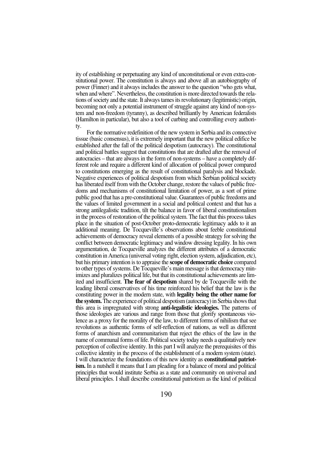ity of establishing or perpetuating any kind of unconstitutional or even extra-constitutional power. The constitution is always and above all an autobiography of power (Finner) and it always includes the answer to the question "who gets what, when and where". Nevertheless, the constitution is more directed towards the relations of society and the state. It always tames its revolutionary (legitimistic) origin, becoming not only a potential instrument of struggle against any kind of non-system and non-freedom (tyranny), as described brilliantly by American federalists (Hamilton in particular), but also a tool of curbing and controlling every authority.

For the normative redefinition of the new system in Serbia and its connective tissue (basic consensus), it is extremely important that the new political edifice be established after the fall of the political despotism (autocracy). The constitutional and political battles suggest that constitutions that are drafted after the removal of autocracies – that are always in the form of non-systems – have a completely different role and require a different kind of allocation of political power compared to constitutions emerging as the result of constitutional paralysis and blockade. Negative experiences of political despotism from which Serbian political society has liberated itself from with the October change, restore the values of public freedoms and mechanisms of constitutional limitation of power, as a sort of prime public good that has a pre-constitutional value. Guarantees of public freedoms and the values of limited government in a social and political context and that has a strong antilegalistic tradition, tilt the balance in favor of liberal constitutionalism in the process of restoration of the political system. The fact that this process takes place in the situation of post-October proto-democratic legitimacy adds to it an additional meaning. De Tocqueville's observations about feeble constitutional achievements of democracy reveal elements of a possible strategy for solving the conflict between democratic legitimacy and window dressing legality. In his own argumentation, de Tocqueville analyzes the different attributes of a democratic constitution in America (universal voting right, election system, adjudication, etc), but his primary intention is to appraise the **scope of democratic choice** compared to other types of systems. De Tocqueville's main message is that democracy minimizes and pluralizes political life, but that its constitutional achievements are limited and insufficient. **The fear of despotism** shared by de Tocqueville with the leading liberal conservatives of his time reinforced his belief that the law is the constituting power in the modern state, with **legality being the other name for the system.** The experience of political despotism (autocracy) in Serbia shows that this area is impregnated with strong **anti-legalistic ideologies.** The patterns of those ideologies are various and range from those that glorify spontaneous violence as a proxy for the morality of the law, to different forms of nihilism that see revolutions as authentic forms of self-reflection of nations, as well as different forms of anarchism and communitarism that reject the ethics of the law in the name of communal forms of life. Political society today needs a qualitatively new perception of collective identity. In this part I will analyze the prerequisites of this collective identity in the process of the establishment of a modern system (state). I will characterize the foundations of this new identity as **constitutional patriotism.** In a nutshell it means that I am pleading for a balance of moral and political principles that would institute Serbia as a state and community on universal and liberal principles. I shall describe constitutional patriotism as the kind of political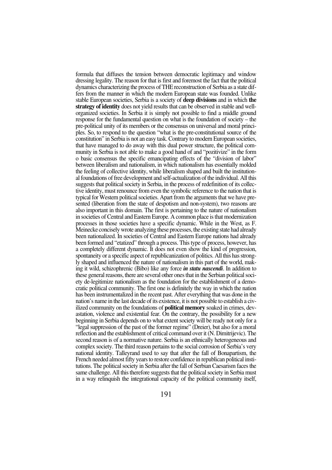formula that diffuses the tension between democratic legitimacy and window dressing legality. The reason for that is first and foremost the fact that the political dynamics characterizing the process of THE reconstruction of Serbia as a state differs from the manner in which the modern European state was founded. Unlike stable European societies, Serbia is a society of **deep divisions** and in which **the strategy of identity** does not yield results that can be observed in stable and wellorganized societies. In Serbia it is simply not possible to find a middle ground response for the fundamental question on what is the foundation of society – the pre-political unity of its members or the consensus on universal and moral principles. So, to respond to the question "what is the pre-constitutional source of the constitution" in Serbia is not an easy task. Contrary to modern European societies, that have managed to do away with this dual power structure, the political community in Serbia is not able to make a good hand of and "pozitivize" in the form o basic consensus the specific emancipating effects of the "division of labor" between liberalism and nationalism, in which nationalism has essentially molded the feeling of collective identity, while liberalism shaped and built the institutional foundations of free development and self-actualization of the individual. All this suggests that political society in Serbia, in the process of redefinition of its collective identity, must renounce from even the symbolic reference to the nation that is typical for Western political societies. Apart from the arguments that we have presented (liberation from the state of despotism and non-system), two reasons are also important in this domain. The first is pertaining to the nature of nationalism in societies of Central and Eastern Europe. A common place is that modernization processes in those societies have a specific dynamic. While in the West, as F. Meinecke concisely wrote analyzing these processes, the existing state had already been nationalized. In societies of Central and Eastern Europe nations had already been formed and "etatized" through a process. This type of process, however, has a completely different dynamic. It does not even show the kind of progression, spontaneity or a specific aspect of republicanization of politics. All this has strongly shaped and influenced the nature of nationalism in this part of the world, making it wild, schizophrenic (Bibo) like any force *in statu nascendi*. In addition to these general reasons, there are several other ones that in the Serbian political society de-legitimize nationalism as the foundation for the establishment of a democratic political community. The first one is definitely the way in which the nation has been instrumentalized in the recent past. After everything that was done in the nation's name in the last decade of its existence, it is not possible to establish a civilized community on the foundations of **political memory** soaked in crimes, devastation, violence and existential fear. On the contrary, the possibility for a new beginning in Serbia depends on to what extent society will be ready not only for a "legal suppression of the past of the former regime" (Dreier), but also for a moral reflection and the establishment of critical command over it (N. Dimitrijevic). The second reason is of a normative nature. Serbia is an ethnically heterogeneous and complex society. The third reason pertains to the social corrosion of Serbia's very national identity. Talleyrand used to say that after the fall of Bonapartism, the French needed almost fifty years to restore confidence in republican political institutions. The political society in Serbia after the fall of Serbian Caesarism faces the same challenge. All this therefore suggests that the political society in Serbia must in a way relinquish the integrational capacity of the political community itself,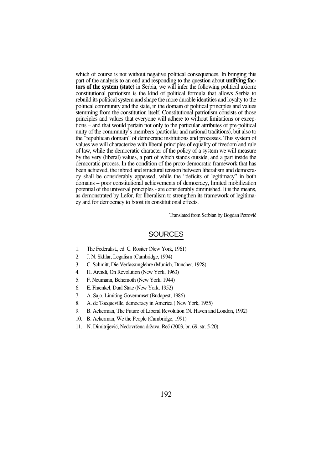which of course is not without negative political consequences. In bringing this part of the analysis to an end and responding to the question about **unifying factors of the system (state)** in Serbia, we will infer the following political axiom: constitutional patriotism is the kind of political formula that allows Serbia to rebuild its political system and shape the more durable identities and loyalty to the political community and the state, in the domain of political principles and values stemming from the constitution itself. Constitutional patriotism consists of those principles and values that everyone will adhere to without limitations or exceptions – and that would pertain not only to the particular attributes of pre-political unity of the community's members (particular and national traditions), but also to the "republican domain" of democratic institutions and processes. This system of values we will characterize with liberal principles of equality of freedom and rule of law, while the democratic character of the policy of a system we will measure by the very (liberal) values, a part of which stands outside, and a part inside the democratic process. In the condition of the proto-democratic framework that has been achieved, the inbred and structural tension between liberalism and democracy shall be considerably appeased, while the "deficits of legitimacy" in both domains – poor constitutional achievements of democracy, limited mobilization potential of the universal principles - are considerably diminished. It is the means, as demonstrated by Lefor, for liberalism to strengthen its framework of legitimacy and for democracy to boost its constitutional effects.

Translated from Serbian by Bogdan Petrović

## SOURCES

- 1. The Federalist., ed. C. Rositer (New York, 1961)
- 2. J. N. Skhlar, Legalism (Cambridge, 1994)
- 3. C. Schmitt, Die Verfassunglehre (Munich, Duncher, 1928)
- 4. H. Arendt, On Revolution (New York, 1963)
- 5. F. Neumann, Behemoth (New York, 1944)
- 6. E. Fraenkel, Dual State (New York, 1952)
- 7. A. Sajo, Limiting Governmset (Budapest, 1986)
- 8. A. de Tocqueville, democracy in America ( New York, 1955)
- 9. B. Ackerman, The Future of Liberal Revolution (N. Haven and London, 1992)
- 10. B. Ackerman, We the People (Cambridge, 1991)
- 11. N. Dimitrijević, Nedovršena država, Reč (2003, br. 69, str. 5-20)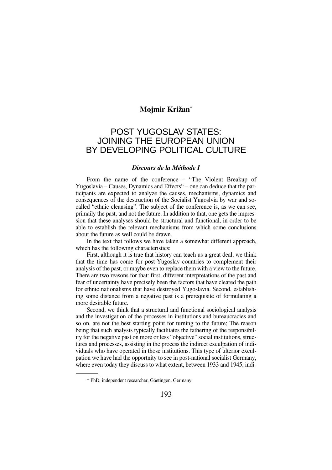# **Mojmir Križan**\*

# POST YUGOSLAV STATES: JOINING THE EUROPEAN UNION BY DEVELOPING POLITICAL CULTURE

## *Discours de la Méthode I*

From the name of the conference – "The Violent Breakup of Yugoslavia – Causes, Dynamics and Effects" – one can deduce that the participants are expected to analyze the causes, mechanisms, dynamics and consequences of the destruction of the Socialist Yugoslvia by war and socalled "ethnic cleansing". The subject of the conference is, as we can see, primaily the past, and not the future. In addition to that, one gets the impression that these analyses should be structural and functional, in order to be able to establish the relevant mechanisms from which some conclusions about the future as well could be drawn.

In the text that follows we have taken a somewhat different approach, which has the following characteristics:

First, although it is true that history can teach us a great deal, we think that the time has come for post-Yugoslav countries to complement their analysis of the past, or maybe even to replace them with a view to the future. There are two reasons for that: first, different interpretations of the past and fear of uncertainty have precisely been the factors that have cleared the path for ethnic nationalisms that have destroyed Yugoslavia. Second, establishing some distance from a negative past is a prerequisite of formulating a more desirable future.

Second, we think that a structural and functional sociological analysis and the investigation of the processes in institutions and bureaucracies and so on, are not the best starting point for turning to the future; The reason being that such analysis typically facilitates the fathering of the responsibility for the negative past on more or less "objective" social institutions, structures and processes, assisting in the process the indirect exculpation of individuals who have operated in those institutions. This type of ulterior exculpation we have had the opportnity to see in post-national socialist Germany, where even today they discuss to what extent, between 1933 and 1945, indi-

<sup>\*</sup> PhD, independent researcher, Göetingen, Germany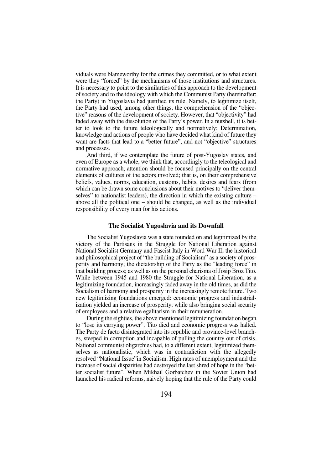viduals were blameworthy for the crimes they committed, or to what extent were they "forced" by the mechanisms of those institutions and structures. It is necessary to point to the similarties of this approach to the development of society and to the ideology with which the Communist Party (hereinafter: the Party) in Yugoslavia had justified its rule. Namely, to legitimize itself, the Party had used, among other things, the comprehension of the "objective" reasons of the development of society. However, that "objectivity" had faded away with the dissolution of the Party's power. In a nutshell, it is better to look to the future teleologically and normatively: Determination, knowledge and actions of people who have decided what kind of future they want are facts that lead to a "better future", and not "objective" structures and processes.

And third, if we contemplate the future of post-Yugoslav states, and even of Europe as a whole, we think that, accordingly to the teleological and normative approach, attention should be focused principally on the central elements of cultures of the actors involved; that is, on their comprehensive beliefs, values, norms, education, customs, habits, desires and fears (from which can be drawn some conclusions about their motives to "deliver themselves" to nationalist leaders), the direction in which the existing culture – above all the political one – should be changed, as well as the individual responsibility of every man for his actions.

#### **The Socialist Yugoslavia and its Downfall**

The Socialist Yugoslavia was a state founded on and legitimized by the victory of the Partisans in the Struggle for National Liberation against National Socialist Germany and Fascist Italy in Word War II; the historical and philosophical project of "the building of Socialism" as a society of prosperity and harmony; the dictatorship of the Party as the "leading force" in that building process; as well as on the personal charisma of Josip Broz Tito. While between 1945 and 1980 the Struggle for National Liberation, as a legitimizing foundation, increasingly faded away in the old times, as did the Socialism of harmony and prosperity in the increasingly remote future. Two new legitimizing foundations emerged: economic progress and industrialization yielded an increase of prosperity, while also bringing social security of employees and a relative egalitarism in their remuneration.

During the eighties, the above mentioned legitimizing foundation began to "lose its carrying power". Tito died and economic progress was halted. The Party de facto disintegrated into its republic and province-level branches, steeped in corruption and incapable of pulling the country out of crisis. National communist oligarchies had, to a different extent, legitimized themselves as nationalistic, which was in contradiction with the allegedly resolved "National Issue"in Socialism. High rates of unemployment and the increase of social disparities had destroyed the last shred of hope in the "better socialist future". When Mikhail Gorbatchev in the Soviet Union had launched his radical reforms, naively hoping that the rule of the Party could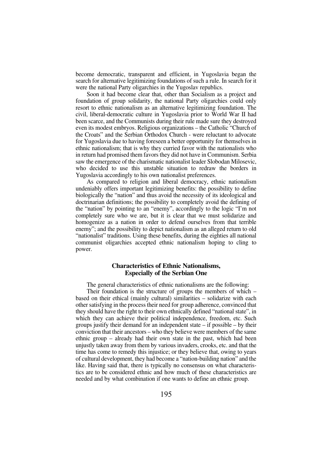become democratic, transparent and efficient, in Yugoslavia began the search for alternative legitimizing foundations of such a rule. In search for it were the national Party oligarchies in the Yugoslav republics.

Soon it had become clear that, other than Socialism as a project and foundation of group solidarity, the national Party oligarchies could only resort to ethnic nationalism as an alternative legitimizing foundation. The civil, liberal-democratic culture in Yugoslavia prior to World War II had been scarce, and the Communists during their rule made sure they destroyed even its modest embryos. Religious organizations – the Catholic "Church of the Croats" and the Serbian Orthodox Church - were reluctant to advocate for Yugoslavia due to having foreseen a better opportunity for themselves in ethnic nationalism; that is why they curried favor with the nationalists who in return had promised them favors they did not have in Communism. Serbia saw the emergence of the charismatic nationalist leader Slobodan Milosevic, who decided to use this unstable situation to redraw the borders in Yugoslavia accordingly to his own nationalist preferences.

As compared to religion and liberal democracy, ethnic nationalism undeniably offers important legitimizing benefits: the possibility to define biologically the "nation" and thus avoid the necessity of its ideological and doctrinarian definitions; the possibility to completely avoid the defining of the "nation" by pointing to an "enemy", accordingly to the logic "I'm not completely sure who we are, but it is clear that we must solidarize and homogenize as a nation in order to defend ourselves from that terrible enemy"; and the possibility to depict nationalism as an alleged return to old "nationalist" traditions. Using these benefits, during the eighties all national communist oligarchies accepted ethnic nationalism hoping to cling to power.

## **Characteristics of Ethnic Nationalisms, Especially of the Serbian One**

The general characteristics of ethnic nationalisms are the following: Their foundation is the structure of groups the members of which – based on their ethical (mainly cultural) similarities – solidarize with each other satisfying in the process their need for group adherence, convinced that they should have the right to their own ethnically defined "national state", in which they can achieve their political independence, freedom, etc. Such groups justify their demand for an independent state – if possible – by their conviction that their ancestors – who they believe were members of the same ethnic group – already had their own state in the past, which had been unjustly taken away from them by various invaders, crooks, etc. and that the time has come to remedy this injustice; or they believe that, owing to years of cultural development, they had become a "nation-building nation" and the like. Having said that, there is typically no consensus on what characteristics are to be considered ethnic and how much of these characteristics are needed and by what combination if one wants to define an ethnic group.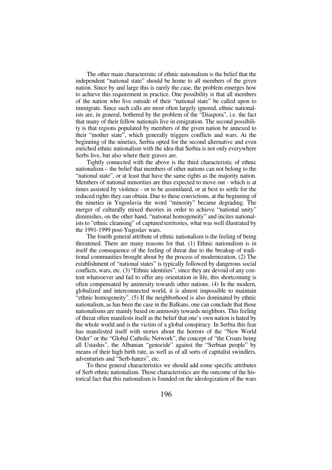The other main characteristic of ethnic nationalism is the belief that the independent "national state" should be home to all members of the given nation. Since by and large this is rarely the case, the problem emerges how to achieve this requirement in practice. One possibility is that all members of the nation who live outside of their "national state" be called upon to immigrate. Since such calls are most often largely ignored, ethnic nationalists are, in general, bothered by the problem of the "Diaspora", i.e. the fact that many of their fellow nationals live in emigration. The second possibility is that regions populated by members of the given nation be annexed to their "mother state", which generally triggers conflicts and wars. At the beginning of the nineties, Serbia opted for the second alternative and even enriched ethnic nationalism with the idea that Serbia is not only everywhere Serbs live, but also where their graves are.

Tightly connected with the above is the third characteristic of ethnic nationalism – the belief that members of other nations can not belong to the "national state", or at least that have the same rights as the majority nation. Members of national minorities are thus expected to move out - which is at times assisted by violence - or to be assimilated, or at best to settle for the reduced rights they can obtain. Due to these convictions, at the beginning of the nineties in Yugoslavia the word "minority" became degrading. The merger of culturally mixed theories in order to achieve "national unity" diminishes, on the other hand, "national homogeneity" and incites nationalists to "ethnic cleansing" of captured territories, what was well illustrated by the 1991-1999 post-Yugoslav wars.

The fourth general attribute of ethnic nationalism is the feeling of being threatened. There are many reasons for that. (1) Ethnic nationalism is in itself the consequence of the feeling of threat due to the breakup of traditional communities brought about by the process of modernization. (2) The establishment of "national states" is typically followed by dangerous social conflicts, wars, etc. (3) "Ethnic identities", since they are devoid of any content whatsoever and fail to offer any orientation in life, this shortcoming is often compensated by animosity towards other nations. (4) In the modern, globalized and interconnected world, it is almost impossible to maintain "ethnic homogeneity". (5) If the neighborhood is also dominated by ethnic nationalism, as has been the case in the Balkans, one can conclude that those nationalisms are mainly based on animosity towards neighbors. This feeling of threat often manifests itself as the belief that one's own nation is hated by the whole world and is the victim of a global conspiracy. In Serbia this fear has manifested itself with stories about the horrors of the "New World Order" or the "Global Catholic Network", the concept of "the Croats being all Ustashis", the Albanian "genocide" against the "Serbian people" by means of their high birth rate, as well as of all sorts of capitalist swindlers, adventurists and "Serb-haters", etc.

To these general characteristics we should add some specific attributes of Serb ethnic nationalism. Those characteristics are the outcome of the historical fact that this nationalism is founded on the ideologization of the wars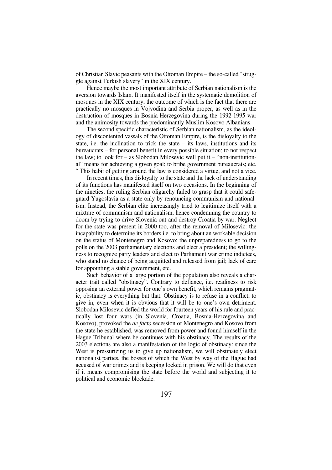of Christian Slavic peasants with the Ottoman Empire – the so-called "struggle against Turkish slavery" in the XIX century.

Hence maybe the most important attribute of Serbian nationalism is the aversion towards Islam. It manifested itself in the systematic demolition of mosques in the XIX century, the outcome of which is the fact that there are practically no mosques in Vojvodina and Serbia proper, as well as in the destruction of mosques in Bosnia-Herzegovina during the 1992-1995 war and the animosity towards the predominantly Muslim Kosovo Albanians.

The second specific characteristic of Serbian nationalism, as the ideology of discontented vassals of the Ottoman Empire, is the disloyalty to the state, i.e. the inclination to trick the state – its laws, institutions and its bureaucrats – for personal benefit in every possible situation; to not respect the law; to look for  $-$  as Slobodan Milosevic well put it  $-$  "non-institutional" means for achieving a given goal; to bribe government bureaucrats; etc. " This habit of getting around the law is considered a virtue, and not a vice.

In recent times, this disloyalty to the state and the lack of understanding of its functions has manifested itself on two occasions. In the beginning of the nineties, the ruling Serbian oligarchy failed to grasp that it could safeguard Yugoslavia as a state only by renouncing communism and nationalism. Instead, the Serbian elite increasingly tried to legitimize itself with a mixture of communism and nationalism, hence condemning the country to doom by trying to drive Slovenia out and destroy Croatia by war. Neglect for the state was present in 2000 too, after the removal of Milosevic: the incapability to determine its borders i.e. to bring about an workable decision on the status of Montenegro and Kosovo; the unpreparedness to go to the polls on the 2003 parliamentary elections and elect a president; the willingness to recognize party leaders and elect to Parliament war crime indictees, who stand no chance of being acquitted and released from jail; lack of care for appointing a stable government, etc.

Such behavior of a large portion of the population also reveals a character trait called "obstinacy". Contrary to defiance, i.e. readiness to risk opposing an external power for one's own benefit, which remains pragmatic, obstinacy is everything but that. Obstinacy is to refuse in a conflict, to give in, even when it is obvious that it will be to one's own detriment. Slobodan Milosevic defied the world for fourteen years of his rule and practically lost four wars (in Slovenia, Croatia, Bosnia-Herzegovina and Kosovo), provoked the *de facto* secession of Montenegro and Kosovo from the state he established, was removed from power and found himself in the Hague Tribunal where he continues with his obstinacy. The results of the 2003 elections are also a manifestation of the logic of obstinacy: since the West is pressurizing us to give up nationalism, we will obstinately elect nationalist parties, the bosses of which the West by way of the Hague had accused of war crimes and is keeping locked in prison. We will do that even if it means compromising the state before the world and subjecting it to political and economic blockade.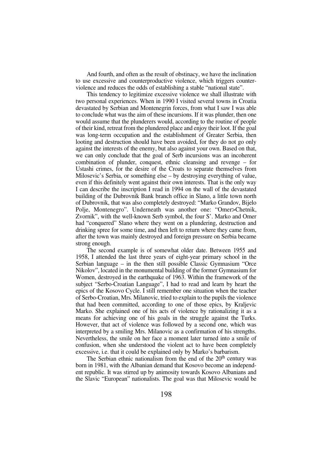And fourth, and often as the result of obstinacy, we have the inclination to use excessive and counterproductive violence, which triggers counterviolence and reduces the odds of establishing a stable "national state".

This tendency to legitimize excessive violence we shall illustrate with two personal experiences. When in 1990 I visited several towns in Croatia devastated by Serbian and Montenegrin forces, from what I saw I was able to conclude what was the aim of these incursions. If it was plunder, then one would assume that the plunderers would, according to the routine of people of their kind, retreat from the plundered place and enjoy their loot. If the goal was long-term occupation and the establishment of Greater Serbia, then looting and destruction should have been avoided, for they do not go only against the interests of the enemy, but also against your own. Based on that, we can only conclude that the goal of Serb incursions was an incoherent combination of plunder, conquest, ethnic cleansing and revenge – for Ustashi crimes, for the desire of the Croats to separate themselves from Milosevic's Serbia, or something else – by destroying everything of value, even if this definitely went against their own interests. That is the only way I can describe the inscription I read in 1994 on the wall of the devastated building of the Dubrovnik Bank branch office in Slano, a little town north of Dubrovnik, that was also completely destroyed: "Marko Grandov, Bijelo Polje, Montenegro". Underneath was another one: "Omer>Chetnik, Zvornik", with the well-known Serb symbol, the four S'. Marko and Omer had "conquered" Slano where they went on a plundering, destruction and drinking spree for some time, and then left to return where they came from, after the town was mainly destroyed and foreign pressure on Serbia became strong enough.

The second example is of somewhat older date. Between 1955 and 1958, I attended the last three years of eight-year primary school in the Serbian language – in the then still possible Classic Gymnasium "Orce Nikolov", located in the monumental building of the former Gymnasium for Women, destroyed in the earthquake of 1963. Within the framework of the subject "Serbo-Croatian Language", I had to read and learn by heart the epics of the Kosovo Cycle. I still remember one situation when the teacher of Serbo-Croatian, Mrs. Milanovic, tried to explain to the pupils the violence that had been committed, according to one of those epics, by Kraljevic Marko. She explained one of his acts of violence by rationalizing it as a means for achieving one of his goals in the struggle against the Turks. However, that act of violence was followed by a second one, which was interpreted by a smiling Mrs. Milanovic as a confirmation of his strengths. Nevertheless, the smile on her face a moment later turned into a smile of confusion, when she understood the violent act to have been completely excessive, i.e. that it could be explained only by Marko's barbarism.

The Serbian ethnic nationalism from the end of the 20<sup>th</sup> century was born in 1981, with the Albanian demand that Kosovo become an independent republic. It was stirred up by animosity towards Kosovo Albanians and the Slavic "European" nationalists. The goal was that Milosevic would be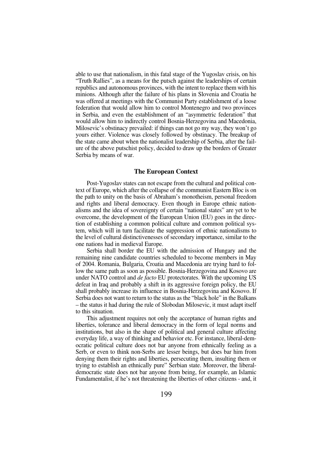able to use that nationalism, in this fatal stage of the Yugoslav crisis, on his "Truth Rallies", as a means for the putsch against the leaderships of certain republics and autonomous provinces, with the intent to replace them with his minions. Although after the failure of his plans in Slovenia and Croatia he was offered at meetings with the Communist Party establishment of a loose federation that would allow him to control Montenegro and two provinces in Serbia, and even the establishment of an "asymmetric federation" that would allow him to indirectly control Bosnia-Herzegovina and Macedonia, Milosevic's obstinacy prevailed: if things can not go my way, they won't go yours either. Violence was closely followed by obstinacy. The breakup of the state came about when the nationalist leadership of Serbia, after the failure of the above putschist policy, decided to draw up the borders of Greater Serbia by means of war.

#### **The European Context**

Post-Yugoslav states can not escape from the cultural and political context of Europe, which after the collapse of the communist Eastern Bloc is on the path to unity on the basis of Abraham's monotheism, personal freedom and rights and liberal democracy. Even though in Europe ethnic nationalisms and the idea of sovereignty of certain "national states" are yet to be overcome, the development of the European Union (EU) goes in the direction of establishing a common political culture and common political system, which will in turn facilitate the suppression of ethnic nationalisms to the level of cultural distinctivenesses of secondary importance, similar to the one nations had in medieval Europe.

Serbia shall border the EU with the admission of Hungary and the remaining nine candidate countries scheduled to become members in May of 2004. Romania, Bulgaria, Croatia and Macedonia are trying hard to follow the same path as soon as possible. Bosnia-Herzegovina and Kosovo are under NATO control and *de facto* EU protectorates. With the upcoming US defeat in Iraq and probably a shift in its aggressive foreign policy, the EU shall probably increase its influence in Bosnia-Herzegovina and Kosovo. If Serbia does not want to return to the status as the "black hole" in the Balkans – the status it had during the rule of Slobodan Milosevic, it must adapt itself to this situation.

This adjustment requires not only the acceptance of human rights and liberties, tolerance and liberal democracy in the form of legal norms and institutions, but also in the shape of political and general culture affecting everyday life, a way of thinking and behavior etc. For instance, liberal-democratic political culture does not bar anyone from ethnically feeling as a Serb, or even to think non-Serbs are lesser beings, but does bar him from denying them their rights and liberties, persecuting them, insulting them or trying to establish an ethnically pure" Serbian state. Moreover, the liberaldemocratic state does not bar anyone from being, for example, an Islamic Fundamentalist, if he's not threatening the liberties of other citizens - and, it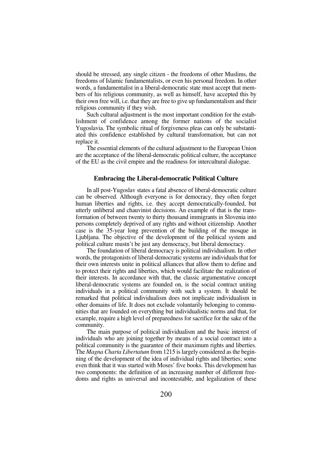should be stressed, any single citizen - the freedoms of other Muslims, the freedoms of Islamic fundamentalists, or even his personal freedom. In other words, a fundamentalist in a liberal-democratic state must accept that members of his religious community, as well as himself, have accepted this by their own free will, i.e. that they are free to give up fundamentalism and their religious community if they wish.

Such cultural adjustment is the most important condition for the establishment of confidence among the former nations of the socialist Yugoslavia. The symbolic ritual of forgiveness pleas can only be substantiated this confidence established by cultural transformation, but can not replace it.

The essential elements of the cultural adjustment to the European Union are the acceptance of the liberal-democratic political culture, the acceptance of the EU as the civil empire and the readiness for intercultural dialogue.

#### **Embracing the Liberal-democratic Political Culture**

In all post-Yugoslav states a fatal absence of liberal-democratic culture can be observed. Although everyone is for democracy, they often forget human liberties and rights, i.e. they accept democratically-founded, but utterly unliberal and chauvinist decisions. An example of that is the transformation of between twenty to thirty thousand immigrants in Slovenia into persons completely deprived of any rights and without citizenship. Another case is the 35-year long prevention of the building of the mosque in Ljubljana. The objective of the development of the political system and political culture mustn't be just any democracy, but liberal democracy.

The foundation of liberal democracy is political individualism. In other words, the protagonists of liberal-democratic systems are individuals that for their own interests unite in political alliances that allow them to define and to protect their rights and liberties, which would facilitate the realization of their interests. In accordance with that, the classic argumentative concept liberal-democratic systems are founded on, is the social contract uniting individuals in a political community with such a system. It should be remarked that political individualism does not implicate individualism in other domains of life. It does not exclude voluntarily belonging to communities that are founded on everything but individualistic norms and that, for example, require a high level of preparedness for sacrifice for the sake of the community.

The main purpose of political individualism and the basic interest of individuals who are joining together by means of a social contract into a political community is the guarantee of their maximum rights and liberties. The *Magna Charta Libertatum* from 1215 is largely considered as the beginning of the development of the idea of individual rights and liberties; some even think that it was started with Moses' five books. This development has two components: the definition of an increasing number of different freedoms and rights as universal and incontestable, and legalization of these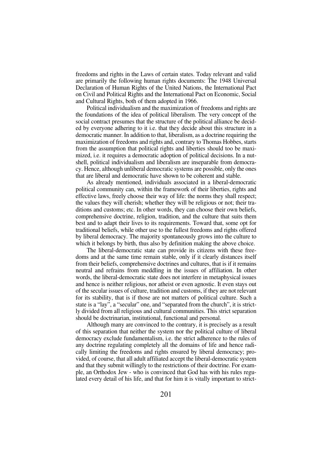freedoms and rights in the Laws of certain states. Today relevant and valid are primarily the following human rights documents: The 1948 Universal Declaration of Human Rights of the United Nations, the International Pact on Civil and Political Rights and the International Pact on Economic, Social and Cultural Rights, both of them adopted in 1966.

Political individualism and the maximization of freedoms and rights are the foundations of the idea of political liberalism. The very concept of the social contract presumes that the structure of the political alliance be decided by everyone adhering to it i.e. that they decide about this structure in a democratic manner. In addition to that, liberalism, as a doctrine requiring the maximization of freedoms and rights and, contrary to Thomas Hobbes, starts from the assumption that political rights and liberties should too be maximized, i.e. it requires a democratic adoption of political decisions. In a nutshell, political individualism and liberalism are inseparable from democracy. Hence, although unliberal democratic systems are possible, only the ones that are liberal and democratic have shown to be coherent and stable.

As already mentioned, individuals associated in a liberal-democratic political community can, within the framework of their liberties, rights and effective laws, freely choose their way of life: the norms they shall respect; the values they will cherish; whether they will be religious or not; their traditions and customs; etc. In other words, they can choose their own beliefs, comprehensive doctrine, religion, tradition, and the culture that suits them best and to adapt their lives to its requirements. Toward that, some opt for traditional beliefs, while other use to the fullest freedoms and rights offered by liberal democracy. The majority spontaneously grows into the culture to which it belongs by birth, thus also by definition making the above choice.

The liberal-democratic state can provide its citizens with these freedoms and at the same time remain stable, only if it clearly distances itself from their beliefs, comprehensive doctrines and cultures, that is if it remains neutral and refrains from meddling in the issues of affiliation. In other words, the liberal-democratic state does not interfere in metaphysical issues and hence is neither religious, nor atheist or even agnostic. It even stays out of the secular issues of culture, tradition and customs, if they are not relevant for its stability, that is if those are not matters of political culture. Such a state is a "lay", a "secular" one, and "separated from the church", it is strictly divided from all religious and cultural communities. This strict separation should be doctrinarian, institutional, functional and personal.

Although many are convinced to the contrary, it is precisely as a result of this separation that neither the system nor the political culture of liberal democracy exclude fundamentalism, i.e. the strict adherence to the rules of any doctrine regulating completely all the domains of life and hence radically limiting the freedoms and rights ensured by liberal democracy; provided, of course, that all adult affiliated accept the liberal-democratic system and that they submit willingly to the restrictions of their doctrine. For example, an Orthodox Jew - who is convinced that God has with his rules regulated every detail of his life, and that for him it is vitally important to strict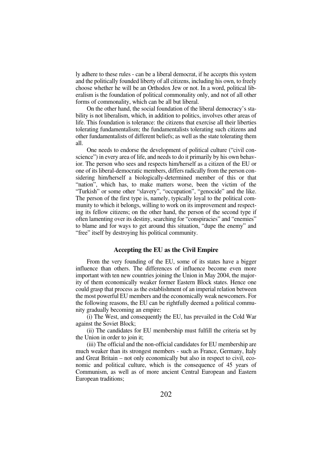ly adhere to these rules - can be a liberal democrat, if he accepts this system and the politically founded liberty of all citizens, including his own, to freely choose whether he will be an Orthodox Jew or not. In a word, political liberalism is the foundation of political commonality only, and not of all other forms of commonality, which can be all but liberal.

On the other hand, the social foundation of the liberal democracy's stability is not liberalism, which, in addition to politics, involves other areas of life. This foundation is tolerance: the citizens that exercise all their liberties tolerating fundamentalism; the fundamentalists tolerating such citizens and other fundamentalists of different beliefs; as well as the state tolerating them all.

One needs to endorse the development of political culture ("civil conscience") in every area of life, and needs to do it primarily by his own behavior. The person who sees and respects him/herself as a citizen of the EU or one of its liberal-democratic members, differs radically from the person considering him/herself a biologically-determined member of this or that "nation", which has, to make matters worse, been the victim of the "Turkish" or some other "slavery", "occupation", "genocide" and the like. The person of the first type is, namely, typically loyal to the political community to which it belongs, willing to work on its improvement and respecting its fellow citizens; on the other hand, the person of the second type if often lamenting over its destiny, searching for "conspiracies" and "enemies" to blame and for ways to get around this situation, "dupe the enemy" and "free" itself by destroying his political community.

## **Accepting the EU as the Civil Empire**

From the very founding of the EU, some of its states have a bigger influence than others. The differences of influence become even more important with ten new countries joining the Union in May 2004, the majority of them economically weaker former Eastern Block states. Hence one could grasp that process as the establishment of an imperial relation between the most powerful EU members and the economically weak newcomers. For the following reasons, the EU can be rightfully deemed a political community gradually becoming an empire:

(i) The West, and consequently the EU, has prevailed in the Cold War against the Soviet Block;

(ii) The candidates for EU membership must fulfill the criteria set by the Union in order to join it;

(iii) The official and the non-official candidates for EU membership are much weaker than its strongest members - such as France, Germany, Italy and Great Britain – not only economically but also in respect to civil, economic and political culture, which is the consequence of 45 years of Communism, as well as of more ancient Central European and Eastern European traditions;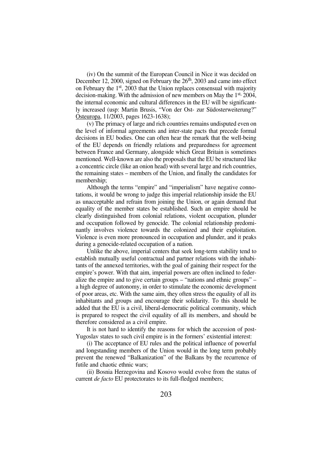(iv) On the summit of the European Council in Nice it was decided on December 12, 2000, signed on February the 26<sup>th</sup>, 2003 and came into effect on February the 1st, 2003 that the Union replaces consensual with majority decision-making. With the admission of new members on May the 1st, 2004, the internal economic and cultural differences in the EU will be significantly increased (usp: Martin Brusis, "Von der Ost- zur Südosterweiterung?" Osteuropa, 11/2003, pages 1623-1638);

(v) The primacy of large and rich countries remains undisputed even on the level of informal agreements and inter-state pacts that precede formal decisions in EU bodies. One can often hear the remark that the well-being of the EU depends on friendly relations and preparedness for agreement between France and Germany, alongside which Great Britain is sometimes mentioned. Well-known are also the proposals that the EU be structured like a concentric circle (like an onion head) with several large and rich countries, the remaining states – members of the Union, and finally the candidates for membership;

Although the terms "empire" and "imperialism" have negative connotations, it would be wrong to judge this imperial relationship inside the EU as unacceptable and refrain from joining the Union, or again demand that equality of the member states be established. Such an empire should be clearly distinguished from colonial relations, violent occupation, plunder and occupation followed by genocide. The colonial relationship predominantly involves violence towards the colonized and their exploitation. Violence is even more pronounced in occupation and plunder, and it peaks during a genocide-related occupation of a nation.

Unlike the above, imperial centers that seek long-term stability tend to establish mutually useful contractual and partner relations with the inhabitants of the annexed territories, with the goal of gaining their respect for the empire's power. With that aim, imperial powers are often inclined to federalize the empire and to give certain groups – "nations and ethnic groups" – a high degree of autonomy, in order to stimulate the economic development of poor areas, etc. With the same aim, they often stress the equality of all its inhabitants and groups and encourage their solidarity. To this should be added that the EU is a civil, liberal-democratic political community, which is prepared to respect the civil equality of all its members, and should be therefore considered as a civil empire.

It is not hard to identify the reasons for which the accession of post-Yugoslav states to such civil empire is in the formers' existential interest:

(i) The acceptance of EU rules and the political influence of powerful and longstanding members of the Union would in the long term probably prevent the renewed "Balkanization" of the Balkans by the recurrence of futile and chaotic ethnic wars;

(ii) Bosnia Herzegovina and Kosovo would evolve from the status of current *de facto* EU protectorates to its full-fledged members;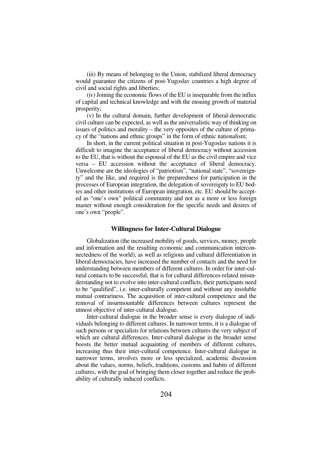(iii) By means of belonging to the Union, stabilized liberal democracy would guarantee the citizens of post-Yugoslav countries a high degree of civil and social rights and liberties;

(iv) Joining the economic flows of the EU is inseparable from the influx of capital and technical knowledge and with the ensuing growth of material prosperity;

(v) In the cultural domain, further development of liberal-democratic civil culture can be expected, as well as the universalistic way of thinking on issues of politics and morality – the very opposites of the culture of primacy of the "nations and ethnic groups" in the form of ethnic nationalism;

In short, in the current political situation in post-Yugoslav nations it is difficult to imagine the acceptance of liberal democracy without accession to the EU, that is without the espousal of the EU as the civil empire and vice versa – EU accession without the acceptance of liberal democracy. Unwelcome are the ideologies of "patriotism", "national state", "sovereignty" and the like, and required is the preparedness for participation in the processes of European integration, the delegation of sovereignty to EU bodies and other institutions of European integration, etc. EU should be accepted as "one's own" political community and not as a more or less foreign master without enough consideration for the specific needs and desires of one's own "people".

### **Willingness for Inter-Cultural Dialogue**

Globalization (the increased mobility of goods, services, money, people and information and the resulting economic and communication interconnectedness of the world), as well as religious and cultural differentiation in liberal democracies, have increased the number of contacts and the need for understanding between members of different cultures. In order for inter-cultural contacts to be successful, that is for cultural differences-related misunderstanding not to evolve into inter-cultural conflicts, their participants need to be "qualified", i.e. inter-culturally competent and without any insoluble mutual contrariness. The acquisition of inter-cultural competence and the removal of insurmountable differences between cultures represent the utmost objective of inter-cultural dialogue.

Inter-cultural dialogue in the broader sense is every dialogue of individuals belonging to different cultures. In narrower terms, it is a dialogue of such persons or specialists for relations between cultures the very subject of which are cultural differences. Inter-cultural dialogue in the broader sense boosts the better mutual acquainting of members of different cultures, increasing thus their inter-cultural competence. Inter-cultural dialogue in narrower terms, involves more or less specialized, academic discussion about the values, norms, beliefs, traditions, customs and habits of different cultures, with the goal of bringing them closer together and reduce the probability of culturally induced conflicts.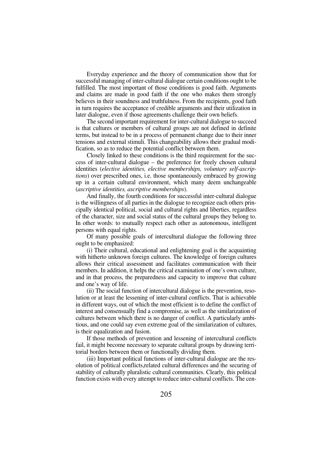Everyday experience and the theory of communication show that for successful managing of inter-cultural dialogue certain conditions ought to be fulfilled. The most important of those conditions is good faith. Arguments and claims are made in good faith if the one who makes them strongly believes in their soundness and truthfulness. From the recipients, good faith in turn requires the acceptance of credible arguments and their utilization in later dialogue, even if those agreements challenge their own beliefs.

The second important requirement for inter-cultural dialogue to succeed is that cultures or members of cultural groups are not defined in definite terms, but instead to be in a process of permanent change due to their inner tensions and external stimuli. This changeability allows their gradual modification, so as to reduce the potential conflict between them.

Closely linked to these conditions is the third requirement for the success of inter-cultural dialogue – the preference for freely chosen cultural identities (*elective identities, elective memberships, voluntary self-ascriptions*) over prescribed ones, i.e. those spontaneously embraced by growing up in a certain cultural environment, which many deem unchangeable (*ascriptive identities, ascriptive memberships*).

And finally, the fourth conditions for successful inter-cultural dialogue is the willingness of all parties in the dialogue to recognize each others principally identical political, social and cultural rights and liberties, regardless of the character, size and social status of the cultural groups they belong to. In other words: to mutually respect each other as autonomous, intelligent persons with equal rights.

Of many possible goals of intercultural dialogue the following three ought to be emphasized:

(i) Their cultural, educational and enlightening goal is the acquainting with hitherto unknown foreign cultures. The knowledge of foreign cultures allows their critical assessment and facilitates communication with their members. In addition, it helps the critical examination of one's own culture, and in that process, the preparedness and capacity to improve that culture and one's way of life.

(ii) The social function of intercultural dialogue is the prevention, resolution or at least the lessening of inter-cultural conflicts. That is achievable in different ways, out of which the most efficient is to define the conflict of interest and consensually find a compromise, as well as the similarization of cultures between which there is no danger of conflict. A particularly ambitious, and one could say even extreme goal of the similarization of cultures, is their equalization and fusion.

If those methods of prevention and lessening of intercultural conflicts fail, it might become necessary to separate cultural groups by drawing territorial borders between them or functionally dividing them.

(iii) Important political functions of inter-cultural dialogue are the resolution of political conflicts,related cultural differences and the securing of stability of culturally pluralistic cultural communities. Clearly, this political function exists with every attempt to reduce inter-cultural conflicts. The cen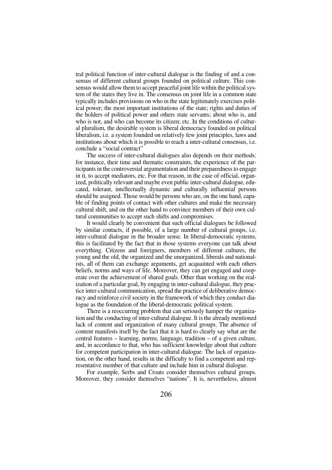tral political function of inter-cultural dialogue is the finding of and a consensus of different cultural groups founded on political culture. This consensus would allow them to accept peaceful joint life within the political system of the states they live in. The consensus on joint life in a common state typically includes provisions on who in the state legitimately exercises political power; the most important institutions of the state; rights and duties of the holders of political power and others state servants; about who is, and who is not, and who can become its citizen; etc. In the conditions of cultural pluralism, the desirable system is liberal democracy founded on political liberalism, i.e. a system founded on relatively few joint principles, laws and institutions about which it is possible to reach a inter-cultural consensus, i.e. conclude a "social contract"

The success of inter-cultural dialogues also depends on their methods: for instance, their time and thematic constraints, the experience of the participants in the controversial argumentation and their preparedness to engage in it, to accept mediators, etc. For that reason, in the case of official, organized, politically relevant and maybe even public inter-cultural dialogue, educated, tolerant, intellectually dynamic and culturally influential persons should be assigned. Those would be persons who are, on the one hand, capable of finding points of contact with other cultures and make the necessary cultural shift, and on the other hand to convince members of their own cultural communities to accept such shifts and compromises.

It would clearly be convenient that such official dialogues be followed by similar contacts, if possible, of a large number of cultural groups, i.e. inter-cultural dialogue in the broader sense. In liberal-democratic systems, this is facilitated by the fact that in those systems everyone can talk about everything. Citizens and foreigners, members of different cultures, the young and the old, the organized and the unorganized, liberals and nationalists, all of them can exchange arguments, get acquainted with each others beliefs, norms and ways of life. Moreover, they can get engaged and cooperate over the achievement of shared goals. Other than working on the realization of a particular goal, by engaging in inter-cultural dialogue, they practice inter-cultural communication, spread the practice of deliberative democracy and reinforce civil society in the framework of which they conduct dialogue as the foundation of the liberal-democratic political system.

There is a reoccurring problem that can seriously hamper the organization and the conducting of inter-cultural dialogue. It is the already mentioned lack of content and organization of many cultural groups. The absence of content manifests itself by the fact that it is hard to clearly say what are the central features – learning, norms, language, tradition – of a given culture, and, in accordance to that, who has sufficient knowledge about that culture for competent participation in inter-cultural dialogue. The lack of organization, on the other hand, results in the difficulty to find a competent and representative member of that culture and include him in cultural dialogue.

For example, Serbs and Croats consider themselves cultural groups. Moreover, they consider themselves "nations". It is, nevertheless, almost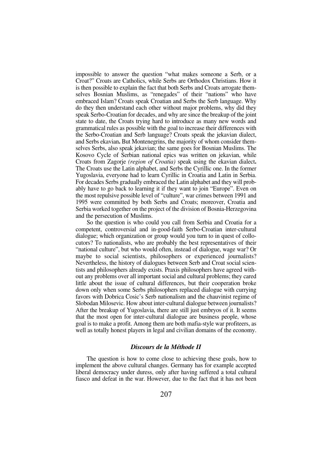impossible to answer the question "what makes someone a Serb, or a Croat?" Croats are Catholics, while Serbs are Orthodox Christians. How it is then possible to explain the fact that both Serbs and Croats arrogate themselves Bosnian Muslims, as "renegades" of their "nations" who have embraced Islam? Croats speak Croatian and Serbs the Serb language. Why do they then understand each other without major problems, why did they speak Serbo-Croatian for decades, and why are since the breakup of the joint state to date, the Croats trying hard to introduce as many new words and grammatical rules as possible with the goal to increase their differences with the Serbo-Croatian and Serb language? Croats speak the jekavian dialect, and Serbs ekavian**.** But Montenegrins, the majority of whom consider themselves Serbs, also speak jekavian; the same goes for Bosnian Muslims. The Kosovo Cycle of Serbian national epics was written on jekavian, while Croats from Zagorje *(region of Croatia)* speak using the ekavian dialect**.** The Croats use the Latin alphabet, and Serbs the Cyrillic one. In the former Yugoslavia, everyone had to learn Cyrillic in Croatia and Latin in Serbia. For decades Serbs gradually embraced the Latin alphabet and they will probably have to go back to learning it if they want to join "Europe". Even on the most repulsive possible level of "culture", war crimes between 1991 and 1995 were committed by both Serbs and Croats; moreover, Croatia and Serbia worked together on the project of the division of Bosnia-Herzegovina and the persecution of Muslims.

So the question is who could you call from Serbia and Croatia for a competent, controversial and in-good-faith Serbo-Croatian inter-cultural dialogue; which organization or group would you turn to in quest of collocutors? To nationalists, who are probably the best representatives of their "national culture", but who would often, instead of dialogue, wage war? Or maybe to social scientists, philosophers or experienced journalists? Nevertheless, the history of dialogues between Serb and Croat social scientists and philosophers already exists. Praxis philosophers have agreed without any problems over all important social and cultural problems; they cared little about the issue of cultural differences, but their cooperation broke down only when some Serbs philosophers replaced dialogue with currying favors with Dobrica Cosic's Serb nationalism and the chauvinist regime of Slobodan Milosevic. How about inter-cultural dialogue between journalists? After the breakup of Yugoslavia, there are still just embryos of it. It seems that the most open for inter-cultural dialogue are business people, whose goal is to make a profit. Among them are both mafia-style war profiteers, as well as totally honest players in legal and civilian domains of the economy.

### *Discours de la Méthode II*

The question is how to come close to achieving these goals, how to implement the above cultural changes. Germany has for example accepted liberal democracy under duress, only after having suffered a total cultural fiasco and defeat in the war. However, due to the fact that it has not been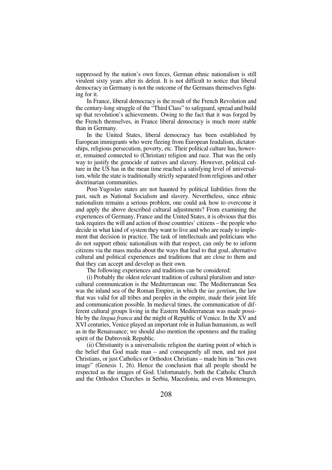suppressed by the nation's own forces, German ethnic nationalism is still virulent sixty years after its defeat. It is not difficult to notice that liberal democracy in Germany is not the outcome of the Germans themselves fighting for it.

In France, liberal democracy is the result of the French Revolution and the century-long struggle of the "Third Class" to safeguard, spread and build up that revolution's achievements. Owing to the fact that it was forged by the French themselves, in France liberal democracy is much more stable than in Germany.

In the United States, liberal democracy has been established by European immigrants who were fleeing from European feudalism, dictatorships, religious persecution, poverty, etc. Their political culture has, however, remained connected to (Christian) religion and race. That was the only way to justify the genocide of natives and slavery. However, political culture in the US has in the mean time reached a satisfying level of universalism, while the state is traditionally strictly separated from religious and other doctrinarian communities.

Post-Yugoslav states are not haunted by political liabilities from the past, such as National Socialism and slavery. Nevertheless, since ethnic nationalism remains a serious problem, one could ask how to overcome it and apply the above described cultural adjustments? From examining the experiences of Germany, France and the United States, it is obvious that this task requires the will and action of those countries' citizens – the people who decide in what kind of system they want to live and who are ready to implement that decision in practice. The task of intellectuals and politicians who do not support ethnic nationalism with that respect, can only be to inform citizens via the mass media about the ways that lead to that goal, alternative cultural and political experiences and traditions that are close to them and that they can accept and develop as their own.

The following experiences and traditions can be considered:

(i) Probably the oldest relevant tradition of cultural pluralism and intercultural communication is the Mediterranean one. The Mediterranean Sea was the inland sea of the Roman Empire, in which the *ius gentium*, the law that was valid for all tribes and peoples in the empire, made their joint life and communication possible. In medieval times, the communication of different cultural groups living in the Eastern Mediterranean was made possible by the *lingua franca* and the might of Republic of Venice. In the XV and XVI centuries, Venice played an important role in Italian humanism, as well as in the Renaissance; we should also mention the openness and the trading spirit of the Dubrovnik Republic.

(ii) Christianity is a universalistic religion the starting point of which is the belief that God made man – and consequently all men, and not just Christians, or just Catholics or Orthodox Christians – made him in "his own image" (Genesis 1, 26). Hence the conclusion that all people should be respected as the images of God. Unfortunately, both the Catholic Church and the Orthodox Churches in Serbia, Macedonia, and even Montenegro,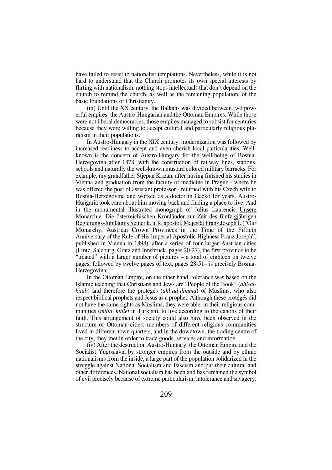have failed to resist to nationalist temptations. Nevertheless, while it is not hard to understand that the Church promotes its own special interests by flirting with nationalism, nothing stops intellectuals that don't depend on the church to remind the church, as well as the remaining population, of the basic foundations of Christianity.

(iii) Until the XX century, the Balkans was divided between two powerful empires: the Austro-Hungarian and the Ottoman Empires. While those were not liberal democracies, those empires managed to subsist for centuries because they were willing to accept cultural and particularly religious pluralism in their populations.

In Austro-Hungary in the XIX century, modernization was followed by increased readiness to accept and even cherish local particularities. Wellknown is the concern of Austro-Hungary for the well-being of Bosnia-Herzegovina after 1878, with the construction of railway lines, stations, schools and naturally the well-known mustard colored military barracks. For example, my grandfather Stjepan Krizan, after having finished his studies in Vienna and graduation from the faculty of medicine in Prague - where he was offered the post of assistant professor - returned with his Czech wife to Bosnia-Herzegovina and worked as a doctor in Gacko for years. Austro-Hungaria took care about him moving back and finding a place to live. And in the monumental illustrated monograph of Julius Laurencic Unsere Monarchie. Die österreichischen Kronländer zur Zeit des fünfzigjährigen Regierungs-Jubiläums Seiner k. u. k. apostol. Majestät Franz Joseph I. ("Our Monarchy, Austrian Crown Provinces in the Time of the Fiftieth Anniversary of the Rule of His Imperial Apostolic Highness Franz Joseph", published in Vienna in 1898), after a series of four larger Austrian cities (Lintz, Salzburg, Gratz and Innsbruck, pages 20-27), the first province to be "treated" with a larger number of pictures – a total of eighteen on twelve pages, followed by twelve pages of text, pages 28-51– is precisely Bosnia-Herzegovina.

In the Ottoman Empire, on the other hand, tolerance was based on the Islamic teaching that Christians and Jews are "People of the Book" (*ahl-alkitab*) and therefore the protégés (*ahl-ad-dimma*) of Muslims, who also respect biblical prophets and Jesus as a prophet. Although these protégés did not have the same rights as Muslims, they were able, in their religious communities (*milla*, *millet* in Turkish), to live according to the canons of their faith. This arrangement of society could also have been observed in the structure of Ottoman cities: members of different religious communities lived in different town quarters, and in the downtown, the trading centre of the city, they met in order to trade goods, services and information.

(iv) After the destruction Austro-Hungary, the Ottoman Empire and the Socialist Yugoslavia by stronger empires from the outside and by ethnic nationalisms from the inside, a large part of the population solidarized in the struggle against National Socialism and Fascism and put their cultural and other differences. National socialism has been and has remained the symbol of evil precisely because of extreme particularism, intolerance and savagery.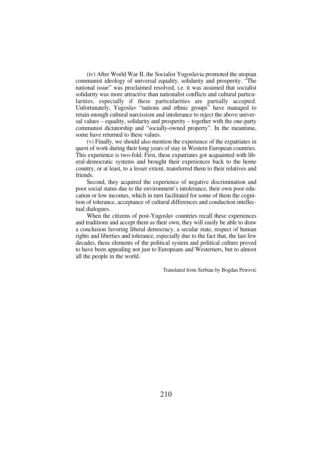(iv) After World War II, the Socialist Yugoslavia promoted the utopian communist ideology of universal equality, solidarity and prosperity. "The national issue" was proclaimed resolved, i.e. it was assumed that socialist solidarity was more attractive than nationalist conflicts and cultural particularities, especially if these particularities are partially accepted. Unfortunately, Yugoslav "nations and ethnic groups" have managed to retain enough cultural narcissism and intolerance to reject the above universal values – equality, solidarity and prosperity – together with the one-party communist dictatorship and "socially-owned property". In the meantime, some have returned to these values.

(v) Finally, we should also mention the experience of the expatriates in quest of work during their long years of stay in Western European countries. This experience is two-fold. First, these expatriates got acquainted with liberal-democratic systems and brought their experiences back to the home country, or at least, to a lesser extent, transferred them to their relatives and friends.

Second, they acquired the experience of negative discrimination and poor social status due to the environment's intolerance, their own poor education or low incomes, which in turn facilitated for some of them the cognition of tolerance, acceptance of cultural differences and conduction intellectual dialogues.

When the citizens of post-Yugoslav countries recall these experiences and traditions and accept them as their own, they will easily be able to draw a conclusion favoring liberal democracy, a secular state, respect of human rights and liberties and tolerance, especially due to the fact that, the last few decades, these elements of the political system and political culture proved to have been appealing not just to Europeans and Westerners, but to almost all the people in the world.

Translated from Serbian by Bogdan Petrović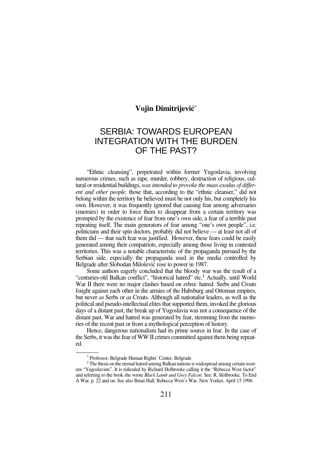# **Vojin Dimitrijević**\*

# SERBIA: TOWARDS EUROPEAN INTEGRATION WITH THE BURDEN OF THE PAST?

"Ethnic cleansing", perpetrated within former Yugoslavia, involving numerous crimes, such as rape, murder, robbery, destruction of religious, cultural or residential buildings, *was intended to provoke the mass exodus of different and other people,* those that, according to the "ethnic cleanser," did not belong within the territory he believed must be not only his, but completely his own. However, it was frequently ignored that causing fear among adversaries (enemies) in order to force them to disappear from a certain territory was prompted by the existence of fear from one's own side, a fear of a terrible past repeating itself. The main generators of fear among "one's own people", i.e. politicians and their spin doctors, probably did not believe — at least not all of them did — that such fear was justified. However, these fears could be easily generated among their compatriots, especially among those living in contested territories. This was a notable characteristic of the propaganda pursued by the Serbian side, especially the propaganda used in the media controlled by Belgrade after Slobodan Milošević rose to power in 1987.

Some authors eagerly concluded that the bloody war was the result of a "centuries-old Balkan conflict", "historical hatred" etc.<sup>1</sup> Actually, until World War II there were no major clashes based on *ethnic* hatred. Serbs and Croats fought against each other in the armies of the Habsburg and Ottoman empires, but never *as* Serbs or *as* Croats. Although all nationalist leaders, as well as the political and pseudo-intellectual elites that supported them, invoked the glorious days of a distant past, the break up of Yugoslavia was not a consequence of the distant past. War and hatred was generated by fear, stemming from the memories of the recent past or from a mythological perception of history.

Hence, dangerous nationalism had its prime source in fear. In the case of the Serbs, it was the fear of WW II crimes committed against them being repeated.

<sup>\*</sup> Professor, Belgrade Human Rights' Center, Belgrade

 $1$  The thesis on the eternal hatred among Balkan nations is widespread among certain western "Yugoslavists". It is ridiculed by Richard Holbrooke calling it the "Rebecca West factor" and referring to the book she wrote *Black Lamb and Grey Falcon.* See: R. Holbrooke*,* To End A War*,* p. 22 and on. See also Brian Hall, Rebecca West's War, New Yorker, April 15 1996.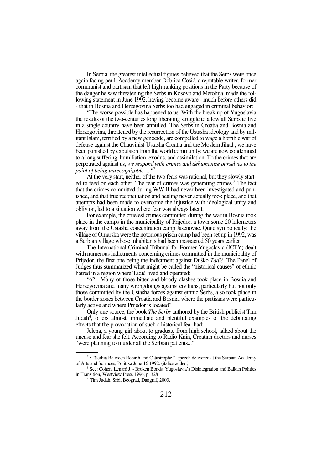In Serbia, the greatest intellectual figures believed that the Serbs were once again facing peril. Academy member Dobrica Ćosić, a reputable writer, former communist and partisan, that left high-ranking positions in the Party because of the danger he saw threatening the Serbs in Kosovo and Metohija, made the following statement in June 1992, having become aware - much before others did - that in Bosnia and Herzegovina Serbs too had engaged in criminal behavior:

"The worse possible has happened to us. With the break up of Yugoslavia the results of the two-centuries long liberating struggle to allow all Serbs to live in a single country have been annulled. The Serbs in Croatia and Bosnia and Herzegovina, threatened by the resurrection of the Ustasha ideology and by militant Islam, terrified by a new genocide, are compelled to wage a horrible war of defense against the Chauvinist-Ustasha Croatia and the Moslem Jihad.; we have been punished by expulsion from the world community; we are now condemned to a long suffering, humiliation, exodus, and assimilation. To the crimes that are perpetrated against us, *we respond with crimes and dehumanize ourselves to the point of being unrecognizable.*... "2

At the very start, neither of the two fears was rational, but they slowly started to feed on each other. The fear of crimes was generating crimes.<sup>3</sup> The fact that the crimes committed during WW II had never been investigated and punished, and that true reconciliation and healing never actually took place, and that attempts had been made to overcome the injustice with ideological unity and oblivion, led to a situation where fear was always latent.

For example, the cruelest crimes committed during the war in Bosnia took place in the camps in the municipality of Prijedor, a town some 20 kilometers away from the Ustasha concentration camp Jasenovac. Quite symbolically: the village of Omarska were the notorious prison camp had been set up in 1992, was a Serbian village whose inhabitants had been massacred 50 years earlier!

The International Criminal Tribunal for Former Yugoslavia (ICTY) dealt with numerous indictments concerning crimes committed in the municipality of Prijedor, the first one being the indictment against Duško *Tadić*. The Panel of Judges thus summarized what might be called the "historical causes" of ethnic hatred in a region where Tadić lived and operated:

"62. Many of those bitter and bloody clashes took place in Bosnia and Herzegovina and many wrongdoings against civilians, particularly but not only those committed by the Ustasha forces against ethnic Serbs, also took place in the border zones between Croatia and Bosnia, where the partisans were particularly active and where Prijedor is located".

Only one source, the book *The Serbs* authored by the British publicist Tim Judah4*,* offers almost immediate and plentiful examples of the debilitating effects that the provocation of such a historical fear had:

Jelena, a young girl about to graduate from high school, talked about the unease and fear she felt. According to Radio Knin, Croatian doctors and nurses "were planning to murder all the Serbian patients...".

<sup>\* 2</sup> "Serbia Between Rebirth and Catastrophe ", speech delivered at the Serbian Academy of Arts and Sciences, Politika June 16 1992. (italics added*)*

<sup>&</sup>lt;sup>3</sup> See: Cohen, Lenard J. - Broken Bonds: Yugoslavia's Disintegration and Balkan Politics in Transition, Westview Press 1996, p. 328

<sup>&</sup>lt;sup>4</sup> Tim Judah, Srbi, Beograd, Dangraf, 2003.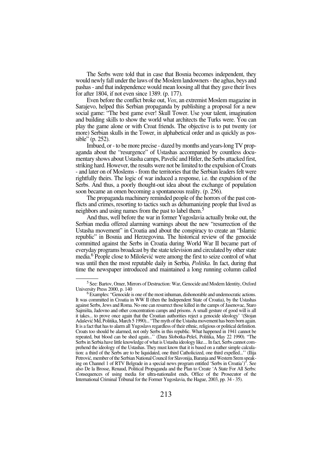The Serbs were told that in case that Bosnia becomes independent, they would newly fall under the laws of the Moslem landowners - the aghas, beys and pashas - and that independence would mean loosing all that they gave their lives for after 1804, if not even since 1389. (p. 177).

Even before the conflict broke out, *Vox*, an extremist Moslem magazine in Sarajevo, helped this Serbian propaganda by publishing a proposal for a new social game: "The best game ever! Skull Tower. Use your talent, imagination and building skills to show the world what architects the Turks were. You can play the game alone or with Croat friends. The objective is to put twenty (or more) Serbian skulls in the Tower, in alphabetical order and as quickly as possible" (p. 252).

Imbued, or - to be more precise - dazed by months and years-long TV propaganda about the "resurgence" of Ustashas accompanied by countless documentary shows about Ustasha camps, Pavelić and Hitler, the Serbs attacked first, striking hard. However, the results were not be limited to the expulsion of Croats - and later on of Moslems - from the territories that the Serbian leaders felt were rightfully theirs. The logic of war induced a response, i.e. the expulsion of the Serbs. And thus, a poorly thought-out idea about the exchange of population soon became an omen becoming a spontaneous reality. (p. 256).

The propaganda machinery reminded people of the horrors of the past conflicts and crimes, resorting to tactics such as dehumanizing people that lived as neighbors and using names from the past to label them.<sup>5</sup>

And thus, well before the war in former Yugoslavia actually broke out, the Serbian media offered alarming warnings about the new "resurrection of the Ustasha movement" in Croatia and about the conspiracy to create an "Islamic republic" in Bosnia and Herzegovina. The historical review of the genocide committed against the Serbs in Croatia during World War II became part of everyday programs broadcast by the state television and circulated by other state media.6 People close to Milošević were among the first to seize control of what was until then the most reputable daily in Serbia, *Politika.* In fact, during that time the newspaper introduced and maintained a long running column called

<sup>5</sup> See: Bartov, Omer, Mirrors of Destruction: War, Genocide and Modern Identity, Oxford

 $6$  Examples: "Genocide is one of the most inhuman, dishonorable and undemocratic actions. It was committed in Croatia in WW II (then the Independent State of Croatia), by the Ustashas against Serbs, Jews and Roma. No one can resurrect those killed in the camps of Jasenovac, Staro Sajmišta, Jadovno and other concentration camps and prisons. A small gesture of good will is all it takes... to prove once again that the Croatian authorities reject a genocide ideology' '(Stojan Adašević Md, Politika, March 5 1990)... "The myth of the Ustasha movement has been born again. It is a fact that has to alarm all Yugoslavs regardless of their ethnic, religious or political definition. Croats too should be alarmed, not only Serbs in this republic. What happened in 1941 cannot be repeated, but blood can be shed again...'' (Dara Slobotka-Peleš, Politika, May 22 1990). "The Serbs in Serbia have little knowledge of what is Ustasha ideology like.... In fact, Serbs cannot comprehend the ideology of the Ustashas. They must know that it is based on a rather simple calculation: a third of the Serbs are to be liquidated, one third Catholicized, one third expelled...'' (Ilija Petrović, member of the Serbian National Council for Slavonija, Baranja and Western Srem speaking on Channel 1 of RTV Belgrade in a special news program entitled 'Serbs in Croatia')' also De la Brosse, Renaud, Political Propaganda and the Plan to Create 'A State For All Serbs: Consequences of using media for ultra-nationalist ends, Office of the Prosecutor of the International Criminal Tribunal for the Former Yugoslavia, the Hague, 2003, pp. 34 - 35).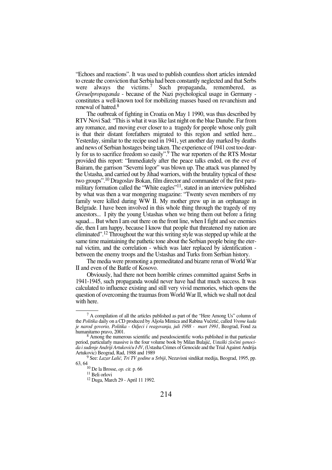"Echoes and reactions". It was used to publish countless short articles intended to create the conviction that Serbia had been constantly neglected and that Serbs were always the victims.<sup>7</sup> Such propaganda, remembered, as *Greuelpropaganda* - because of the Nazi psychological usage in Germany constitutes a well-known tool for mobilizing masses based on revanchism and renewal of hatred.<sup>8</sup>

The outbreak of fighting in Croatia on May 1 1990, was thus described by RTV Novi Sad: "This is what it was like last night on the blue Danube. Far from any romance, and moving ever closer to a tragedy for people whose only guilt is that their distant forefathers migrated to this region and settled here... Yesterday, similar to the recipe used in 1941, yet another day marked by deaths and news of Serbian hostages being taken. The experience of 1941 cost too dearly for us to sacrifice freedom so easily".9 The war reporters of the RTS Mostar provided this report: "Immediately after the peace talks ended, on the eve of Bairam, the garrison "Severni logor" was blown up. The attack was planned by the Ustasha, and carried out by Jihad warriors, with the brutality typical of these two groups".10 Dragoslav Bokan, film director and commander of the first paramilitary formation called the "White eagles"<sup>11</sup>, stated in an interview published by what was then a war mongering magazine: "Twenty seven members of my family were killed during WW II. My mother grew up in an orphanage in Belgrade. I have been involved in this whole thing through the tragedy of my ancestors... I pity the young Ustashas when we bring them out before a firing squad.... But when I am out there on the front line, when I fight and see enemies die, then I am happy, because I know that people that threatened my nation are eliminated".12 Throughout the war this writing style was stepped up while at the same time maintaining the pathetic tone about the Serbian people being the eternal victim, and the correlation - which was later replaced by identification between the enemy troops and the Ustashas and Turks from Serbian history.

The media were promoting a premeditated and bizarre rerun of World War II and even of the Battle of Kosovo.

Obviously, had there not been horrible crimes committed against Serbs in 1941-1945, such propaganda would never have had that much success. It was calculated to influence existing and still very vivid memories, which opens the question of overcoming the traumas from World War II, which we shall not deal with here.

<sup>7</sup> A compilation of all the articles published as part of the "Here Among Us" column of the *Politika* daily on a CD produced by Aljoša Mimica and Rabina Vučetić, called *Vreme kada je narod govorio, Politika - Odjeci i reagovanja, juli 1988 - mart 1991*, Beograd, Fond za

 $8$  Among the numerous scientific and pseudoscientific works published in that particular period, particularly massive is the four volume book by Milan Bulajić, *Ustaški zločini genocida i suđenje Andriji Artukoviću I-IV*, (Ustasha Crimes of Genocide and the Trial Against Andrija

<sup>&</sup>lt;sup>9</sup> See: *Lazar Lalić, Tri TV godine u Srbiji*, Nezavisni sindikat medija, Beograd, 1995, pp. 63, 64

<sup>10</sup> De la Brosse, *op. cit.* p. 66 <sup>11</sup> Beli orlovi

<sup>12</sup> Duga, March 29 - April 11 1992.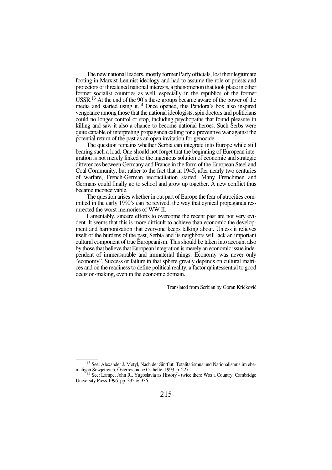The new national leaders, mostly former Party officials, lost their legitimate footing in Marxist-Leninist ideology and had to assume the role of priests and protectors of threatened national interests, a phenomenon that took place in other former socialist countries as well, especially in the republics of the former USSR.13 At the end of the 90's these groups became aware of the power of the media and started using it.<sup>14</sup> Once opened, this Pandora's box also inspired vengeance among those that the national ideologists, spin doctors and politicians could no longer control or stop, including psychopaths that found pleasure in killing and saw it also a chance to become national heroes. Such Serbs were quite capable of interpreting propaganda calling for a preventive war against the potential return of the past as an open invitation for genocide.

The question remains whether Serbia can integrate into Europe while still bearing such a load. One should not forget that the beginning of European integration is not merely linked to the ingenious solution of economic and strategic differences between Germany and France in the form of the European Steel and Coal Community, but rather to the fact that in 1945, after nearly two centuries of warfare, French-German reconciliation started. Many Frenchmen and Germans could finally go to school and grow up together. A new conflict thus became inconceivable.

The question arises whether in out part of Europe the fear of atrocities committed in the early 1990's can be revived, the way that cynical propaganda resurrected the worst memories of WW II.

Lamentably, sincere efforts to overcome the recent past are not very evident. It seems that this is more difficult to achieve than economic the development and harmonization that everyone keeps talking about. Unless it relieves itself of the burdens of the past, Serbia and its neighbors will lack an important cultural component of true Europeanism. This should be taken into account also by those that believe that European integration is merely an economic issue independent of immeasurable and immaterial things. Economy was never only "economy". Success or failure in that sphere greatly depends on cultural matrices and on the readiness to define political reality, a factor quintessential to good decision-making, even in the economic domain.

Translated from Serbian by Goran Kričković

<sup>&</sup>lt;sup>13</sup> See: Alexander J. Motyl, Nach der Sintflut: Totalitarismus und Nationalismus im ehe-maligen Sowjetreich, Österreichiche Osthefte, 1993, p. 227

<sup>&</sup>lt;sup>14</sup> See: Lampe, John R., Yugoslavia as History - twice there Was a Country, Cambridge University Press 1996*,* pp. 335 & 336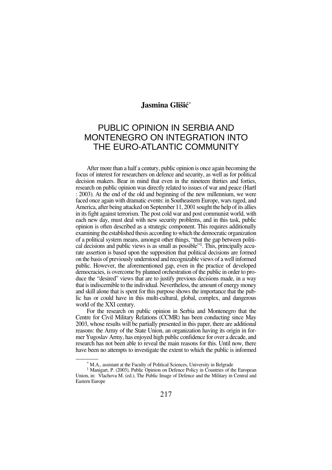## **Jasmina Glišić**\*

# PUBLIC OPINION IN SERBIA AND MONTENEGRO ON INTEGRATION INTO THE FURO-ATI ANTIC COMMUNITY

After more than a half a century, public opinion is once again becoming the focus of interest for researchers on defence and security, as well as for political decision makers. Bear in mind that even in the nineteen thirties and forties, research on public opinion was directly related to issues of war and peace (Hartl : 2003). At the end of the old and beginning of the new millennium, we were faced once again with dramatic events: in Southeastern Europe, wars raged, and America, after being attacked on September 11, 2001 sought the help of its allies in its fight against terrorism. The post cold war and post communist world, with each new day, must deal with new security problems, and in this task, public opinion is often described as a strategic component. This requires additionally examining the established thesis according to which the democratic organization of a political system means, amongst other things, "that the gap between political decisions and public views is as small as possible"1. This, principally accurate assertion is based upon the supposition that political decisions are formed on the basis of previously understood and recognizable views of a well informed public. However, the aforementioned gap, even in the practice of developed democracies, is overcome by planned orchestration of the public in order to produce the "desired" views that are to justify previous decisions made, in a way that is indiscernible to the individual. Nevertheless, the amount of energy money and skill alone that is spent for this purpose shows the importance that the public has or could have in this multi-cultural, global, complex, and dangerous world of the XXI century.

For the research on public opinion in Serbia and Montenegro that the Centre for Civil Military Relations (CCMR) has been conducting since May 2003, whose results will be partially presented in this paper, there are additional reasons: the Army of the State Union, an organization having its origin in former Yugoslav Army, has enjoyed high public confidence for over a decade, and research has not been able to reveal the main reasons for this. Until now, there have been no attempts to investigate the extent to which the public is informed

<sup>\*</sup> M.A., assistant at the Faculty of Political Sciences, University in Belgrade

<sup>&</sup>lt;sup>1</sup> Manigart, P. (2003), Public Opinion on Defence Policy in Countries of the European Union, in: Vlachova M. (ed.), The Public Image of Defence and the Military in Central and Eastern Europe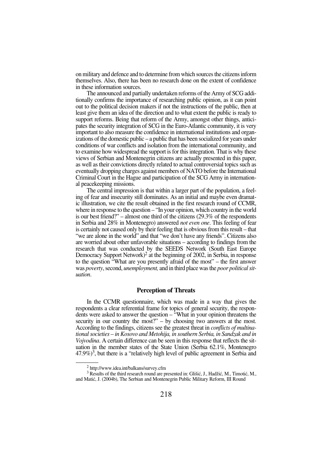on military and defence and to determine from which sources the citizens inform themselves. Also, there has been no research done on the extent of confidence in these information sources.

The announced and partially undertaken reforms of the Army of SCG additionally confirms the importance of researching public opinion, as it can point out to the political decision makers if not the instructions of the public, then at least give them an idea of the direction and to what extent the public is ready to support reforms. Being that reform of the Army, amongst other things, anticipates the security integration of SCG in the Euro-Atlantic community, it is very important to also measure the confidence in international institutions and organizations of the domestic public – a public that has been socialized for years under conditions of war conflicts and isolation from the international community, and to examine how widespread the support is for this integration. That is why these views of Serbian and Montenegrin citizens are actually presented in this paper, as well as their convictions directly related to actual controversial topics such as eventually dropping charges against members of NATO before the International Criminal Court in the Hague and participation of the SCG Army in international peacekeeping missions.

The central impression is that within a larger part of the population, a feeling of fear and insecurity still dominates. As an initial and maybe even dramatic illustration, we cite the result obtained in the first research round of CCMR, where in response to the question – "In your opinion, which country in the world is our best friend?" – almost one third of the citizens (29.3% of the respondents in Serbia and 28% in Montenegro) answered *not even one*. This feeling of fear is certainly not caused only by their feeling that is obvious from this result – that "we are alone in the world" and that "we don't have any friends". Citizens also are worried about other unfavorable situations – according to findings from the research that was conducted by the SEEDS Network (South East Europe Democracy Support Network)<sup>2</sup> at the beginning of 2002, in Serbia, in response to the question "What are you presently afraid of the most" – the first answer was *poverty*, second, *unemployment,* and in third place was the *poor political situation*.

## **Perception of Threats**

In the CCMR questionnaire, which was made in a way that gives the respondents a clear referential frame for topics of general security, the respondents were asked to answer the question  $-\sqrt{w}$  What in your opinion threatens the security in our country the most?" – by choosing two answers at the most. According to the findings, citizens see the greatest threat in *conflicts of multinational societies – in Kosovo and Metohija, in southern Serbia, in Sandzak and in Vojvodina*. A certain difference can be seen in this response that reflects the situation in the member states of the State Union (Serbia 62.1%, Montenegro  $47.9\%)<sup>3</sup>$ , but there is a "relatively high level of public agreement in Serbia and

<sup>2</sup> http://www.idea.int/balkans/survey.cfm

<sup>3</sup> Results of the third research round are presented in: Glišić, J., Hadžić, M., Timotić, M., and Matić, J. (2004b), The Serbian and Montenegrin Public Military Reform, III Round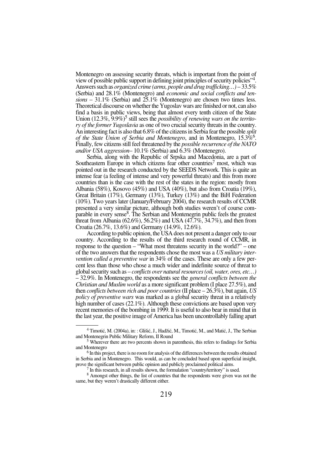Montenegro on assessing security threats, which is important from the point of view of possible public support in defining joint principles of security policies"4. Answers such as *organized crime (arms, people and drug trafficking…)* – 33.5% (Serbia) and 28.1% (Montenegro) and *economic and social conflicts and tensions* – 31.1% (Serbia) and 25.1% (Montenegro) are chosen two times less. Theoretical discourse on whether the Yugoslav wars are finished or not, can also find a basis in public views, being that almost every tenth citizen of the State Union (12.3%, 9.9%)<sup>5</sup> still sees the *possibility of renewing wars on the territory of the former Yugoslavia* as one of two crucial security threats in the country. An interesting fact is also that 6.8% of the citizens in Serbia fear the possible *split of the State Union of Serbia and Montenegro*, and in Montenegro, 15.3%6. Finally, few citizens still feel threatened by the *possible recurrence of the NATO and/or USA aggression*– 10.1% (Serbia) and 6.3% (Montenegro).

Serbia, along with the Republic of Srpska and Macedonia, are a part of Southeastern Europe in which citizens fear other countries<sup>7</sup> most, which was pointed out in the research conducted by the SEEDS Network. This is quite an intense fear (a feeling of intense and very powerful threats) and this from more countries than is the case with the rest of the states in the region: mostly from Albania (58%), Kosovo (45%) and USA (40%), but also from Croatia (19%), Great Britain (17%), Germany (13%), Turkey (13%) and the BiH Federation (10%). Two years later (January/February 2004), the research results of CCMR presented a very similar picture, although both studies weren't of course comparable in every sense<sup>8</sup>. The Serbian and Montenegrin public feels the greatest threat from Albania (62.6%), 56.2%) and USA (47.7%, 34.7%), and then from Croatia (26.7%, 13.6%) and Germany (14.9%, 12.6%).

According to public opinion, the USA does not present a danger only to our country. According to the results of the third research round of CCMR, in response to the question – "What most threatens security in the world?" – one of the two answers that the respondents chose the most was a *US military intervention called a preventive war* in 34% of the cases. These are only a few percent less than those who chose a much wider and indefinite source of threat to global security such as – *conflicts over natural resources (oil, water, ores, etc…)* – 32.9%. In Montenegro, the respondents see the *general conflicts between the Christian and Muslim world* as a more significant problem (I place 27.5%), and then *conflicts between rich and poor countries* (II place – 26.3%), but again, *US policy of preventive wars* was marked as a global security threat in a relatively high number of cases (22.1%). Although these convictions are based upon very recent memories of the bombing in 1999. It is useful to also bear in mind that in the last year, the positive image of America has been uncontrollably falling apart

<sup>&</sup>lt;sup>4</sup> Timotić, M. (2004a), in: : Glišić, J., Hadžić, M., Timotić, M., and Matić, J., The Serbian and Montenegrin Public Military Reform, II Round<br><sup>5</sup> Wherever there are two percents shown in parenthesis, this refers to findings for Serbia

and Montenegro<br><sup>6</sup> In this project, there is no room for analysis of the differences between the results obtained

in Serbia and in Montenegro. This would, as can be concluded based upon superficial insight, prove the significant between public opinion and publicly proclaimed political aims.

In this research, in all results shown, the formulation "country/territory" is used.

<sup>&</sup>lt;sup>8</sup> Amongst other things, the list of countries that the respondents were given was not the same, but they weren't drastically different either.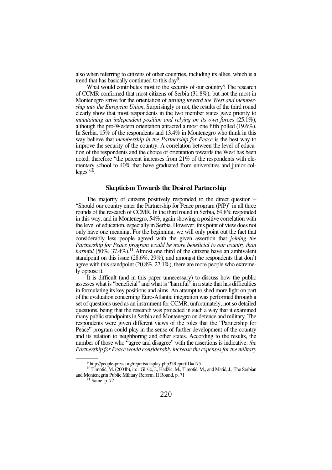also when referring to citizens of other countries, including its allies, which is a trend that has basically continued to this day<sup>9</sup>.

What would contributes most to the security of our country? The research of CCMR confirmed that most citizens of Serbia (31.8%), but not the most in Montenegro strive for the orientation of *turning toward the West and membership into the European Union*. Surprisingly or not, the results of the third round clearly show that most respondents in the two member states gave priority to *maintaining an independent position and relying on its own forces* (25.1%), although the pro-Western orientation attracted almost one fifth polled (19.6%). In Serbia, 15% of the respondents and 13.4% in Montenegro who think in this way believe that *membership in the Partnership for Peace* is the best way to improve the security of the country. A correlation between the level of education of the respondents and the choice of orientation towards the West has been noted, therefore "the percent increases from 21% of the respondents with elementary school to 40% that have graduated from universities and junior col $leges$ "10.

#### **Skepticism Towards the Desired Partnership**

The majority of citizens positively responded to the direct question – "Should our country enter the Partnership for Peace program (PfP)" in all three rounds of the research of CCMR. In the third round in Serbia, 69.8% responded in this way, and in Montenegro, 54%, again showing a positive correlation with the level of education, especially in Serbia. However, this point of view does not only have one meaning. For the beginning, we will only point out the fact that considerably less people agreed with the given assertion that *joining the Partnership for Peace program would be more beneficial to our country than harmful*  $(50\%, 37.4\%)$ <sup>11</sup> Almost one third of the citizens have an ambivalent standpoint on this issue (28.6%, 29%), and amongst the respondents that don't agree with this standpoint  $(20.8\%, 27.1\%)$ , there are more people who extremely oppose it.

It is difficult (and in this paper unnecessary) to discuss how the public assesses what is "beneficial" and what is "harmful" in a state that has difficulties in formulating its key positions and aims. An attempt to shed more light on part of the evaluation concerning Euro-Atlantic integration was performed through a set of questions used as an instrument for CCMR, unfortunately, not so detailed questions, being that the research was projected in such a way that it examined many public standpoints in Serbia and Montenegro on defence and military. The respondents were given different views of the roles that the "Partnership for Peace" program could play in the sense of further development of the country and its relation to neighboring and other states. According to the results, the number of those who "agree and disagree" with the assertions is indicative: *the Partnership for Peace would considerably increase the expenses for the military*

<sup>9</sup> http://people-press.org/reports/display.php3?ReportID=175

<sup>&</sup>lt;sup>10</sup> Timotić, M. (2004b), in: : Glišić, J., Hadžić, M., Timotić, M., and Matić, J., The Serbian and Montenegrin Public Military Reform, II Round, p. 71 <sup>11</sup> Same, p. 72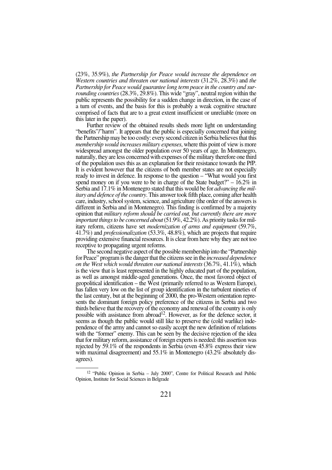(23%, 35.9%), *the Partnership for Peace would increase the dependence on Western countries and threaten our national interests* (31.2%, 28.3%) and *the Partnership for Peace would guarantee long term peace in the country and surrounding countries*(28.3%, 29.8%). This wide "gray", neutral region within the public represents the possibility for a sudden change in direction, in the case of a turn of events, and the basis for this is probably a weak cognitive structure comprised of facts that are to a great extent insufficient or unreliable (more on this later in the paper).

Further review of the obtained results sheds more light on understanding "benefits"/"harm". It appears that the public is especially concerned that joining the Partnership may be too costly: every second citizen in Serbia believes that this *membership would increases military expenses*, where this point of view is more widespread amongst the older population over 50 years of age. In Montenegro, naturally, they are less concerned with expenses of the military therefore one third of the population uses this as an explanation for their resistance towards the PfP. It is evident however that the citizens of both member states are not especially ready to invest in defence. In response to the question – "What would you first spend money on if you were to be in charge of the State budget?"  $- 16.2\%$  in Serbia and 17.1% in Montenegro stated that this would be for *advancing the military and defence of the country*. This answer took fifth place, coming after health care, industry, school system, science, and agriculture (the order of the answers is different in Serbia and in Montenegro). This finding is confirmed by a majority opinion that *military reform should be carried out, but currently there are more important things to be concerned about*(51.9%, 42.2%). As priority tasks for military reform, citizens have set *modernization of arms and equipment* (59.7%, 41.7%) and *professionalization* (53.3%, 48.8%), which are projects that require providing extensive financial resources. It is clear from here why they are not too receptive to propagating urgent reforms.

The second negative aspect of the possible membership into the "Partnership for Peace" program is the danger that the citizens see in the *increased dependence on the West which would threaten our national interests* (36.7%, 41.1%), which is the view that is least represented in the highly educated part of the population, as well as amongst middle-aged generations. Once, the most favored object of geopolitical identification – the West (primarily referred to as Western Europe), has fallen very low on the list of group identification in the turbulent nineties of the last century, but at the beginning of 2000, the pro-Western orientation represents the dominant foreign policy preference of the citizens in Serbia and two thirds believe that the recovery of the economy and renewal of the country is only possible with assistance from abroad<sup>12</sup>. However, as for the defence sector, it seems as though the public would still like to preserve the (cold warlike) independence of the army and cannot so easily accept the new definition of relations with the "former" enemy. This can be seen by the decisive rejection of the idea that for military reform, assistance of foreign experts is needed: this assertion was rejected by 59.1% of the respondents in Serbia (even 45.8% express their view with maximal disagreement) and 55.1% in Montenegro (43.2% absolutely disagrees).

<sup>12</sup> "Public Opinion in Serbia – July 2000", Centre for Political Research and Public Opinion, Institute for Social Sciences in Belgrade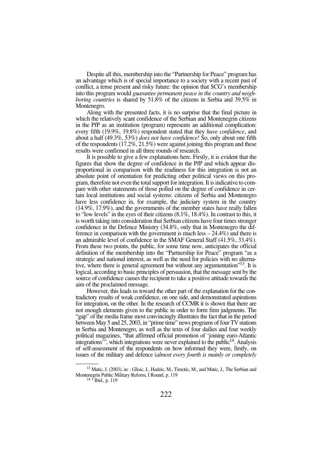Despite all this, membership into the "Partnership for Peace" program has an advantage which is of special importance to a society with a recent past of conflict, a tense present and risky future: the opinion that SCG's membership into this program would *guarantee permanent peace in the country and neighboring countries* is shared by 51.8% of the citizens in Serbia and 39.5% in Montenegro.

Along with the presented facts, it is no surprise that the final picture in which the relatively scant confidence of the Serbian and Montenegrin citizens in the PfP as an institution (program) represents an additional complication: every fifth (19.9%, 19.8%) respondent stated that they *have confidence*, and about a half (49.3%, 53%) *does not have confidence*! So, only about one fifth of the respondents (17.2%, 21.5%) were against joining this program and these results were confirmed in all three rounds of research.

It is possible to give a few explanations here. Firstly, it is evident that the figures that show the degree of confidence in the PfP and which appear disproportional in comparison with the readiness for this integration is not an absolute point of orientation for predicting other political views on this program, therefore not even the total support for integration. It is indicative to compare with other statements of those polled on the degree of confidence in certain local institutions and social systems: citizens of Serbia and Montenegro have less confidence in, for example, the judiciary system in the country (14.9%, 17.9%), and the governments of the member states have really fallen to "low levels" in the eyes of their citizens (8.1%, 18.4%). In contrast to this, it is worth taking into consideration that Serbian citizens have four times stronger confidence in the Defence Ministry (34.8%, only that in Montenegro the difference in comparison with the government is much less  $-24.4\%$ ) and there is an admirable level of confidence in the SMAF General Staff (41.5%, 33.4%). From these two points, the public, for some time now, anticipates the official definition of the membership into the "Partnership for Peace" program "as a strategic and national interest, as well as the need for policies with no alternative, where there is general agreement but without any argumentation"13. It is logical, according to basic principles of persuasion, that the message sent by the source of confidence causes the recipient to take a positive attitude towards the aim of the proclaimed message.

However, this leads us toward the other part of the explanation for the contradictory results of weak confidence, on one side, and demonstrated aspirations for integration, on the other. In the research of CCMR it is shown that there are not enough elements given to the public in order to form firm judgments. The "gap" of the media frame most convincingly illustrates the fact that in the period between May 5 and 25, 2003, in "prime time" news programs of four TV stations in Serbia and Montenegro, as well as the texts of four dailies and four weekly political magazines, "that affirmed official promotion of 'joining euro-Atlantic integrations<sup>35</sup>, which integrations were never explained to the public<sup>14</sup>. Analysis of self-assessment of the respondents on how informed they were, firstly, on issues of the military and defence (*almost every fourth is mainly or completely*

<sup>13</sup> Matic, J. (2003), in: : Glisic, J., Hadzic, M., Timotic, M., and Matic, J., The Serbian and Montenegrin Public Military Reform, I Round, p. 119<br><sup>14 1</sup> Ibid., p. 119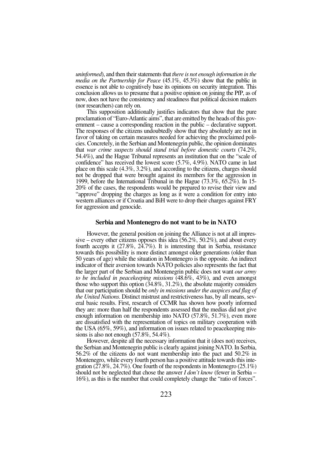*uninformed*), and then their statements that *there is not enough information in the media on the Partnership for Peace* (45.1%, 45.3%) show that the public in essence is not able to cognitively base its opinions on security integration. This conclusion allows us to presume that a positive opinion on joining the PfP, as of now, does not have the consistency and steadiness that political decision makers (nor researchers) can rely on.

This supposition additionally justifies indicators that show that the pure proclamation of "Euro-Atlantic aims", that are emitted by the heads of this government – cause a corresponding reaction in the public – declarative support. The responses of the citizens undoubtedly show that they absolutely are not in favor of taking on certain measures needed for achieving the proclaimed policies. Concretely, in the Serbian and Montenegrin public, the opinion dominates that *war crime suspects should stand trial before domestic courts* (74.2%, 54.4%), and the Hague Tribunal represents an institution that on the "scale of confidence" has received the lowest score (5.7%, 4.9%). NATO came in last place on this scale (4.3%, 3.2%), and according to the citizens, charges should not be dropped that were brought against its members for the aggression in 1999, before the International Tribunal in the Hague (73.3%, 65.2%). In 15- 20% of the cases, the respondents would be prepared to revise their view and "approve" dropping the charges as long as it were a condition for entry into western alliances or if Croatia and BiH were to drop their charges against FRY for aggression and genocide.

#### **Serbia and Montenegro do not want to be in NATO**

However, the general position on joining the Alliance is not at all impressive – every other citizens opposes this idea  $(56.2\%, 50.2\%)$ , and about every fourth accepts it (27.8%, 24.7%). It is interesting that in Serbia, resistance towards this possibility is more distinct amongst older generations (older than 50 years of age) while the situation in Montenegro is the opposite. An indirect indicator of their aversion towards NATO policies also represents the fact that the larger part of the Serbian and Montenegrin public does not want *our army to be included in peacekeeping missions* (48.6%, 43%), and even amongst those who support this option  $(34.8\%, 31.2\%)$ , the absolute majority considers that our participation should be *only in missions under the auspices and flag of the United Nations*. Distinct mistrust and restrictiveness has, by all means, several basic results. First, research of CCMR has shown how poorly informed they are: more than half the respondents assessed that the medias did not give enough information on membership into NATO (57.8%, 51.7%), even more are dissatisfied with the representation of topics on military cooperation with the USA (65%, 59%), and information on issues related to peacekeeping missions is also not enough (57.8%, 54.4%).

However, despite all the necessary information that it (does not) receives, the Serbian and Montenegrin public is clearly against joining NATO. In Serbia, 56.2% of the citizens do not want membership into the pact and 50.2% in Montenegro, while every fourth person has a positive attitude towards this integration (27.8%, 24.7%). One fourth of the respondents in Montenegro (25.1%) should not be neglected that chose the answer *I don't know* (fewer in Serbia – 16%), as this is the number that could completely change the "ratio of forces".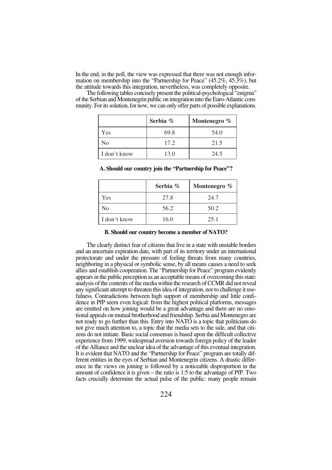In the end, in the poll, the view was expressed that there was not enough information on membership into the "Partnership for Peace" (45.2%, 45.3%), but the attitude towards this integration, nevertheless, was completely opposite.

The following tables concisely present the political-psychological "enigma" of the Serbian and Montenegrin public on integration into the Euro-Atlantic community. For its solution, for now, we can only offer parts of possible explanations.

|              | Serbia $\%$ | Montenegro % |
|--------------|-------------|--------------|
| Yes          | 69.8        | 54.0         |
| No           | 17.2        | 21.5         |
| I don't know | 13.0        | 24.5         |

|  | A. Should our country join the "Partnership for Peace"? |  |
|--|---------------------------------------------------------|--|
|  |                                                         |  |

|              | Serbia $\%$ | Montenegro % |
|--------------|-------------|--------------|
| Yes          | 27.8        | 24.7         |
| No           | 56.2        | 50.2         |
| I don't know | 16.0        | 25.1         |

#### **B. Should our country become a member of NATO?**

The clearly distinct fear of citizens that live in a state with unstable borders and an uncertain expiration date, with part of its territory under an international protectorate and under the pressure of feeling threats from many countries, neighboring in a physical or symbolic sense, by all means causes a need to seek allies and establish cooperation. The "Partnership for Peace" program evidently appears in the public perception as an acceptable means of overcoming this state: analysis of the contents of the media within the research of CCMR did not reveal any significant attempt to threaten this idea of integration, nor to challenge it usefulness. Contradictions between high support of membership and little confidence in PfP seem even logical: from the highest political platforms, messages are emitted on how joining would be a great advantage and there are no emotional appeals on mutual brotherhood and friendship. Serbia and Montenegro are not ready to go further than this. Entry into NATO is a topic that politicians do not give much attention to, a topic that the media sets to the side, and that citizens do not initiate. Basic social consensus is based upon the difficult collective experience from 1999, widespread aversion towards foreign policy of the leader of the Alliance and the unclear idea of the advantage of this eventual integration. It is evident that NATO and the "Partnership for Peace" program are totally different entities in the eyes of Serbian and Montenegrin citizens. A drastic difference in the views on joining is followed by a noticeable disproportion in the amount of confidence it is given – the ratio is 1:5 to the advantage of PfP. Two facts crucially determine the actual pulse of the public: many people remain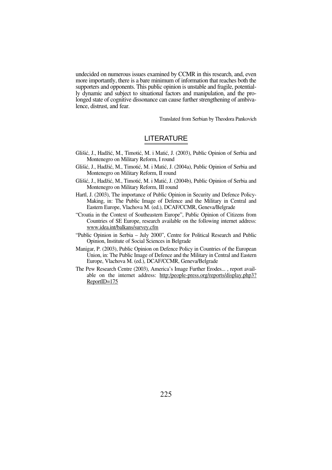undecided on numerous issues examined by CCMR in this research, and, even more importantly, there is a bare minimum of information that reaches both the supporters and opponents. This public opinion is unstable and fragile, potentially dynamic and subject to situational factors and manipulation, and the prolonged state of cognitive dissonance can cause further strengthening of ambivalence, distrust, and fear.

Translated from Serbian by Theodora Pankovich

# LITERATURE

- Glišić, J., Hadžić, M., Timotić, M. i Matić, J. (2003), Public Opinion of Serbia and Montenegro on Military Reform, I round
- Glišić, J., Hadžić, M., Timotić, M. i Matić, J. (2004a), Public Opinion of Serbia and Montenegro on Military Reform, II round
- Glišić, J., Hadžić, M., Timotić, M. i Matić, J. (2004b), Public Opinion of Serbia and Montenegro on Military Reform, III round
- Hartl, J. (2003), The importance of Public Opinion in Security and Defence Policy-Making, in: The Public Image of Defence and the Military in Central and Eastern Europe, Vlachova M. (ed.), DCAF/CCMR, Geneva/Belgrade
- "Croatia in the Context of Southeastern Europe", Public Opinion of Citizens from Countries of SE Europe, research available on the following internet address: www.idea.int/balkans/survey.cfm
- "Public Opinion in Serbia July 2000", Centre for Political Research and Public Opinion, Institute of Social Sciences in Belgrade
- Manigar, P. (2003), Public Opinion on Defence Policy in Countries of the European Union, in: The Public Image of Defence and the Military in Central and Eastern Europe, Vlachova M. (ed.), DCAF/CCMR, Geneva/Belgrade
- The Pew Research Centre (2003), America's Image Further Erodes... , report available on the internet address: http:/people-press.org/reports/display.php3? ReportID=175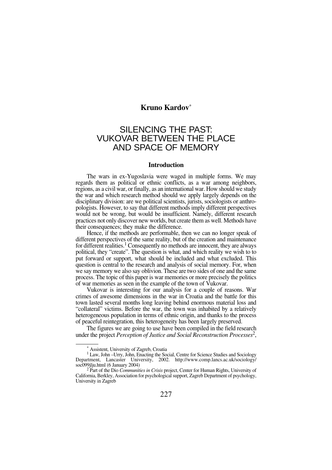# **Kruno Kardov**\*

# SILENCING THE PAST: VUKOVAR BETWEEN THE PLACE AND SPACE OF MEMORY

## **Introduction**

The wars in ex-Yugoslavia were waged in multiple forms. We may regards them as political or ethnic conflicts, as a war among neighbors, regions, as a civil war, or finally, as an international war. How should we study the war and which research method should we apply largely depends on the disciplinary division: are we political scientists, jurists, sociologists or anthropologists. However, to say that different methods imply different perspectives would not be wrong, but would be insufficient. Namely, different research practices not only discover new worlds, but create them as well. Methods have their consequences; they make the difference.

Hence, if the methods are performable, then we can no longer speak of different perspectives of the same reality, but of the creation and maintenance for different realities.<sup>1</sup> Consequently no methods are innocent, they are always political, they "create". The question is what, and which reality we wish to to put forward or support, what should be included and what excluded. This question is central to the research and analysis of social memory. For, when we say memory we also say oblivion. These are two sides of one and the same process. The topic of this paper is war memories or more precisely the politics of war memories as seen in the example of the town of Vukovar.

Vukovar is interesting for our analysis for a couple of reasons. War crimes of awesome dimensions in the war in Croatia and the battle for this town lasted several months long leaving behind enormous material loss and "collateral" victims. Before the war, the town was inhabited by a relatively heterogeneous population in terms of ethnic origin, and thanks to the process of peaceful reintegration, this heterogeneity has been largely preserved.

The figures we are going to use have been compiled in the field research under the project *Perception of Justice and Social Reconstruction Processes*2,

Assistent, University of Zagreb, Croatia

<sup>&</sup>lt;sup>1</sup> Law, John –Urry, John, Enacting the Social, Centre for Science Studies and Sociology Department, Lancaster University, 2002. http://www.comp.lancs.ac.uk/sociology/ soc099jlju.html (6 January 2004) <sup>2</sup> Part of the Dio *Communities in Crisis* project, Center for Human Rights, University of

California, Berkley, Association for psychological support, Zagreb Department of psychology, University in Zagreb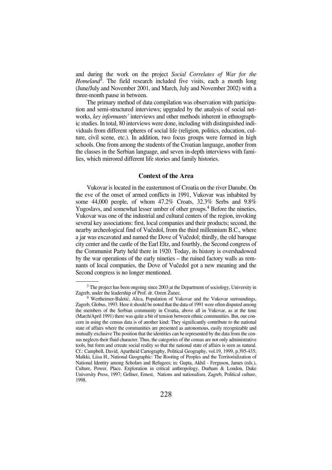and during the work on the project *Social Correlates of War for the Homeland*<sup>3</sup>. The field research included five visits, each a month long (June/July and November 2001, and March, July and November 2002) with a three-month pause in between.

The primary method of data compilation was observation with participation and semi-structured interviews; upgraded by the analysis of social networks, *key informants'* interviews and other methods inherent in ethnographic studies. In total, 80 interviews were done, including with distinguished individuals from different spheres of social life (religion, politics, education, culture, civil scene, etc.). In addition, two focus groups were formed in high schools. One from among the students of the Croatian language, another from the classes in the Serbian language, and seven in-depth interviews with families, which mirrored different life stories and family histories.

#### **Context of the Area**

Vukovar is located in the easternmost of Croatia on the river Danube. On the eve of the onset of armed conflicts in 1991, Vukovar was inhabited by some 44,000 people, of whom 47.2% Croats, 32.3% Serbs and 9.8% Yugoslavs, and somewhat lesser umber of other groups.<sup>4</sup> Before the nineties, Vukovar was one of the industrial and cultural centers of the region, invoking several key associations: first, local companies and their products; second, the nearby archeological find of Vučedol, from the third millennium B.C., where a jar was excavated and named the Dove of Vučedol; thirdly, the old baroque city center and the castle of the Earl Eltz, and fourthly, the Second congress of the Communist Party held there in 1920. Today, its history is overshadowed by the war operations of the early nineties – the ruined factory walls as remnants of local companies, the Dove of Vučedol got a new meaning and the Second congress is no longer mentioned.

<sup>&</sup>lt;sup>3</sup> The project has been ongoing since 2003 at the Department of sociology, University in Zagreb, under the leadership of Prof. dr. Ozren Žunec.

<sup>&</sup>lt;sup>4</sup> Wertheimer-Baletic, Alica, Population of Vukovar and the Vukovar surroundings, Zagreb, Globus, 1993. Here it should be noted that the data of 1991 were often disputed among the members of the Serbian community in Croatia, above all in Vukovar, as at the time (March/April 1991) there was quite a bit of tension between ethnic communities. But, our concern in using the census data is of another kind: They significantly contribute to the national state of affairs where the communities are presented as autonomous, easily recognizable and mutually exclusive The position that the identities can be represented by the data from the census neglects their fluid character. Thus, the categories of the census are not only administrative tools, but form and crreate social reality so that the national state of affairs is seen as natural. Cf.: Campbell, David, Apartheid Cartography, Political Geography, vol.19, 1999, p.395-435; Malkki, Liisa H., National Geographic: The Rooting of Peoples and the Territorialization of National Identity among Scholars and Refugees; in: Gupta, Akhil - Ferguson, James (eds.), Culture, Power, Place. Exploration in critical anthropology, Durham & London, Duke University Press, 1997; Gellner, Ernest, Nations and nationalism, Zagreb, Political culture, 1998.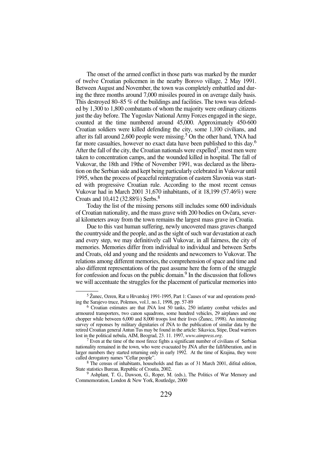The onset of the armed conflict in those parts was marked by the murder of twelve Croatian policemen in the nearby Borovo village, 2 May 1991. Between August and November, the town was completely embattled and during the three months around 7,000 missiles poured in on average daily basis. This destroyed 80–85 % of the buildings and facilities. The town was defended by 1,300 to 1,800 combatants of whom the majority were ordinary citizens just the day before. The Yugoslav National Army Forces engaged in the siege, counted at the time numbered around 45,000. Approximately 450-600 Croatian soldiers were killed defending the city, some 1,100 civilians, and after its fall around 2,600 people were missing.5 On the other hand, YNA had far more casualties, however no exact data have been published to this day.6 After the fall of the city, the Croatian nationals were expelled<sup>7</sup>, most men were taken to concentration camps, and the wounded killed in hospital. The fall of Vukovar, the 18th and 19the of November 1991, was declared as the liberation on the Serbian side and kept being particularly celebrated in Vukovar until 1995, when the process of peaceful reintegration of eastern Slavonia was started with progressive Croatian rule. According to the most recent census Vukovar had in March 2001 31,670 inhabitants, of it 18,199 (57.46%) were Croats and 10,412 (32.88%) Serbs.8

Today the list of the missing persons still includes some 600 individuals of Croatian nationality, and the mass grave with 200 bodies on Ovčara, several kilometers away from the town remains the largest mass grave in Croatia.

Due to this vast human suffering, newly uncovered mass graves changed the countryside and the people, and as the sight of such war devastation at each and every step, we may definitively call Vukovar, in all fairness, the city of memories. Memories differ from individual to individual and between Serbs and Croats, old and young and the residents and newcomers to Vukovar. The relations among different memories, the comprehension of space and time and also different representations of the past assume here the form of the struggle for confession and focus on the public domain. $9$  In the discussion that follows we will accentuate the struggles for the placement of particular memories into

 $9$  Ashplant, T. G., Dawson, G., Roper, M. (eds.), The Politics of War Memory and Commemoration, London & New York, Routledge, 2000

<sup>5</sup> Žunec, Ozren, Rat u Hrvatskoj 1991-1995, Part 1: Causes of war and operations pend-

 $6$  Croatian estimates are that JNA lost 50 tanks, 250 infantry combat vehicles and armoured transporters, two canon squadrons, some hundred vehicles, 29 airplanes and one chopper while between 6,000 and 8,000 troops lost their lives (Žunec, 1998). An interesting survey of reponses by military dignitaries of JNA to the publication of similar data by the retired Croatian general Antun Tus may be found in the article: Sikavica, Stipe, Dead warriors lost in the political nebula, AIM, Beograd, 23. 11. 1997, www.aimpress.org.

<sup>&</sup>lt;sup>7</sup> Even at the time of the most firece fights a significant number of civilians of Serbian nationality remained in the town, who were evacuated by JNA after the fall/liberation, and in larger numbers they started returning only in early 1992. At the time of Krajina, they were called derogatory names "Cellar people".

 $8$  The census of inhabitants, households and flats as of 31 March 2001, difital edition, State statistics Bureau, Republic of Croatia, 2002.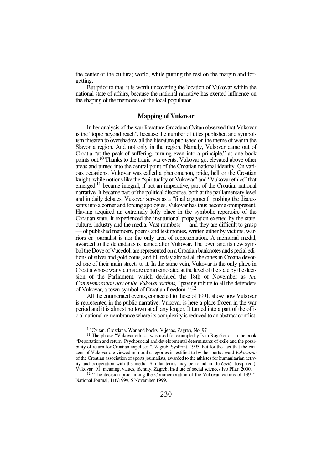the center of the cultura; world, while putting the rest on the margin and forgetting.

But prior to that, it is worth uncovering the location of Vukovar within the national state of affairs, because the national narrative has exerted influence on the shaping of the memories of the local population.

### **Mapping of Vukovar**

In her analysis of the war literature Grozdana Cvitan observed that Vukovar is the "topic beyond reach", because the number of titles published and symbolism threaten to overshadow all the literature published on the theme of war in the Slavonia region. And not only in the region. Namely, Vukovar came out of Croatia "at the peak of suffering, turning even into a principle," as one book points out.10 Thanks to the tragic war events, Vukovar got elevated above other areas and turned into the central point of the Croatian national identity. On various occasions, Vukovar was called a phenomenon, pride, hell or the Croatian knight, while notions like the "spirituality of Vukovar" and "Vukovar ethics" that emerged.<sup>11</sup> became integral, if not an imperative, part of the Croatian national narrative. It became part of the political discourse, both at the parliamentary level and in daily debates, Vukovar serves as a "final argument" pushing the discussants into a corner and forcing apologies. Vukovar has thus become omnipresent. Having acquired an extremely lofty place in the symbolic repertoire of the Croatian state. It experienced the institutional propagation exerted by the state, culture, industry and the media. Vast numbesr — and they are difficult to grasp — of published memoirs, poems and testimonies, written either by victims, warriors or journalist is nor the only area of representation. A memorial medal, awarded to the defendants is named after Vukovar. The town and its new symbol the Dove of Vučedol, are represented on a Croatian banknotes and special editions of silver and gold coins, and till today almost all the cities in Croatia devoted one of their main streets to it. In the same vein, Vukovar is the only place in Croatia whose war victims are commemorated at the level of the state by the decision of the Parliament, which declared the 18th of November as *the Commemoration day of the Vukovar victims,"* paying tribute to all the defenders of Vukovar, a town-symbol of Croatian freedom. ".12

All the enumerated events, connected to those of 1991, show how Vukovar is represented in the public narrative. Vukovar is here a place frozen in the war period and it is almost no town at all any longer. It turned into a part of the official national remembrance where its complexity is reduced to an abstract conflict.

<sup>&</sup>lt;sup>10</sup> Cvitan, Grozdana, War and books, Vijenac, Zagreb, No. 97 <sup>11</sup> The phrase "Vukovar ethics" was used for example by Ivan Rogić et al. in the book "Deportation and return: Psychosocial and developmental determinants of exile and the possibility of return for Croatian expellees.", Zagreb, SysPrint, 1995, but for the fact that the citizens of Vukovar are viewed in moral categories is testified to by the sports award *Vukovarac* of the Croatian association of sports journalists, awarded to the athletes for humanitarian activity and cooperation with the media. Similar terms may be found in: Jurčević, Josip (ed.),

Vukovar '91: meaning, values, identity, Zagreb, Institute of social sciences Ivo Pilar, 2000. <sup>12</sup> "The decision proclaiming the Commemoration of the Vukovar victims of 1991", National Journal, 116/1999, 5 November 1999.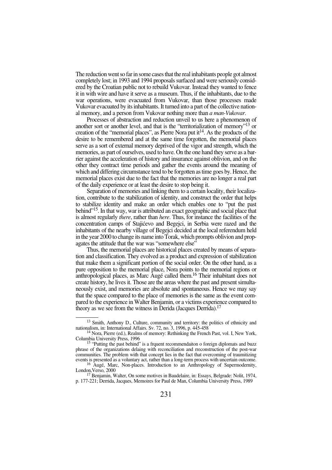The reduction went so far in some cases that the real inhabitants people got almost completely lost; in 1993 and 1994 proposals surfaced and were seriously considered by the Croatian public not to rebuild Vukovar. Instead they wanted to fence it in with wire and have it serve as a museum. Thus, if the inhabitants, due to the war operations, were evacuated from Vukovar, than those processes made Vukovar evacuated by its inhabitants. It turned into a part of the collective national memory, and a person from Vukovar nothing more than *a man-Vukovar*.

Processes of abstraction and reduction unveil to us here a phenomenon of another sort or another level, and that is the "territorialization of memory"13 or creation of the "memorial places", as Pierre Nora put  $it^{14}$ . As the products of the desire to be remembered and at the same time forgotten, the memorial places serve as a sort of external memory deprived of the vigor and strength, which the memories, as part of ourselves, used to have. On the one hand they serve as a barrier against the acceleration of history and insurance against oblivion, and on the other they contract time periods and gather the events around the meaning of which and differing circumstance tend to be forgotten as time goes by. Hence, the memorial places exist due to the fact that the memories are no longer a real part of the daily experience or at least the desire to stop being it.

Separation of memories and linking them to a certain locality, their localization, contribute to the stabilization of identity, and construct the order that helps to stabilize identity and make an order which enables one to "put the past behind"15. In that way, war is attributed an exact geographic and social place that is almost regularly *there*, rather than *here*. Thus, for instance the facilities of the concentration camps of Stajićevo and Begejci, in Serbia were razed and the inhabitants of the nearby village of Begejci decided at the local referendum held in the year 2000 to change its name into Torak, which prompts oblivion and propagates the attitude that the war was "somewhere else"

Thus, the memorial places are historical places created by means of separation and classification. They evolved as a product and expression of stabilization that make them a significant portion of the social order. On the other hand, as a pure opposition to the memorial place, Nora points to the memorial regions or anthropological places, as Marc Augé called them.16 Their inhabitant does not create history, he lives it. Those are the areas where the past and present simultaneously exist, and memories are absolute and spontaneous. Hence we may say that the space compared to the place of memories is the same as the event compared to the experience in Walter Benjamin, or a victims experience compared to theory as we see from the witness in Derida (Jacques Derrida).<sup>17</sup>

 $13$  Smith, Anthony D., Culture, community and territory: the politics of ethnicity and nationalism, in: International Affairs. Sv. 72, no. 3, 1996, p.  $445-458$ 

<sup>&</sup>lt;sup>14</sup> Nora, Pierre (ed.), Realms of memory: Rethinking the French Past, vol. I, New York, Columbia University Press, 1996

<sup>&</sup>lt;sup>15</sup> "Putting the past behind" is a frquent recommendaiton o foreign diplomats and buzz phrase of the organizations delaing with reconciliation and rreconstruction of the post-war communities. The problem with that concept lies in the fact that overcoming of traumitizing events is presented as a voluntary act, rather than a long-term process with uncertain outcome. <sup>16</sup> Augé, Marc, Non-places. Introduction to an Anthropology of Supermodernity,

London,Verso, 2000  $17$  Benjamin, Walter, On some motives in Baudelaire, in: Essays, Belgrade: Nolit, 1974,

p. 177-221; Derrida, Jacques, Memoires for Paul de Man, Columbia University Press, 1989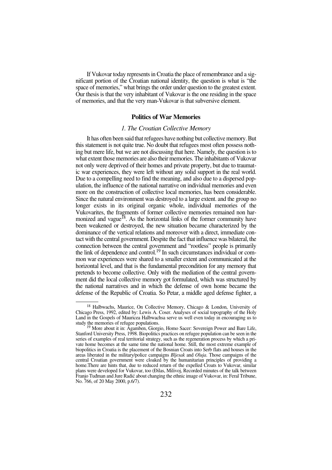If Vukovar today represents in Croatia the place of remembrance and a significant portion of the Croatian national identity, the question is what is "the space of memories," what brings the order under question to the greatest extent. Our thesis is that the very inhabitant of Vukovar is the one residing in the space of memories, and that the very man-Vukovar is that subversive element.

#### **Politics of War Memories**

#### *1. The Croatian Collective Memory*

It has often been said that refugees have nothing but collective memory. But this statement is not quite true. No doubt that refugees most often possess nothing but mere life, but we are not discussing that here. Namely, the question is to what extent those memories are also their memories. The inhabitants of Vukovar not only were deprived of their homes and private property, but due to traumatic war experiences, they were left without any solid support in the real world. Due to a compelling need to find the meaning, and also due to a dispersed population, the influence of the national narrative on individual memories and even more on the construction of collective local memories, has been considerable. Since the natural environment was destroyed to a large extent. and the group no longer exists in its original organic whole, individual memories of the Vukovarites, the fragments of former collective memories remained non harmonized and vague<sup>18</sup>. As the horizontal links of the former community have been weakened or destroyed, the new situation became characterized by the dominance of the vertical relations and moreover with a direct, immediate contact with the central government. Despite the fact that influence was bilateral, the connection between the central government and "rootless" people is primarily the link of dependence and control.19 In such circumstances individual or common war experiences were shared to a smaller extent and communicated at the horizontal level, and that is the fundamental precondition for any memory that pretends to become collective. Only with the mediation of the central government did the local collective memory got formulated, which was structured by the national narratives and in which the defense of own home became the defense of the Republic of Croatia. So Petar, a middle aged defense fighter, a

<sup>18</sup> Halbwachs, Maurice, On Collective Memory, Chicago & London, University of Chicago Press, 1992, edited by: Lewis A. Coser. Analyses of social topography of the Holy Land in the Gospels of Mauricea Halbwachsa serve us well even today in encouraging us to study the memories of refugee populations.<br><sup>19</sup> More about it in: Agamben, Giorgio, Homo Sacer: Sovereign Power and Bare Life,

Stanford University Press, 1998. Biopolitics practices on refugee population can be seen in the series of examples of real territorial strategy, such as the regeneration process by which a private home becomes at the same time the national home. Still, the most extreme example of biopolitics in Croatia is the placement of the Bosnian Croats into Serb flats and houses in the areas liberated in the military/police campaigns *Bljesak* and *Oluja*. Those campaigns of the central Croatian government were cloaked by the humanitarian principles of providing a home.There are hints that, due to reduced return of the expelled Croats to Vukovar, similar plans were developed for Vukovar, too (Đilas, Milivoj, Recorded minutes of the talk between Franjo Tuđman and Jure Radić about changing the ethnic image of Vukovar, in: Feral Tribune, No. 766, of 20 May 2000, p.6/7).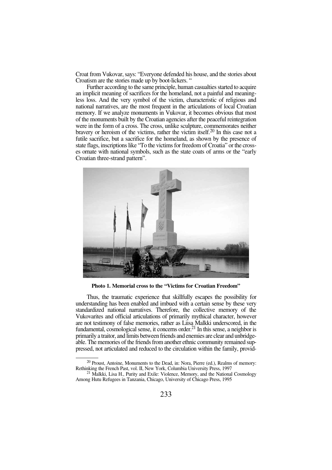Croat from Vukovar, says: "Everyone defended his house, and the stories about Croatism are the stories made up by boot-lickers. "

Further according to the same principle, human casualties started to acquire an implicit meaning of sacrifices for the homeland, not a painful and meaningless loss. And the very symbol of the victim, characteristic of religious and national narratives, are the most frequent in the articulations of local Croatian memory. If we analyze monuments in Vukovar, it becomes obvious that most of the monuments built by the Croatian agencies after the peaceful reintegration were in the form of a cross. The cross, unlike sculpture, commemorates neither bravery or heroism of the victims, rather the victim itself.<sup>20</sup> In this case not a futile sacrifice, but a sacrifice for the homeland, as shown by the presence of state flags, inscriptions like "To the victims for freedom of Croatia" or the crosses ornate with national symbols, such as the state coats of arms or the "early Croatian three-strand pattern".



**Photo 1. Memorial cross to the "Victims for Croatian Freedom"**

Thus, the traumatic experience that skillfully escapes the possibility for understanding has been enabled and imbued with a certain sense by these very standardized national narratives. Therefore, the collective memory of the Vukovarites and official articulations of primarily mythical character, however are not testimony of false memories, rather as Liisa Malkki underscored, in the fundamental, cosmological sense, it concerns order.<sup>21</sup> In this sense, a neighbor is primarily a traitor, and limits between friends and enemies are clear and unbridgeable. The memories of the friends from another ethnic community remained suppressed, not articulated and reduced to the circulation within the family, provid-

 $^{20}$  Proust, Antoine, Monuments to the Dead, in: Nora, Pierre (ed.), Realms of memory: Rethinking the French Past, vol. II. New York, Columbia University Press, 1997

<sup>&</sup>lt;sup>21</sup> Malkki, Lisa H., Purity and Exile: Violence, Memory, and the National Cosmology Among Hutu Refugees in Tanzania, Chicago, University of Chicago Press, 1995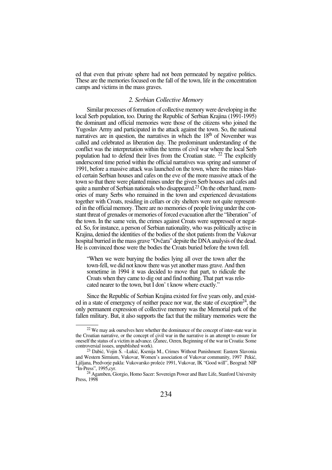ed that even that private sphere had not been permeated by negative politics. These are the memories focused on the fall of the town, life in the concentration camps and victims in the mass graves.

## *2. Serbian Collective Memory*

Similar processes of formation of collective memory were developing in the local Serb population, too. During the Republic of Serbian Krajina (1991-1995) the dominant and official memories were those of the citizens who joined the Yugoslav Army and participated in the attack against the town. So, the national narratives are in question, the narratives in which the 18<sup>th</sup> of November was called and celebrated as liberation day. The predominant understanding of the conflict was the interpretation within the terms of civil war where the local Serb population had to defend their lives from the Croatian state. <sup>22</sup> The explicitly underscored time period within the official narratives was spring and summer of 1991, before a massive attack was launched on the town, where the mines blasted certain Serbian houses and cafes on the eve of the more massive attack of the town so that there were planted mines under the given Serb houses and cafes and quite a number of Serbian nationals who disappeared.<sup>23</sup> On the other hand, memories of many Serbs who remained in the town and experienced devastations together with Croats, residing in cellars or city shelters were not quite represented in the official memory. There are no memories of people living under the constant threat of grenades or memories of forced evacuation after the "liberation" of the town. In the same vein, the crimes against Croats were suppressed or negated. So, for instance, a person of Serbian nationality, who was politically active in Krajina, denied the identities of the bodies of the shot patients from the Vukovar hospital burried in the mass grave "Ovčara" depsite the DNA analysis of the dead. He is convinced those were the bodies the Croats buried before the town fell.

"When we were burying the bodies lying all over the town after the town-fell, we did not know there was yet another mass grave. And then sometime in 1994 it was decided to move that part, to ridicule the Croats when they came to dig out and find nothing. That part was relocated nearer to the town, but I don' t know where exactly."

Since the Republic of Serbian Krajina existed for five years only, and existed in a state of emergency of neither peace nor war, the state of exception<sup>24</sup>, the only permanent expression of collective memory was the Memorial park of the fallen military. But, it also supports the fact that the military memories were the

<sup>&</sup>lt;sup>22</sup> We may ask ourselves here whether the dominance of the concept of inter-state war in the Croatian narrative, or the concept of civil war in the narrative is an attempt to ensure for oneself the status of a victim in advance. (Žunec, Ozren, Beginning of the war in Croatia: Some

controversial issues, unpublished work). <sup>23</sup> Dabić, Vojin S. –Lukić, Ksenija M., Crimes Without Punishment: Eastern Slavonia and Western Sirmium, Vukovar, Women's association of Vukovar community, 1997 Pekić, Ljiljana, Predvorje pakla: Vukovarsko proleće 1991, Vukovar, IK "Good will", Beograd: NIP

<sup>&</sup>quot;In-Press", 1995,cyr. 24 Agamben, Giorgio, Homo Sacer: Sovereign Power and Bare Life, Stanford University Press, 1998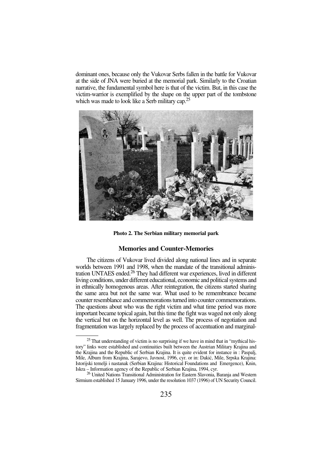dominant ones, because only the Vukovar Serbs fallen in the battle for Vukovar at the side of JNA were buried at the memorial park. Similarly to the Croatian narrative, the fundamental symbol here is that of the victim. But, in this case the victim-warrior is exemplified by the shape on the upper part of the tombstone which was made to look like a Serb military cap.<sup>25</sup>



**Photo 2. The Serbian military memorial park** 

### **Memories and Counter-Memories**

The citizens of Vukovar lived divided along national lines and in separate worlds between 1991 and 1998, when the mandate of the transitional administration UNTAES ended.<sup>26</sup> They had different war experiences, lived in different living conditions, under different educational, economic and political systems and in ethnically homogenous areas. After reintegration, the citizens started sharing the same area but not the same war. What used to be remembrance became counter resemblance and commemorations turned into counter commemorations. The questions about who was the right victim and what time period was more important became topical again, but this time the fight was waged not only along the vertical but on the horizontal level as well. The process of negotiation and fragmentation was largely replaced by the process of accentuation and marginal-

 $25$  That understanding of victim is no surprising if we have in mind that in "mythical history" links were established and continuities built between the Austrian Military Krajina and the Krajina and the Republic of Serbian Krajina. It is quite evident for instance in : Paspalj, Mile, Album from Krajina, Sarajevo, Javnost, 1996, cyr. or in: Dakić, Mile, Srpska Krajina: Istorijski temelji i nastanak (Serbian Krajina: Historical Foundations and Emergence), Knin, Iskra – Information agency of the Republic of Serbian Krajina, 1994, cyr. <sup>26</sup> United Nations Transitional Administration for Eastern Slavonia, Baranja and Western

Sirmium established 15 January 1996, under the resolution 1037 (1996) of UN Security Council.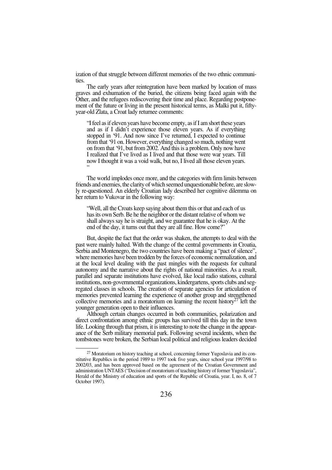ization of that struggle between different memories of the two ethnic communities.

The early years after reintegration have been marked by location of mass graves and exhumation of the buried, the citizens being faced again with the Other, and the refugees rediscovering their time and place. Regarding postponement of the future or living in the present historical terms, as Malki put it, fiftyyear-old Zlata, a Croat lady returnee comments:

"I feel as if eleven years have become empty, as if I am short these years and as if I didn't experience those eleven years. As if everything stopped in '91. And now since I've returned, I expected to continue from that '91 on. However, everything changed so much, nothing went on from that '91, but from 2002. And this is a problem. Only now have I realized that I've lived as I lived and that those were war years. Till now I thought it was a void walk, but no, I lived all those eleven years.

The world implodes once more, and the categories with firm limits between friends and enemies, the clarity of which seemed unquestionable before, are slowly re-questioned. An elderly Croatian lady described her cognitive dilemma on her return to Vukovar in the following way:

"

"Well, all the Croats keep saying about them this or that and each of us has its own Serb. Be he the neighbor or the distant relative of whom we shall always say he is straight, and we guarantee that he is okay. At the end of the day, it turns out that they are all fine. How come?"

But, despite the fact that the order was shaken, the attempts to deal with the past were mainly halted. With the change of the central governments in Croatia, Serbia and Montenegro, the two countries have been making a "pact of silence", where memories have been trodden by the forces of economic normalization, and at the local level dealing with the past mingles with the requests for cultural autonomy and the narrative about the rights of national minorities. As a result, parallel and separate institutions have evolved, like local radio stations, cultural institutions, non-governmental organizations, kindergartens, sports clubs and segregated classes in schools. The creation of separate agencies for articulation of memories prevented learning the experience of another group and strengthened collective memories and a moratorium on learning the recent history<sup>27</sup> left the younger generation open to their influences.

Although certain changes occurred in both communities, polarization and direct confrontation among ethnic groups has survived till this day in the town life. Looking through that prism, it is interesting to note the change in the appearance of the Serb military memorial park. Following several incidents, when the tombstones were broken, the Serbian local political and religious leaders decided

<sup>&</sup>lt;sup>27</sup> Moratorium on history teaching at school, concerning former Yugoslavia and its constitutive Republics in the period 1989 to 1997 took five years, since school year 1997/98 to 2002/03, and has been approved based on the agreement of the Croatian Government and administration UNTAES ("Decision of moratorium of teaching history of former Yugoslavia", Herald of the Ministry of education and sports of the Republic of Croatia, year. I, no. 8, of 7 October 1997).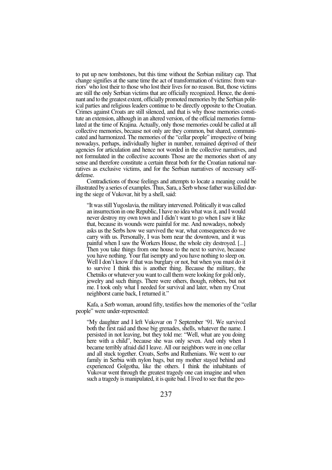to put up new tombstones, but this time without the Serbian military cap. That change signifies at the same time the act of transformation of victims: from warriors' who lost their to those who lost their lives for no reason. But, those victims are still the only Serbian victims that are officially recognized. Hence, the dominant and to the greatest extent, officially promoted memories by the Serbian political parties and religious leaders continue to be directly opposite to the Croatian. Crimes against Croats are still silenced, and that is why those memories constitute an extension, although in an altered version, of the official memories formulated at the time of Krajina. Actually, only those memories could be called at all collective memories, because not only are they common, but shared, communicated and harmonized. The memories of the "cellar people" irrespective of being nowadays, perhaps, individually higher in number, remained deprived of their agencies for articulation and hence not worded in the collective narratives, and not formulated in the collective accounts Those are the memories short of any sense and therefore constitute a certain threat both for the Croatian national narratives as exclusive victims, and for the Serbian narratives of necessary selfdefense.

Contradictions of those feelings and attempts to locate a meaning could be illustrated by a series of examples. Thus, Sara, a Serb whose father was killed during the siege of Vukovar, hit by a shell, said:

"It was still Yugoslavia, the military intervened. Politically it was called an insurrection in one Republic, I have no idea what was it, and I would never destroy my own town and I didn't want to go when I saw it like that, because its wounds were painful for me. And nowadays, nobody asks us the Serbs how we survived the war, what consequences do we carry with us. Personally, I was born near the downtown, and it was painful when I saw the Workers House, the whole city destroyed. [...] Then you take things from one house to the next to survive, because you have nothing. Your flat isempty and you have nothing to sleep on. Well I don't know if that was burglary or not, but when you must do it to survive I think this is another thing. Because the military, the Chetniks or whatever you want to call them were looking for gold only, jewelry and such things. There were others, though, robbers, but not me. I took only what I needed for survival and later, when my Croat neighborst came back, I returned it."

Kafa, a Serb woman, around fifty, testifies how the memories of the "cellar people" were under-represented:

"My daughter and I left Vukovar on 7 September '91. We survived both the first raid and those big grenades, shells, whatever the name. I persisted in not leaving, but they told me: "Well, what are you doing here with a child", because she was only seven. And only when I became terribly afraid did I leave. All our neighbors were in one cellar and all stuck together. Croats, Serbs and Ruthenians. We went to our family in Serbia with nylon bags, but my mother stayed behind and experienced Golgotha, like the others. I think the inhabitants of Vukovar went through the greatest tragedy one can imagine and when such a tragedy is manipulated, it is quite bad. I lived to see that the peo-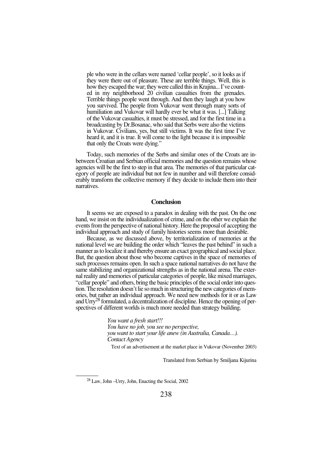ple who were in the cellars were named 'cellar people', so it looks as if they were there out of pleasure. These are terrible things. Well, this is how they escaped the war; they were called this in Krajina... I've counted in my neighborhood 20 civilian casualties from the grenades. Terrible things people went through. And then they laugh at you how you survived. The people from Vukovar went through many sorts of humiliation and Vukovar will hardly ever be what it was. [...] Talking of the Vukovar casualties, it must be stressed, and for the first time in a broadcasting by Dr.Bosanac, who said that Serbs were also the victims in Vukovar. Civilians, yes, but still victims. It was the first time I've heard it, and it is true. It will come to the light because it is impossible that only the Croats were dying."

Today, such memories of the Serbs and similar ones of the Croats are inbetween Croatian and Serbian official memories and the question remains whose agencies will be the first to step in that area. The memories of that particular category of people are individual but not few in number and will therefore considerably transform the collective memory if they decide to include them into their narratives.

#### **Conclusion**

It seems we are exposed to a paradox in dealing with the past. On the one hand, we insist on the individualization of crime, and on the other we explain the events from the perspective of national history. Here the proposal of accepting the individual approach and study of family histories seems more than desirable.

Because, as we discussed above, by territorialization of memories at the national level we are building the order which "leaves the past behind" in such a manner as to localize it and thereby ensure an exact geographical and social place. But, the question about those who become captives in the space of memories of such processes remains open. In such a space national narratives do not have the same stabilizing and organizational strengths as in the national arena. The external reality and memories of particular categories of people, like mixed marriages, "cellar people" and others, bring the basic principles of the social order into question. The resolution doesn't lie so much in structuring the new categories of memories, but rather an individual approach. We need new methods for it or as Law and Urry28 formulated, a decentralization of discipline. Hence the opening of perspectives of different worlds is much more needed than strategy building.

> *You want a fresh start!!! You have no job, you see no perspective, you want to start your life anew (in Australia, Canada…). Contact Agency*

Text of an advertisement at the market place in Vukovar (November 2003)

Translated from Serbian by Smiljana Kijurina

<sup>28</sup> Law, John –Urry, John, Enacting the Social, 2002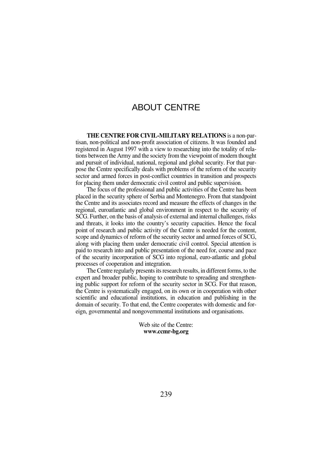# ABOUT CENTRE

**THE CENTRE FOR CIVIL-MILITARY RELATIONS** is a non-partisan, non-political and non-profit association of citizens. It was founded and registered in August 1997 with a view to researching into the totality of relations between the Army and the society from the viewpoint of modern thought and pursuit of individual, national, regional and global security. For that purpose the Centre specifically deals with problems of the reform of the security sector and armed forces in post-conflict countries in transition and prospects for placing them under democratic civil control and public supervision.

The focus of the professional and public activities of the Centre has been placed in the security sphere of Serbia and Montenegro. From that standpoint the Centre and its associates record and measure the effects of changes in the regional, euroatlantic and global environment in respect to the security of SCG. Further, on the basis of analysis of external and internal challenges, risks and threats, it looks into the country's security capacities. Hence the focal point of research and public activity of the Centre is needed for the content, scope and dynamics of reform of the security sector and armed forces of SCG, along with placing them under democratic civil control. Special attention is paid to research into and public presentation of the need for, course and pace of the security incorporation of SCG into regional, euro-atlantic and global processes of cooperation and integration.

The Centre regularly presents its research results, in different forms, to the expert and broader public, hoping to contribute to spreading and strengthening public support for reform of the security sector in SCG. For that reason, the Centre is systematically engaged, on its own or in cooperation with other scientific and educational institutions, in education and publishing in the domain of security. To that end, the Centre cooperates with domestic and foreign, governmental and nongovernmental institutions and organisations.

> Web site of the Centre: **www.ccmr-bg.org**